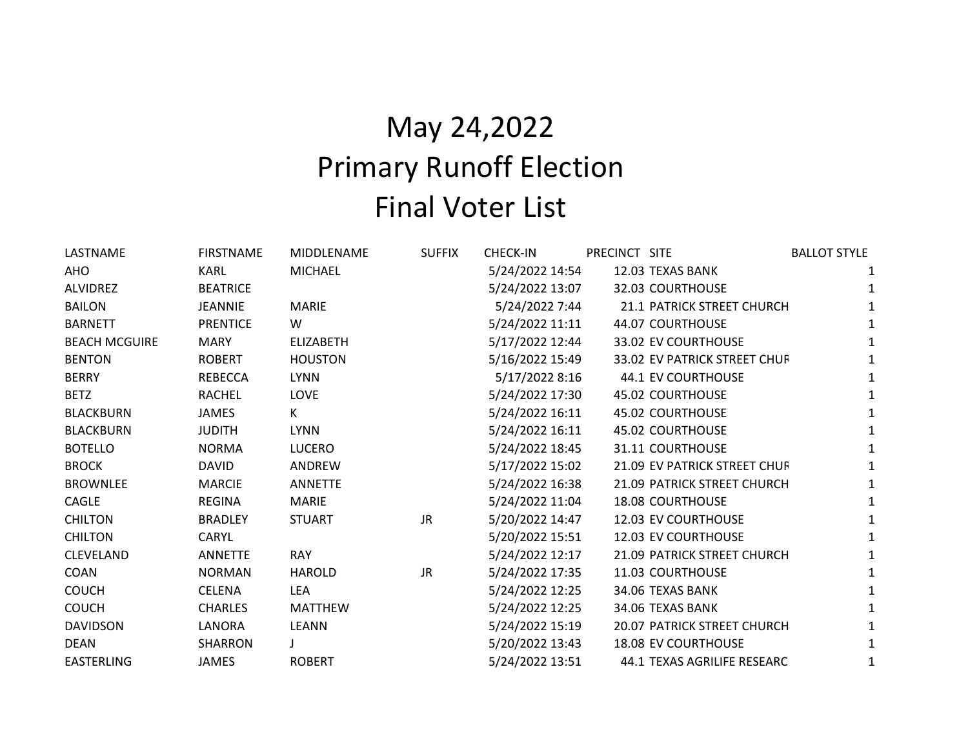## May 24,2022 Primary Runoff Election Final Voter List

| LASTNAME             | <b>FIRSTNAME</b> | <b>MIDDLENAME</b> | <b>SUFFIX</b> | <b>CHECK-IN</b> | PRECINCT SITE |                                    | <b>BALLOT STYLE</b> |
|----------------------|------------------|-------------------|---------------|-----------------|---------------|------------------------------------|---------------------|
| AHO                  | KARL             | <b>MICHAEL</b>    |               | 5/24/2022 14:54 |               | 12.03 TEXAS BANK                   |                     |
| <b>ALVIDREZ</b>      | <b>BEATRICE</b>  |                   |               | 5/24/2022 13:07 |               | 32.03 COURTHOUSE                   |                     |
| <b>BAILON</b>        | <b>JEANNIE</b>   | <b>MARIE</b>      |               | 5/24/2022 7:44  |               | 21.1 PATRICK STREET CHURCH         | $\mathbf{1}$        |
| <b>BARNETT</b>       | <b>PRENTICE</b>  | W                 |               | 5/24/2022 11:11 |               | 44.07 COURTHOUSE                   | $\mathbf{1}$        |
| <b>BEACH MCGUIRE</b> | <b>MARY</b>      | <b>ELIZABETH</b>  |               | 5/17/2022 12:44 |               | 33.02 EV COURTHOUSE                | $\mathbf{1}$        |
| <b>BENTON</b>        | <b>ROBERT</b>    | <b>HOUSTON</b>    |               | 5/16/2022 15:49 |               | 33.02 EV PATRICK STREET CHUF       | $\mathbf{1}$        |
| <b>BERRY</b>         | REBECCA          | <b>LYNN</b>       |               | 5/17/2022 8:16  |               | 44.1 EV COURTHOUSE                 | $\mathbf{1}$        |
| <b>BETZ</b>          | <b>RACHEL</b>    | LOVE              |               | 5/24/2022 17:30 |               | 45.02 COURTHOUSE                   | 1                   |
| <b>BLACKBURN</b>     | <b>JAMES</b>     | K                 |               | 5/24/2022 16:11 |               | 45.02 COURTHOUSE                   | $\mathbf{1}$        |
| <b>BLACKBURN</b>     | <b>JUDITH</b>    | <b>LYNN</b>       |               | 5/24/2022 16:11 |               | 45.02 COURTHOUSE                   | $\mathbf{1}$        |
| <b>BOTELLO</b>       | <b>NORMA</b>     | <b>LUCERO</b>     |               | 5/24/2022 18:45 |               | 31.11 COURTHOUSE                   | $\mathbf{1}$        |
| <b>BROCK</b>         | <b>DAVID</b>     | ANDREW            |               | 5/17/2022 15:02 |               | 21.09 EV PATRICK STREET CHUF       | $\mathbf{1}$        |
| <b>BROWNLEE</b>      | <b>MARCIE</b>    | <b>ANNETTE</b>    |               | 5/24/2022 16:38 |               | 21.09 PATRICK STREET CHURCH        | $\mathbf{1}$        |
| CAGLE                | <b>REGINA</b>    | <b>MARIE</b>      |               | 5/24/2022 11:04 |               | <b>18.08 COURTHOUSE</b>            | $\mathbf{1}$        |
| <b>CHILTON</b>       | <b>BRADLEY</b>   | <b>STUART</b>     | JR            | 5/20/2022 14:47 |               | 12.03 EV COURTHOUSE                | 1                   |
| <b>CHILTON</b>       | CARYL            |                   |               | 5/20/2022 15:51 |               | 12.03 EV COURTHOUSE                | 1                   |
| CLEVELAND            | <b>ANNETTE</b>   | <b>RAY</b>        |               | 5/24/2022 12:17 |               | 21.09 PATRICK STREET CHURCH        | 1                   |
| <b>COAN</b>          | <b>NORMAN</b>    | <b>HAROLD</b>     | JR.           | 5/24/2022 17:35 |               | 11.03 COURTHOUSE                   | 1                   |
| <b>COUCH</b>         | <b>CELENA</b>    | LEA               |               | 5/24/2022 12:25 |               | 34.06 TEXAS BANK                   | $\mathbf{1}$        |
| <b>COUCH</b>         | <b>CHARLES</b>   | <b>MATTHEW</b>    |               | 5/24/2022 12:25 |               | 34.06 TEXAS BANK                   |                     |
| <b>DAVIDSON</b>      | LANORA           | LEANN             |               | 5/24/2022 15:19 |               | <b>20.07 PATRICK STREET CHURCH</b> | $\mathbf{1}$        |
| <b>DEAN</b>          | <b>SHARRON</b>   |                   |               | 5/20/2022 13:43 |               | <b>18.08 EV COURTHOUSE</b>         | 1                   |
| <b>EASTERLING</b>    | <b>JAMES</b>     | <b>ROBERT</b>     |               | 5/24/2022 13:51 |               | 44.1 TEXAS AGRILIFE RESEARC        | 1                   |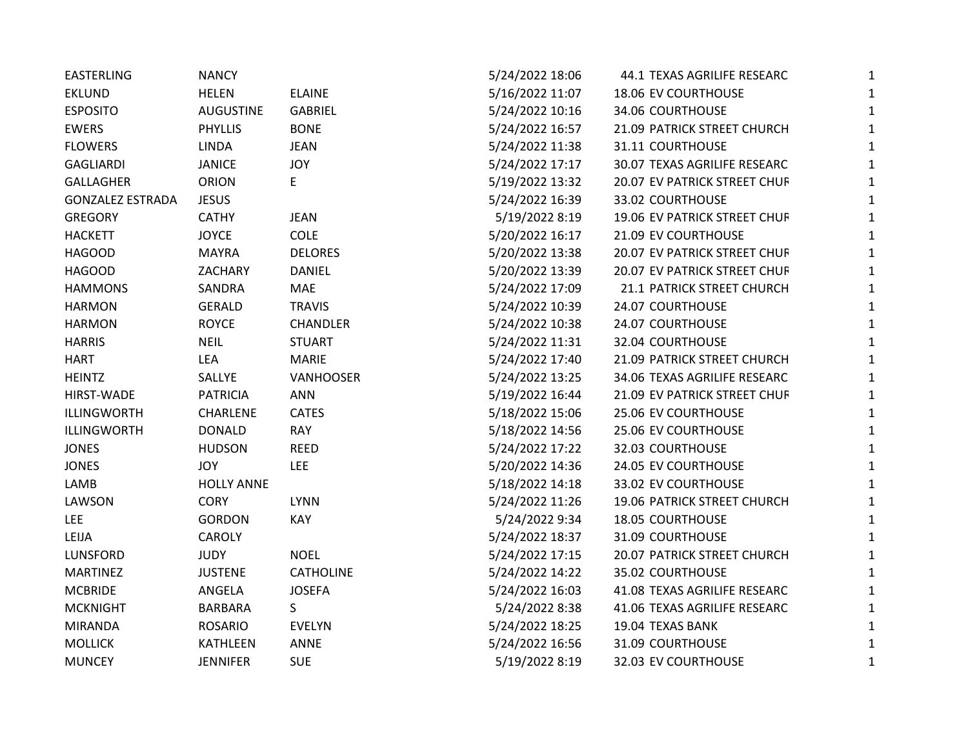| <b>EASTERLING</b>       | <b>NANCY</b>      |                  | 5/24/2022 18:06 | 44.1 TEXAS AGRILIFE RESEARC  | $\mathbf{1}$ |
|-------------------------|-------------------|------------------|-----------------|------------------------------|--------------|
| <b>EKLUND</b>           | <b>HELEN</b>      | <b>ELAINE</b>    | 5/16/2022 11:07 | 18.06 EV COURTHOUSE          | 1            |
| <b>ESPOSITO</b>         | <b>AUGUSTINE</b>  | <b>GABRIEL</b>   | 5/24/2022 10:16 | 34.06 COURTHOUSE             | $\mathbf{1}$ |
| <b>EWERS</b>            | <b>PHYLLIS</b>    | <b>BONE</b>      | 5/24/2022 16:57 | 21.09 PATRICK STREET CHURCH  | $\mathbf{1}$ |
| <b>FLOWERS</b>          | <b>LINDA</b>      | <b>JEAN</b>      | 5/24/2022 11:38 | 31.11 COURTHOUSE             | 1            |
| <b>GAGLIARDI</b>        | <b>JANICE</b>     | <b>JOY</b>       | 5/24/2022 17:17 | 30.07 TEXAS AGRILIFE RESEARC | $\mathbf{1}$ |
| <b>GALLAGHER</b>        | <b>ORION</b>      | E                | 5/19/2022 13:32 | 20.07 EV PATRICK STREET CHUF | $\mathbf{1}$ |
| <b>GONZALEZ ESTRADA</b> | <b>JESUS</b>      |                  | 5/24/2022 16:39 | 33.02 COURTHOUSE             | $\mathbf{1}$ |
| <b>GREGORY</b>          | <b>CATHY</b>      | <b>JEAN</b>      | 5/19/2022 8:19  | 19.06 EV PATRICK STREET CHUF | 1            |
| <b>HACKETT</b>          | <b>JOYCE</b>      | <b>COLE</b>      | 5/20/2022 16:17 | 21.09 EV COURTHOUSE          | $\mathbf{1}$ |
| <b>HAGOOD</b>           | <b>MAYRA</b>      | <b>DELORES</b>   | 5/20/2022 13:38 | 20.07 EV PATRICK STREET CHUF | $\mathbf{1}$ |
| <b>HAGOOD</b>           | ZACHARY           | <b>DANIEL</b>    | 5/20/2022 13:39 | 20.07 EV PATRICK STREET CHUF | $\mathbf{1}$ |
| <b>HAMMONS</b>          | SANDRA            | <b>MAE</b>       | 5/24/2022 17:09 | 21.1 PATRICK STREET CHURCH   | $\mathbf{1}$ |
| <b>HARMON</b>           | <b>GERALD</b>     | <b>TRAVIS</b>    | 5/24/2022 10:39 | 24.07 COURTHOUSE             | 1            |
| <b>HARMON</b>           | <b>ROYCE</b>      | <b>CHANDLER</b>  | 5/24/2022 10:38 | 24.07 COURTHOUSE             | $\mathbf{1}$ |
| <b>HARRIS</b>           | <b>NEIL</b>       | <b>STUART</b>    | 5/24/2022 11:31 | 32.04 COURTHOUSE             | $\mathbf{1}$ |
| <b>HART</b>             | LEA               | <b>MARIE</b>     | 5/24/2022 17:40 | 21.09 PATRICK STREET CHURCH  | $\mathbf{1}$ |
| <b>HEINTZ</b>           | SALLYE            | <b>VANHOOSER</b> | 5/24/2022 13:25 | 34.06 TEXAS AGRILIFE RESEARC | $\mathbf{1}$ |
| <b>HIRST-WADE</b>       | <b>PATRICIA</b>   | <b>ANN</b>       | 5/19/2022 16:44 | 21.09 EV PATRICK STREET CHUF | 1            |
| <b>ILLINGWORTH</b>      | CHARLENE          | <b>CATES</b>     | 5/18/2022 15:06 | 25.06 EV COURTHOUSE          | $\mathbf{1}$ |
| <b>ILLINGWORTH</b>      | <b>DONALD</b>     | <b>RAY</b>       | 5/18/2022 14:56 | 25.06 EV COURTHOUSE          | 1            |
| <b>JONES</b>            | <b>HUDSON</b>     | <b>REED</b>      | 5/24/2022 17:22 | 32.03 COURTHOUSE             | $\mathbf{1}$ |
| <b>JONES</b>            | <b>JOY</b>        | <b>LEE</b>       | 5/20/2022 14:36 | 24.05 EV COURTHOUSE          | 1            |
| LAMB                    | <b>HOLLY ANNE</b> |                  | 5/18/2022 14:18 | 33.02 EV COURTHOUSE          | 1            |
| LAWSON                  | <b>CORY</b>       | <b>LYNN</b>      | 5/24/2022 11:26 | 19.06 PATRICK STREET CHURCH  | $\mathbf{1}$ |
| LEE                     | <b>GORDON</b>     | KAY              | 5/24/2022 9:34  | <b>18.05 COURTHOUSE</b>      | $\mathbf{1}$ |
| LEIJA                   | <b>CAROLY</b>     |                  | 5/24/2022 18:37 | 31.09 COURTHOUSE             | 1            |
| LUNSFORD                | <b>JUDY</b>       | <b>NOEL</b>      | 5/24/2022 17:15 | 20.07 PATRICK STREET CHURCH  | 1            |
| <b>MARTINEZ</b>         | <b>JUSTENE</b>    | <b>CATHOLINE</b> | 5/24/2022 14:22 | 35.02 COURTHOUSE             | $\mathbf{1}$ |
| <b>MCBRIDE</b>          | ANGELA            | <b>JOSEFA</b>    | 5/24/2022 16:03 | 41.08 TEXAS AGRILIFE RESEARC | $\mathbf{1}$ |
| <b>MCKNIGHT</b>         | <b>BARBARA</b>    | S.               | 5/24/2022 8:38  | 41.06 TEXAS AGRILIFE RESEARC | $\mathbf{1}$ |
| <b>MIRANDA</b>          | <b>ROSARIO</b>    | <b>EVELYN</b>    | 5/24/2022 18:25 | 19.04 TEXAS BANK             | $\mathbf{1}$ |
| <b>MOLLICK</b>          | KATHLEEN          | ANNE             | 5/24/2022 16:56 | 31.09 COURTHOUSE             | 1            |
| <b>MUNCEY</b>           | <b>JENNIFER</b>   | <b>SUE</b>       | 5/19/2022 8:19  | 32.03 EV COURTHOUSE          | 1            |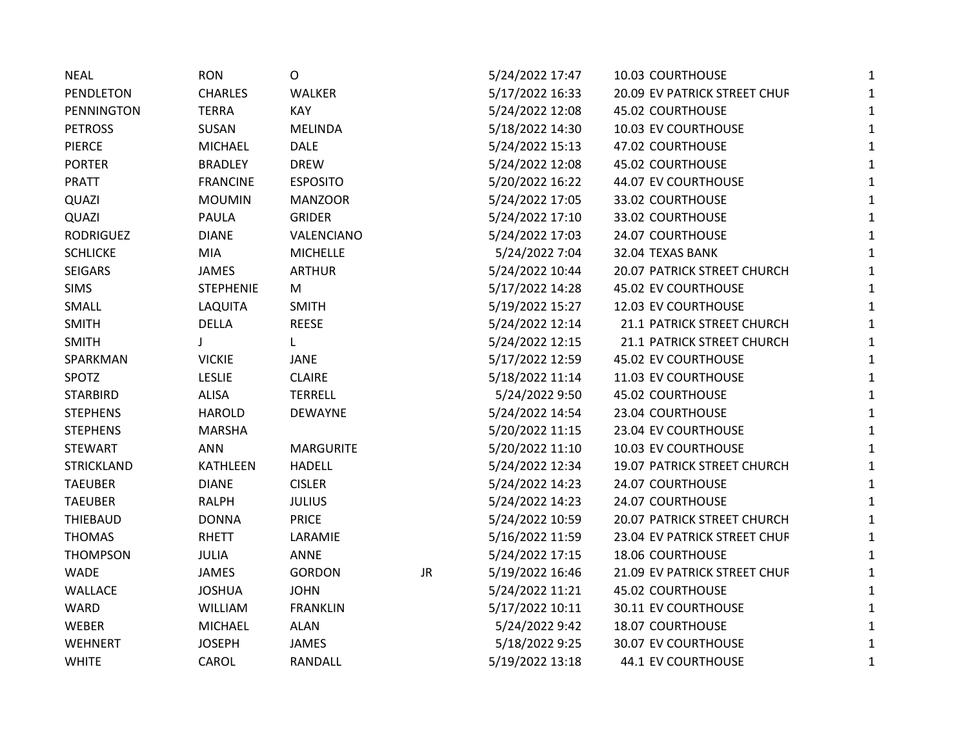| <b>NEAL</b>       | <b>RON</b>       | 0                |           | 5/24/2022 17:47 | 10.03 COURTHOUSE             | $\mathbf{1}$ |
|-------------------|------------------|------------------|-----------|-----------------|------------------------------|--------------|
| PENDLETON         | <b>CHARLES</b>   | WALKER           |           | 5/17/2022 16:33 | 20.09 EV PATRICK STREET CHUF | $\mathbf{1}$ |
| PENNINGTON        | <b>TERRA</b>     | <b>KAY</b>       |           | 5/24/2022 12:08 | 45.02 COURTHOUSE             | $\mathbf{1}$ |
| <b>PETROSS</b>    | SUSAN            | <b>MELINDA</b>   |           | 5/18/2022 14:30 | 10.03 EV COURTHOUSE          | $\mathbf{1}$ |
| <b>PIERCE</b>     | <b>MICHAEL</b>   | <b>DALE</b>      |           | 5/24/2022 15:13 | 47.02 COURTHOUSE             | $\mathbf{1}$ |
| <b>PORTER</b>     | <b>BRADLEY</b>   | <b>DREW</b>      |           | 5/24/2022 12:08 | 45.02 COURTHOUSE             | $\mathbf{1}$ |
| <b>PRATT</b>      | <b>FRANCINE</b>  | <b>ESPOSITO</b>  |           | 5/20/2022 16:22 | 44.07 EV COURTHOUSE          | $\mathbf{1}$ |
| QUAZI             | <b>MOUMIN</b>    | <b>MANZOOR</b>   |           | 5/24/2022 17:05 | 33.02 COURTHOUSE             | 1            |
| QUAZI             | PAULA            | <b>GRIDER</b>    |           | 5/24/2022 17:10 | 33.02 COURTHOUSE             | $\mathbf{1}$ |
| <b>RODRIGUEZ</b>  | <b>DIANE</b>     | VALENCIANO       |           | 5/24/2022 17:03 | 24.07 COURTHOUSE             | $\mathbf{1}$ |
| <b>SCHLICKE</b>   | <b>MIA</b>       | <b>MICHELLE</b>  |           | 5/24/2022 7:04  | 32.04 TEXAS BANK             | $\mathbf{1}$ |
| <b>SEIGARS</b>    | <b>JAMES</b>     | <b>ARTHUR</b>    |           | 5/24/2022 10:44 | 20.07 PATRICK STREET CHURCH  | $\mathbf{1}$ |
| <b>SIMS</b>       | <b>STEPHENIE</b> | M                |           | 5/17/2022 14:28 | 45.02 EV COURTHOUSE          | 1            |
| SMALL             | LAQUITA          | <b>SMITH</b>     |           | 5/19/2022 15:27 | 12.03 EV COURTHOUSE          | $\mathbf{1}$ |
| <b>SMITH</b>      | <b>DELLA</b>     | <b>REESE</b>     |           | 5/24/2022 12:14 | 21.1 PATRICK STREET CHURCH   | $\mathbf{1}$ |
| <b>SMITH</b>      |                  | L.               |           | 5/24/2022 12:15 | 21.1 PATRICK STREET CHURCH   | $\mathbf{1}$ |
| SPARKMAN          | <b>VICKIE</b>    | JANE             |           | 5/17/2022 12:59 | 45.02 EV COURTHOUSE          | $\mathbf{1}$ |
| SPOTZ             | <b>LESLIE</b>    | <b>CLAIRE</b>    |           | 5/18/2022 11:14 | 11.03 EV COURTHOUSE          | 1            |
| <b>STARBIRD</b>   | <b>ALISA</b>     | <b>TERRELL</b>   |           | 5/24/2022 9:50  | 45.02 COURTHOUSE             | $\mathbf{1}$ |
| <b>STEPHENS</b>   | <b>HAROLD</b>    | DEWAYNE          |           | 5/24/2022 14:54 | 23.04 COURTHOUSE             | $\mathbf{1}$ |
| <b>STEPHENS</b>   | <b>MARSHA</b>    |                  |           | 5/20/2022 11:15 | 23.04 EV COURTHOUSE          | $\mathbf{1}$ |
| <b>STEWART</b>    | <b>ANN</b>       | <b>MARGURITE</b> |           | 5/20/2022 11:10 | 10.03 EV COURTHOUSE          | $\mathbf{1}$ |
| <b>STRICKLAND</b> | KATHLEEN         | <b>HADELL</b>    |           | 5/24/2022 12:34 | 19.07 PATRICK STREET CHURCH  | $\mathbf{1}$ |
| <b>TAEUBER</b>    | <b>DIANE</b>     | <b>CISLER</b>    |           | 5/24/2022 14:23 | 24.07 COURTHOUSE             | $\mathbf{1}$ |
| <b>TAEUBER</b>    | <b>RALPH</b>     | <b>JULIUS</b>    |           | 5/24/2022 14:23 | 24.07 COURTHOUSE             | $\mathbf{1}$ |
| THIEBAUD          | <b>DONNA</b>     | <b>PRICE</b>     |           | 5/24/2022 10:59 | 20.07 PATRICK STREET CHURCH  | $\mathbf{1}$ |
| <b>THOMAS</b>     | <b>RHETT</b>     | LARAMIE          |           | 5/16/2022 11:59 | 23.04 EV PATRICK STREET CHUF | $\mathbf{1}$ |
| <b>THOMPSON</b>   | <b>JULIA</b>     | ANNE             |           | 5/24/2022 17:15 | 18.06 COURTHOUSE             | $\mathbf{1}$ |
| <b>WADE</b>       | <b>JAMES</b>     | <b>GORDON</b>    | <b>JR</b> | 5/19/2022 16:46 | 21.09 EV PATRICK STREET CHUF | $\mathbf{1}$ |
| WALLACE           | <b>JOSHUA</b>    | <b>JOHN</b>      |           | 5/24/2022 11:21 | 45.02 COURTHOUSE             | $\mathbf{1}$ |
| WARD              | WILLIAM          | <b>FRANKLIN</b>  |           | 5/17/2022 10:11 | 30.11 EV COURTHOUSE          | $\mathbf{1}$ |
| WEBER             | <b>MICHAEL</b>   | <b>ALAN</b>      |           | 5/24/2022 9:42  | 18.07 COURTHOUSE             | 1            |
| WEHNERT           | <b>JOSEPH</b>    | <b>JAMES</b>     |           | 5/18/2022 9:25  | 30.07 EV COURTHOUSE          | $\mathbf{1}$ |
| <b>WHITE</b>      | CAROL            | RANDALL          |           | 5/19/2022 13:18 | 44.1 EV COURTHOUSE           | $\mathbf{1}$ |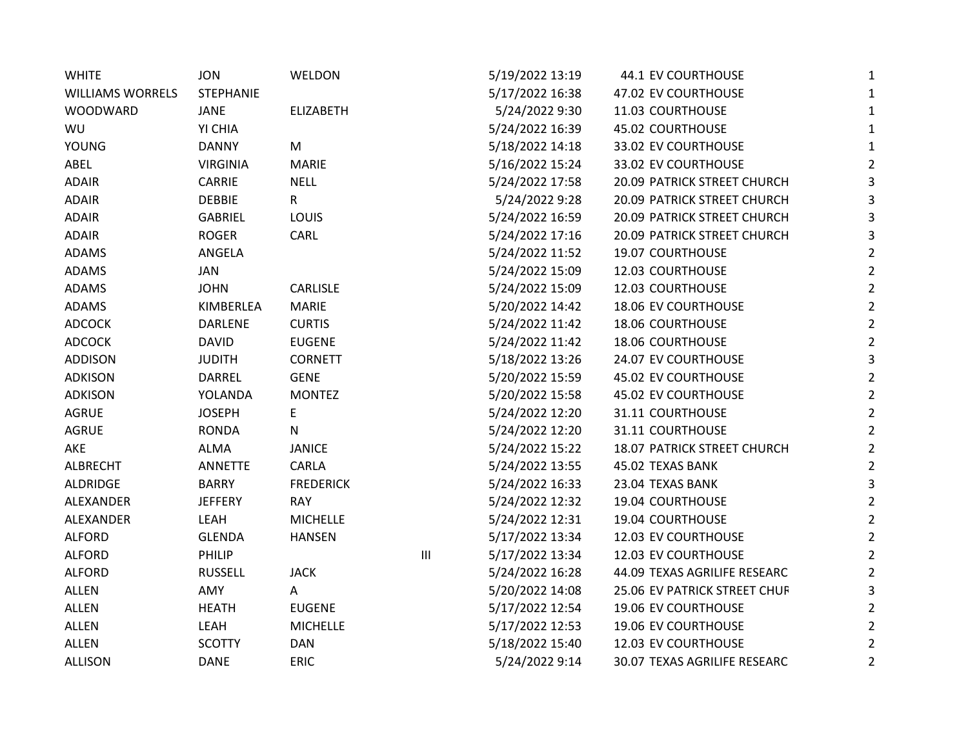| <b>WHITE</b>            | <b>JON</b>       | WELDON           |                  | 5/19/2022 13:19 | 44.1 EV COURTHOUSE                 | $\mathbf{1}$   |
|-------------------------|------------------|------------------|------------------|-----------------|------------------------------------|----------------|
| <b>WILLIAMS WORRELS</b> | <b>STEPHANIE</b> |                  |                  | 5/17/2022 16:38 | 47.02 EV COURTHOUSE                | $\mathbf{1}$   |
| <b>WOODWARD</b>         | <b>JANE</b>      | <b>ELIZABETH</b> |                  | 5/24/2022 9:30  | 11.03 COURTHOUSE                   | $\mathbf{1}$   |
| WU                      | <b>YI CHIA</b>   |                  |                  | 5/24/2022 16:39 | 45.02 COURTHOUSE                   | $\mathbf{1}$   |
| <b>YOUNG</b>            | <b>DANNY</b>     | M                |                  | 5/18/2022 14:18 | 33.02 EV COURTHOUSE                | $\mathbf{1}$   |
| ABEL                    | <b>VIRGINIA</b>  | <b>MARIE</b>     |                  | 5/16/2022 15:24 | 33.02 EV COURTHOUSE                | $\overline{2}$ |
| <b>ADAIR</b>            | CARRIE           | <b>NELL</b>      |                  | 5/24/2022 17:58 | <b>20.09 PATRICK STREET CHURCH</b> | 3              |
| <b>ADAIR</b>            | <b>DEBBIE</b>    | $\mathsf{R}$     |                  | 5/24/2022 9:28  | 20.09 PATRICK STREET CHURCH        | 3              |
| <b>ADAIR</b>            | <b>GABRIEL</b>   | LOUIS            |                  | 5/24/2022 16:59 | 20.09 PATRICK STREET CHURCH        | 3              |
| <b>ADAIR</b>            | <b>ROGER</b>     | CARL             |                  | 5/24/2022 17:16 | <b>20.09 PATRICK STREET CHURCH</b> | 3              |
| <b>ADAMS</b>            | ANGELA           |                  |                  | 5/24/2022 11:52 | 19.07 COURTHOUSE                   | $\overline{2}$ |
| ADAMS                   | <b>JAN</b>       |                  |                  | 5/24/2022 15:09 | 12.03 COURTHOUSE                   | $\overline{2}$ |
| ADAMS                   | <b>JOHN</b>      | <b>CARLISLE</b>  |                  | 5/24/2022 15:09 | 12.03 COURTHOUSE                   | $\overline{2}$ |
| ADAMS                   | KIMBERLEA        | <b>MARIE</b>     |                  | 5/20/2022 14:42 | 18.06 EV COURTHOUSE                | $\overline{2}$ |
| <b>ADCOCK</b>           | <b>DARLENE</b>   | <b>CURTIS</b>    |                  | 5/24/2022 11:42 | 18.06 COURTHOUSE                   | $\overline{2}$ |
| ADCOCK                  | <b>DAVID</b>     | <b>EUGENE</b>    |                  | 5/24/2022 11:42 | <b>18.06 COURTHOUSE</b>            | $\overline{2}$ |
| <b>ADDISON</b>          | <b>JUDITH</b>    | <b>CORNETT</b>   |                  | 5/18/2022 13:26 | 24.07 EV COURTHOUSE                | $\overline{3}$ |
| <b>ADKISON</b>          | <b>DARREL</b>    | <b>GENE</b>      |                  | 5/20/2022 15:59 | 45.02 EV COURTHOUSE                | $\overline{2}$ |
| <b>ADKISON</b>          | YOLANDA          | <b>MONTEZ</b>    |                  | 5/20/2022 15:58 | 45.02 EV COURTHOUSE                | $\overline{2}$ |
| <b>AGRUE</b>            | <b>JOSEPH</b>    | E                |                  | 5/24/2022 12:20 | 31.11 COURTHOUSE                   | $\overline{2}$ |
| <b>AGRUE</b>            | <b>RONDA</b>     | N                |                  | 5/24/2022 12:20 | 31.11 COURTHOUSE                   | $\overline{2}$ |
| AKE                     | ALMA             | <b>JANICE</b>    |                  | 5/24/2022 15:22 | 18.07 PATRICK STREET CHURCH        | $\overline{2}$ |
| <b>ALBRECHT</b>         | <b>ANNETTE</b>   | CARLA            |                  | 5/24/2022 13:55 | 45.02 TEXAS BANK                   | $\overline{2}$ |
| ALDRIDGE                | <b>BARRY</b>     | <b>FREDERICK</b> |                  | 5/24/2022 16:33 | 23.04 TEXAS BANK                   | 3              |
| ALEXANDER               | <b>JEFFERY</b>   | <b>RAY</b>       |                  | 5/24/2022 12:32 | 19.04 COURTHOUSE                   | $\overline{2}$ |
| ALEXANDER               | LEAH             | <b>MICHELLE</b>  |                  | 5/24/2022 12:31 | 19.04 COURTHOUSE                   | $\overline{2}$ |
| <b>ALFORD</b>           | <b>GLENDA</b>    | <b>HANSEN</b>    |                  | 5/17/2022 13:34 | 12.03 EV COURTHOUSE                | $\overline{2}$ |
| <b>ALFORD</b>           | PHILIP           |                  | $\mathsf{III}\,$ | 5/17/2022 13:34 | 12.03 EV COURTHOUSE                | $\overline{2}$ |
| <b>ALFORD</b>           | <b>RUSSELL</b>   | <b>JACK</b>      |                  | 5/24/2022 16:28 | 44.09 TEXAS AGRILIFE RESEARC       | $\overline{2}$ |
| <b>ALLEN</b>            | AMY              | A                |                  | 5/20/2022 14:08 | 25.06 EV PATRICK STREET CHUF       | 3              |
| ALLEN                   | <b>HEATH</b>     | <b>EUGENE</b>    |                  | 5/17/2022 12:54 | 19.06 EV COURTHOUSE                | $\overline{2}$ |
| ALLEN                   | LEAH             | <b>MICHELLE</b>  |                  | 5/17/2022 12:53 | 19.06 EV COURTHOUSE                | $\overline{2}$ |
| <b>ALLEN</b>            | <b>SCOTTY</b>    | <b>DAN</b>       |                  | 5/18/2022 15:40 | 12.03 EV COURTHOUSE                | $\overline{2}$ |
| <b>ALLISON</b>          | <b>DANE</b>      | <b>ERIC</b>      |                  | 5/24/2022 9:14  | 30.07 TEXAS AGRILIFE RESEARC       | $\overline{2}$ |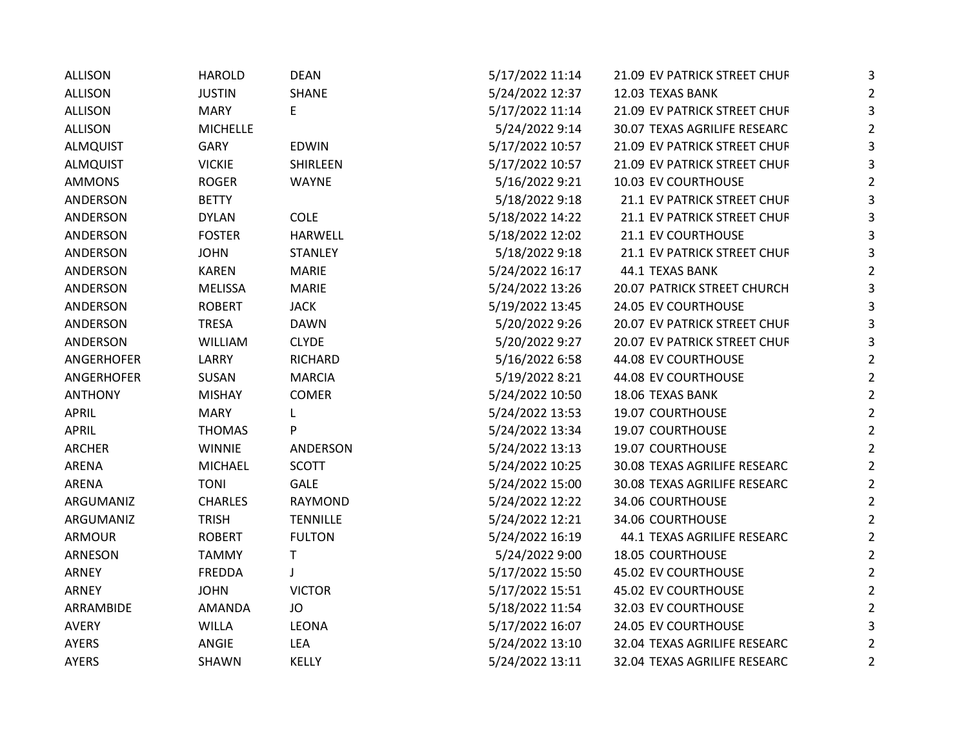| <b>HAROLD</b>   | <b>DEAN</b>     | 5/17/2022 11:14 | 21.09 EV PATRICK STREET CHUF | 3              |
|-----------------|-----------------|-----------------|------------------------------|----------------|
| <b>JUSTIN</b>   | <b>SHANE</b>    | 5/24/2022 12:37 | 12.03 TEXAS BANK             | $\overline{2}$ |
| <b>MARY</b>     | E.              | 5/17/2022 11:14 | 21.09 EV PATRICK STREET CHUF | 3              |
| <b>MICHELLE</b> |                 | 5/24/2022 9:14  | 30.07 TEXAS AGRILIFE RESEARC | $\overline{2}$ |
| <b>GARY</b>     | <b>EDWIN</b>    | 5/17/2022 10:57 | 21.09 EV PATRICK STREET CHUF | 3              |
| <b>VICKIE</b>   | SHIRLEEN        | 5/17/2022 10:57 | 21.09 EV PATRICK STREET CHUF | 3              |
| <b>ROGER</b>    | <b>WAYNE</b>    | 5/16/2022 9:21  | 10.03 EV COURTHOUSE          | $\overline{2}$ |
| <b>BETTY</b>    |                 | 5/18/2022 9:18  | 21.1 EV PATRICK STREET CHUF  | 3              |
| <b>DYLAN</b>    | COLE            | 5/18/2022 14:22 | 21.1 EV PATRICK STREET CHUF  | 3              |
| <b>FOSTER</b>   | <b>HARWELL</b>  | 5/18/2022 12:02 | 21.1 EV COURTHOUSE           | 3              |
| <b>JOHN</b>     | <b>STANLEY</b>  | 5/18/2022 9:18  | 21.1 EV PATRICK STREET CHUF  | 3              |
| <b>KAREN</b>    | <b>MARIE</b>    | 5/24/2022 16:17 | 44.1 TEXAS BANK              | $\overline{2}$ |
| <b>MELISSA</b>  | <b>MARIE</b>    | 5/24/2022 13:26 | 20.07 PATRICK STREET CHURCH  | 3              |
| <b>ROBERT</b>   | <b>JACK</b>     | 5/19/2022 13:45 | 24.05 EV COURTHOUSE          | 3              |
| <b>TRESA</b>    | <b>DAWN</b>     | 5/20/2022 9:26  | 20.07 EV PATRICK STREET CHUF | 3              |
| <b>WILLIAM</b>  | <b>CLYDE</b>    | 5/20/2022 9:27  | 20.07 EV PATRICK STREET CHUF | 3              |
| LARRY           | RICHARD         | 5/16/2022 6:58  | 44.08 EV COURTHOUSE          | $\overline{2}$ |
| SUSAN           | <b>MARCIA</b>   | 5/19/2022 8:21  | 44.08 EV COURTHOUSE          | $\overline{2}$ |
| <b>MISHAY</b>   | <b>COMER</b>    | 5/24/2022 10:50 | 18.06 TEXAS BANK             | $\overline{2}$ |
| <b>MARY</b>     | L               | 5/24/2022 13:53 | 19.07 COURTHOUSE             | $\overline{2}$ |
| <b>THOMAS</b>   | P               | 5/24/2022 13:34 | 19.07 COURTHOUSE             | $\overline{2}$ |
| <b>WINNIE</b>   | ANDERSON        | 5/24/2022 13:13 | 19.07 COURTHOUSE             | $\overline{2}$ |
| <b>MICHAEL</b>  | <b>SCOTT</b>    | 5/24/2022 10:25 | 30.08 TEXAS AGRILIFE RESEARC | $\overline{2}$ |
| <b>TONI</b>     | GALE            | 5/24/2022 15:00 | 30.08 TEXAS AGRILIFE RESEARC | $\overline{2}$ |
| <b>CHARLES</b>  | RAYMOND         | 5/24/2022 12:22 | 34.06 COURTHOUSE             | $\overline{2}$ |
| <b>TRISH</b>    | <b>TENNILLE</b> | 5/24/2022 12:21 | 34.06 COURTHOUSE             | $\overline{2}$ |
| <b>ROBERT</b>   | <b>FULTON</b>   | 5/24/2022 16:19 | 44.1 TEXAS AGRILIFE RESEARC  | $\overline{2}$ |
| <b>TAMMY</b>    | T               | 5/24/2022 9:00  | <b>18.05 COURTHOUSE</b>      | $\overline{2}$ |
| <b>FREDDA</b>   | $\mathbf{J}$    | 5/17/2022 15:50 | 45.02 EV COURTHOUSE          | $\overline{2}$ |
| <b>JOHN</b>     | <b>VICTOR</b>   | 5/17/2022 15:51 | 45.02 EV COURTHOUSE          | $\overline{2}$ |
| <b>AMANDA</b>   | JO              | 5/18/2022 11:54 | 32.03 EV COURTHOUSE          | $\overline{2}$ |
| <b>WILLA</b>    | LEONA           | 5/17/2022 16:07 | 24.05 EV COURTHOUSE          | 3              |
| ANGIE           | LEA             | 5/24/2022 13:10 | 32.04 TEXAS AGRILIFE RESEARC | $\overline{2}$ |
| SHAWN           | KELLY           | 5/24/2022 13:11 | 32.04 TEXAS AGRILIFE RESEARC | $\overline{2}$ |
|                 |                 |                 |                              |                |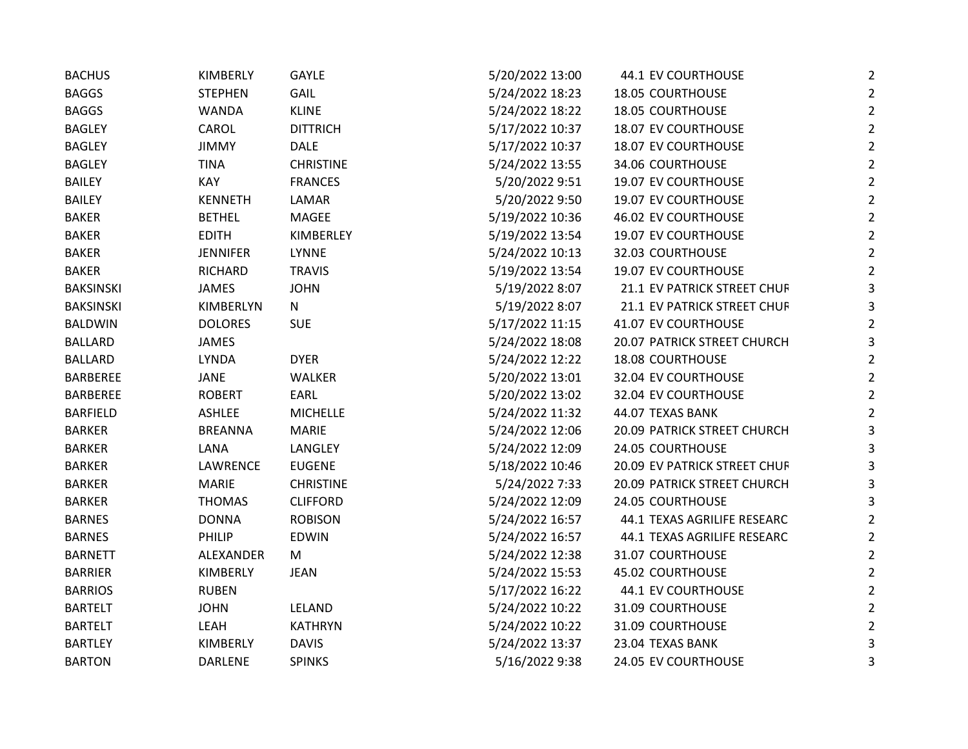| <b>BACHUS</b>    | KIMBERLY        | GAYLE            | 5/20/2022 13:00 | 44.1 EV COURTHOUSE           | 2              |
|------------------|-----------------|------------------|-----------------|------------------------------|----------------|
| <b>BAGGS</b>     | <b>STEPHEN</b>  | GAIL             | 5/24/2022 18:23 | <b>18.05 COURTHOUSE</b>      | $\overline{2}$ |
| <b>BAGGS</b>     | <b>WANDA</b>    | <b>KLINE</b>     | 5/24/2022 18:22 | 18.05 COURTHOUSE             | $\overline{2}$ |
| <b>BAGLEY</b>    | CAROL           | <b>DITTRICH</b>  | 5/17/2022 10:37 | 18.07 EV COURTHOUSE          | $\overline{2}$ |
| <b>BAGLEY</b>    | <b>JIMMY</b>    | <b>DALE</b>      | 5/17/2022 10:37 | 18.07 EV COURTHOUSE          | $\overline{2}$ |
| <b>BAGLEY</b>    | <b>TINA</b>     | <b>CHRISTINE</b> | 5/24/2022 13:55 | 34.06 COURTHOUSE             | $\overline{2}$ |
| <b>BAILEY</b>    | <b>KAY</b>      | <b>FRANCES</b>   | 5/20/2022 9:51  | 19.07 EV COURTHOUSE          | $\overline{2}$ |
| <b>BAILEY</b>    | <b>KENNETH</b>  | LAMAR            | 5/20/2022 9:50  | 19.07 EV COURTHOUSE          | $\overline{2}$ |
| <b>BAKER</b>     | <b>BETHEL</b>   | MAGEE            | 5/19/2022 10:36 | 46.02 EV COURTHOUSE          | $\overline{2}$ |
| <b>BAKER</b>     | <b>EDITH</b>    | KIMBERLEY        | 5/19/2022 13:54 | 19.07 EV COURTHOUSE          | $\overline{2}$ |
| <b>BAKER</b>     | <b>JENNIFER</b> | <b>LYNNE</b>     | 5/24/2022 10:13 | 32.03 COURTHOUSE             | $\overline{2}$ |
| <b>BAKER</b>     | RICHARD         | <b>TRAVIS</b>    | 5/19/2022 13:54 | 19.07 EV COURTHOUSE          | $\overline{2}$ |
| <b>BAKSINSKI</b> | <b>JAMES</b>    | <b>JOHN</b>      | 5/19/2022 8:07  | 21.1 EV PATRICK STREET CHUF  | 3              |
| <b>BAKSINSKI</b> | KIMBERLYN       | ${\sf N}$        | 5/19/2022 8:07  | 21.1 EV PATRICK STREET CHUF  | 3              |
| <b>BALDWIN</b>   | <b>DOLORES</b>  | <b>SUE</b>       | 5/17/2022 11:15 | 41.07 EV COURTHOUSE          | $\overline{2}$ |
| <b>BALLARD</b>   | <b>JAMES</b>    |                  | 5/24/2022 18:08 | 20.07 PATRICK STREET CHURCH  | 3              |
| <b>BALLARD</b>   | LYNDA           | <b>DYER</b>      | 5/24/2022 12:22 | 18.08 COURTHOUSE             | $\overline{2}$ |
| <b>BARBEREE</b>  | <b>JANE</b>     | WALKER           | 5/20/2022 13:01 | 32.04 EV COURTHOUSE          | $\overline{2}$ |
| <b>BARBEREE</b>  | <b>ROBERT</b>   | EARL             | 5/20/2022 13:02 | 32.04 EV COURTHOUSE          | $\overline{2}$ |
| <b>BARFIELD</b>  | ASHLEE          | <b>MICHELLE</b>  | 5/24/2022 11:32 | 44.07 TEXAS BANK             | $\overline{2}$ |
| <b>BARKER</b>    | <b>BREANNA</b>  | <b>MARIE</b>     | 5/24/2022 12:06 | 20.09 PATRICK STREET CHURCH  | 3              |
| <b>BARKER</b>    | LANA            | LANGLEY          | 5/24/2022 12:09 | 24.05 COURTHOUSE             | 3              |
| <b>BARKER</b>    | LAWRENCE        | <b>EUGENE</b>    | 5/18/2022 10:46 | 20.09 EV PATRICK STREET CHUF | 3              |
| <b>BARKER</b>    | <b>MARIE</b>    | <b>CHRISTINE</b> | 5/24/2022 7:33  | 20.09 PATRICK STREET CHURCH  | 3              |
| <b>BARKER</b>    | <b>THOMAS</b>   | <b>CLIFFORD</b>  | 5/24/2022 12:09 | 24.05 COURTHOUSE             | 3              |
| <b>BARNES</b>    | <b>DONNA</b>    | <b>ROBISON</b>   | 5/24/2022 16:57 | 44.1 TEXAS AGRILIFE RESEARC  | $\overline{2}$ |
| <b>BARNES</b>    | PHILIP          | <b>EDWIN</b>     | 5/24/2022 16:57 | 44.1 TEXAS AGRILIFE RESEARC  | $\overline{2}$ |
| <b>BARNETT</b>   | ALEXANDER       | M                | 5/24/2022 12:38 | 31.07 COURTHOUSE             | $\overline{2}$ |
| <b>BARRIER</b>   | KIMBERLY        | <b>JEAN</b>      | 5/24/2022 15:53 | 45.02 COURTHOUSE             | $\overline{2}$ |
| <b>BARRIOS</b>   | <b>RUBEN</b>    |                  | 5/17/2022 16:22 | 44.1 EV COURTHOUSE           | $\overline{2}$ |
| <b>BARTELT</b>   | <b>JOHN</b>     | LELAND           | 5/24/2022 10:22 | 31.09 COURTHOUSE             | $\overline{2}$ |
| <b>BARTELT</b>   | LEAH            | <b>KATHRYN</b>   | 5/24/2022 10:22 | 31.09 COURTHOUSE             | $\overline{2}$ |
| <b>BARTLEY</b>   | KIMBERLY        | <b>DAVIS</b>     | 5/24/2022 13:37 | 23.04 TEXAS BANK             | 3              |
| <b>BARTON</b>    | <b>DARLENE</b>  | <b>SPINKS</b>    | 5/16/2022 9:38  | 24.05 EV COURTHOUSE          | 3              |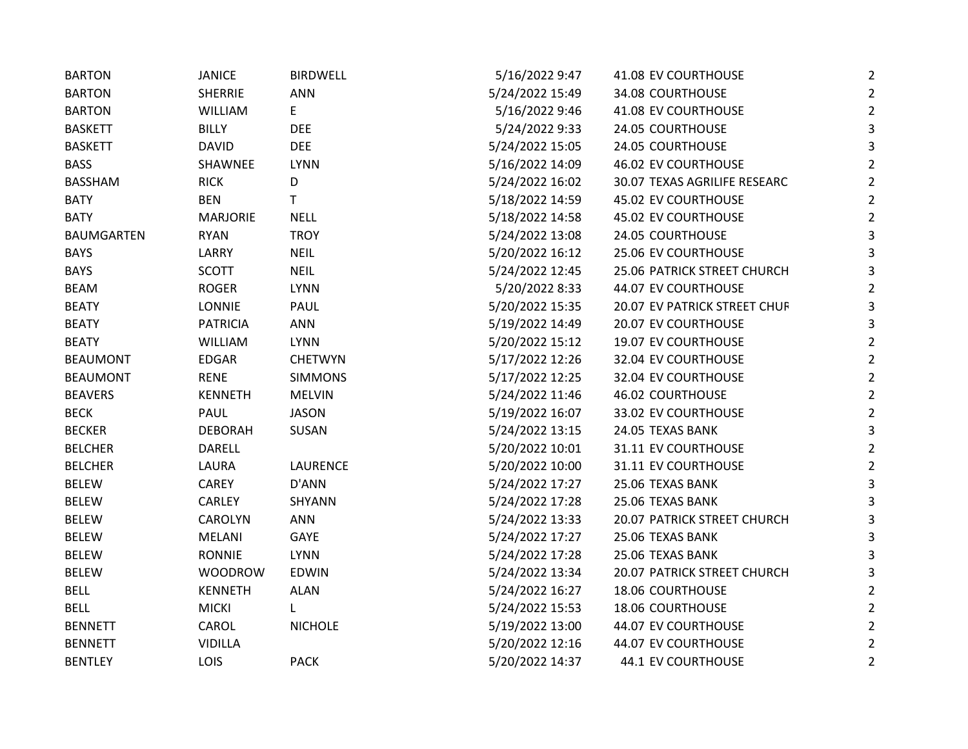| <b>BARTON</b>     | <b>JANICE</b>   | <b>BIRDWELL</b> | 5/16/2022 9:47  | 41.08 EV COURTHOUSE          | 2              |
|-------------------|-----------------|-----------------|-----------------|------------------------------|----------------|
| <b>BARTON</b>     | <b>SHERRIE</b>  | <b>ANN</b>      | 5/24/2022 15:49 | 34.08 COURTHOUSE             | $\overline{2}$ |
| <b>BARTON</b>     | WILLIAM         | E.              | 5/16/2022 9:46  | 41.08 EV COURTHOUSE          | $\overline{2}$ |
| <b>BASKETT</b>    | <b>BILLY</b>    | <b>DEE</b>      | 5/24/2022 9:33  | 24.05 COURTHOUSE             | 3              |
| <b>BASKETT</b>    | <b>DAVID</b>    | <b>DEE</b>      | 5/24/2022 15:05 | 24.05 COURTHOUSE             | 3              |
| <b>BASS</b>       | SHAWNEE         | LYNN            | 5/16/2022 14:09 | 46.02 EV COURTHOUSE          | $\overline{2}$ |
| <b>BASSHAM</b>    | <b>RICK</b>     | D               | 5/24/2022 16:02 | 30.07 TEXAS AGRILIFE RESEARC | $\overline{2}$ |
| <b>BATY</b>       | <b>BEN</b>      | Τ               | 5/18/2022 14:59 | 45.02 EV COURTHOUSE          | $\overline{2}$ |
| <b>BATY</b>       | <b>MARJORIE</b> | <b>NELL</b>     | 5/18/2022 14:58 | 45.02 EV COURTHOUSE          | $\overline{2}$ |
| <b>BAUMGARTEN</b> | <b>RYAN</b>     | <b>TROY</b>     | 5/24/2022 13:08 | 24.05 COURTHOUSE             | 3              |
| <b>BAYS</b>       | LARRY           | <b>NEIL</b>     | 5/20/2022 16:12 | 25.06 EV COURTHOUSE          | 3              |
| <b>BAYS</b>       | <b>SCOTT</b>    | <b>NEIL</b>     | 5/24/2022 12:45 | 25.06 PATRICK STREET CHURCH  | 3              |
| <b>BEAM</b>       | <b>ROGER</b>    | <b>LYNN</b>     | 5/20/2022 8:33  | 44.07 EV COURTHOUSE          | $\overline{2}$ |
| <b>BEATY</b>      | <b>LONNIE</b>   | PAUL            | 5/20/2022 15:35 | 20.07 EV PATRICK STREET CHUF | 3              |
| <b>BEATY</b>      | <b>PATRICIA</b> | <b>ANN</b>      | 5/19/2022 14:49 | 20.07 EV COURTHOUSE          | 3              |
| <b>BEATY</b>      | <b>WILLIAM</b>  | <b>LYNN</b>     | 5/20/2022 15:12 | 19.07 EV COURTHOUSE          | $\overline{2}$ |
| <b>BEAUMONT</b>   | <b>EDGAR</b>    | <b>CHETWYN</b>  | 5/17/2022 12:26 | 32.04 EV COURTHOUSE          | $\overline{2}$ |
| <b>BEAUMONT</b>   | <b>RENE</b>     | <b>SIMMONS</b>  | 5/17/2022 12:25 | 32.04 EV COURTHOUSE          | $\overline{2}$ |
| <b>BEAVERS</b>    | <b>KENNETH</b>  | <b>MELVIN</b>   | 5/24/2022 11:46 | 46.02 COURTHOUSE             | $\overline{2}$ |
| <b>BECK</b>       | PAUL            | <b>JASON</b>    | 5/19/2022 16:07 | 33.02 EV COURTHOUSE          | $\overline{2}$ |
| <b>BECKER</b>     | <b>DEBORAH</b>  | SUSAN           | 5/24/2022 13:15 | 24.05 TEXAS BANK             | 3              |
| <b>BELCHER</b>    | DARELL          |                 | 5/20/2022 10:01 | 31.11 EV COURTHOUSE          | $\overline{2}$ |
| <b>BELCHER</b>    | LAURA           | LAURENCE        | 5/20/2022 10:00 | 31.11 EV COURTHOUSE          | $\overline{2}$ |
| <b>BELEW</b>      | CAREY           | D'ANN           | 5/24/2022 17:27 | 25.06 TEXAS BANK             | 3              |
| <b>BELEW</b>      | CARLEY          | SHYANN          | 5/24/2022 17:28 | 25.06 TEXAS BANK             | 3              |
| <b>BELEW</b>      | <b>CAROLYN</b>  | <b>ANN</b>      | 5/24/2022 13:33 | 20.07 PATRICK STREET CHURCH  | 3              |
| <b>BELEW</b>      | MELANI          | GAYE            | 5/24/2022 17:27 | 25.06 TEXAS BANK             | 3              |
| <b>BELEW</b>      | <b>RONNIE</b>   | <b>LYNN</b>     | 5/24/2022 17:28 | 25.06 TEXAS BANK             | 3              |
| <b>BELEW</b>      | <b>WOODROW</b>  | <b>EDWIN</b>    | 5/24/2022 13:34 | 20.07 PATRICK STREET CHURCH  | 3              |
| <b>BELL</b>       | <b>KENNETH</b>  | <b>ALAN</b>     | 5/24/2022 16:27 | 18.06 COURTHOUSE             | $\overline{2}$ |
| <b>BELL</b>       | <b>MICKI</b>    | L               | 5/24/2022 15:53 | 18.06 COURTHOUSE             | $\overline{2}$ |
| <b>BENNETT</b>    | CAROL           | <b>NICHOLE</b>  | 5/19/2022 13:00 | 44.07 EV COURTHOUSE          | $\overline{2}$ |
| <b>BENNETT</b>    | <b>VIDILLA</b>  |                 | 5/20/2022 12:16 | 44.07 EV COURTHOUSE          | $\overline{2}$ |
| <b>BENTLEY</b>    | LOIS            | <b>PACK</b>     | 5/20/2022 14:37 | 44.1 EV COURTHOUSE           | $\overline{2}$ |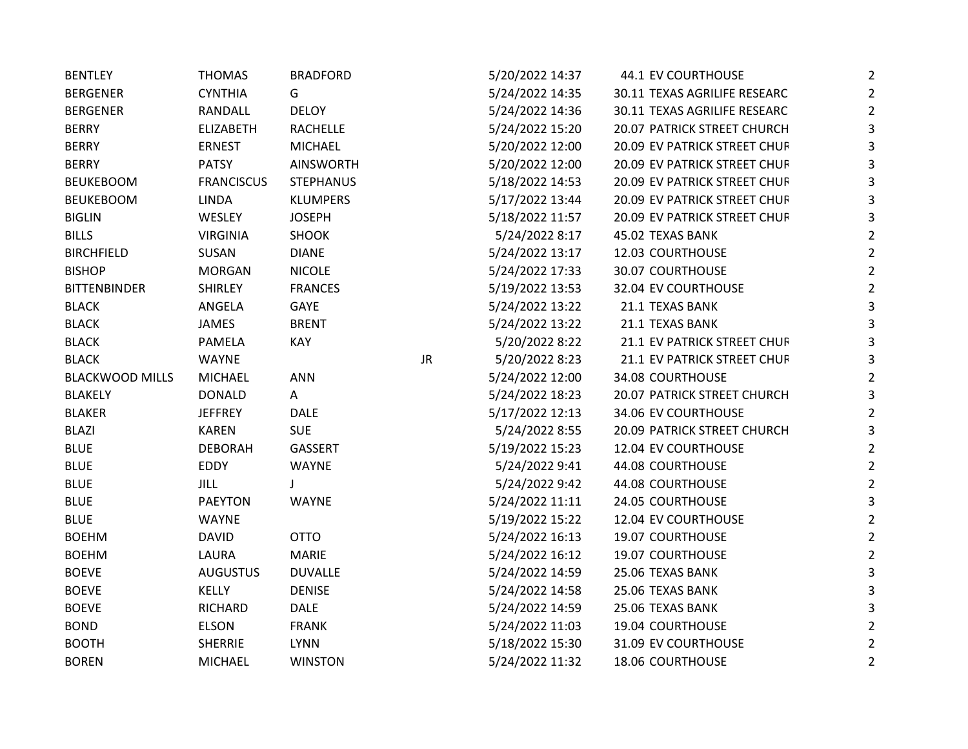| <b>BENTLEY</b>         | <b>THOMAS</b>     |                  |    | 5/20/2022 14:37 |                              |                |
|------------------------|-------------------|------------------|----|-----------------|------------------------------|----------------|
|                        |                   | <b>BRADFORD</b>  |    |                 | 44.1 EV COURTHOUSE           | 2              |
| <b>BERGENER</b>        | <b>CYNTHIA</b>    | G                |    | 5/24/2022 14:35 | 30.11 TEXAS AGRILIFE RESEARC | 2              |
| <b>BERGENER</b>        | RANDALL           | <b>DELOY</b>     |    | 5/24/2022 14:36 | 30.11 TEXAS AGRILIFE RESEARC | $\overline{2}$ |
| <b>BERRY</b>           | <b>ELIZABETH</b>  | <b>RACHELLE</b>  |    | 5/24/2022 15:20 | 20.07 PATRICK STREET CHURCH  | 3              |
| <b>BERRY</b>           | <b>ERNEST</b>     | <b>MICHAEL</b>   |    | 5/20/2022 12:00 | 20.09 EV PATRICK STREET CHUF | 3              |
| <b>BERRY</b>           | <b>PATSY</b>      | <b>AINSWORTH</b> |    | 5/20/2022 12:00 | 20.09 EV PATRICK STREET CHUF | 3              |
| <b>BEUKEBOOM</b>       | <b>FRANCISCUS</b> | <b>STEPHANUS</b> |    | 5/18/2022 14:53 | 20.09 EV PATRICK STREET CHUF | 3              |
| <b>BEUKEBOOM</b>       | <b>LINDA</b>      | <b>KLUMPERS</b>  |    | 5/17/2022 13:44 | 20.09 EV PATRICK STREET CHUF | 3              |
| <b>BIGLIN</b>          | <b>WESLEY</b>     | <b>JOSEPH</b>    |    | 5/18/2022 11:57 | 20.09 EV PATRICK STREET CHUF | 3              |
| <b>BILLS</b>           | <b>VIRGINIA</b>   | SHOOK            |    | 5/24/2022 8:17  | 45.02 TEXAS BANK             | $\overline{2}$ |
| <b>BIRCHFIELD</b>      | SUSAN             | <b>DIANE</b>     |    | 5/24/2022 13:17 | 12.03 COURTHOUSE             | $\overline{2}$ |
| <b>BISHOP</b>          | <b>MORGAN</b>     | <b>NICOLE</b>    |    | 5/24/2022 17:33 | 30.07 COURTHOUSE             | $\overline{2}$ |
| <b>BITTENBINDER</b>    | <b>SHIRLEY</b>    | <b>FRANCES</b>   |    | 5/19/2022 13:53 | 32.04 EV COURTHOUSE          | $\overline{2}$ |
| <b>BLACK</b>           | ANGELA            | GAYE             |    | 5/24/2022 13:22 | 21.1 TEXAS BANK              | 3              |
| <b>BLACK</b>           | JAMES             | <b>BRENT</b>     |    | 5/24/2022 13:22 | 21.1 TEXAS BANK              | 3              |
| <b>BLACK</b>           | <b>PAMELA</b>     | KAY              |    | 5/20/2022 8:22  | 21.1 EV PATRICK STREET CHUF  | 3              |
| <b>BLACK</b>           | <b>WAYNE</b>      |                  | JR | 5/20/2022 8:23  | 21.1 EV PATRICK STREET CHUF  | 3              |
| <b>BLACKWOOD MILLS</b> | MICHAEL           | <b>ANN</b>       |    | 5/24/2022 12:00 | 34.08 COURTHOUSE             | $\overline{2}$ |
| <b>BLAKELY</b>         | <b>DONALD</b>     | A                |    | 5/24/2022 18:23 | 20.07 PATRICK STREET CHURCH  | 3              |
| <b>BLAKER</b>          | <b>JEFFREY</b>    | <b>DALE</b>      |    | 5/17/2022 12:13 | 34.06 EV COURTHOUSE          | $\overline{2}$ |
| <b>BLAZI</b>           | <b>KAREN</b>      | <b>SUE</b>       |    | 5/24/2022 8:55  | 20.09 PATRICK STREET CHURCH  | 3              |
| <b>BLUE</b>            | <b>DEBORAH</b>    | GASSERT          |    | 5/19/2022 15:23 | 12.04 EV COURTHOUSE          | $\overline{2}$ |
| <b>BLUE</b>            | EDDY              | WAYNE            |    | 5/24/2022 9:41  | 44.08 COURTHOUSE             | $\overline{2}$ |
| <b>BLUE</b>            | <b>JILL</b>       | J                |    | 5/24/2022 9:42  | 44.08 COURTHOUSE             | $\overline{2}$ |
| <b>BLUE</b>            | <b>PAEYTON</b>    | WAYNE            |    | 5/24/2022 11:11 | 24.05 COURTHOUSE             | 3              |
| <b>BLUE</b>            | <b>WAYNE</b>      |                  |    | 5/19/2022 15:22 | 12.04 EV COURTHOUSE          | $\overline{2}$ |
| <b>BOEHM</b>           | <b>DAVID</b>      | <b>OTTO</b>      |    | 5/24/2022 16:13 | 19.07 COURTHOUSE             | $\overline{2}$ |
| <b>BOEHM</b>           | LAURA             | <b>MARIE</b>     |    | 5/24/2022 16:12 | 19.07 COURTHOUSE             | $\overline{2}$ |
| <b>BOEVE</b>           | <b>AUGUSTUS</b>   | <b>DUVALLE</b>   |    | 5/24/2022 14:59 | 25.06 TEXAS BANK             | 3              |
| <b>BOEVE</b>           | KELLY             | <b>DENISE</b>    |    | 5/24/2022 14:58 | 25.06 TEXAS BANK             | 3              |
| <b>BOEVE</b>           | RICHARD           | <b>DALE</b>      |    | 5/24/2022 14:59 | 25.06 TEXAS BANK             | 3              |
| <b>BOND</b>            | <b>ELSON</b>      | <b>FRANK</b>     |    | 5/24/2022 11:03 | 19.04 COURTHOUSE             | $\overline{2}$ |
| <b>BOOTH</b>           | <b>SHERRIE</b>    | <b>LYNN</b>      |    | 5/18/2022 15:30 | 31.09 EV COURTHOUSE          | $\overline{2}$ |
| <b>BOREN</b>           | <b>MICHAEL</b>    | <b>WINSTON</b>   |    | 5/24/2022 11:32 | 18.06 COURTHOUSE             | $\overline{2}$ |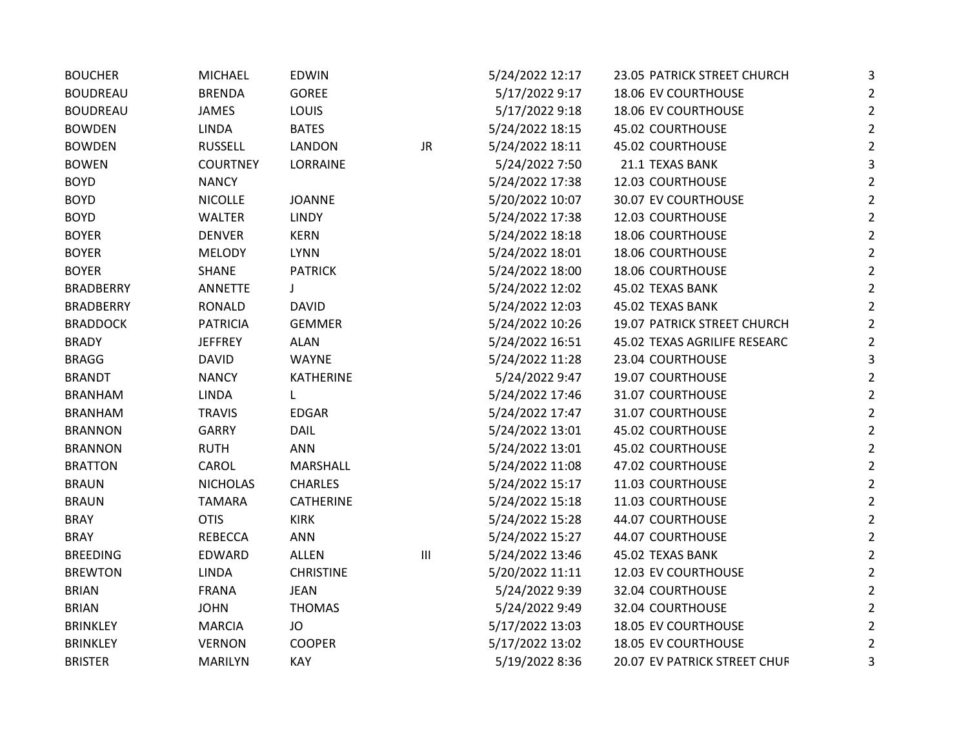| <b>BOUCHER</b>   | <b>MICHAEL</b>  | <b>EDWIN</b>     |                                    | 5/24/2022 12:17 | 23.05 PATRICK STREET CHURCH  | 3              |
|------------------|-----------------|------------------|------------------------------------|-----------------|------------------------------|----------------|
| <b>BOUDREAU</b>  | <b>BRENDA</b>   | <b>GOREE</b>     |                                    | 5/17/2022 9:17  | 18.06 EV COURTHOUSE          | $\overline{2}$ |
| <b>BOUDREAU</b>  | <b>JAMES</b>    | <b>LOUIS</b>     |                                    | 5/17/2022 9:18  | 18.06 EV COURTHOUSE          | $\overline{2}$ |
| <b>BOWDEN</b>    | <b>LINDA</b>    | <b>BATES</b>     |                                    | 5/24/2022 18:15 | 45.02 COURTHOUSE             | $\overline{2}$ |
| <b>BOWDEN</b>    | <b>RUSSELL</b>  | LANDON           | <b>JR</b>                          | 5/24/2022 18:11 | 45.02 COURTHOUSE             | $\overline{2}$ |
| <b>BOWEN</b>     | <b>COURTNEY</b> | LORRAINE         |                                    | 5/24/2022 7:50  | 21.1 TEXAS BANK              | 3              |
| <b>BOYD</b>      | <b>NANCY</b>    |                  |                                    | 5/24/2022 17:38 | 12.03 COURTHOUSE             | $\overline{2}$ |
| <b>BOYD</b>      | <b>NICOLLE</b>  | <b>JOANNE</b>    |                                    | 5/20/2022 10:07 | 30.07 EV COURTHOUSE          | $\overline{2}$ |
| <b>BOYD</b>      | <b>WALTER</b>   | LINDY            |                                    | 5/24/2022 17:38 | 12.03 COURTHOUSE             | $\overline{2}$ |
| <b>BOYER</b>     | <b>DENVER</b>   | <b>KERN</b>      |                                    | 5/24/2022 18:18 | 18.06 COURTHOUSE             | $\overline{2}$ |
| <b>BOYER</b>     | <b>MELODY</b>   | <b>LYNN</b>      |                                    | 5/24/2022 18:01 | 18.06 COURTHOUSE             | $\overline{2}$ |
| <b>BOYER</b>     | SHANE           | <b>PATRICK</b>   |                                    | 5/24/2022 18:00 | 18.06 COURTHOUSE             | $\overline{2}$ |
| <b>BRADBERRY</b> | <b>ANNETTE</b>  | J                |                                    | 5/24/2022 12:02 | 45.02 TEXAS BANK             | $\overline{2}$ |
| <b>BRADBERRY</b> | <b>RONALD</b>   | <b>DAVID</b>     |                                    | 5/24/2022 12:03 | 45.02 TEXAS BANK             | $\overline{2}$ |
| <b>BRADDOCK</b>  | <b>PATRICIA</b> | <b>GEMMER</b>    |                                    | 5/24/2022 10:26 | 19.07 PATRICK STREET CHURCH  | $\overline{2}$ |
| <b>BRADY</b>     | <b>JEFFREY</b>  | <b>ALAN</b>      |                                    | 5/24/2022 16:51 | 45.02 TEXAS AGRILIFE RESEARC | $\overline{2}$ |
| <b>BRAGG</b>     | <b>DAVID</b>    | <b>WAYNE</b>     |                                    | 5/24/2022 11:28 | 23.04 COURTHOUSE             | 3              |
| <b>BRANDT</b>    | <b>NANCY</b>    | <b>KATHERINE</b> |                                    | 5/24/2022 9:47  | 19.07 COURTHOUSE             | $\overline{2}$ |
| <b>BRANHAM</b>   | LINDA           | L                |                                    | 5/24/2022 17:46 | 31.07 COURTHOUSE             | $\overline{2}$ |
| <b>BRANHAM</b>   | <b>TRAVIS</b>   | <b>EDGAR</b>     |                                    | 5/24/2022 17:47 | 31.07 COURTHOUSE             | $\overline{2}$ |
| <b>BRANNON</b>   | <b>GARRY</b>    | <b>DAIL</b>      |                                    | 5/24/2022 13:01 | 45.02 COURTHOUSE             | $\overline{2}$ |
| <b>BRANNON</b>   | <b>RUTH</b>     | <b>ANN</b>       |                                    | 5/24/2022 13:01 | 45.02 COURTHOUSE             | $\overline{2}$ |
| <b>BRATTON</b>   | CAROL           | MARSHALL         |                                    | 5/24/2022 11:08 | 47.02 COURTHOUSE             | $\overline{2}$ |
| <b>BRAUN</b>     | <b>NICHOLAS</b> | <b>CHARLES</b>   |                                    | 5/24/2022 15:17 | 11.03 COURTHOUSE             | $\overline{2}$ |
| <b>BRAUN</b>     | <b>TAMARA</b>   | CATHERINE        |                                    | 5/24/2022 15:18 | 11.03 COURTHOUSE             | $\overline{2}$ |
| <b>BRAY</b>      | <b>OTIS</b>     | <b>KIRK</b>      |                                    | 5/24/2022 15:28 | 44.07 COURTHOUSE             | $\overline{2}$ |
| <b>BRAY</b>      | REBECCA         | <b>ANN</b>       |                                    | 5/24/2022 15:27 | 44.07 COURTHOUSE             | $\overline{2}$ |
| <b>BREEDING</b>  | EDWARD          | <b>ALLEN</b>     | $\ensuremath{\mathsf{III}}\xspace$ | 5/24/2022 13:46 | 45.02 TEXAS BANK             | $\overline{2}$ |
| <b>BREWTON</b>   | LINDA           | <b>CHRISTINE</b> |                                    | 5/20/2022 11:11 | 12.03 EV COURTHOUSE          | $\overline{2}$ |
| <b>BRIAN</b>     | <b>FRANA</b>    | <b>JEAN</b>      |                                    | 5/24/2022 9:39  | 32.04 COURTHOUSE             | $\overline{2}$ |
| <b>BRIAN</b>     | <b>JOHN</b>     | <b>THOMAS</b>    |                                    | 5/24/2022 9:49  | 32.04 COURTHOUSE             | $\overline{2}$ |
| <b>BRINKLEY</b>  | <b>MARCIA</b>   | JO               |                                    | 5/17/2022 13:03 | 18.05 EV COURTHOUSE          | $\overline{2}$ |
| <b>BRINKLEY</b>  | <b>VERNON</b>   | <b>COOPER</b>    |                                    | 5/17/2022 13:02 | 18.05 EV COURTHOUSE          | $\overline{2}$ |
| <b>BRISTER</b>   | <b>MARILYN</b>  | KAY              |                                    | 5/19/2022 8:36  | 20.07 EV PATRICK STREET CHUF | 3              |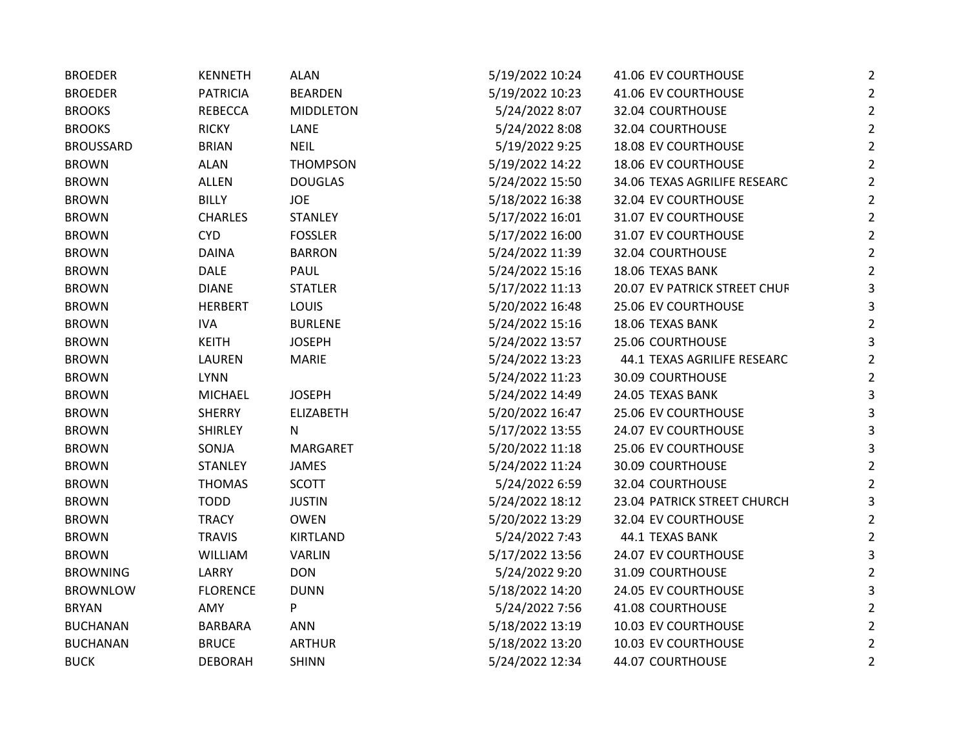| <b>BROEDER</b>   | <b>KENNETH</b>  | <b>ALAN</b>      | 5/19/2022 10:24 | 41.06 EV COURTHOUSE          | $\overline{2}$ |
|------------------|-----------------|------------------|-----------------|------------------------------|----------------|
| <b>BROEDER</b>   | <b>PATRICIA</b> | <b>BEARDEN</b>   | 5/19/2022 10:23 | 41.06 EV COURTHOUSE          | $\overline{2}$ |
| <b>BROOKS</b>    | <b>REBECCA</b>  | <b>MIDDLETON</b> | 5/24/2022 8:07  | 32.04 COURTHOUSE             | $\overline{2}$ |
| <b>BROOKS</b>    | <b>RICKY</b>    | LANE             | 5/24/2022 8:08  | 32.04 COURTHOUSE             | $\overline{2}$ |
| <b>BROUSSARD</b> | <b>BRIAN</b>    | <b>NEIL</b>      | 5/19/2022 9:25  | 18.08 EV COURTHOUSE          | $\overline{2}$ |
| <b>BROWN</b>     | <b>ALAN</b>     | <b>THOMPSON</b>  | 5/19/2022 14:22 | 18.06 EV COURTHOUSE          | $\overline{2}$ |
| <b>BROWN</b>     | <b>ALLEN</b>    | <b>DOUGLAS</b>   | 5/24/2022 15:50 | 34.06 TEXAS AGRILIFE RESEARC | $\overline{2}$ |
| <b>BROWN</b>     | <b>BILLY</b>    | <b>JOE</b>       | 5/18/2022 16:38 | 32.04 EV COURTHOUSE          | $\overline{2}$ |
| <b>BROWN</b>     | <b>CHARLES</b>  | <b>STANLEY</b>   | 5/17/2022 16:01 | 31.07 EV COURTHOUSE          | $\overline{2}$ |
| <b>BROWN</b>     | <b>CYD</b>      | <b>FOSSLER</b>   | 5/17/2022 16:00 | 31.07 EV COURTHOUSE          | $\overline{2}$ |
| <b>BROWN</b>     | <b>DAINA</b>    | <b>BARRON</b>    | 5/24/2022 11:39 | 32.04 COURTHOUSE             | $\overline{2}$ |
| <b>BROWN</b>     | <b>DALE</b>     | PAUL             | 5/24/2022 15:16 | 18.06 TEXAS BANK             | $\overline{2}$ |
| <b>BROWN</b>     | <b>DIANE</b>    | <b>STATLER</b>   | 5/17/2022 11:13 | 20.07 EV PATRICK STREET CHUF | 3              |
| <b>BROWN</b>     | <b>HERBERT</b>  | LOUIS            | 5/20/2022 16:48 | 25.06 EV COURTHOUSE          | 3              |
| <b>BROWN</b>     | <b>IVA</b>      | <b>BURLENE</b>   | 5/24/2022 15:16 | 18.06 TEXAS BANK             | $\overline{2}$ |
| <b>BROWN</b>     | <b>KEITH</b>    | <b>JOSEPH</b>    | 5/24/2022 13:57 | 25.06 COURTHOUSE             | 3              |
| <b>BROWN</b>     | LAUREN          | <b>MARIE</b>     | 5/24/2022 13:23 | 44.1 TEXAS AGRILIFE RESEARC  | $\overline{2}$ |
| <b>BROWN</b>     | <b>LYNN</b>     |                  | 5/24/2022 11:23 | 30.09 COURTHOUSE             | $\overline{2}$ |
| <b>BROWN</b>     | <b>MICHAEL</b>  | <b>JOSEPH</b>    | 5/24/2022 14:49 | 24.05 TEXAS BANK             | 3              |
| <b>BROWN</b>     | <b>SHERRY</b>   | <b>ELIZABETH</b> | 5/20/2022 16:47 | 25.06 EV COURTHOUSE          | 3              |
| <b>BROWN</b>     | <b>SHIRLEY</b>  | N                | 5/17/2022 13:55 | 24.07 EV COURTHOUSE          | 3              |
| <b>BROWN</b>     | SONJA           | <b>MARGARET</b>  | 5/20/2022 11:18 | 25.06 EV COURTHOUSE          | 3              |
| <b>BROWN</b>     | <b>STANLEY</b>  | <b>JAMES</b>     | 5/24/2022 11:24 | 30.09 COURTHOUSE             | $\overline{2}$ |
| <b>BROWN</b>     | <b>THOMAS</b>   | <b>SCOTT</b>     | 5/24/2022 6:59  | 32.04 COURTHOUSE             | $\overline{2}$ |
| <b>BROWN</b>     | <b>TODD</b>     | <b>JUSTIN</b>    | 5/24/2022 18:12 | 23.04 PATRICK STREET CHURCH  | 3              |
| <b>BROWN</b>     | <b>TRACY</b>    | <b>OWEN</b>      | 5/20/2022 13:29 | 32.04 EV COURTHOUSE          | $\overline{2}$ |
| <b>BROWN</b>     | <b>TRAVIS</b>   | KIRTLAND         | 5/24/2022 7:43  | 44.1 TEXAS BANK              | $\overline{2}$ |
| <b>BROWN</b>     | <b>WILLIAM</b>  | <b>VARLIN</b>    | 5/17/2022 13:56 | 24.07 EV COURTHOUSE          | 3              |
| <b>BROWNING</b>  | LARRY           | <b>DON</b>       | 5/24/2022 9:20  | 31.09 COURTHOUSE             | $\overline{2}$ |
| <b>BROWNLOW</b>  | <b>FLORENCE</b> | <b>DUNN</b>      | 5/18/2022 14:20 | 24.05 EV COURTHOUSE          | 3              |
| <b>BRYAN</b>     | AMY             | P                | 5/24/2022 7:56  | 41.08 COURTHOUSE             | $\overline{2}$ |
| <b>BUCHANAN</b>  | <b>BARBARA</b>  | <b>ANN</b>       | 5/18/2022 13:19 | 10.03 EV COURTHOUSE          | $\overline{2}$ |
| <b>BUCHANAN</b>  | <b>BRUCE</b>    | <b>ARTHUR</b>    | 5/18/2022 13:20 | 10.03 EV COURTHOUSE          | $\overline{2}$ |
| <b>BUCK</b>      | <b>DEBORAH</b>  | <b>SHINN</b>     | 5/24/2022 12:34 | 44.07 COURTHOUSE             | $\overline{2}$ |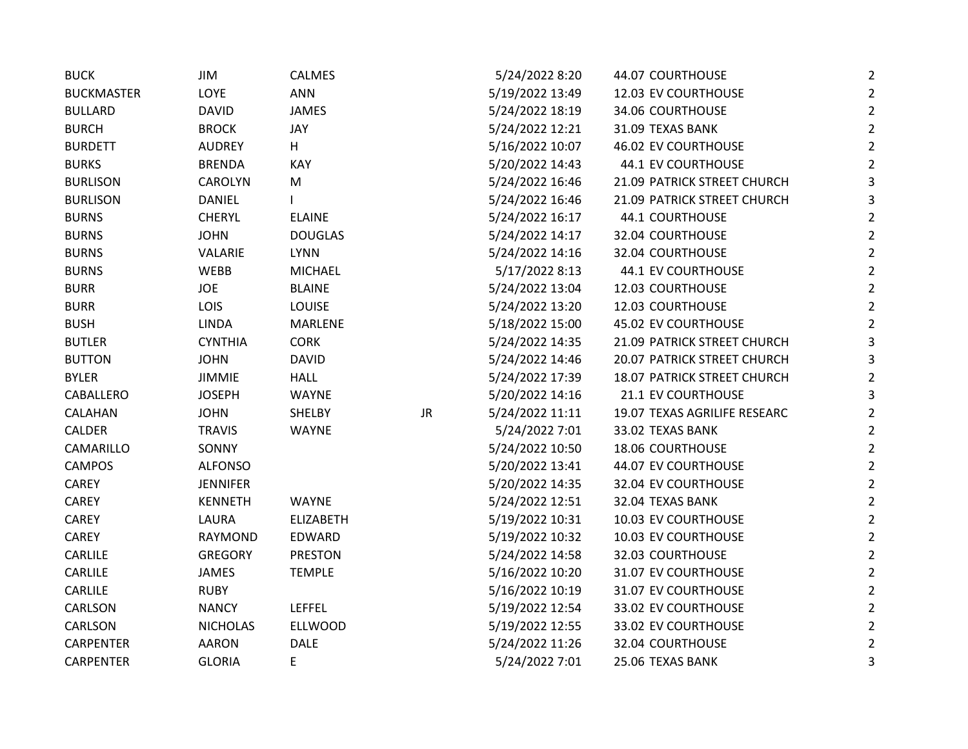| <b>BUCK</b>       | JIM             | <b>CALMES</b>    |           | 5/24/2022 8:20  | 44.07 COURTHOUSE             | $\overline{2}$ |
|-------------------|-----------------|------------------|-----------|-----------------|------------------------------|----------------|
| <b>BUCKMASTER</b> | <b>LOYE</b>     | <b>ANN</b>       |           | 5/19/2022 13:49 | 12.03 EV COURTHOUSE          | $\overline{2}$ |
| <b>BULLARD</b>    | <b>DAVID</b>    | <b>JAMES</b>     |           | 5/24/2022 18:19 | 34.06 COURTHOUSE             | $\overline{2}$ |
| <b>BURCH</b>      | <b>BROCK</b>    | JAY              |           | 5/24/2022 12:21 | 31.09 TEXAS BANK             | $\overline{2}$ |
| <b>BURDETT</b>    | <b>AUDREY</b>   | H                |           | 5/16/2022 10:07 | 46.02 EV COURTHOUSE          | $\overline{2}$ |
| <b>BURKS</b>      | <b>BRENDA</b>   | KAY              |           | 5/20/2022 14:43 | 44.1 EV COURTHOUSE           | $\overline{2}$ |
| <b>BURLISON</b>   | <b>CAROLYN</b>  | M                |           | 5/24/2022 16:46 | 21.09 PATRICK STREET CHURCH  | 3              |
| <b>BURLISON</b>   | DANIEL          |                  |           | 5/24/2022 16:46 | 21.09 PATRICK STREET CHURCH  | 3              |
| <b>BURNS</b>      | <b>CHERYL</b>   | <b>ELAINE</b>    |           | 5/24/2022 16:17 | 44.1 COURTHOUSE              | $\overline{2}$ |
| <b>BURNS</b>      | <b>JOHN</b>     | <b>DOUGLAS</b>   |           | 5/24/2022 14:17 | 32.04 COURTHOUSE             | $\overline{2}$ |
| <b>BURNS</b>      | VALARIE         | <b>LYNN</b>      |           | 5/24/2022 14:16 | 32.04 COURTHOUSE             | $\overline{2}$ |
| <b>BURNS</b>      | WEBB            | <b>MICHAEL</b>   |           | 5/17/2022 8:13  | 44.1 EV COURTHOUSE           | $\overline{2}$ |
| <b>BURR</b>       | <b>JOE</b>      | <b>BLAINE</b>    |           | 5/24/2022 13:04 | 12.03 COURTHOUSE             | $\overline{2}$ |
| <b>BURR</b>       | LOIS            | LOUISE           |           | 5/24/2022 13:20 | 12.03 COURTHOUSE             | $\overline{2}$ |
| <b>BUSH</b>       | <b>LINDA</b>    | <b>MARLENE</b>   |           | 5/18/2022 15:00 | 45.02 EV COURTHOUSE          | $\overline{2}$ |
| <b>BUTLER</b>     | <b>CYNTHIA</b>  | <b>CORK</b>      |           | 5/24/2022 14:35 | 21.09 PATRICK STREET CHURCH  | 3              |
| <b>BUTTON</b>     | <b>JOHN</b>     | <b>DAVID</b>     |           | 5/24/2022 14:46 | 20.07 PATRICK STREET CHURCH  | 3              |
| <b>BYLER</b>      | <b>JIMMIE</b>   | <b>HALL</b>      |           | 5/24/2022 17:39 | 18.07 PATRICK STREET CHURCH  | $\overline{2}$ |
| CABALLERO         | <b>JOSEPH</b>   | <b>WAYNE</b>     |           | 5/20/2022 14:16 | 21.1 EV COURTHOUSE           | 3              |
| <b>CALAHAN</b>    | <b>JOHN</b>     | SHELBY           | <b>JR</b> | 5/24/2022 11:11 | 19.07 TEXAS AGRILIFE RESEARC | $\overline{2}$ |
| <b>CALDER</b>     | <b>TRAVIS</b>   | WAYNE            |           | 5/24/2022 7:01  | 33.02 TEXAS BANK             | $\overline{2}$ |
| CAMARILLO         | SONNY           |                  |           | 5/24/2022 10:50 | 18.06 COURTHOUSE             | $\overline{2}$ |
| <b>CAMPOS</b>     | <b>ALFONSO</b>  |                  |           | 5/20/2022 13:41 | 44.07 EV COURTHOUSE          | $\overline{2}$ |
| CAREY             | <b>JENNIFER</b> |                  |           | 5/20/2022 14:35 | 32.04 EV COURTHOUSE          | $\overline{2}$ |
| <b>CAREY</b>      | <b>KENNETH</b>  | WAYNE            |           | 5/24/2022 12:51 | 32.04 TEXAS BANK             | $\overline{2}$ |
| CAREY             | LAURA           | <b>ELIZABETH</b> |           | 5/19/2022 10:31 | 10.03 EV COURTHOUSE          | $\overline{2}$ |
| CAREY             | RAYMOND         | EDWARD           |           | 5/19/2022 10:32 | 10.03 EV COURTHOUSE          | $\overline{2}$ |
| CARLILE           | <b>GREGORY</b>  | <b>PRESTON</b>   |           | 5/24/2022 14:58 | 32.03 COURTHOUSE             | $\overline{2}$ |
| CARLILE           | <b>JAMES</b>    | <b>TEMPLE</b>    |           | 5/16/2022 10:20 | 31.07 EV COURTHOUSE          | $\overline{2}$ |
| CARLILE           | <b>RUBY</b>     |                  |           | 5/16/2022 10:19 | 31.07 EV COURTHOUSE          | $\overline{2}$ |
| CARLSON           | <b>NANCY</b>    | <b>LEFFEL</b>    |           | 5/19/2022 12:54 | 33.02 EV COURTHOUSE          | $\overline{2}$ |
| CARLSON           | <b>NICHOLAS</b> | <b>ELLWOOD</b>   |           | 5/19/2022 12:55 | 33.02 EV COURTHOUSE          | $\overline{2}$ |
| <b>CARPENTER</b>  | <b>AARON</b>    | <b>DALE</b>      |           | 5/24/2022 11:26 | 32.04 COURTHOUSE             | $\overline{2}$ |
| <b>CARPENTER</b>  | <b>GLORIA</b>   | E                |           | 5/24/2022 7:01  | 25.06 TEXAS BANK             | 3              |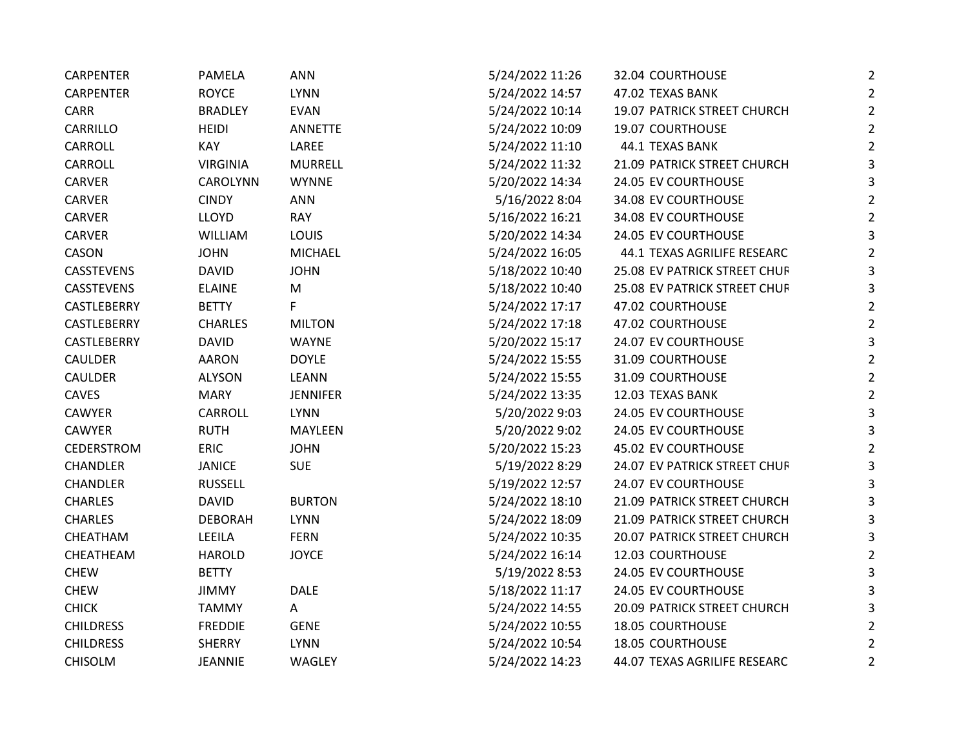| <b>CARPENTER</b>  | <b>PAMELA</b>   | <b>ANN</b>      | 5/24/2022 11:26 | 32.04 COURTHOUSE                   | $\overline{2}$ |
|-------------------|-----------------|-----------------|-----------------|------------------------------------|----------------|
| <b>CARPENTER</b>  | <b>ROYCE</b>    | <b>LYNN</b>     | 5/24/2022 14:57 | 47.02 TEXAS BANK                   | $\overline{2}$ |
| <b>CARR</b>       | <b>BRADLEY</b>  | <b>EVAN</b>     | 5/24/2022 10:14 | 19.07 PATRICK STREET CHURCH        | $\overline{2}$ |
| CARRILLO          | <b>HEIDI</b>    | ANNETTE         | 5/24/2022 10:09 | 19.07 COURTHOUSE                   | $\overline{2}$ |
| CARROLL           | KAY             | LAREE           | 5/24/2022 11:10 | 44.1 TEXAS BANK                    | $\overline{2}$ |
| CARROLL           | <b>VIRGINIA</b> | <b>MURRELL</b>  | 5/24/2022 11:32 | 21.09 PATRICK STREET CHURCH        | 3              |
| <b>CARVER</b>     | <b>CAROLYNN</b> | <b>WYNNE</b>    | 5/20/2022 14:34 | 24.05 EV COURTHOUSE                | 3              |
| <b>CARVER</b>     | <b>CINDY</b>    | <b>ANN</b>      | 5/16/2022 8:04  | 34.08 EV COURTHOUSE                | $\overline{2}$ |
| <b>CARVER</b>     | <b>LLOYD</b>    | <b>RAY</b>      | 5/16/2022 16:21 | 34.08 EV COURTHOUSE                | $\overline{2}$ |
| <b>CARVER</b>     | WILLIAM         | LOUIS           | 5/20/2022 14:34 | 24.05 EV COURTHOUSE                | 3              |
| CASON             | <b>JOHN</b>     | <b>MICHAEL</b>  | 5/24/2022 16:05 | 44.1 TEXAS AGRILIFE RESEARC        | $\overline{2}$ |
| <b>CASSTEVENS</b> | <b>DAVID</b>    | <b>JOHN</b>     | 5/18/2022 10:40 | 25.08 EV PATRICK STREET CHUF       | 3              |
| CASSTEVENS        | <b>ELAINE</b>   | M               | 5/18/2022 10:40 | 25.08 EV PATRICK STREET CHUF       | 3              |
| CASTLEBERRY       | <b>BETTY</b>    | F               | 5/24/2022 17:17 | 47.02 COURTHOUSE                   | $\overline{2}$ |
| CASTLEBERRY       | <b>CHARLES</b>  | <b>MILTON</b>   | 5/24/2022 17:18 | 47.02 COURTHOUSE                   | $\overline{2}$ |
| CASTLEBERRY       | <b>DAVID</b>    | <b>WAYNE</b>    | 5/20/2022 15:17 | 24.07 EV COURTHOUSE                | 3              |
| <b>CAULDER</b>    | <b>AARON</b>    | <b>DOYLE</b>    | 5/24/2022 15:55 | 31.09 COURTHOUSE                   | $\overline{2}$ |
| <b>CAULDER</b>    | <b>ALYSON</b>   | <b>LEANN</b>    | 5/24/2022 15:55 | 31.09 COURTHOUSE                   | $\overline{2}$ |
| <b>CAVES</b>      | <b>MARY</b>     | <b>JENNIFER</b> | 5/24/2022 13:35 | 12.03 TEXAS BANK                   | $\overline{2}$ |
| CAWYER            | CARROLL         | <b>LYNN</b>     | 5/20/2022 9:03  | 24.05 EV COURTHOUSE                | 3              |
| CAWYER            | <b>RUTH</b>     | <b>MAYLEEN</b>  | 5/20/2022 9:02  | 24.05 EV COURTHOUSE                | 3              |
| CEDERSTROM        | <b>ERIC</b>     | <b>JOHN</b>     | 5/20/2022 15:23 | 45.02 EV COURTHOUSE                | $\overline{2}$ |
| <b>CHANDLER</b>   | <b>JANICE</b>   | <b>SUE</b>      | 5/19/2022 8:29  | 24.07 EV PATRICK STREET CHUF       | 3              |
| CHANDLER          | <b>RUSSELL</b>  |                 | 5/19/2022 12:57 | 24.07 EV COURTHOUSE                | 3              |
| <b>CHARLES</b>    | <b>DAVID</b>    | <b>BURTON</b>   | 5/24/2022 18:10 | 21.09 PATRICK STREET CHURCH        | 3              |
| <b>CHARLES</b>    | <b>DEBORAH</b>  | <b>LYNN</b>     | 5/24/2022 18:09 | 21.09 PATRICK STREET CHURCH        | 3              |
| CHEATHAM          | LEEILA          | <b>FERN</b>     | 5/24/2022 10:35 | 20.07 PATRICK STREET CHURCH        | 3              |
| CHEATHEAM         | <b>HAROLD</b>   | <b>JOYCE</b>    | 5/24/2022 16:14 | 12.03 COURTHOUSE                   | $\overline{2}$ |
| <b>CHEW</b>       | <b>BETTY</b>    |                 | 5/19/2022 8:53  | 24.05 EV COURTHOUSE                | 3              |
| <b>CHEW</b>       | <b>JIMMY</b>    | <b>DALE</b>     | 5/18/2022 11:17 | 24.05 EV COURTHOUSE                | 3              |
| <b>CHICK</b>      | <b>TAMMY</b>    | A               | 5/24/2022 14:55 | <b>20.09 PATRICK STREET CHURCH</b> | 3              |
| <b>CHILDRESS</b>  | <b>FREDDIE</b>  | <b>GENE</b>     | 5/24/2022 10:55 | <b>18.05 COURTHOUSE</b>            | $\overline{2}$ |
| <b>CHILDRESS</b>  | <b>SHERRY</b>   | <b>LYNN</b>     | 5/24/2022 10:54 | <b>18.05 COURTHOUSE</b>            | $\overline{2}$ |
| CHISOLM           | <b>JEANNIE</b>  | WAGLEY          | 5/24/2022 14:23 | 44.07 TEXAS AGRILIFE RESEARC       | 2              |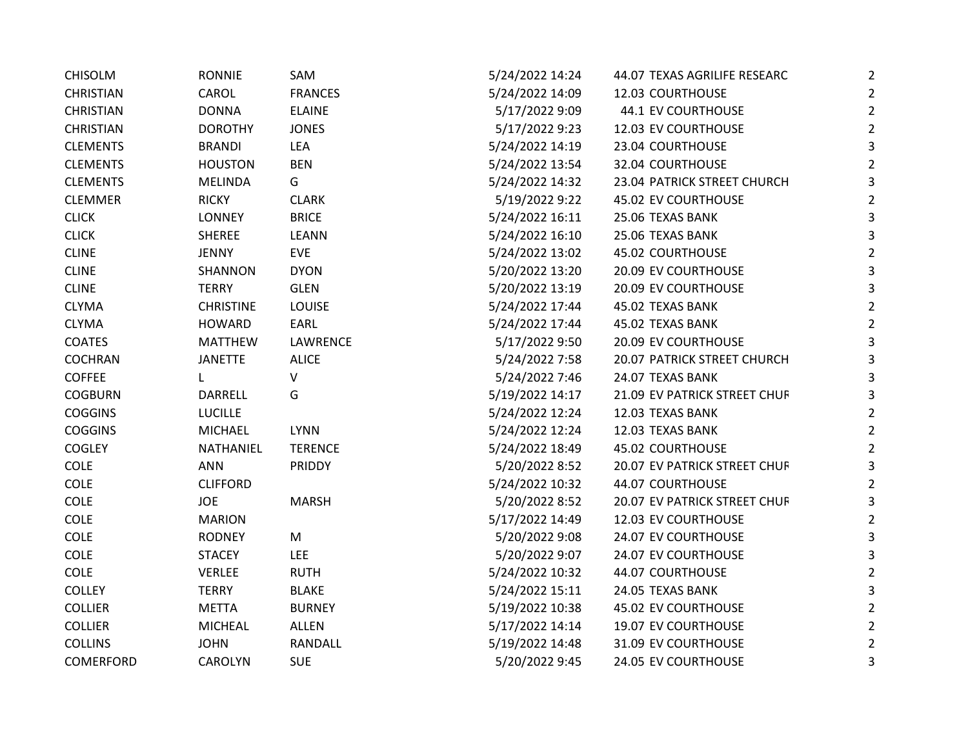| <b>CHISOLM</b>   | <b>RONNIE</b>    | SAM            | 5/24/2022 14:24 | 44.07 TEXAS AGRILIFE RESEARC | $\overline{2}$ |
|------------------|------------------|----------------|-----------------|------------------------------|----------------|
| <b>CHRISTIAN</b> | CAROL            | <b>FRANCES</b> | 5/24/2022 14:09 | 12.03 COURTHOUSE             | $\overline{2}$ |
| <b>CHRISTIAN</b> | <b>DONNA</b>     | <b>ELAINE</b>  | 5/17/2022 9:09  | 44.1 EV COURTHOUSE           | $\overline{2}$ |
| <b>CHRISTIAN</b> | <b>DOROTHY</b>   | <b>JONES</b>   | 5/17/2022 9:23  | 12.03 EV COURTHOUSE          | $\overline{2}$ |
| <b>CLEMENTS</b>  | <b>BRANDI</b>    | <b>LEA</b>     | 5/24/2022 14:19 | 23.04 COURTHOUSE             | 3              |
| <b>CLEMENTS</b>  | <b>HOUSTON</b>   | <b>BEN</b>     | 5/24/2022 13:54 | 32.04 COURTHOUSE             | $\overline{2}$ |
| <b>CLEMENTS</b>  | <b>MELINDA</b>   | G              | 5/24/2022 14:32 | 23.04 PATRICK STREET CHURCH  | 3              |
| <b>CLEMMER</b>   | <b>RICKY</b>     | <b>CLARK</b>   | 5/19/2022 9:22  | 45.02 EV COURTHOUSE          | $\overline{2}$ |
| <b>CLICK</b>     | <b>LONNEY</b>    | <b>BRICE</b>   | 5/24/2022 16:11 | 25.06 TEXAS BANK             | 3              |
| <b>CLICK</b>     | <b>SHEREE</b>    | LEANN          | 5/24/2022 16:10 | 25.06 TEXAS BANK             | 3              |
| <b>CLINE</b>     | <b>JENNY</b>     | <b>EVE</b>     | 5/24/2022 13:02 | 45.02 COURTHOUSE             | $\overline{2}$ |
| <b>CLINE</b>     | SHANNON          | <b>DYON</b>    | 5/20/2022 13:20 | 20.09 EV COURTHOUSE          | 3              |
| <b>CLINE</b>     | <b>TERRY</b>     | <b>GLEN</b>    | 5/20/2022 13:19 | 20.09 EV COURTHOUSE          | $\overline{3}$ |
| <b>CLYMA</b>     | <b>CHRISTINE</b> | LOUISE         | 5/24/2022 17:44 | 45.02 TEXAS BANK             | $\overline{2}$ |
| <b>CLYMA</b>     | <b>HOWARD</b>    | EARL           | 5/24/2022 17:44 | 45.02 TEXAS BANK             | $\overline{2}$ |
| <b>COATES</b>    | <b>MATTHEW</b>   | LAWRENCE       | 5/17/2022 9:50  | 20.09 EV COURTHOUSE          | 3              |
| <b>COCHRAN</b>   | <b>JANETTE</b>   | <b>ALICE</b>   | 5/24/2022 7:58  | 20.07 PATRICK STREET CHURCH  | 3              |
| <b>COFFEE</b>    |                  | V              | 5/24/2022 7:46  | 24.07 TEXAS BANK             | 3              |
| <b>COGBURN</b>   | <b>DARRELL</b>   | G              | 5/19/2022 14:17 | 21.09 EV PATRICK STREET CHUF | 3              |
| <b>COGGINS</b>   | LUCILLE          |                | 5/24/2022 12:24 | 12.03 TEXAS BANK             | $\overline{2}$ |
| <b>COGGINS</b>   | <b>MICHAEL</b>   | <b>LYNN</b>    | 5/24/2022 12:24 | 12.03 TEXAS BANK             | $\overline{2}$ |
| COGLEY           | NATHANIEL        | <b>TERENCE</b> | 5/24/2022 18:49 | 45.02 COURTHOUSE             | $\overline{2}$ |
| COLE             | <b>ANN</b>       | PRIDDY         | 5/20/2022 8:52  | 20.07 EV PATRICK STREET CHUF | 3              |
| COLE             | <b>CLIFFORD</b>  |                | 5/24/2022 10:32 | 44.07 COURTHOUSE             | $\overline{2}$ |
| COLE             | <b>JOE</b>       | <b>MARSH</b>   | 5/20/2022 8:52  | 20.07 EV PATRICK STREET CHUF | 3              |
| COLE             | <b>MARION</b>    |                | 5/17/2022 14:49 | 12.03 EV COURTHOUSE          | $\overline{2}$ |
| COLE             | <b>RODNEY</b>    | M              | 5/20/2022 9:08  | 24.07 EV COURTHOUSE          | 3              |
| COLE             | <b>STACEY</b>    | LEE            | 5/20/2022 9:07  | 24.07 EV COURTHOUSE          | 3              |
| COLE             | <b>VERLEE</b>    | <b>RUTH</b>    | 5/24/2022 10:32 | 44.07 COURTHOUSE             | $\overline{2}$ |
| <b>COLLEY</b>    | <b>TERRY</b>     | <b>BLAKE</b>   | 5/24/2022 15:11 | 24.05 TEXAS BANK             | $\overline{3}$ |
| <b>COLLIER</b>   | <b>METTA</b>     | <b>BURNEY</b>  | 5/19/2022 10:38 | 45.02 EV COURTHOUSE          | $\overline{2}$ |
| <b>COLLIER</b>   | <b>MICHEAL</b>   | <b>ALLEN</b>   | 5/17/2022 14:14 | 19.07 EV COURTHOUSE          | $\overline{2}$ |
| <b>COLLINS</b>   | <b>JOHN</b>      | RANDALL        | 5/19/2022 14:48 | 31.09 EV COURTHOUSE          | $\overline{2}$ |
| <b>COMERFORD</b> | <b>CAROLYN</b>   | <b>SUE</b>     | 5/20/2022 9:45  | 24.05 EV COURTHOUSE          | 3              |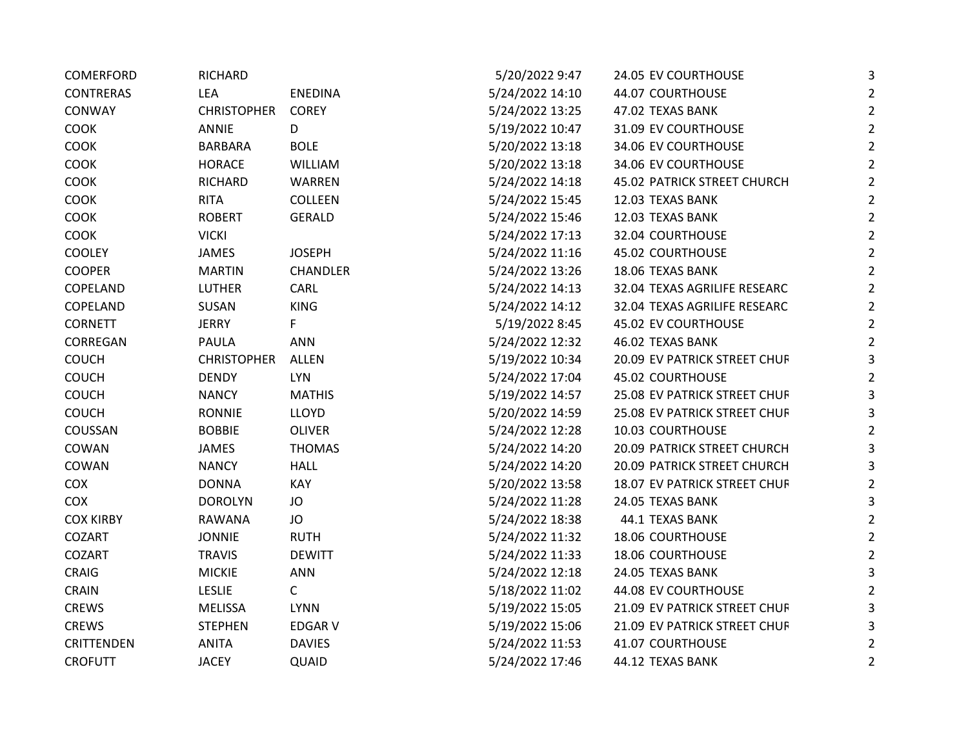| <b>COMERFORD</b>  | <b>RICHARD</b>     |                 | 5/20/2022 9:47  | 24.05 EV COURTHOUSE          | 3              |
|-------------------|--------------------|-----------------|-----------------|------------------------------|----------------|
| <b>CONTRERAS</b>  | <b>LEA</b>         | <b>ENEDINA</b>  | 5/24/2022 14:10 | 44.07 COURTHOUSE             | $\overline{2}$ |
| CONWAY            | <b>CHRISTOPHER</b> | <b>COREY</b>    | 5/24/2022 13:25 | 47.02 TEXAS BANK             | $\overline{2}$ |
| COOK              | ANNIE              | D               | 5/19/2022 10:47 | 31.09 EV COURTHOUSE          | $\overline{2}$ |
| COOK              | <b>BARBARA</b>     | <b>BOLE</b>     | 5/20/2022 13:18 | 34.06 EV COURTHOUSE          | $\overline{2}$ |
| COOK              | <b>HORACE</b>      | WILLIAM         | 5/20/2022 13:18 | 34.06 EV COURTHOUSE          | $\overline{2}$ |
| COOK              | <b>RICHARD</b>     | WARREN          | 5/24/2022 14:18 | 45.02 PATRICK STREET CHURCH  | $\overline{2}$ |
| COOK              | <b>RITA</b>        | <b>COLLEEN</b>  | 5/24/2022 15:45 | 12.03 TEXAS BANK             | $\overline{2}$ |
| COOK              | <b>ROBERT</b>      | GERALD          | 5/24/2022 15:46 | 12.03 TEXAS BANK             | $\overline{2}$ |
| COOK              | <b>VICKI</b>       |                 | 5/24/2022 17:13 | 32.04 COURTHOUSE             | $\overline{2}$ |
| <b>COOLEY</b>     | <b>JAMES</b>       | <b>JOSEPH</b>   | 5/24/2022 11:16 | 45.02 COURTHOUSE             | $\overline{2}$ |
| <b>COOPER</b>     | <b>MARTIN</b>      | <b>CHANDLER</b> | 5/24/2022 13:26 | 18.06 TEXAS BANK             | $\overline{2}$ |
| COPELAND          | <b>LUTHER</b>      | CARL            | 5/24/2022 14:13 | 32.04 TEXAS AGRILIFE RESEARC | $\overline{2}$ |
| COPELAND          | SUSAN              | <b>KING</b>     | 5/24/2022 14:12 | 32.04 TEXAS AGRILIFE RESEARC | $\overline{2}$ |
| <b>CORNETT</b>    | <b>JERRY</b>       | F               | 5/19/2022 8:45  | 45.02 EV COURTHOUSE          | $\overline{2}$ |
| CORREGAN          | PAULA              | <b>ANN</b>      | 5/24/2022 12:32 | 46.02 TEXAS BANK             | $\overline{2}$ |
| <b>COUCH</b>      | <b>CHRISTOPHER</b> | <b>ALLEN</b>    | 5/19/2022 10:34 | 20.09 EV PATRICK STREET CHUF | 3              |
| <b>COUCH</b>      | <b>DENDY</b>       | <b>LYN</b>      | 5/24/2022 17:04 | 45.02 COURTHOUSE             | $\overline{2}$ |
| <b>COUCH</b>      | <b>NANCY</b>       | <b>MATHIS</b>   | 5/19/2022 14:57 | 25.08 EV PATRICK STREET CHUF | 3              |
| <b>COUCH</b>      | <b>RONNIE</b>      | LLOYD           | 5/20/2022 14:59 | 25.08 EV PATRICK STREET CHUF | 3              |
| COUSSAN           | <b>BOBBIE</b>      | <b>OLIVER</b>   | 5/24/2022 12:28 | 10.03 COURTHOUSE             | $\overline{2}$ |
| COWAN             | <b>JAMES</b>       | <b>THOMAS</b>   | 5/24/2022 14:20 | 20.09 PATRICK STREET CHURCH  | 3              |
| COWAN             | <b>NANCY</b>       | <b>HALL</b>     | 5/24/2022 14:20 | 20.09 PATRICK STREET CHURCH  | 3              |
| COX               | <b>DONNA</b>       | <b>KAY</b>      | 5/20/2022 13:58 | 18.07 EV PATRICK STREET CHUF | $\overline{2}$ |
| COX               | <b>DOROLYN</b>     | JO              | 5/24/2022 11:28 | 24.05 TEXAS BANK             | 3              |
| <b>COX KIRBY</b>  | <b>RAWANA</b>      | JO              | 5/24/2022 18:38 | 44.1 TEXAS BANK              | $\overline{2}$ |
| <b>COZART</b>     | <b>JONNIE</b>      | <b>RUTH</b>     | 5/24/2022 11:32 | <b>18.06 COURTHOUSE</b>      | $\overline{2}$ |
| <b>COZART</b>     | <b>TRAVIS</b>      | <b>DEWITT</b>   | 5/24/2022 11:33 | <b>18.06 COURTHOUSE</b>      | $\overline{2}$ |
| CRAIG             | <b>MICKIE</b>      | <b>ANN</b>      | 5/24/2022 12:18 | 24.05 TEXAS BANK             | 3              |
| <b>CRAIN</b>      | <b>LESLIE</b>      | C               | 5/18/2022 11:02 | 44.08 EV COURTHOUSE          | $\overline{2}$ |
| <b>CREWS</b>      | <b>MELISSA</b>     | <b>LYNN</b>     | 5/19/2022 15:05 | 21.09 EV PATRICK STREET CHUF | 3              |
| <b>CREWS</b>      | <b>STEPHEN</b>     | <b>EDGAR V</b>  | 5/19/2022 15:06 | 21.09 EV PATRICK STREET CHUF | 3              |
| <b>CRITTENDEN</b> | <b>ANITA</b>       | <b>DAVIES</b>   | 5/24/2022 11:53 | 41.07 COURTHOUSE             | $\overline{2}$ |
| <b>CROFUTT</b>    | <b>JACEY</b>       | QUAID           | 5/24/2022 17:46 | 44.12 TEXAS BANK             | $\overline{2}$ |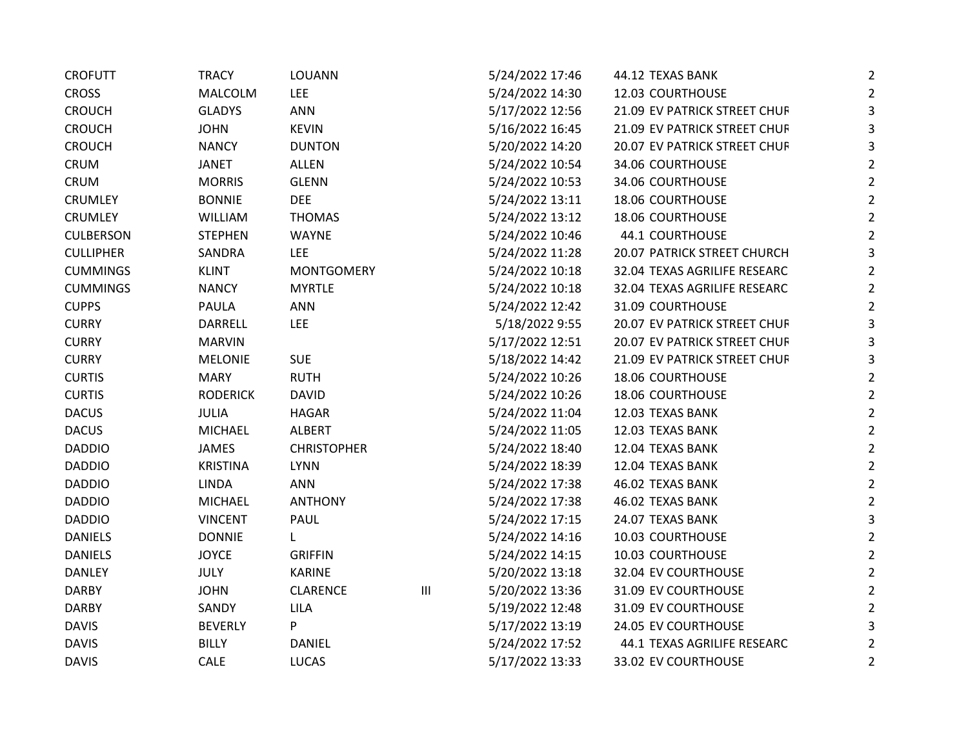| <b>CROFUTT</b>   | <b>TRACY</b>    | LOUANN             |                                    | 5/24/2022 17:46 | 44.12 TEXAS BANK             | $\overline{2}$ |
|------------------|-----------------|--------------------|------------------------------------|-----------------|------------------------------|----------------|
| <b>CROSS</b>     | MALCOLM         | <b>LEE</b>         |                                    | 5/24/2022 14:30 | 12.03 COURTHOUSE             | $\overline{2}$ |
| <b>CROUCH</b>    | <b>GLADYS</b>   | <b>ANN</b>         |                                    | 5/17/2022 12:56 | 21.09 EV PATRICK STREET CHUF | 3              |
| <b>CROUCH</b>    | <b>JOHN</b>     | <b>KEVIN</b>       |                                    | 5/16/2022 16:45 | 21.09 EV PATRICK STREET CHUF | 3              |
| <b>CROUCH</b>    | <b>NANCY</b>    | <b>DUNTON</b>      |                                    | 5/20/2022 14:20 | 20.07 EV PATRICK STREET CHUF | 3              |
| <b>CRUM</b>      | <b>JANET</b>    | <b>ALLEN</b>       |                                    | 5/24/2022 10:54 | 34.06 COURTHOUSE             | $\overline{2}$ |
| <b>CRUM</b>      | <b>MORRIS</b>   | <b>GLENN</b>       |                                    | 5/24/2022 10:53 | 34.06 COURTHOUSE             | $\overline{2}$ |
| <b>CRUMLEY</b>   | <b>BONNIE</b>   | <b>DEE</b>         |                                    | 5/24/2022 13:11 | 18.06 COURTHOUSE             | $\overline{2}$ |
| <b>CRUMLEY</b>   | WILLIAM         | <b>THOMAS</b>      |                                    | 5/24/2022 13:12 | <b>18.06 COURTHOUSE</b>      | $\overline{2}$ |
| <b>CULBERSON</b> | <b>STEPHEN</b>  | WAYNE              |                                    | 5/24/2022 10:46 | 44.1 COURTHOUSE              | $\overline{2}$ |
| <b>CULLIPHER</b> | SANDRA          | LEE                |                                    | 5/24/2022 11:28 | 20.07 PATRICK STREET CHURCH  | 3              |
| <b>CUMMINGS</b>  | <b>KLINT</b>    | <b>MONTGOMERY</b>  |                                    | 5/24/2022 10:18 | 32.04 TEXAS AGRILIFE RESEARC | $\overline{2}$ |
| <b>CUMMINGS</b>  | <b>NANCY</b>    | <b>MYRTLE</b>      |                                    | 5/24/2022 10:18 | 32.04 TEXAS AGRILIFE RESEARC | $\overline{2}$ |
| <b>CUPPS</b>     | PAULA           | <b>ANN</b>         |                                    | 5/24/2022 12:42 | 31.09 COURTHOUSE             | $\overline{2}$ |
| <b>CURRY</b>     | DARRELL         | <b>LEE</b>         |                                    | 5/18/2022 9:55  | 20.07 EV PATRICK STREET CHUF | 3              |
| <b>CURRY</b>     | <b>MARVIN</b>   |                    |                                    | 5/17/2022 12:51 | 20.07 EV PATRICK STREET CHUF | 3              |
| <b>CURRY</b>     | <b>MELONIE</b>  | <b>SUE</b>         |                                    | 5/18/2022 14:42 | 21.09 EV PATRICK STREET CHUF | 3              |
| <b>CURTIS</b>    | <b>MARY</b>     | <b>RUTH</b>        |                                    | 5/24/2022 10:26 | <b>18.06 COURTHOUSE</b>      | $\overline{2}$ |
| <b>CURTIS</b>    | <b>RODERICK</b> | <b>DAVID</b>       |                                    | 5/24/2022 10:26 | 18.06 COURTHOUSE             | $\overline{2}$ |
| <b>DACUS</b>     | <b>JULIA</b>    | <b>HAGAR</b>       |                                    | 5/24/2022 11:04 | 12.03 TEXAS BANK             | $\overline{2}$ |
| <b>DACUS</b>     | <b>MICHAEL</b>  | <b>ALBERT</b>      |                                    | 5/24/2022 11:05 | 12.03 TEXAS BANK             | $\overline{2}$ |
| <b>DADDIO</b>    | <b>JAMES</b>    | <b>CHRISTOPHER</b> |                                    | 5/24/2022 18:40 | 12.04 TEXAS BANK             | $\overline{2}$ |
| <b>DADDIO</b>    | <b>KRISTINA</b> | <b>LYNN</b>        |                                    | 5/24/2022 18:39 | 12.04 TEXAS BANK             | $\overline{2}$ |
| <b>DADDIO</b>    | <b>LINDA</b>    | <b>ANN</b>         |                                    | 5/24/2022 17:38 | 46.02 TEXAS BANK             | $\overline{2}$ |
| <b>DADDIO</b>    | <b>MICHAEL</b>  | <b>ANTHONY</b>     |                                    | 5/24/2022 17:38 | 46.02 TEXAS BANK             | $\overline{2}$ |
| <b>DADDIO</b>    | <b>VINCENT</b>  | PAUL               |                                    | 5/24/2022 17:15 | 24.07 TEXAS BANK             | $\overline{3}$ |
| <b>DANIELS</b>   | <b>DONNIE</b>   | L                  |                                    | 5/24/2022 14:16 | 10.03 COURTHOUSE             | $\overline{2}$ |
| <b>DANIELS</b>   | <b>JOYCE</b>    | <b>GRIFFIN</b>     |                                    | 5/24/2022 14:15 | 10.03 COURTHOUSE             | $\overline{2}$ |
| <b>DANLEY</b>    | JULY            | <b>KARINE</b>      |                                    | 5/20/2022 13:18 | 32.04 EV COURTHOUSE          | $\overline{2}$ |
| <b>DARBY</b>     | <b>JOHN</b>     | <b>CLARENCE</b>    | $\ensuremath{\mathsf{III}}\xspace$ | 5/20/2022 13:36 | 31.09 EV COURTHOUSE          | $\overline{2}$ |
| <b>DARBY</b>     | SANDY           | <b>LILA</b>        |                                    | 5/19/2022 12:48 | 31.09 EV COURTHOUSE          | $\overline{2}$ |
| <b>DAVIS</b>     | <b>BEVERLY</b>  | P                  |                                    | 5/17/2022 13:19 | 24.05 EV COURTHOUSE          | 3              |
| <b>DAVIS</b>     | <b>BILLY</b>    | <b>DANIEL</b>      |                                    | 5/24/2022 17:52 | 44.1 TEXAS AGRILIFE RESEARC  | $\overline{2}$ |
| <b>DAVIS</b>     | CALE            | <b>LUCAS</b>       |                                    | 5/17/2022 13:33 | 33.02 EV COURTHOUSE          | $\overline{2}$ |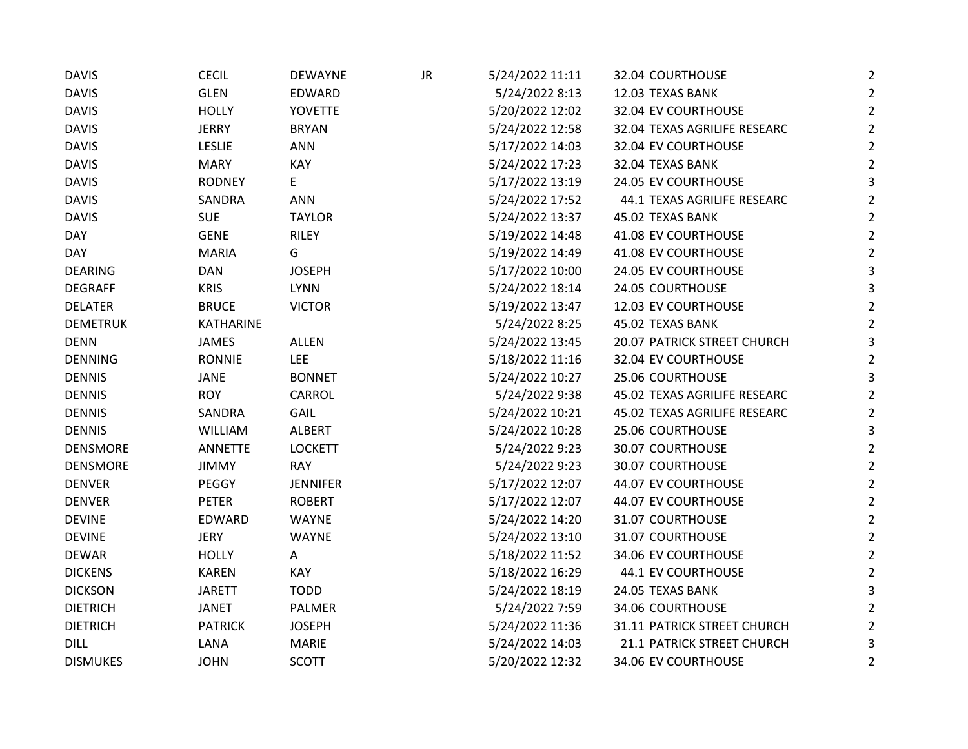| <b>DAVIS</b>    | <b>CECIL</b>   | <b>DEWAYNE</b>  | <b>JR</b> | 5/24/2022 11:11 | 32.04 COURTHOUSE             | $\overline{2}$ |
|-----------------|----------------|-----------------|-----------|-----------------|------------------------------|----------------|
| <b>DAVIS</b>    | <b>GLEN</b>    | EDWARD          |           | 5/24/2022 8:13  | 12.03 TEXAS BANK             | $\overline{2}$ |
| <b>DAVIS</b>    | <b>HOLLY</b>   | <b>YOVETTE</b>  |           | 5/20/2022 12:02 | 32.04 EV COURTHOUSE          | $\overline{2}$ |
| <b>DAVIS</b>    | <b>JERRY</b>   | <b>BRYAN</b>    |           | 5/24/2022 12:58 | 32.04 TEXAS AGRILIFE RESEARC | $\overline{2}$ |
| <b>DAVIS</b>    | <b>LESLIE</b>  | <b>ANN</b>      |           | 5/17/2022 14:03 | 32.04 EV COURTHOUSE          | $\overline{2}$ |
| <b>DAVIS</b>    | <b>MARY</b>    | <b>KAY</b>      |           | 5/24/2022 17:23 | 32.04 TEXAS BANK             | $\overline{2}$ |
| <b>DAVIS</b>    | <b>RODNEY</b>  | E               |           | 5/17/2022 13:19 | 24.05 EV COURTHOUSE          | 3              |
| <b>DAVIS</b>    | SANDRA         | <b>ANN</b>      |           | 5/24/2022 17:52 | 44.1 TEXAS AGRILIFE RESEARC  | $\overline{2}$ |
| <b>DAVIS</b>    | <b>SUE</b>     | <b>TAYLOR</b>   |           | 5/24/2022 13:37 | 45.02 TEXAS BANK             | $\overline{2}$ |
| <b>DAY</b>      | <b>GENE</b>    | <b>RILEY</b>    |           | 5/19/2022 14:48 | 41.08 EV COURTHOUSE          | $\overline{2}$ |
| <b>DAY</b>      | <b>MARIA</b>   | G               |           | 5/19/2022 14:49 | 41.08 EV COURTHOUSE          | $\overline{2}$ |
| <b>DEARING</b>  | <b>DAN</b>     | <b>JOSEPH</b>   |           | 5/17/2022 10:00 | 24.05 EV COURTHOUSE          | 3              |
| <b>DEGRAFF</b>  | <b>KRIS</b>    | <b>LYNN</b>     |           | 5/24/2022 18:14 | 24.05 COURTHOUSE             | 3              |
| <b>DELATER</b>  | <b>BRUCE</b>   | <b>VICTOR</b>   |           | 5/19/2022 13:47 | 12.03 EV COURTHOUSE          | $\overline{2}$ |
| <b>DEMETRUK</b> | KATHARINE      |                 |           | 5/24/2022 8:25  | 45.02 TEXAS BANK             | $\overline{2}$ |
| <b>DENN</b>     | <b>JAMES</b>   | ALLEN           |           | 5/24/2022 13:45 | 20.07 PATRICK STREET CHURCH  | 3              |
| <b>DENNING</b>  | <b>RONNIE</b>  | <b>LEE</b>      |           | 5/18/2022 11:16 | 32.04 EV COURTHOUSE          | $\overline{2}$ |
| <b>DENNIS</b>   | <b>JANE</b>    | <b>BONNET</b>   |           | 5/24/2022 10:27 | 25.06 COURTHOUSE             | 3              |
| <b>DENNIS</b>   | <b>ROY</b>     | CARROL          |           | 5/24/2022 9:38  | 45.02 TEXAS AGRILIFE RESEARC | $\overline{2}$ |
| <b>DENNIS</b>   | SANDRA         | GAIL            |           | 5/24/2022 10:21 | 45.02 TEXAS AGRILIFE RESEARC | $\overline{2}$ |
| <b>DENNIS</b>   | WILLIAM        | ALBERT          |           | 5/24/2022 10:28 | 25.06 COURTHOUSE             | 3              |
| <b>DENSMORE</b> | <b>ANNETTE</b> | <b>LOCKETT</b>  |           | 5/24/2022 9:23  | 30.07 COURTHOUSE             | $\overline{2}$ |
| <b>DENSMORE</b> | <b>JIMMY</b>   | <b>RAY</b>      |           | 5/24/2022 9:23  | 30.07 COURTHOUSE             | $\overline{2}$ |
| <b>DENVER</b>   | PEGGY          | <b>JENNIFER</b> |           | 5/17/2022 12:07 | 44.07 EV COURTHOUSE          | $\overline{2}$ |
| <b>DENVER</b>   | PETER          | <b>ROBERT</b>   |           | 5/17/2022 12:07 | 44.07 EV COURTHOUSE          | $\overline{2}$ |
| <b>DEVINE</b>   | EDWARD         | <b>WAYNE</b>    |           | 5/24/2022 14:20 | 31.07 COURTHOUSE             | $\overline{2}$ |
| <b>DEVINE</b>   | <b>JERY</b>    | <b>WAYNE</b>    |           | 5/24/2022 13:10 | 31.07 COURTHOUSE             | $\overline{2}$ |
| <b>DEWAR</b>    | <b>HOLLY</b>   | A               |           | 5/18/2022 11:52 | 34.06 EV COURTHOUSE          | $\overline{2}$ |
| <b>DICKENS</b>  | <b>KAREN</b>   | KAY             |           | 5/18/2022 16:29 | 44.1 EV COURTHOUSE           | $\overline{2}$ |
| <b>DICKSON</b>  | <b>JARETT</b>  | <b>TODD</b>     |           | 5/24/2022 18:19 | 24.05 TEXAS BANK             | 3              |
| <b>DIETRICH</b> | <b>JANET</b>   | <b>PALMER</b>   |           | 5/24/2022 7:59  | 34.06 COURTHOUSE             | $\overline{2}$ |
| <b>DIETRICH</b> | <b>PATRICK</b> | <b>JOSEPH</b>   |           | 5/24/2022 11:36 | 31.11 PATRICK STREET CHURCH  | $\overline{a}$ |
| <b>DILL</b>     | LANA           | <b>MARIE</b>    |           | 5/24/2022 14:03 | 21.1 PATRICK STREET CHURCH   | 3              |
| <b>DISMUKES</b> | <b>JOHN</b>    | <b>SCOTT</b>    |           | 5/20/2022 12:32 | 34.06 EV COURTHOUSE          | 2              |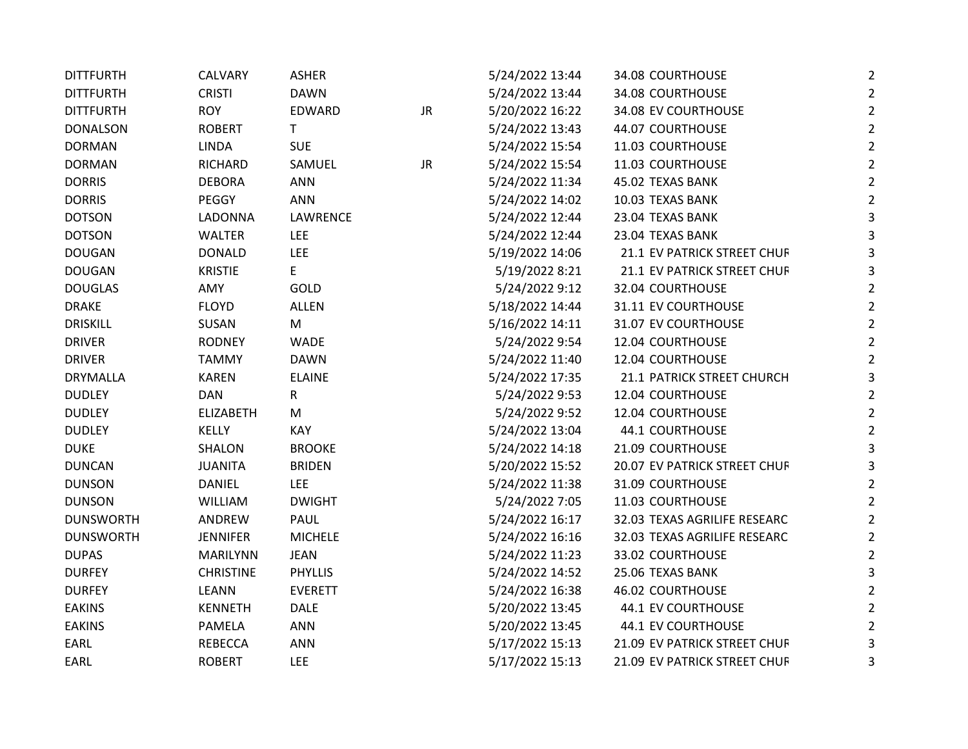| <b>DITTFURTH</b> | <b>CALVARY</b>   | <b>ASHER</b>   |    | 5/24/2022 13:44 | 34.08 COURTHOUSE             | $\overline{2}$ |
|------------------|------------------|----------------|----|-----------------|------------------------------|----------------|
| <b>DITTFURTH</b> | <b>CRISTI</b>    | <b>DAWN</b>    |    | 5/24/2022 13:44 | 34.08 COURTHOUSE             | $\overline{2}$ |
| <b>DITTFURTH</b> | <b>ROY</b>       | EDWARD         | JR | 5/20/2022 16:22 | 34.08 EV COURTHOUSE          | $\overline{2}$ |
| <b>DONALSON</b>  | <b>ROBERT</b>    | T              |    | 5/24/2022 13:43 | 44.07 COURTHOUSE             | $\overline{2}$ |
| <b>DORMAN</b>    | <b>LINDA</b>     | <b>SUE</b>     |    | 5/24/2022 15:54 | 11.03 COURTHOUSE             | $\overline{2}$ |
| <b>DORMAN</b>    | <b>RICHARD</b>   | SAMUEL         | JR | 5/24/2022 15:54 | 11.03 COURTHOUSE             | $\overline{2}$ |
| <b>DORRIS</b>    | <b>DEBORA</b>    | <b>ANN</b>     |    | 5/24/2022 11:34 | 45.02 TEXAS BANK             | $\overline{2}$ |
| <b>DORRIS</b>    | PEGGY            | <b>ANN</b>     |    | 5/24/2022 14:02 | 10.03 TEXAS BANK             | $\overline{2}$ |
| <b>DOTSON</b>    | LADONNA          | LAWRENCE       |    | 5/24/2022 12:44 | 23.04 TEXAS BANK             | 3              |
| <b>DOTSON</b>    | <b>WALTER</b>    | <b>LEE</b>     |    | 5/24/2022 12:44 | 23.04 TEXAS BANK             | 3              |
| <b>DOUGAN</b>    | <b>DONALD</b>    | LEE            |    | 5/19/2022 14:06 | 21.1 EV PATRICK STREET CHUF  | 3              |
| <b>DOUGAN</b>    | <b>KRISTIE</b>   | E              |    | 5/19/2022 8:21  | 21.1 EV PATRICK STREET CHUF  | 3              |
| <b>DOUGLAS</b>   | AMY              | GOLD           |    | 5/24/2022 9:12  | 32.04 COURTHOUSE             | $\overline{2}$ |
| <b>DRAKE</b>     | <b>FLOYD</b>     | ALLEN          |    | 5/18/2022 14:44 | 31.11 EV COURTHOUSE          | $\overline{2}$ |
| <b>DRISKILL</b>  | SUSAN            | M              |    | 5/16/2022 14:11 | 31.07 EV COURTHOUSE          | $\overline{2}$ |
| <b>DRIVER</b>    | <b>RODNEY</b>    | <b>WADE</b>    |    | 5/24/2022 9:54  | 12.04 COURTHOUSE             | $\overline{2}$ |
| <b>DRIVER</b>    | <b>TAMMY</b>     | <b>DAWN</b>    |    | 5/24/2022 11:40 | 12.04 COURTHOUSE             | $\overline{2}$ |
| <b>DRYMALLA</b>  | <b>KAREN</b>     | <b>ELAINE</b>  |    | 5/24/2022 17:35 | 21.1 PATRICK STREET CHURCH   | 3              |
| <b>DUDLEY</b>    | <b>DAN</b>       | R              |    | 5/24/2022 9:53  | 12.04 COURTHOUSE             | $\overline{2}$ |
| <b>DUDLEY</b>    | <b>ELIZABETH</b> | M              |    | 5/24/2022 9:52  | 12.04 COURTHOUSE             | $\overline{2}$ |
| <b>DUDLEY</b>    | KELLY            | KAY            |    | 5/24/2022 13:04 | 44.1 COURTHOUSE              | $\overline{2}$ |
| <b>DUKE</b>      | <b>SHALON</b>    | <b>BROOKE</b>  |    | 5/24/2022 14:18 | 21.09 COURTHOUSE             | 3              |
| <b>DUNCAN</b>    | <b>JUANITA</b>   | <b>BRIDEN</b>  |    | 5/20/2022 15:52 | 20.07 EV PATRICK STREET CHUF | 3              |
| <b>DUNSON</b>    | <b>DANIEL</b>    | LEE            |    | 5/24/2022 11:38 | 31.09 COURTHOUSE             | $\overline{2}$ |
| <b>DUNSON</b>    | WILLIAM          | <b>DWIGHT</b>  |    | 5/24/2022 7:05  | 11.03 COURTHOUSE             | $\overline{2}$ |
| <b>DUNSWORTH</b> | ANDREW           | PAUL           |    | 5/24/2022 16:17 | 32.03 TEXAS AGRILIFE RESEARC | $\overline{2}$ |
| <b>DUNSWORTH</b> | <b>JENNIFER</b>  | <b>MICHELE</b> |    | 5/24/2022 16:16 | 32.03 TEXAS AGRILIFE RESEARC | $\overline{2}$ |
| <b>DUPAS</b>     | <b>MARILYNN</b>  | <b>JEAN</b>    |    | 5/24/2022 11:23 | 33.02 COURTHOUSE             | $\overline{2}$ |
| <b>DURFEY</b>    | <b>CHRISTINE</b> | <b>PHYLLIS</b> |    | 5/24/2022 14:52 | 25.06 TEXAS BANK             | 3              |
| <b>DURFEY</b>    | LEANN            | <b>EVERETT</b> |    | 5/24/2022 16:38 | 46.02 COURTHOUSE             | $\overline{2}$ |
| <b>EAKINS</b>    | <b>KENNETH</b>   | <b>DALE</b>    |    | 5/20/2022 13:45 | 44.1 EV COURTHOUSE           | $\overline{2}$ |
| <b>EAKINS</b>    | PAMELA           | <b>ANN</b>     |    | 5/20/2022 13:45 | 44.1 EV COURTHOUSE           | $\overline{2}$ |
| EARL             | <b>REBECCA</b>   | <b>ANN</b>     |    | 5/17/2022 15:13 | 21.09 EV PATRICK STREET CHUF | 3              |
| EARL             | <b>ROBERT</b>    | LEE            |    | 5/17/2022 15:13 | 21.09 EV PATRICK STREET CHUF | 3              |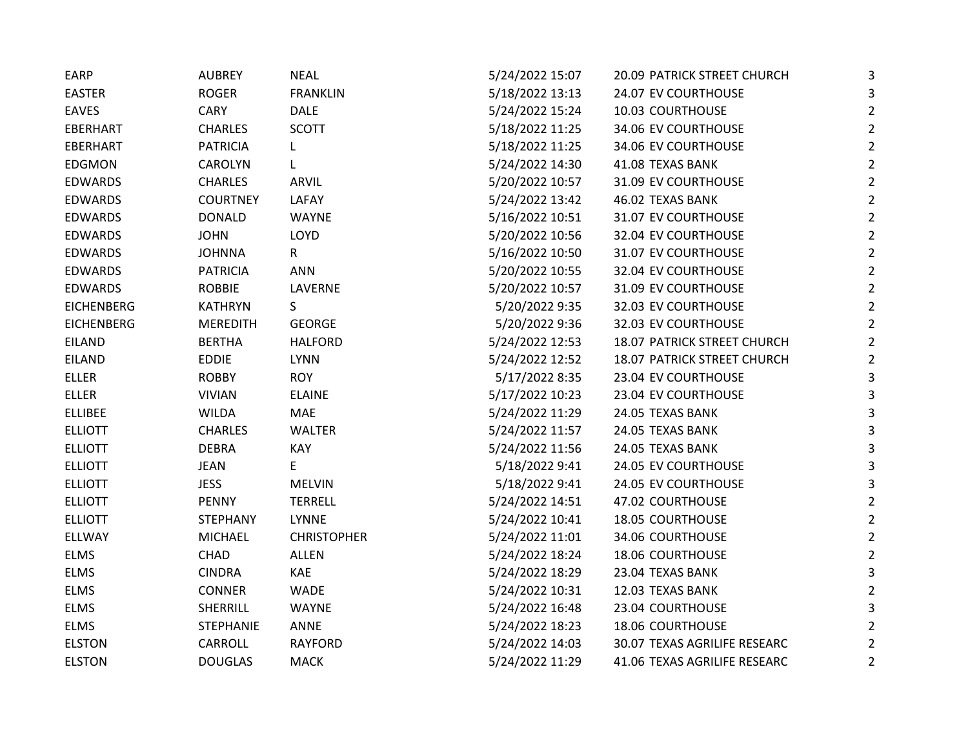| <b>EARP</b>       | <b>AUBREY</b>   | <b>NEAL</b>        | 5/24/2022 15:07 | 20.09 PATRICK STREET CHURCH        | 3              |
|-------------------|-----------------|--------------------|-----------------|------------------------------------|----------------|
| <b>EASTER</b>     | <b>ROGER</b>    | <b>FRANKLIN</b>    | 5/18/2022 13:13 | 24.07 EV COURTHOUSE                | 3              |
| <b>EAVES</b>      | <b>CARY</b>     | <b>DALE</b>        | 5/24/2022 15:24 | 10.03 COURTHOUSE                   | $\overline{2}$ |
| EBERHART          | <b>CHARLES</b>  | <b>SCOTT</b>       | 5/18/2022 11:25 | 34.06 EV COURTHOUSE                | $\overline{2}$ |
| EBERHART          | <b>PATRICIA</b> | L                  | 5/18/2022 11:25 | 34.06 EV COURTHOUSE                | $\overline{2}$ |
| <b>EDGMON</b>     | CAROLYN         | L                  | 5/24/2022 14:30 | 41.08 TEXAS BANK                   | $\overline{2}$ |
| <b>EDWARDS</b>    | <b>CHARLES</b>  | <b>ARVIL</b>       | 5/20/2022 10:57 | 31.09 EV COURTHOUSE                | $\overline{2}$ |
| <b>EDWARDS</b>    | <b>COURTNEY</b> | LAFAY              | 5/24/2022 13:42 | 46.02 TEXAS BANK                   | $\overline{2}$ |
| <b>EDWARDS</b>    | <b>DONALD</b>   | <b>WAYNE</b>       | 5/16/2022 10:51 | 31.07 EV COURTHOUSE                | $\overline{2}$ |
| <b>EDWARDS</b>    | <b>JOHN</b>     | LOYD               | 5/20/2022 10:56 | 32.04 EV COURTHOUSE                | $\overline{2}$ |
| <b>EDWARDS</b>    | <b>JOHNNA</b>   | R                  | 5/16/2022 10:50 | 31.07 EV COURTHOUSE                | $\overline{2}$ |
| <b>EDWARDS</b>    | <b>PATRICIA</b> | <b>ANN</b>         | 5/20/2022 10:55 | 32.04 EV COURTHOUSE                | $\overline{2}$ |
| <b>EDWARDS</b>    | <b>ROBBIE</b>   | LAVERNE            | 5/20/2022 10:57 | 31.09 EV COURTHOUSE                | $\overline{2}$ |
| <b>EICHENBERG</b> | <b>KATHRYN</b>  | S.                 | 5/20/2022 9:35  | 32.03 EV COURTHOUSE                | $\overline{2}$ |
| <b>EICHENBERG</b> | <b>MEREDITH</b> | <b>GEORGE</b>      | 5/20/2022 9:36  | 32.03 EV COURTHOUSE                | $\overline{2}$ |
| <b>EILAND</b>     | <b>BERTHA</b>   | <b>HALFORD</b>     | 5/24/2022 12:53 | 18.07 PATRICK STREET CHURCH        | $\overline{2}$ |
| <b>EILAND</b>     | <b>EDDIE</b>    | <b>LYNN</b>        | 5/24/2022 12:52 | <b>18.07 PATRICK STREET CHURCH</b> | $\overline{2}$ |
| <b>ELLER</b>      | <b>ROBBY</b>    | <b>ROY</b>         | 5/17/2022 8:35  | 23.04 EV COURTHOUSE                | 3              |
| <b>ELLER</b>      | <b>VIVIAN</b>   | <b>ELAINE</b>      | 5/17/2022 10:23 | 23.04 EV COURTHOUSE                | 3              |
| <b>ELLIBEE</b>    | <b>WILDA</b>    | <b>MAE</b>         | 5/24/2022 11:29 | 24.05 TEXAS BANK                   | 3              |
| <b>ELLIOTT</b>    | <b>CHARLES</b>  | <b>WALTER</b>      | 5/24/2022 11:57 | 24.05 TEXAS BANK                   | 3              |
| <b>ELLIOTT</b>    | <b>DEBRA</b>    | <b>KAY</b>         | 5/24/2022 11:56 | 24.05 TEXAS BANK                   | 3              |
| <b>ELLIOTT</b>    | <b>JEAN</b>     | E.                 | 5/18/2022 9:41  | 24.05 EV COURTHOUSE                | 3              |
| <b>ELLIOTT</b>    | <b>JESS</b>     | <b>MELVIN</b>      | 5/18/2022 9:41  | 24.05 EV COURTHOUSE                | 3              |
| <b>ELLIOTT</b>    | <b>PENNY</b>    | <b>TERRELL</b>     | 5/24/2022 14:51 | 47.02 COURTHOUSE                   | $\overline{2}$ |
| <b>ELLIOTT</b>    | <b>STEPHANY</b> | <b>LYNNE</b>       | 5/24/2022 10:41 | <b>18.05 COURTHOUSE</b>            | $\overline{2}$ |
| ELLWAY            | <b>MICHAEL</b>  | <b>CHRISTOPHER</b> | 5/24/2022 11:01 | 34.06 COURTHOUSE                   | $\overline{2}$ |
| <b>ELMS</b>       | <b>CHAD</b>     | <b>ALLEN</b>       | 5/24/2022 18:24 | <b>18.06 COURTHOUSE</b>            | $\overline{2}$ |
| <b>ELMS</b>       | <b>CINDRA</b>   | <b>KAE</b>         | 5/24/2022 18:29 | 23.04 TEXAS BANK                   | 3              |
| <b>ELMS</b>       | CONNER          | <b>WADE</b>        | 5/24/2022 10:31 | 12.03 TEXAS BANK                   | $\overline{2}$ |
| <b>ELMS</b>       | SHERRILL        | <b>WAYNE</b>       | 5/24/2022 16:48 | 23.04 COURTHOUSE                   | $\overline{3}$ |
| <b>ELMS</b>       | STEPHANIE       | <b>ANNE</b>        | 5/24/2022 18:23 | <b>18.06 COURTHOUSE</b>            | $\overline{2}$ |
| <b>ELSTON</b>     | CARROLL         | <b>RAYFORD</b>     | 5/24/2022 14:03 | 30.07 TEXAS AGRILIFE RESEARC       | $\overline{2}$ |
| <b>ELSTON</b>     | <b>DOUGLAS</b>  | <b>MACK</b>        | 5/24/2022 11:29 | 41.06 TEXAS AGRILIFE RESEARC       | $\overline{2}$ |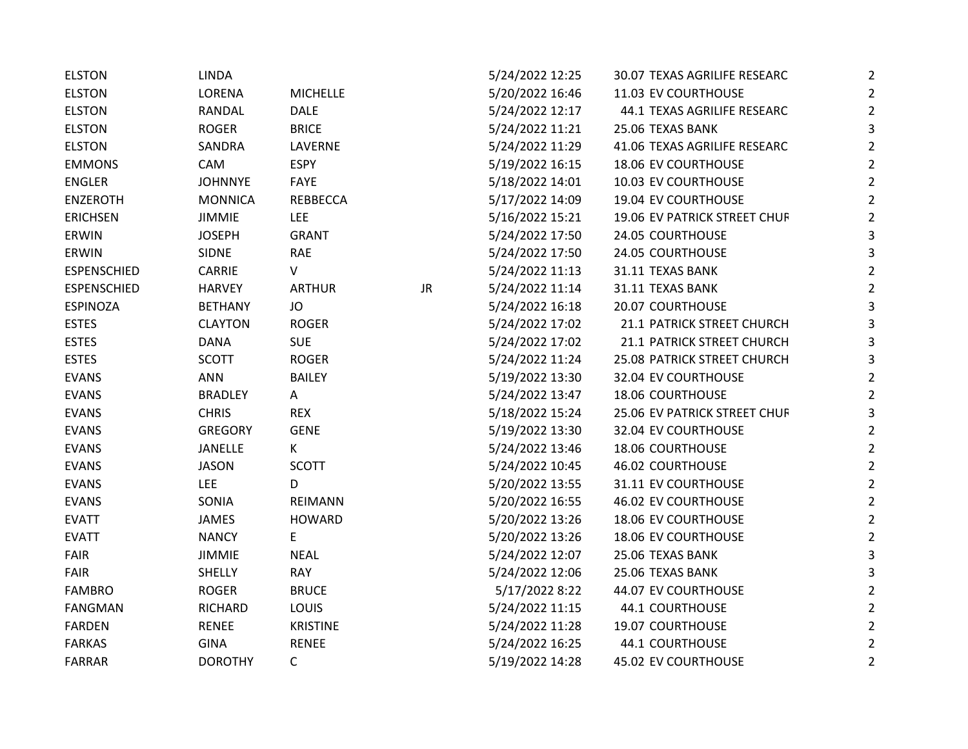| <b>ELSTON</b>      | <b>LINDA</b>   |                 |    | 5/24/2022 12:25 | 30.07 TEXAS AGRILIFE RESEARC | $\overline{2}$ |
|--------------------|----------------|-----------------|----|-----------------|------------------------------|----------------|
| <b>ELSTON</b>      | LORENA         | <b>MICHELLE</b> |    | 5/20/2022 16:46 | 11.03 EV COURTHOUSE          | $\overline{2}$ |
| <b>ELSTON</b>      | RANDAL         | <b>DALE</b>     |    | 5/24/2022 12:17 | 44.1 TEXAS AGRILIFE RESEARC  | $\overline{2}$ |
| <b>ELSTON</b>      | <b>ROGER</b>   | <b>BRICE</b>    |    | 5/24/2022 11:21 | 25.06 TEXAS BANK             | 3              |
| <b>ELSTON</b>      | SANDRA         | LAVERNE         |    | 5/24/2022 11:29 | 41.06 TEXAS AGRILIFE RESEARC | $\overline{2}$ |
| <b>EMMONS</b>      | CAM            | <b>ESPY</b>     |    | 5/19/2022 16:15 | 18.06 EV COURTHOUSE          | $\overline{2}$ |
| <b>ENGLER</b>      | <b>JOHNNYE</b> | <b>FAYE</b>     |    | 5/18/2022 14:01 | 10.03 EV COURTHOUSE          | $\overline{2}$ |
| <b>ENZEROTH</b>    | <b>MONNICA</b> | REBBECCA        |    | 5/17/2022 14:09 | 19.04 EV COURTHOUSE          | $\overline{2}$ |
| <b>ERICHSEN</b>    | <b>JIMMIE</b>  | <b>LEE</b>      |    | 5/16/2022 15:21 | 19.06 EV PATRICK STREET CHUF | $\overline{2}$ |
| ERWIN              | <b>JOSEPH</b>  | <b>GRANT</b>    |    | 5/24/2022 17:50 | 24.05 COURTHOUSE             | 3              |
| ERWIN              | <b>SIDNE</b>   | <b>RAE</b>      |    | 5/24/2022 17:50 | 24.05 COURTHOUSE             | 3              |
| <b>ESPENSCHIED</b> | CARRIE         | V               |    | 5/24/2022 11:13 | 31.11 TEXAS BANK             | $\overline{2}$ |
| <b>ESPENSCHIED</b> | <b>HARVEY</b>  | <b>ARTHUR</b>   | JR | 5/24/2022 11:14 | 31.11 TEXAS BANK             | $\overline{2}$ |
| <b>ESPINOZA</b>    | <b>BETHANY</b> | JO              |    | 5/24/2022 16:18 | 20.07 COURTHOUSE             | 3              |
| <b>ESTES</b>       | <b>CLAYTON</b> | <b>ROGER</b>    |    | 5/24/2022 17:02 | 21.1 PATRICK STREET CHURCH   | 3              |
| <b>ESTES</b>       | <b>DANA</b>    | <b>SUE</b>      |    | 5/24/2022 17:02 | 21.1 PATRICK STREET CHURCH   | 3              |
| <b>ESTES</b>       | <b>SCOTT</b>   | <b>ROGER</b>    |    | 5/24/2022 11:24 | 25.08 PATRICK STREET CHURCH  | 3              |
| <b>EVANS</b>       | <b>ANN</b>     | <b>BAILEY</b>   |    | 5/19/2022 13:30 | 32.04 EV COURTHOUSE          | $\overline{2}$ |
| <b>EVANS</b>       | <b>BRADLEY</b> | A               |    | 5/24/2022 13:47 | 18.06 COURTHOUSE             | $\overline{2}$ |
| <b>EVANS</b>       | <b>CHRIS</b>   | <b>REX</b>      |    | 5/18/2022 15:24 | 25.06 EV PATRICK STREET CHUF | 3              |
| <b>EVANS</b>       | <b>GREGORY</b> | <b>GENE</b>     |    | 5/19/2022 13:30 | 32.04 EV COURTHOUSE          | $\overline{2}$ |
| <b>EVANS</b>       | JANELLE        | K.              |    | 5/24/2022 13:46 | 18.06 COURTHOUSE             | $\overline{2}$ |
| <b>EVANS</b>       | <b>JASON</b>   | <b>SCOTT</b>    |    | 5/24/2022 10:45 | 46.02 COURTHOUSE             | $\overline{2}$ |
| <b>EVANS</b>       | LEE            | D               |    | 5/20/2022 13:55 | 31.11 EV COURTHOUSE          | $\overline{2}$ |
| <b>EVANS</b>       | SONIA          | <b>REIMANN</b>  |    | 5/20/2022 16:55 | 46.02 EV COURTHOUSE          | $\overline{2}$ |
| <b>EVATT</b>       | <b>JAMES</b>   | <b>HOWARD</b>   |    | 5/20/2022 13:26 | 18.06 EV COURTHOUSE          | $\overline{2}$ |
| <b>EVATT</b>       | <b>NANCY</b>   | E               |    | 5/20/2022 13:26 | 18.06 EV COURTHOUSE          | $\overline{2}$ |
| <b>FAIR</b>        | <b>JIMMIE</b>  | <b>NEAL</b>     |    | 5/24/2022 12:07 | 25.06 TEXAS BANK             | 3              |
| <b>FAIR</b>        | SHELLY         | <b>RAY</b>      |    | 5/24/2022 12:06 | 25.06 TEXAS BANK             | 3              |
| <b>FAMBRO</b>      | <b>ROGER</b>   | <b>BRUCE</b>    |    | 5/17/2022 8:22  | 44.07 EV COURTHOUSE          | $2^{\circ}$    |
| <b>FANGMAN</b>     | <b>RICHARD</b> | LOUIS           |    | 5/24/2022 11:15 | 44.1 COURTHOUSE              | $\overline{2}$ |
| <b>FARDEN</b>      | <b>RENEE</b>   | <b>KRISTINE</b> |    | 5/24/2022 11:28 | 19.07 COURTHOUSE             | $\overline{2}$ |
| <b>FARKAS</b>      | <b>GINA</b>    | <b>RENEE</b>    |    | 5/24/2022 16:25 | 44.1 COURTHOUSE              | $\overline{2}$ |
| <b>FARRAR</b>      | <b>DOROTHY</b> | $\mathsf{C}$    |    | 5/19/2022 14:28 | 45.02 EV COURTHOUSE          | 2              |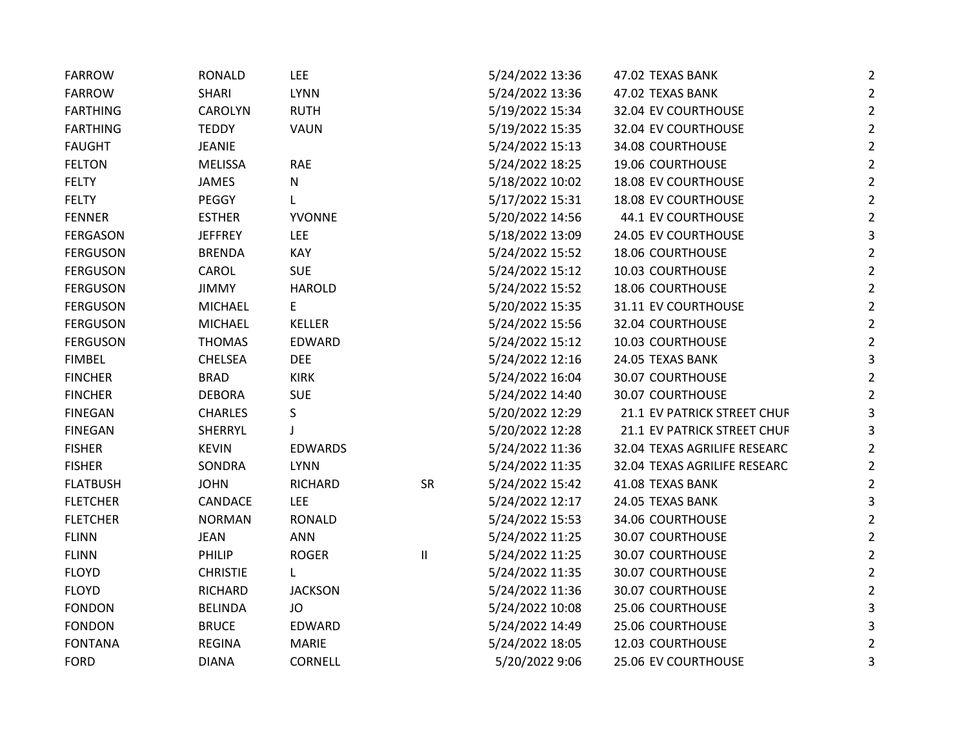| <b>FARROW</b>   | <b>RONALD</b>   | <b>LEE</b>     |          | 5/24/2022 13:36 | 47.02 TEXAS BANK                   | $\overline{2}$ |
|-----------------|-----------------|----------------|----------|-----------------|------------------------------------|----------------|
| <b>FARROW</b>   | <b>SHARI</b>    | <b>LYNN</b>    |          | 5/24/2022 13:36 | 47.02 TEXAS BANK                   | $\overline{2}$ |
| <b>FARTHING</b> | CAROLYN         | <b>RUTH</b>    |          | 5/19/2022 15:34 | 32.04 EV COURTHOUSE                | $\overline{2}$ |
| <b>FARTHING</b> | <b>TEDDY</b>    | <b>VAUN</b>    |          | 5/19/2022 15:35 | 32.04 EV COURTHOUSE                | $\overline{2}$ |
| <b>FAUGHT</b>   | <b>JEANIE</b>   |                |          | 5/24/2022 15:13 | 34.08 COURTHOUSE                   | $\overline{2}$ |
| <b>FELTON</b>   | <b>MELISSA</b>  | <b>RAE</b>     |          | 5/24/2022 18:25 | 19.06 COURTHOUSE                   | $\overline{2}$ |
| <b>FELTY</b>    | <b>JAMES</b>    | N              |          | 5/18/2022 10:02 | 18.08 EV COURTHOUSE                | $\overline{2}$ |
| <b>FELTY</b>    | PEGGY           | L              |          | 5/17/2022 15:31 | 18.08 EV COURTHOUSE                | $\overline{2}$ |
| <b>FENNER</b>   | <b>ESTHER</b>   | YVONNE         |          | 5/20/2022 14:56 | 44.1 EV COURTHOUSE                 | $\overline{2}$ |
| <b>FERGASON</b> | <b>JEFFREY</b>  | <b>LEE</b>     |          | 5/18/2022 13:09 | 24.05 EV COURTHOUSE                | 3              |
| <b>FERGUSON</b> | <b>BRENDA</b>   | KAY            |          | 5/24/2022 15:52 | 18.06 COURTHOUSE                   | $\overline{2}$ |
| <b>FERGUSON</b> | CAROL           | <b>SUE</b>     |          | 5/24/2022 15:12 | 10.03 COURTHOUSE                   | $\overline{2}$ |
| <b>FERGUSON</b> | <b>JIMMY</b>    | <b>HAROLD</b>  |          | 5/24/2022 15:52 | 18.06 COURTHOUSE                   | $\overline{2}$ |
| <b>FERGUSON</b> | <b>MICHAEL</b>  | E              |          | 5/20/2022 15:35 | 31.11 EV COURTHOUSE                | $\overline{2}$ |
| <b>FERGUSON</b> | MICHAEL         | <b>KELLER</b>  |          | 5/24/2022 15:56 | 32.04 COURTHOUSE                   | $\overline{2}$ |
| <b>FERGUSON</b> | <b>THOMAS</b>   | EDWARD         |          | 5/24/2022 15:12 | 10.03 COURTHOUSE                   | $\overline{2}$ |
| <b>FIMBEL</b>   | <b>CHELSEA</b>  | <b>DEE</b>     |          | 5/24/2022 12:16 | 24.05 TEXAS BANK                   | 3              |
| <b>FINCHER</b>  | <b>BRAD</b>     | <b>KIRK</b>    |          | 5/24/2022 16:04 | 30.07 COURTHOUSE                   | $\overline{2}$ |
| <b>FINCHER</b>  | <b>DEBORA</b>   | <b>SUE</b>     |          | 5/24/2022 14:40 | 30.07 COURTHOUSE                   | $\overline{2}$ |
| <b>FINEGAN</b>  | <b>CHARLES</b>  | S              |          | 5/20/2022 12:29 | 21.1 EV PATRICK STREET CHUF        | 3              |
| <b>FINEGAN</b>  | SHERRYL         |                |          | 5/20/2022 12:28 | <b>21.1 EV PATRICK STREET CHUF</b> | 3              |
| <b>FISHER</b>   | <b>KEVIN</b>    | <b>EDWARDS</b> |          | 5/24/2022 11:36 | 32.04 TEXAS AGRILIFE RESEARC       | $\overline{2}$ |
| <b>FISHER</b>   | SONDRA          | <b>LYNN</b>    |          | 5/24/2022 11:35 | 32.04 TEXAS AGRILIFE RESEARC       | $\overline{2}$ |
| <b>FLATBUSH</b> | <b>JOHN</b>     | RICHARD        | SR       | 5/24/2022 15:42 | 41.08 TEXAS BANK                   | $\overline{2}$ |
| <b>FLETCHER</b> | CANDACE         | <b>LEE</b>     |          | 5/24/2022 12:17 | 24.05 TEXAS BANK                   | 3              |
| <b>FLETCHER</b> | <b>NORMAN</b>   | <b>RONALD</b>  |          | 5/24/2022 15:53 | 34.06 COURTHOUSE                   | $\overline{2}$ |
| <b>FLINN</b>    | <b>JEAN</b>     | <b>ANN</b>     |          | 5/24/2022 11:25 | 30.07 COURTHOUSE                   | $\overline{2}$ |
| <b>FLINN</b>    | PHILIP          | <b>ROGER</b>   | $\sf II$ | 5/24/2022 11:25 | 30.07 COURTHOUSE                   | $\overline{2}$ |
| <b>FLOYD</b>    | <b>CHRISTIE</b> | L              |          | 5/24/2022 11:35 | 30.07 COURTHOUSE                   | $\overline{2}$ |
| <b>FLOYD</b>    | RICHARD         | <b>JACKSON</b> |          | 5/24/2022 11:36 | 30.07 COURTHOUSE                   | $\overline{2}$ |
| <b>FONDON</b>   | <b>BELINDA</b>  | JO             |          | 5/24/2022 10:08 | 25.06 COURTHOUSE                   | 3              |
| <b>FONDON</b>   | <b>BRUCE</b>    | EDWARD         |          | 5/24/2022 14:49 | 25.06 COURTHOUSE                   | 3              |
| <b>FONTANA</b>  | <b>REGINA</b>   | <b>MARIE</b>   |          | 5/24/2022 18:05 | 12.03 COURTHOUSE                   | $\overline{2}$ |
| <b>FORD</b>     | <b>DIANA</b>    | <b>CORNELL</b> |          | 5/20/2022 9:06  | 25.06 EV COURTHOUSE                | 3              |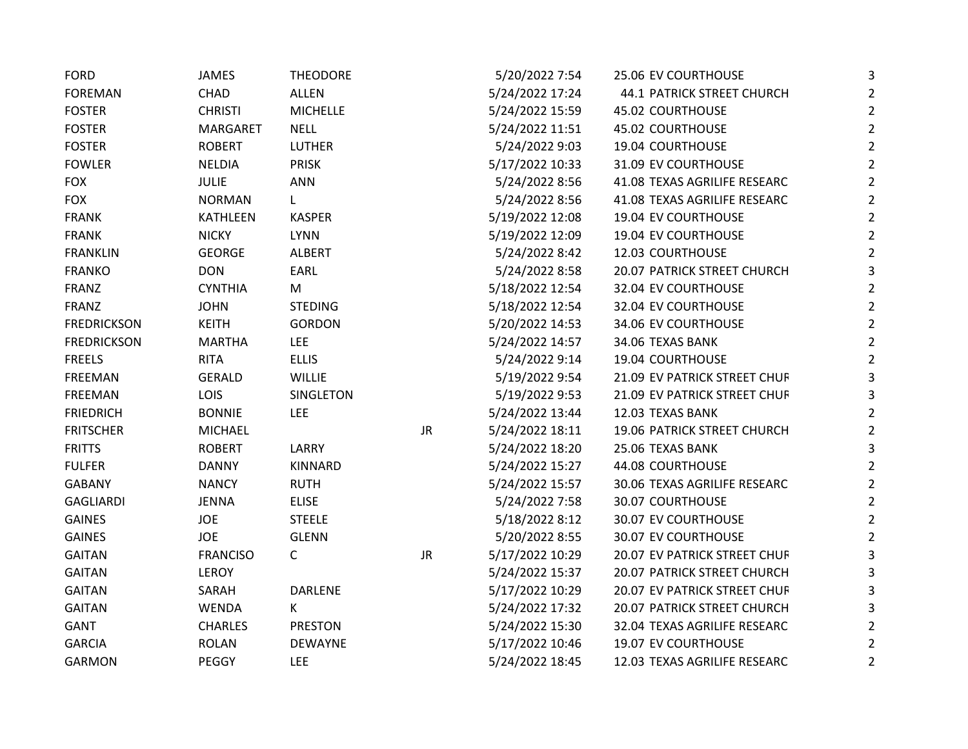| <b>FORD</b>        | <b>JAMES</b>    | <b>THEODORE</b> |           | 5/20/2022 7:54  | 25.06 EV COURTHOUSE          | 3              |
|--------------------|-----------------|-----------------|-----------|-----------------|------------------------------|----------------|
| <b>FOREMAN</b>     | CHAD            | <b>ALLEN</b>    |           | 5/24/2022 17:24 | 44.1 PATRICK STREET CHURCH   | $\overline{2}$ |
| <b>FOSTER</b>      | <b>CHRISTI</b>  | <b>MICHELLE</b> |           | 5/24/2022 15:59 | 45.02 COURTHOUSE             | $\overline{2}$ |
| <b>FOSTER</b>      | MARGARET        | <b>NELL</b>     |           | 5/24/2022 11:51 | 45.02 COURTHOUSE             | $\overline{2}$ |
| <b>FOSTER</b>      | <b>ROBERT</b>   | <b>LUTHER</b>   |           | 5/24/2022 9:03  | 19.04 COURTHOUSE             | $\overline{2}$ |
| <b>FOWLER</b>      | <b>NELDIA</b>   | <b>PRISK</b>    |           | 5/17/2022 10:33 | 31.09 EV COURTHOUSE          | $\overline{2}$ |
| <b>FOX</b>         | <b>JULIE</b>    | <b>ANN</b>      |           | 5/24/2022 8:56  | 41.08 TEXAS AGRILIFE RESEARC | $\overline{2}$ |
| <b>FOX</b>         | <b>NORMAN</b>   | L               |           | 5/24/2022 8:56  | 41.08 TEXAS AGRILIFE RESEARC | $\overline{2}$ |
| <b>FRANK</b>       | <b>KATHLEEN</b> | <b>KASPER</b>   |           | 5/19/2022 12:08 | 19.04 EV COURTHOUSE          | $\overline{2}$ |
| <b>FRANK</b>       | <b>NICKY</b>    | <b>LYNN</b>     |           | 5/19/2022 12:09 | 19.04 EV COURTHOUSE          | $\overline{2}$ |
| <b>FRANKLIN</b>    | <b>GEORGE</b>   | <b>ALBERT</b>   |           | 5/24/2022 8:42  | 12.03 COURTHOUSE             | $\overline{2}$ |
| <b>FRANKO</b>      | <b>DON</b>      | EARL            |           | 5/24/2022 8:58  | 20.07 PATRICK STREET CHURCH  | 3              |
| FRANZ              | <b>CYNTHIA</b>  | M               |           | 5/18/2022 12:54 | 32.04 EV COURTHOUSE          | $\overline{2}$ |
| FRANZ              | <b>JOHN</b>     | <b>STEDING</b>  |           | 5/18/2022 12:54 | 32.04 EV COURTHOUSE          | $\overline{2}$ |
| <b>FREDRICKSON</b> | <b>KEITH</b>    | <b>GORDON</b>   |           | 5/20/2022 14:53 | 34.06 EV COURTHOUSE          | $\overline{2}$ |
| <b>FREDRICKSON</b> | <b>MARTHA</b>   | <b>LEE</b>      |           | 5/24/2022 14:57 | 34.06 TEXAS BANK             | $\overline{2}$ |
| <b>FREELS</b>      | <b>RITA</b>     | <b>ELLIS</b>    |           | 5/24/2022 9:14  | 19.04 COURTHOUSE             | $\overline{2}$ |
| FREEMAN            | <b>GERALD</b>   | <b>WILLIE</b>   |           | 5/19/2022 9:54  | 21.09 EV PATRICK STREET CHUF | 3              |
| FREEMAN            | LOIS            | SINGLETON       |           | 5/19/2022 9:53  | 21.09 EV PATRICK STREET CHUF | 3              |
| <b>FRIEDRICH</b>   | <b>BONNIE</b>   | <b>LEE</b>      |           | 5/24/2022 13:44 | 12.03 TEXAS BANK             | $\overline{2}$ |
| <b>FRITSCHER</b>   | <b>MICHAEL</b>  |                 | <b>JR</b> | 5/24/2022 18:11 | 19.06 PATRICK STREET CHURCH  | $\overline{2}$ |
| <b>FRITTS</b>      | <b>ROBERT</b>   | LARRY           |           | 5/24/2022 18:20 | 25.06 TEXAS BANK             | 3              |
| <b>FULFER</b>      | <b>DANNY</b>    | KINNARD         |           | 5/24/2022 15:27 | 44.08 COURTHOUSE             | $\overline{2}$ |
| <b>GABANY</b>      | <b>NANCY</b>    | <b>RUTH</b>     |           | 5/24/2022 15:57 | 30.06 TEXAS AGRILIFE RESEARC | $\overline{2}$ |
| <b>GAGLIARDI</b>   | <b>JENNA</b>    | <b>ELISE</b>    |           | 5/24/2022 7:58  | 30.07 COURTHOUSE             | $\overline{2}$ |
| <b>GAINES</b>      | <b>JOE</b>      | <b>STEELE</b>   |           | 5/18/2022 8:12  | 30.07 EV COURTHOUSE          | $\overline{2}$ |
| <b>GAINES</b>      | <b>JOE</b>      | <b>GLENN</b>    |           | 5/20/2022 8:55  | 30.07 EV COURTHOUSE          | $\overline{2}$ |
| <b>GAITAN</b>      | <b>FRANCISO</b> | $\mathsf{C}$    | <b>JR</b> | 5/17/2022 10:29 | 20.07 EV PATRICK STREET CHUF | 3              |
| <b>GAITAN</b>      | <b>LEROY</b>    |                 |           | 5/24/2022 15:37 | 20.07 PATRICK STREET CHURCH  | 3              |
| <b>GAITAN</b>      | SARAH           | <b>DARLENE</b>  |           | 5/17/2022 10:29 | 20.07 EV PATRICK STREET CHUF | 3              |
| <b>GAITAN</b>      | WENDA           | K               |           | 5/24/2022 17:32 | 20.07 PATRICK STREET CHURCH  | $\mathsf{3}$   |
| <b>GANT</b>        | <b>CHARLES</b>  | <b>PRESTON</b>  |           | 5/24/2022 15:30 | 32.04 TEXAS AGRILIFE RESEARC | $\overline{2}$ |
| <b>GARCIA</b>      | <b>ROLAN</b>    | <b>DEWAYNE</b>  |           | 5/17/2022 10:46 | 19.07 EV COURTHOUSE          | $\overline{2}$ |
| <b>GARMON</b>      | PEGGY           | <b>LEE</b>      |           | 5/24/2022 18:45 | 12.03 TEXAS AGRILIFE RESEARC | $\overline{2}$ |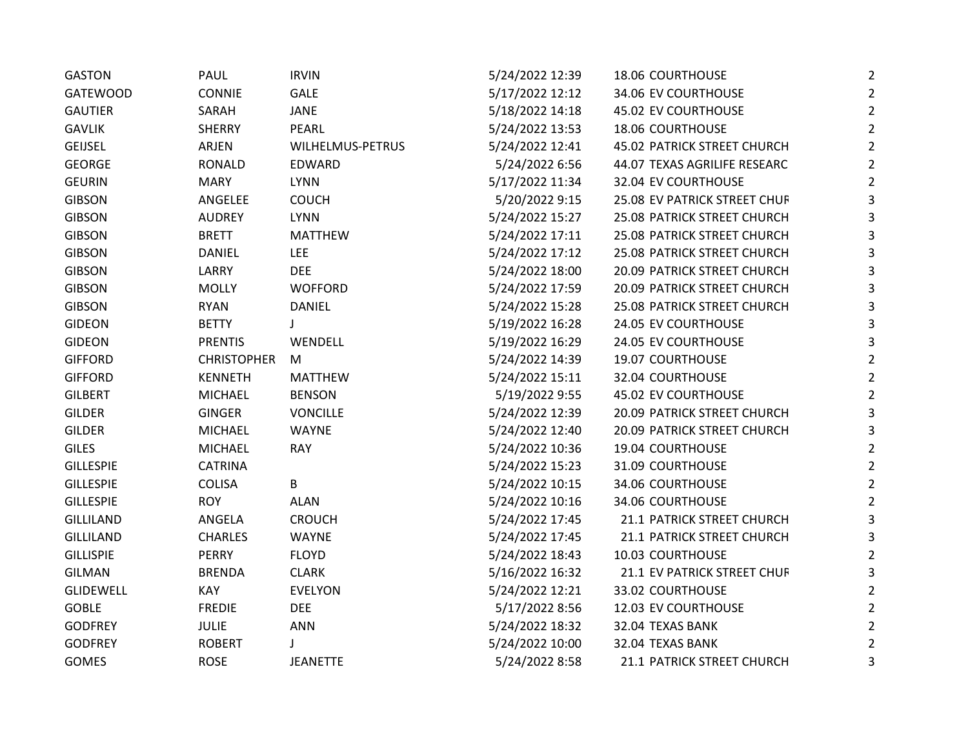| <b>GASTON</b>    | PAUL               | <b>IRVIN</b>     | 5/24/2022 12:39 | 18.06 COURTHOUSE             | $\overline{2}$ |
|------------------|--------------------|------------------|-----------------|------------------------------|----------------|
| <b>GATEWOOD</b>  | CONNIE             | GALE             | 5/17/2022 12:12 | 34.06 EV COURTHOUSE          | $\overline{2}$ |
| <b>GAUTIER</b>   | SARAH              | JANE             | 5/18/2022 14:18 | 45.02 EV COURTHOUSE          | $\overline{2}$ |
| <b>GAVLIK</b>    | <b>SHERRY</b>      | PEARL            | 5/24/2022 13:53 | <b>18.06 COURTHOUSE</b>      | $\overline{2}$ |
| <b>GEIJSEL</b>   | ARJEN              | WILHELMUS-PETRUS | 5/24/2022 12:41 | 45.02 PATRICK STREET CHURCH  | $\overline{2}$ |
| <b>GEORGE</b>    | <b>RONALD</b>      | EDWARD           | 5/24/2022 6:56  | 44.07 TEXAS AGRILIFE RESEARC | $\overline{2}$ |
| <b>GEURIN</b>    | <b>MARY</b>        | <b>LYNN</b>      | 5/17/2022 11:34 | 32.04 EV COURTHOUSE          | $\overline{2}$ |
| <b>GIBSON</b>    | ANGELEE            | <b>COUCH</b>     | 5/20/2022 9:15  | 25.08 EV PATRICK STREET CHUF | 3              |
| <b>GIBSON</b>    | <b>AUDREY</b>      | <b>LYNN</b>      | 5/24/2022 15:27 | 25.08 PATRICK STREET CHURCH  | 3              |
| <b>GIBSON</b>    | <b>BRETT</b>       | <b>MATTHEW</b>   | 5/24/2022 17:11 | 25.08 PATRICK STREET CHURCH  | 3              |
| <b>GIBSON</b>    | <b>DANIEL</b>      | <b>LEE</b>       | 5/24/2022 17:12 | 25.08 PATRICK STREET CHURCH  | 3              |
| <b>GIBSON</b>    | LARRY              | <b>DEE</b>       | 5/24/2022 18:00 | 20.09 PATRICK STREET CHURCH  | 3              |
| <b>GIBSON</b>    | <b>MOLLY</b>       | <b>WOFFORD</b>   | 5/24/2022 17:59 | 20.09 PATRICK STREET CHURCH  | 3              |
| <b>GIBSON</b>    | <b>RYAN</b>        | <b>DANIEL</b>    | 5/24/2022 15:28 | 25.08 PATRICK STREET CHURCH  | 3              |
| <b>GIDEON</b>    | <b>BETTY</b>       | $\mathbf{I}$     | 5/19/2022 16:28 | 24.05 EV COURTHOUSE          | 3              |
| <b>GIDEON</b>    | <b>PRENTIS</b>     | WENDELL          | 5/19/2022 16:29 | 24.05 EV COURTHOUSE          | 3              |
| <b>GIFFORD</b>   | <b>CHRISTOPHER</b> | M                | 5/24/2022 14:39 | 19.07 COURTHOUSE             | 2              |
| <b>GIFFORD</b>   | <b>KENNETH</b>     | <b>MATTHEW</b>   | 5/24/2022 15:11 | 32.04 COURTHOUSE             | $\overline{2}$ |
| <b>GILBERT</b>   | <b>MICHAEL</b>     | <b>BENSON</b>    | 5/19/2022 9:55  | 45.02 EV COURTHOUSE          | $\overline{2}$ |
| <b>GILDER</b>    | <b>GINGER</b>      | <b>VONCILLE</b>  | 5/24/2022 12:39 | 20.09 PATRICK STREET CHURCH  | 3              |
| <b>GILDER</b>    | <b>MICHAEL</b>     | <b>WAYNE</b>     | 5/24/2022 12:40 | 20.09 PATRICK STREET CHURCH  | 3              |
| <b>GILES</b>     | <b>MICHAEL</b>     | <b>RAY</b>       | 5/24/2022 10:36 | 19.04 COURTHOUSE             | $\overline{2}$ |
| <b>GILLESPIE</b> | <b>CATRINA</b>     |                  | 5/24/2022 15:23 | 31.09 COURTHOUSE             | $\overline{2}$ |
| <b>GILLESPIE</b> | <b>COLISA</b>      | B                | 5/24/2022 10:15 | 34.06 COURTHOUSE             | $\overline{2}$ |
| <b>GILLESPIE</b> | <b>ROY</b>         | <b>ALAN</b>      | 5/24/2022 10:16 | 34.06 COURTHOUSE             | $\overline{2}$ |
| <b>GILLILAND</b> | ANGELA             | <b>CROUCH</b>    | 5/24/2022 17:45 | 21.1 PATRICK STREET CHURCH   | 3              |
| <b>GILLILAND</b> | <b>CHARLES</b>     | <b>WAYNE</b>     | 5/24/2022 17:45 | 21.1 PATRICK STREET CHURCH   | 3              |
| <b>GILLISPIE</b> | <b>PERRY</b>       | <b>FLOYD</b>     | 5/24/2022 18:43 | 10.03 COURTHOUSE             | $\overline{2}$ |
| <b>GILMAN</b>    | <b>BRENDA</b>      | <b>CLARK</b>     | 5/16/2022 16:32 | 21.1 EV PATRICK STREET CHUF  | 3              |
| <b>GLIDEWELL</b> | KAY                | <b>EVELYON</b>   | 5/24/2022 12:21 | 33.02 COURTHOUSE             | $\overline{2}$ |
| <b>GOBLE</b>     | <b>FREDIE</b>      | <b>DEE</b>       | 5/17/2022 8:56  | 12.03 EV COURTHOUSE          | $\overline{2}$ |
| <b>GODFREY</b>   | <b>JULIE</b>       | <b>ANN</b>       | 5/24/2022 18:32 | 32.04 TEXAS BANK             | $\overline{2}$ |
| <b>GODFREY</b>   | <b>ROBERT</b>      |                  | 5/24/2022 10:00 | 32.04 TEXAS BANK             | $\overline{2}$ |
| <b>GOMES</b>     | <b>ROSE</b>        | <b>JEANETTE</b>  | 5/24/2022 8:58  | 21.1 PATRICK STREET CHURCH   | 3              |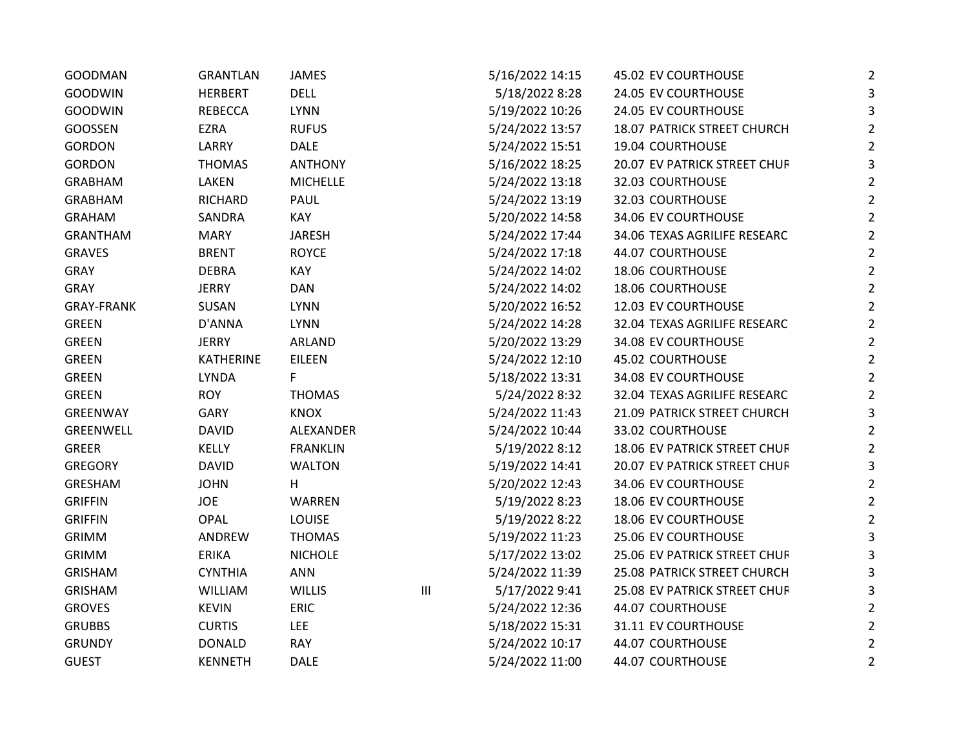| <b>GOODMAN</b>    | <b>GRANTLAN</b>  | <b>JAMES</b>    |   | 5/16/2022 14:15 | 45.02 EV COURTHOUSE          | $\overline{2}$ |
|-------------------|------------------|-----------------|---|-----------------|------------------------------|----------------|
| <b>GOODWIN</b>    | <b>HERBERT</b>   | <b>DELL</b>     |   | 5/18/2022 8:28  | 24.05 EV COURTHOUSE          | $\overline{3}$ |
| <b>GOODWIN</b>    | <b>REBECCA</b>   | <b>LYNN</b>     |   | 5/19/2022 10:26 | 24.05 EV COURTHOUSE          | 3              |
| <b>GOOSSEN</b>    | <b>EZRA</b>      | <b>RUFUS</b>    |   | 5/24/2022 13:57 | 18.07 PATRICK STREET CHURCH  | $\overline{2}$ |
| <b>GORDON</b>     | LARRY            | <b>DALE</b>     |   | 5/24/2022 15:51 | 19.04 COURTHOUSE             | $\overline{2}$ |
| <b>GORDON</b>     | <b>THOMAS</b>    | <b>ANTHONY</b>  |   | 5/16/2022 18:25 | 20.07 EV PATRICK STREET CHUF | 3              |
| <b>GRABHAM</b>    | LAKEN            | <b>MICHELLE</b> |   | 5/24/2022 13:18 | 32.03 COURTHOUSE             | $\overline{2}$ |
| <b>GRABHAM</b>    | RICHARD          | PAUL            |   | 5/24/2022 13:19 | 32.03 COURTHOUSE             | $\overline{2}$ |
| <b>GRAHAM</b>     | SANDRA           | <b>KAY</b>      |   | 5/20/2022 14:58 | 34.06 EV COURTHOUSE          | $\overline{2}$ |
| <b>GRANTHAM</b>   | <b>MARY</b>      | <b>JARESH</b>   |   | 5/24/2022 17:44 | 34.06 TEXAS AGRILIFE RESEARC | $\overline{2}$ |
| <b>GRAVES</b>     | <b>BRENT</b>     | <b>ROYCE</b>    |   | 5/24/2022 17:18 | 44.07 COURTHOUSE             | $\overline{2}$ |
| <b>GRAY</b>       | <b>DEBRA</b>     | KAY             |   | 5/24/2022 14:02 | <b>18.06 COURTHOUSE</b>      | $\overline{2}$ |
| <b>GRAY</b>       | <b>JERRY</b>     | <b>DAN</b>      |   | 5/24/2022 14:02 | 18.06 COURTHOUSE             | $\overline{2}$ |
| <b>GRAY-FRANK</b> | SUSAN            | <b>LYNN</b>     |   | 5/20/2022 16:52 | 12.03 EV COURTHOUSE          | $\overline{2}$ |
| <b>GREEN</b>      | D'ANNA           | <b>LYNN</b>     |   | 5/24/2022 14:28 | 32.04 TEXAS AGRILIFE RESEARC | $\overline{2}$ |
| <b>GREEN</b>      | <b>JERRY</b>     | ARLAND          |   | 5/20/2022 13:29 | 34.08 EV COURTHOUSE          | $\overline{2}$ |
| <b>GREEN</b>      | <b>KATHERINE</b> | EILEEN          |   | 5/24/2022 12:10 | 45.02 COURTHOUSE             | $\overline{2}$ |
| <b>GREEN</b>      | <b>LYNDA</b>     | F.              |   | 5/18/2022 13:31 | 34.08 EV COURTHOUSE          | $\overline{2}$ |
| <b>GREEN</b>      | <b>ROY</b>       | <b>THOMAS</b>   |   | 5/24/2022 8:32  | 32.04 TEXAS AGRILIFE RESEARC | $\overline{2}$ |
| <b>GREENWAY</b>   | <b>GARY</b>      | <b>KNOX</b>     |   | 5/24/2022 11:43 | 21.09 PATRICK STREET CHURCH  | 3              |
| GREENWELL         | <b>DAVID</b>     | ALEXANDER       |   | 5/24/2022 10:44 | 33.02 COURTHOUSE             | $\overline{2}$ |
| <b>GREER</b>      | <b>KELLY</b>     | <b>FRANKLIN</b> |   | 5/19/2022 8:12  | 18.06 EV PATRICK STREET CHUF | $\overline{2}$ |
| <b>GREGORY</b>    | <b>DAVID</b>     | <b>WALTON</b>   |   | 5/19/2022 14:41 | 20.07 EV PATRICK STREET CHUF | 3              |
| GRESHAM           | <b>JOHN</b>      | H               |   | 5/20/2022 12:43 | 34.06 EV COURTHOUSE          | $\overline{2}$ |
| <b>GRIFFIN</b>    | <b>JOE</b>       | WARREN          |   | 5/19/2022 8:23  | 18.06 EV COURTHOUSE          | $\overline{2}$ |
| <b>GRIFFIN</b>    | <b>OPAL</b>      | <b>LOUISE</b>   |   | 5/19/2022 8:22  | <b>18.06 EV COURTHOUSE</b>   | $\overline{2}$ |
| <b>GRIMM</b>      | ANDREW           | <b>THOMAS</b>   |   | 5/19/2022 11:23 | 25.06 EV COURTHOUSE          | 3              |
| <b>GRIMM</b>      | <b>ERIKA</b>     | <b>NICHOLE</b>  |   | 5/17/2022 13:02 | 25.06 EV PATRICK STREET CHUF | 3              |
| <b>GRISHAM</b>    | <b>CYNTHIA</b>   | <b>ANN</b>      |   | 5/24/2022 11:39 | 25.08 PATRICK STREET CHURCH  | 3              |
| <b>GRISHAM</b>    | <b>WILLIAM</b>   | <b>WILLIS</b>   | Ш | 5/17/2022 9:41  | 25.08 EV PATRICK STREET CHUF | $\overline{3}$ |
| <b>GROVES</b>     | <b>KEVIN</b>     | <b>ERIC</b>     |   | 5/24/2022 12:36 | 44.07 COURTHOUSE             | $\overline{2}$ |
| <b>GRUBBS</b>     | <b>CURTIS</b>    | <b>LEE</b>      |   | 5/18/2022 15:31 | 31.11 EV COURTHOUSE          | $\overline{2}$ |
| <b>GRUNDY</b>     | <b>DONALD</b>    | <b>RAY</b>      |   | 5/24/2022 10:17 | 44.07 COURTHOUSE             | $\overline{2}$ |
| <b>GUEST</b>      | <b>KENNETH</b>   | <b>DALE</b>     |   | 5/24/2022 11:00 | 44.07 COURTHOUSE             | $\overline{2}$ |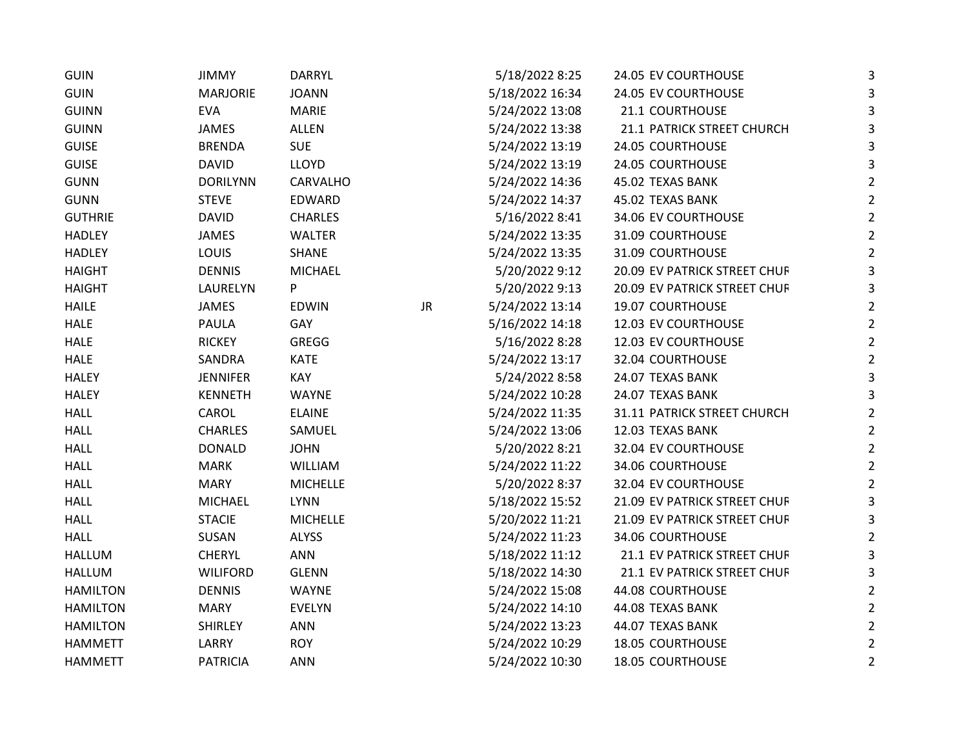| <b>GUIN</b>     | <b>JIMMY</b>    | <b>DARRYL</b>   |           | 5/18/2022 8:25  | 24.05 EV COURTHOUSE          | 3              |
|-----------------|-----------------|-----------------|-----------|-----------------|------------------------------|----------------|
| <b>GUIN</b>     | <b>MARJORIE</b> | <b>JOANN</b>    |           | 5/18/2022 16:34 | 24.05 EV COURTHOUSE          | 3              |
| <b>GUINN</b>    | <b>EVA</b>      | <b>MARIE</b>    |           | 5/24/2022 13:08 | 21.1 COURTHOUSE              | 3              |
| <b>GUINN</b>    | JAMES           | ALLEN           |           | 5/24/2022 13:38 | 21.1 PATRICK STREET CHURCH   | 3              |
| <b>GUISE</b>    | <b>BRENDA</b>   | <b>SUE</b>      |           | 5/24/2022 13:19 | 24.05 COURTHOUSE             | 3              |
| <b>GUISE</b>    | <b>DAVID</b>    | LLOYD           |           | 5/24/2022 13:19 | 24.05 COURTHOUSE             | 3              |
| <b>GUNN</b>     | <b>DORILYNN</b> | CARVALHO        |           | 5/24/2022 14:36 | 45.02 TEXAS BANK             | $\overline{2}$ |
| <b>GUNN</b>     | <b>STEVE</b>    | <b>EDWARD</b>   |           | 5/24/2022 14:37 | 45.02 TEXAS BANK             | $\overline{2}$ |
| <b>GUTHRIE</b>  | <b>DAVID</b>    | <b>CHARLES</b>  |           | 5/16/2022 8:41  | 34.06 EV COURTHOUSE          | $\overline{2}$ |
| <b>HADLEY</b>   | <b>JAMES</b>    | <b>WALTER</b>   |           | 5/24/2022 13:35 | 31.09 COURTHOUSE             | $\overline{2}$ |
| <b>HADLEY</b>   | <b>LOUIS</b>    | <b>SHANE</b>    |           | 5/24/2022 13:35 | 31.09 COURTHOUSE             | $\overline{2}$ |
| <b>HAIGHT</b>   | <b>DENNIS</b>   | <b>MICHAEL</b>  |           | 5/20/2022 9:12  | 20.09 EV PATRICK STREET CHUF | 3              |
| <b>HAIGHT</b>   | LAURELYN        | P               |           | 5/20/2022 9:13  | 20.09 EV PATRICK STREET CHUF | 3              |
| <b>HAILE</b>    | JAMES           | <b>EDWIN</b>    | <b>JR</b> | 5/24/2022 13:14 | 19.07 COURTHOUSE             | $\overline{2}$ |
| <b>HALE</b>     | PAULA           | GAY             |           | 5/16/2022 14:18 | 12.03 EV COURTHOUSE          | $\overline{2}$ |
| <b>HALE</b>     | <b>RICKEY</b>   | GREGG           |           | 5/16/2022 8:28  | 12.03 EV COURTHOUSE          | $\overline{2}$ |
| <b>HALE</b>     | SANDRA          | <b>KATE</b>     |           | 5/24/2022 13:17 | 32.04 COURTHOUSE             | $\overline{2}$ |
| <b>HALEY</b>    | <b>JENNIFER</b> | <b>KAY</b>      |           | 5/24/2022 8:58  | 24.07 TEXAS BANK             | 3              |
| <b>HALEY</b>    | <b>KENNETH</b>  | WAYNE           |           | 5/24/2022 10:28 | 24.07 TEXAS BANK             | 3              |
| <b>HALL</b>     | CAROL           | <b>ELAINE</b>   |           | 5/24/2022 11:35 | 31.11 PATRICK STREET CHURCH  | $\overline{2}$ |
| <b>HALL</b>     | <b>CHARLES</b>  | SAMUEL          |           | 5/24/2022 13:06 | 12.03 TEXAS BANK             | $\overline{2}$ |
| <b>HALL</b>     | <b>DONALD</b>   | <b>JOHN</b>     |           | 5/20/2022 8:21  | 32.04 EV COURTHOUSE          | $\overline{2}$ |
| <b>HALL</b>     | <b>MARK</b>     | WILLIAM         |           | 5/24/2022 11:22 | 34.06 COURTHOUSE             | $\overline{2}$ |
| <b>HALL</b>     | <b>MARY</b>     | <b>MICHELLE</b> |           | 5/20/2022 8:37  | 32.04 EV COURTHOUSE          | $\overline{2}$ |
| <b>HALL</b>     | <b>MICHAEL</b>  | <b>LYNN</b>     |           | 5/18/2022 15:52 | 21.09 EV PATRICK STREET CHUF | 3              |
| <b>HALL</b>     | <b>STACIE</b>   | <b>MICHELLE</b> |           | 5/20/2022 11:21 | 21.09 EV PATRICK STREET CHUF | 3              |
| <b>HALL</b>     | SUSAN           | <b>ALYSS</b>    |           | 5/24/2022 11:23 | 34.06 COURTHOUSE             | $\overline{2}$ |
| <b>HALLUM</b>   | <b>CHERYL</b>   | <b>ANN</b>      |           | 5/18/2022 11:12 | 21.1 EV PATRICK STREET CHUF  | 3              |
| <b>HALLUM</b>   | <b>WILIFORD</b> | <b>GLENN</b>    |           | 5/18/2022 14:30 | 21.1 EV PATRICK STREET CHUF  | 3              |
| <b>HAMILTON</b> | <b>DENNIS</b>   | <b>WAYNE</b>    |           | 5/24/2022 15:08 | 44.08 COURTHOUSE             | $\overline{2}$ |
| <b>HAMILTON</b> | <b>MARY</b>     | <b>EVELYN</b>   |           | 5/24/2022 14:10 | 44.08 TEXAS BANK             | $\overline{2}$ |
| <b>HAMILTON</b> | <b>SHIRLEY</b>  | <b>ANN</b>      |           | 5/24/2022 13:23 | 44.07 TEXAS BANK             | $\overline{2}$ |
| <b>HAMMETT</b>  | LARRY           | <b>ROY</b>      |           | 5/24/2022 10:29 | 18.05 COURTHOUSE             | $\overline{2}$ |
| <b>HAMMETT</b>  | <b>PATRICIA</b> | <b>ANN</b>      |           | 5/24/2022 10:30 | 18.05 COURTHOUSE             | $\overline{2}$ |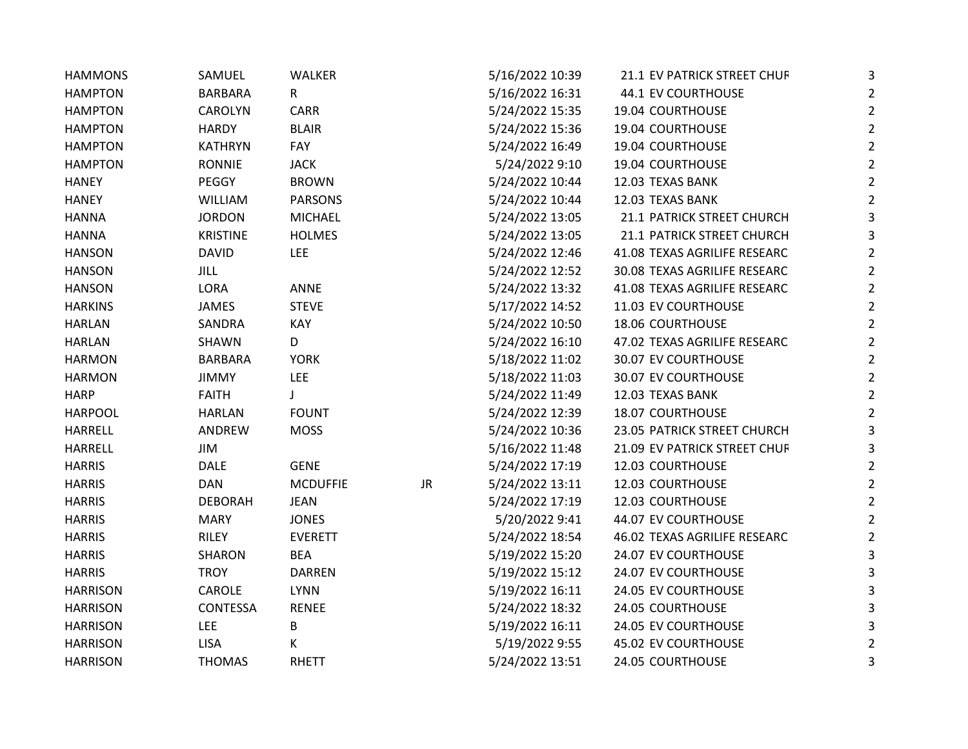| <b>HAMMONS</b>  | SAMUEL          | <b>WALKER</b>   |    | 5/16/2022 10:39 | 21.1 EV PATRICK STREET CHUF  | 3              |
|-----------------|-----------------|-----------------|----|-----------------|------------------------------|----------------|
| <b>HAMPTON</b>  | <b>BARBARA</b>  | R.              |    | 5/16/2022 16:31 | 44.1 EV COURTHOUSE           | $\overline{2}$ |
| <b>HAMPTON</b>  | <b>CAROLYN</b>  | CARR            |    | 5/24/2022 15:35 | 19.04 COURTHOUSE             | $\overline{2}$ |
| <b>HAMPTON</b>  | <b>HARDY</b>    | <b>BLAIR</b>    |    | 5/24/2022 15:36 | 19.04 COURTHOUSE             | $\overline{2}$ |
| <b>HAMPTON</b>  | <b>KATHRYN</b>  | FAY             |    | 5/24/2022 16:49 | 19.04 COURTHOUSE             | $\overline{2}$ |
| <b>HAMPTON</b>  | <b>RONNIE</b>   | <b>JACK</b>     |    | 5/24/2022 9:10  | 19.04 COURTHOUSE             | $\overline{2}$ |
| <b>HANEY</b>    | PEGGY           | <b>BROWN</b>    |    | 5/24/2022 10:44 | 12.03 TEXAS BANK             | $\overline{2}$ |
| <b>HANEY</b>    | WILLIAM         | <b>PARSONS</b>  |    | 5/24/2022 10:44 | 12.03 TEXAS BANK             | $\overline{2}$ |
| <b>HANNA</b>    | <b>JORDON</b>   | <b>MICHAEL</b>  |    | 5/24/2022 13:05 | 21.1 PATRICK STREET CHURCH   | 3              |
| <b>HANNA</b>    | <b>KRISTINE</b> | <b>HOLMES</b>   |    | 5/24/2022 13:05 | 21.1 PATRICK STREET CHURCH   | 3              |
| <b>HANSON</b>   | <b>DAVID</b>    | LEE             |    | 5/24/2022 12:46 | 41.08 TEXAS AGRILIFE RESEARC | $\overline{2}$ |
| <b>HANSON</b>   | <b>JILL</b>     |                 |    | 5/24/2022 12:52 | 30.08 TEXAS AGRILIFE RESEARC | $\overline{2}$ |
| <b>HANSON</b>   | <b>LORA</b>     | ANNE            |    | 5/24/2022 13:32 | 41.08 TEXAS AGRILIFE RESEARC | $\overline{a}$ |
| <b>HARKINS</b>  | JAMES           | <b>STEVE</b>    |    | 5/17/2022 14:52 | 11.03 EV COURTHOUSE          | $\overline{2}$ |
| <b>HARLAN</b>   | SANDRA          | <b>KAY</b>      |    | 5/24/2022 10:50 | <b>18.06 COURTHOUSE</b>      | $\overline{2}$ |
| <b>HARLAN</b>   | SHAWN           | D               |    | 5/24/2022 16:10 | 47.02 TEXAS AGRILIFE RESEARC | $\overline{2}$ |
| <b>HARMON</b>   | <b>BARBARA</b>  | <b>YORK</b>     |    | 5/18/2022 11:02 | 30.07 EV COURTHOUSE          | $\overline{2}$ |
| <b>HARMON</b>   | <b>JIMMY</b>    | LEE             |    | 5/18/2022 11:03 | 30.07 EV COURTHOUSE          | $\overline{2}$ |
| <b>HARP</b>     | <b>FAITH</b>    | J               |    | 5/24/2022 11:49 | 12.03 TEXAS BANK             | $\overline{2}$ |
| <b>HARPOOL</b>  | <b>HARLAN</b>   | <b>FOUNT</b>    |    | 5/24/2022 12:39 | 18.07 COURTHOUSE             | $\overline{2}$ |
| <b>HARRELL</b>  | ANDREW          | <b>MOSS</b>     |    | 5/24/2022 10:36 | 23.05 PATRICK STREET CHURCH  | 3              |
| HARRELL         | JIM             |                 |    | 5/16/2022 11:48 | 21.09 EV PATRICK STREET CHUF | 3              |
| <b>HARRIS</b>   | <b>DALE</b>     | <b>GENE</b>     |    | 5/24/2022 17:19 | 12.03 COURTHOUSE             | $\overline{2}$ |
| <b>HARRIS</b>   | <b>DAN</b>      | <b>MCDUFFIE</b> | JR | 5/24/2022 13:11 | 12.03 COURTHOUSE             | $\overline{2}$ |
| <b>HARRIS</b>   | <b>DEBORAH</b>  | <b>JEAN</b>     |    | 5/24/2022 17:19 | 12.03 COURTHOUSE             | $\overline{2}$ |
| <b>HARRIS</b>   | <b>MARY</b>     | <b>JONES</b>    |    | 5/20/2022 9:41  | 44.07 EV COURTHOUSE          | $\overline{2}$ |
| <b>HARRIS</b>   | <b>RILEY</b>    | <b>EVERETT</b>  |    | 5/24/2022 18:54 | 46.02 TEXAS AGRILIFE RESEARC | $\overline{2}$ |
| <b>HARRIS</b>   | SHARON          | <b>BEA</b>      |    | 5/19/2022 15:20 | 24.07 EV COURTHOUSE          | 3              |
| <b>HARRIS</b>   | <b>TROY</b>     | <b>DARREN</b>   |    | 5/19/2022 15:12 | 24.07 EV COURTHOUSE          | 3              |
| <b>HARRISON</b> | CAROLE          | <b>LYNN</b>     |    | 5/19/2022 16:11 | 24.05 EV COURTHOUSE          | 3              |
| <b>HARRISON</b> | CONTESSA        | <b>RENEE</b>    |    | 5/24/2022 18:32 | 24.05 COURTHOUSE             | 3              |
| <b>HARRISON</b> | <b>LEE</b>      | B               |    | 5/19/2022 16:11 | 24.05 EV COURTHOUSE          | 3              |
| <b>HARRISON</b> | <b>LISA</b>     | Κ               |    | 5/19/2022 9:55  | 45.02 EV COURTHOUSE          | $\overline{2}$ |
| <b>HARRISON</b> | <b>THOMAS</b>   | <b>RHETT</b>    |    | 5/24/2022 13:51 | 24.05 COURTHOUSE             | 3              |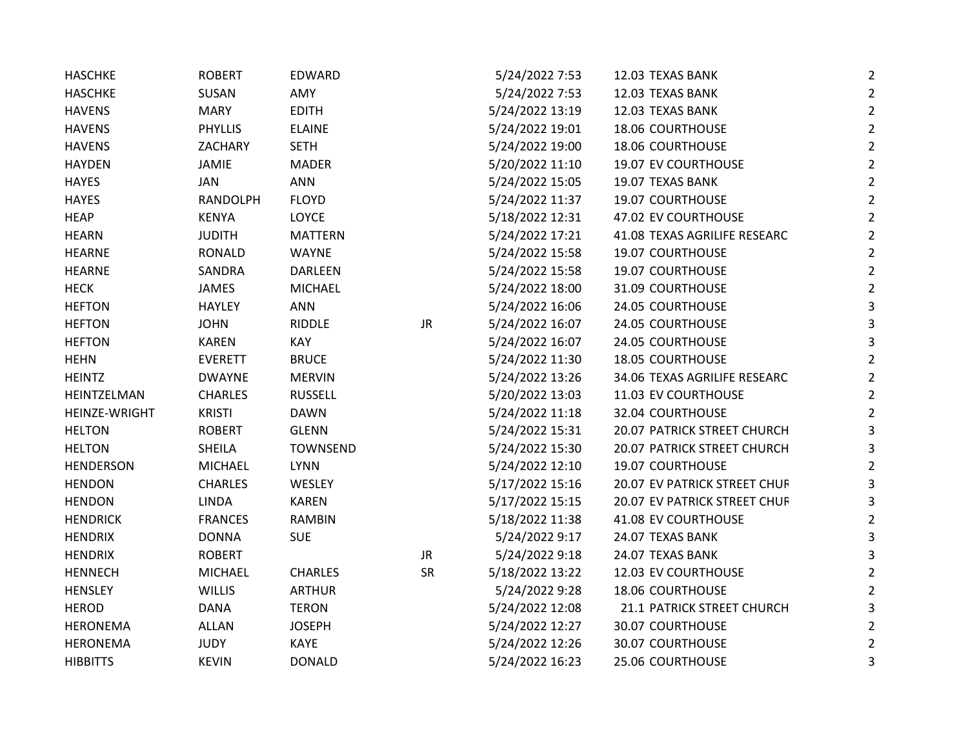| <b>HASCHKE</b>   | <b>ROBERT</b>   | EDWARD          |           | 5/24/2022 7:53  | 12.03 TEXAS BANK             | $\overline{2}$ |
|------------------|-----------------|-----------------|-----------|-----------------|------------------------------|----------------|
| <b>HASCHKE</b>   | SUSAN           | AMY             |           | 5/24/2022 7:53  | 12.03 TEXAS BANK             | $\overline{2}$ |
| <b>HAVENS</b>    | <b>MARY</b>     | <b>EDITH</b>    |           | 5/24/2022 13:19 | 12.03 TEXAS BANK             | $\overline{2}$ |
| <b>HAVENS</b>    | <b>PHYLLIS</b>  | <b>ELAINE</b>   |           | 5/24/2022 19:01 | 18.06 COURTHOUSE             | $\overline{2}$ |
| <b>HAVENS</b>    | ZACHARY         | <b>SETH</b>     |           | 5/24/2022 19:00 | 18.06 COURTHOUSE             | $\overline{2}$ |
| <b>HAYDEN</b>    | <b>JAMIE</b>    | <b>MADER</b>    |           | 5/20/2022 11:10 | 19.07 EV COURTHOUSE          | $\overline{2}$ |
| <b>HAYES</b>     | <b>JAN</b>      | <b>ANN</b>      |           | 5/24/2022 15:05 | 19.07 TEXAS BANK             | $\overline{2}$ |
| <b>HAYES</b>     | <b>RANDOLPH</b> | <b>FLOYD</b>    |           | 5/24/2022 11:37 | 19.07 COURTHOUSE             | $\overline{2}$ |
| <b>HEAP</b>      | <b>KENYA</b>    | LOYCE           |           | 5/18/2022 12:31 | 47.02 EV COURTHOUSE          | $\overline{2}$ |
| <b>HEARN</b>     | <b>JUDITH</b>   | <b>MATTERN</b>  |           | 5/24/2022 17:21 | 41.08 TEXAS AGRILIFE RESEARC | $\overline{2}$ |
| <b>HEARNE</b>    | <b>RONALD</b>   | <b>WAYNE</b>    |           | 5/24/2022 15:58 | 19.07 COURTHOUSE             | $\overline{2}$ |
| <b>HEARNE</b>    | SANDRA          | <b>DARLEEN</b>  |           | 5/24/2022 15:58 | 19.07 COURTHOUSE             | $\overline{2}$ |
| <b>HECK</b>      | <b>JAMES</b>    | <b>MICHAEL</b>  |           | 5/24/2022 18:00 | 31.09 COURTHOUSE             | $\overline{2}$ |
| <b>HEFTON</b>    | <b>HAYLEY</b>   | <b>ANN</b>      |           | 5/24/2022 16:06 | 24.05 COURTHOUSE             | 3              |
| <b>HEFTON</b>    | <b>JOHN</b>     | <b>RIDDLE</b>   | <b>JR</b> | 5/24/2022 16:07 | 24.05 COURTHOUSE             | 3              |
| <b>HEFTON</b>    | <b>KAREN</b>    | <b>KAY</b>      |           | 5/24/2022 16:07 | 24.05 COURTHOUSE             | 3              |
| <b>HEHN</b>      | <b>EVERETT</b>  | <b>BRUCE</b>    |           | 5/24/2022 11:30 | <b>18.05 COURTHOUSE</b>      | $\overline{2}$ |
| <b>HEINTZ</b>    | <b>DWAYNE</b>   | <b>MERVIN</b>   |           | 5/24/2022 13:26 | 34.06 TEXAS AGRILIFE RESEARC | $\overline{2}$ |
| HEINTZELMAN      | <b>CHARLES</b>  | <b>RUSSELL</b>  |           | 5/20/2022 13:03 | 11.03 EV COURTHOUSE          | $\overline{2}$ |
| HEINZE-WRIGHT    | <b>KRISTI</b>   | <b>DAWN</b>     |           | 5/24/2022 11:18 | 32.04 COURTHOUSE             | $\overline{2}$ |
| <b>HELTON</b>    | <b>ROBERT</b>   | <b>GLENN</b>    |           | 5/24/2022 15:31 | 20.07 PATRICK STREET CHURCH  | 3              |
| <b>HELTON</b>    | SHEILA          | <b>TOWNSEND</b> |           | 5/24/2022 15:30 | 20.07 PATRICK STREET CHURCH  | 3              |
| <b>HENDERSON</b> | <b>MICHAEL</b>  | <b>LYNN</b>     |           | 5/24/2022 12:10 | 19.07 COURTHOUSE             | $\overline{2}$ |
| <b>HENDON</b>    | <b>CHARLES</b>  | WESLEY          |           | 5/17/2022 15:16 | 20.07 EV PATRICK STREET CHUF | 3              |
| <b>HENDON</b>    | LINDA           | <b>KAREN</b>    |           | 5/17/2022 15:15 | 20.07 EV PATRICK STREET CHUF | 3              |
| <b>HENDRICK</b>  | <b>FRANCES</b>  | <b>RAMBIN</b>   |           | 5/18/2022 11:38 | 41.08 EV COURTHOUSE          | $\overline{2}$ |
| <b>HENDRIX</b>   | <b>DONNA</b>    | <b>SUE</b>      |           | 5/24/2022 9:17  | 24.07 TEXAS BANK             | 3              |
| <b>HENDRIX</b>   | <b>ROBERT</b>   |                 | JR        | 5/24/2022 9:18  | 24.07 TEXAS BANK             | 3              |
| <b>HENNECH</b>   | <b>MICHAEL</b>  | <b>CHARLES</b>  | SR        | 5/18/2022 13:22 | 12.03 EV COURTHOUSE          | $\overline{2}$ |
| <b>HENSLEY</b>   | <b>WILLIS</b>   | <b>ARTHUR</b>   |           | 5/24/2022 9:28  | 18.06 COURTHOUSE             | $\overline{2}$ |
| <b>HEROD</b>     | <b>DANA</b>     | <b>TERON</b>    |           | 5/24/2022 12:08 | 21.1 PATRICK STREET CHURCH   | 3              |
| <b>HERONEMA</b>  | <b>ALLAN</b>    | <b>JOSEPH</b>   |           | 5/24/2022 12:27 | 30.07 COURTHOUSE             | $\overline{2}$ |
| <b>HERONEMA</b>  | <b>JUDY</b>     | KAYE            |           | 5/24/2022 12:26 | 30.07 COURTHOUSE             | $\overline{2}$ |
| <b>HIBBITTS</b>  | <b>KEVIN</b>    | <b>DONALD</b>   |           | 5/24/2022 16:23 | 25.06 COURTHOUSE             | 3              |
|                  |                 |                 |           |                 |                              |                |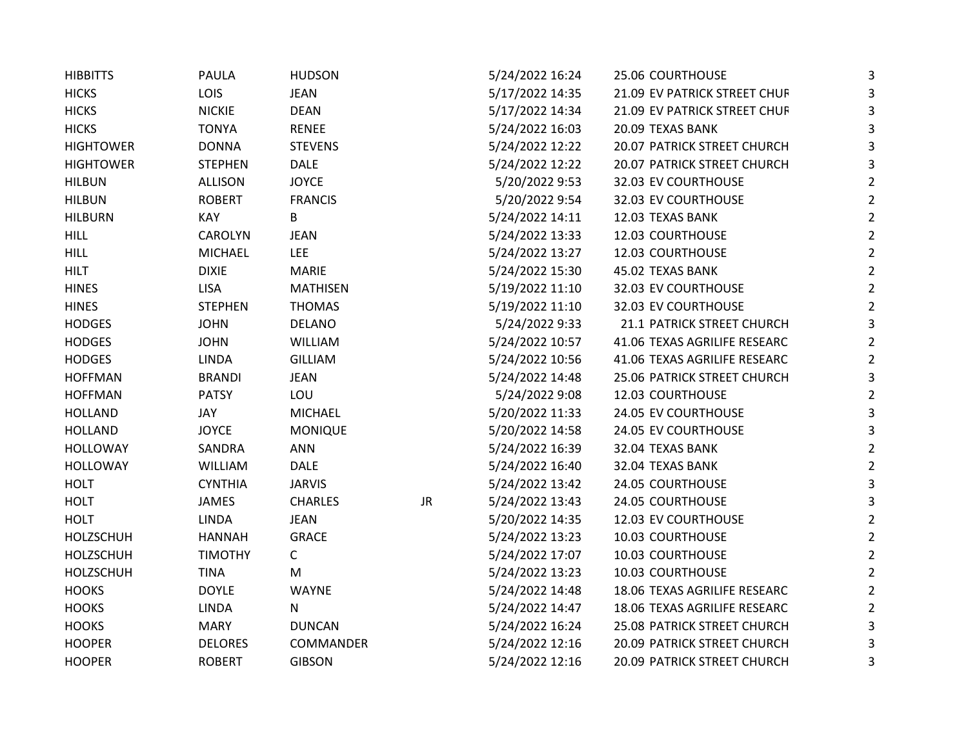| <b>HIBBITTS</b>  | <b>PAULA</b>   | <b>HUDSON</b>  |    | 5/24/2022 16:24 | 25.06 COURTHOUSE             | 3              |
|------------------|----------------|----------------|----|-----------------|------------------------------|----------------|
| <b>HICKS</b>     | LOIS           | <b>JEAN</b>    |    | 5/17/2022 14:35 | 21.09 EV PATRICK STREET CHUF | 3              |
| <b>HICKS</b>     | <b>NICKIE</b>  | <b>DEAN</b>    |    | 5/17/2022 14:34 | 21.09 EV PATRICK STREET CHUF | 3              |
| <b>HICKS</b>     | <b>TONYA</b>   | <b>RENEE</b>   |    | 5/24/2022 16:03 | 20.09 TEXAS BANK             | 3              |
| <b>HIGHTOWER</b> | <b>DONNA</b>   | <b>STEVENS</b> |    | 5/24/2022 12:22 | 20.07 PATRICK STREET CHURCH  | 3              |
| <b>HIGHTOWER</b> | <b>STEPHEN</b> | <b>DALE</b>    |    | 5/24/2022 12:22 | 20.07 PATRICK STREET CHURCH  | 3              |
| <b>HILBUN</b>    | <b>ALLISON</b> | <b>JOYCE</b>   |    | 5/20/2022 9:53  | 32.03 EV COURTHOUSE          | $\overline{2}$ |
| <b>HILBUN</b>    | <b>ROBERT</b>  | <b>FRANCIS</b> |    | 5/20/2022 9:54  | 32.03 EV COURTHOUSE          | $\overline{2}$ |
| <b>HILBURN</b>   | <b>KAY</b>     | B              |    | 5/24/2022 14:11 | 12.03 TEXAS BANK             | $\overline{2}$ |
| <b>HILL</b>      | CAROLYN        | <b>JEAN</b>    |    | 5/24/2022 13:33 | 12.03 COURTHOUSE             | $\overline{2}$ |
| <b>HILL</b>      | <b>MICHAEL</b> | LEE            |    | 5/24/2022 13:27 | 12.03 COURTHOUSE             | $\overline{2}$ |
| <b>HILT</b>      | <b>DIXIE</b>   | <b>MARIE</b>   |    | 5/24/2022 15:30 | 45.02 TEXAS BANK             | $\overline{2}$ |
| <b>HINES</b>     | <b>LISA</b>    | MATHISEN       |    | 5/19/2022 11:10 | 32.03 EV COURTHOUSE          | $\overline{2}$ |
| <b>HINES</b>     | <b>STEPHEN</b> | <b>THOMAS</b>  |    | 5/19/2022 11:10 | 32.03 EV COURTHOUSE          | $\overline{2}$ |
| <b>HODGES</b>    | <b>JOHN</b>    | <b>DELANO</b>  |    | 5/24/2022 9:33  | 21.1 PATRICK STREET CHURCH   | 3              |
| <b>HODGES</b>    | <b>JOHN</b>    | <b>WILLIAM</b> |    | 5/24/2022 10:57 | 41.06 TEXAS AGRILIFE RESEARC | $\overline{2}$ |
| <b>HODGES</b>    | <b>LINDA</b>   | <b>GILLIAM</b> |    | 5/24/2022 10:56 | 41.06 TEXAS AGRILIFE RESEARC | $\overline{2}$ |
| <b>HOFFMAN</b>   | <b>BRANDI</b>  | <b>JEAN</b>    |    | 5/24/2022 14:48 | 25.06 PATRICK STREET CHURCH  | 3              |
| <b>HOFFMAN</b>   | <b>PATSY</b>   | LOU            |    | 5/24/2022 9:08  | 12.03 COURTHOUSE             | $\overline{2}$ |
| <b>HOLLAND</b>   | JAY            | <b>MICHAEL</b> |    | 5/20/2022 11:33 | 24.05 EV COURTHOUSE          | 3              |
| <b>HOLLAND</b>   | <b>JOYCE</b>   | <b>MONIQUE</b> |    | 5/20/2022 14:58 | 24.05 EV COURTHOUSE          | 3              |
| <b>HOLLOWAY</b>  | SANDRA         | <b>ANN</b>     |    | 5/24/2022 16:39 | 32.04 TEXAS BANK             | $\overline{2}$ |
| <b>HOLLOWAY</b>  | WILLIAM        | <b>DALE</b>    |    | 5/24/2022 16:40 | 32.04 TEXAS BANK             | $\overline{2}$ |
| <b>HOLT</b>      | <b>CYNTHIA</b> | <b>JARVIS</b>  |    | 5/24/2022 13:42 | 24.05 COURTHOUSE             | 3              |
| <b>HOLT</b>      | <b>JAMES</b>   | <b>CHARLES</b> | JR | 5/24/2022 13:43 | 24.05 COURTHOUSE             | 3              |
| <b>HOLT</b>      | <b>LINDA</b>   | <b>JEAN</b>    |    | 5/20/2022 14:35 | 12.03 EV COURTHOUSE          | $\overline{2}$ |
| HOLZSCHUH        | <b>HANNAH</b>  | <b>GRACE</b>   |    | 5/24/2022 13:23 | 10.03 COURTHOUSE             | $\overline{2}$ |
| HOLZSCHUH        | <b>TIMOTHY</b> | $\mathsf{C}$   |    | 5/24/2022 17:07 | 10.03 COURTHOUSE             | $\overline{2}$ |
| HOLZSCHUH        | <b>TINA</b>    | M              |    | 5/24/2022 13:23 | 10.03 COURTHOUSE             | $\overline{2}$ |
| <b>HOOKS</b>     | <b>DOYLE</b>   | <b>WAYNE</b>   |    | 5/24/2022 14:48 | 18.06 TEXAS AGRILIFE RESEARC | $\overline{2}$ |
| <b>HOOKS</b>     | <b>LINDA</b>   | N              |    | 5/24/2022 14:47 | 18.06 TEXAS AGRILIFE RESEARC | $\overline{2}$ |
| <b>HOOKS</b>     | <b>MARY</b>    | <b>DUNCAN</b>  |    | 5/24/2022 16:24 | 25.08 PATRICK STREET CHURCH  | 3              |
| <b>HOOPER</b>    | <b>DELORES</b> | COMMANDER      |    | 5/24/2022 12:16 | 20.09 PATRICK STREET CHURCH  | 3              |
| <b>HOOPER</b>    | <b>ROBERT</b>  | <b>GIBSON</b>  |    | 5/24/2022 12:16 | 20.09 PATRICK STREET CHURCH  | 3              |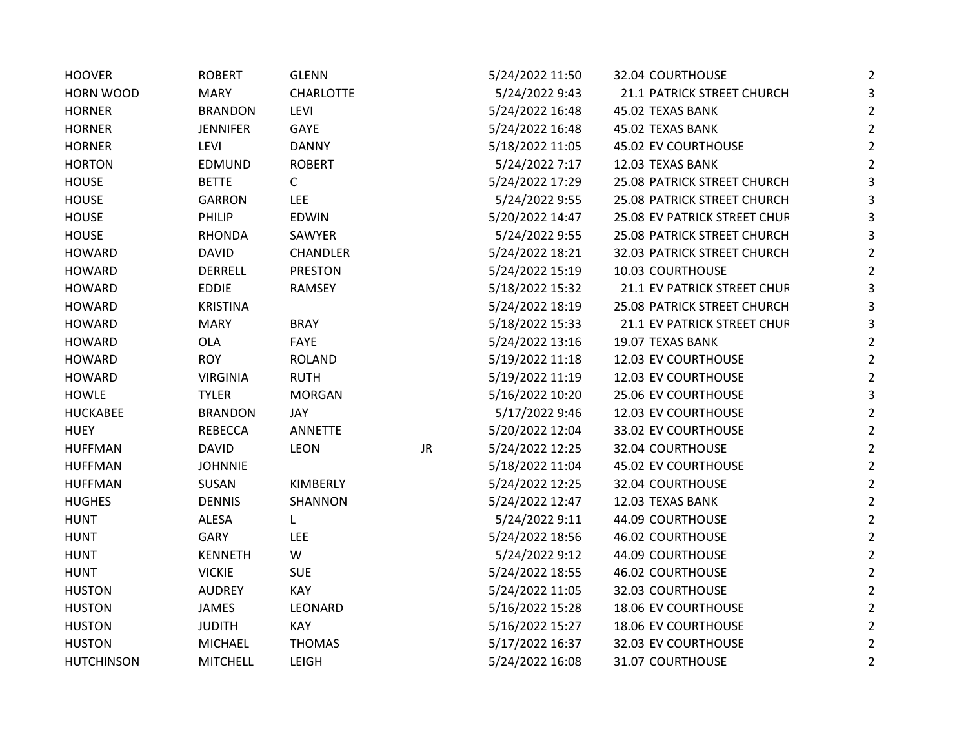| <b>HOOVER</b>     | <b>ROBERT</b>   | <b>GLENN</b>     |     | 5/24/2022 11:50 | 32.04 COURTHOUSE             | $\overline{2}$ |
|-------------------|-----------------|------------------|-----|-----------------|------------------------------|----------------|
| <b>HORN WOOD</b>  | <b>MARY</b>     | <b>CHARLOTTE</b> |     | 5/24/2022 9:43  | 21.1 PATRICK STREET CHURCH   | 3              |
| <b>HORNER</b>     | <b>BRANDON</b>  | <b>LEVI</b>      |     | 5/24/2022 16:48 | 45.02 TEXAS BANK             | $\overline{2}$ |
| <b>HORNER</b>     | <b>JENNIFER</b> | GAYE             |     | 5/24/2022 16:48 | 45.02 TEXAS BANK             | $\overline{2}$ |
| <b>HORNER</b>     | LEVI            | <b>DANNY</b>     |     | 5/18/2022 11:05 | 45.02 EV COURTHOUSE          | $\overline{2}$ |
| <b>HORTON</b>     | EDMUND          | <b>ROBERT</b>    |     | 5/24/2022 7:17  | 12.03 TEXAS BANK             | $\overline{2}$ |
| <b>HOUSE</b>      | <b>BETTE</b>    | C                |     | 5/24/2022 17:29 | 25.08 PATRICK STREET CHURCH  | 3              |
| <b>HOUSE</b>      | <b>GARRON</b>   | <b>LEE</b>       |     | 5/24/2022 9:55  | 25.08 PATRICK STREET CHURCH  | 3              |
| <b>HOUSE</b>      | PHILIP          | <b>EDWIN</b>     |     | 5/20/2022 14:47 | 25.08 EV PATRICK STREET CHUF | 3              |
| <b>HOUSE</b>      | <b>RHONDA</b>   | SAWYER           |     | 5/24/2022 9:55  | 25.08 PATRICK STREET CHURCH  | 3              |
| <b>HOWARD</b>     | <b>DAVID</b>    | CHANDLER         |     | 5/24/2022 18:21 | 32.03 PATRICK STREET CHURCH  | $\overline{2}$ |
| <b>HOWARD</b>     | DERRELL         | <b>PRESTON</b>   |     | 5/24/2022 15:19 | 10.03 COURTHOUSE             | $\overline{2}$ |
| <b>HOWARD</b>     | <b>EDDIE</b>    | RAMSEY           |     | 5/18/2022 15:32 | 21.1 EV PATRICK STREET CHUF  | 3              |
| <b>HOWARD</b>     | <b>KRISTINA</b> |                  |     | 5/24/2022 18:19 | 25.08 PATRICK STREET CHURCH  | 3              |
| <b>HOWARD</b>     | <b>MARY</b>     | <b>BRAY</b>      |     | 5/18/2022 15:33 | 21.1 EV PATRICK STREET CHUF  | 3              |
| <b>HOWARD</b>     | <b>OLA</b>      | <b>FAYE</b>      |     | 5/24/2022 13:16 | 19.07 TEXAS BANK             | $\overline{2}$ |
| <b>HOWARD</b>     | <b>ROY</b>      | <b>ROLAND</b>    |     | 5/19/2022 11:18 | 12.03 EV COURTHOUSE          | $\overline{2}$ |
| <b>HOWARD</b>     | <b>VIRGINIA</b> | <b>RUTH</b>      |     | 5/19/2022 11:19 | 12.03 EV COURTHOUSE          | $\overline{2}$ |
| <b>HOWLE</b>      | <b>TYLER</b>    | <b>MORGAN</b>    |     | 5/16/2022 10:20 | 25.06 EV COURTHOUSE          | 3              |
| <b>HUCKABEE</b>   | <b>BRANDON</b>  | JAY              |     | 5/17/2022 9:46  | 12.03 EV COURTHOUSE          | $\overline{2}$ |
| <b>HUEY</b>       | <b>REBECCA</b>  | <b>ANNETTE</b>   |     | 5/20/2022 12:04 | 33.02 EV COURTHOUSE          | $\overline{2}$ |
| <b>HUFFMAN</b>    | <b>DAVID</b>    | LEON             | JR. | 5/24/2022 12:25 | 32.04 COURTHOUSE             | $\overline{2}$ |
| <b>HUFFMAN</b>    | <b>JOHNNIE</b>  |                  |     | 5/18/2022 11:04 | 45.02 EV COURTHOUSE          | $\overline{2}$ |
| <b>HUFFMAN</b>    | SUSAN           | KIMBERLY         |     | 5/24/2022 12:25 | 32.04 COURTHOUSE             | $\overline{2}$ |
| <b>HUGHES</b>     | <b>DENNIS</b>   | SHANNON          |     | 5/24/2022 12:47 | 12.03 TEXAS BANK             | $\overline{2}$ |
| <b>HUNT</b>       | <b>ALESA</b>    | L                |     | 5/24/2022 9:11  | 44.09 COURTHOUSE             | $\overline{2}$ |
| <b>HUNT</b>       | <b>GARY</b>     | <b>LEE</b>       |     | 5/24/2022 18:56 | 46.02 COURTHOUSE             | $\overline{2}$ |
| <b>HUNT</b>       | <b>KENNETH</b>  | W                |     | 5/24/2022 9:12  | 44.09 COURTHOUSE             | $\overline{2}$ |
| <b>HUNT</b>       | <b>VICKIE</b>   | <b>SUE</b>       |     | 5/24/2022 18:55 | 46.02 COURTHOUSE             | $\overline{2}$ |
| <b>HUSTON</b>     | <b>AUDREY</b>   | KAY              |     | 5/24/2022 11:05 | 32.03 COURTHOUSE             | $\overline{2}$ |
| <b>HUSTON</b>     | JAMES           | LEONARD          |     | 5/16/2022 15:28 | 18.06 EV COURTHOUSE          | $\overline{2}$ |
| <b>HUSTON</b>     | <b>JUDITH</b>   | KAY              |     | 5/16/2022 15:27 | 18.06 EV COURTHOUSE          | $\overline{2}$ |
| <b>HUSTON</b>     | <b>MICHAEL</b>  | <b>THOMAS</b>    |     | 5/17/2022 16:37 | 32.03 EV COURTHOUSE          | $\mathbf 2$    |
| <b>HUTCHINSON</b> | <b>MITCHELL</b> | LEIGH            |     | 5/24/2022 16:08 | 31.07 COURTHOUSE             | $\overline{2}$ |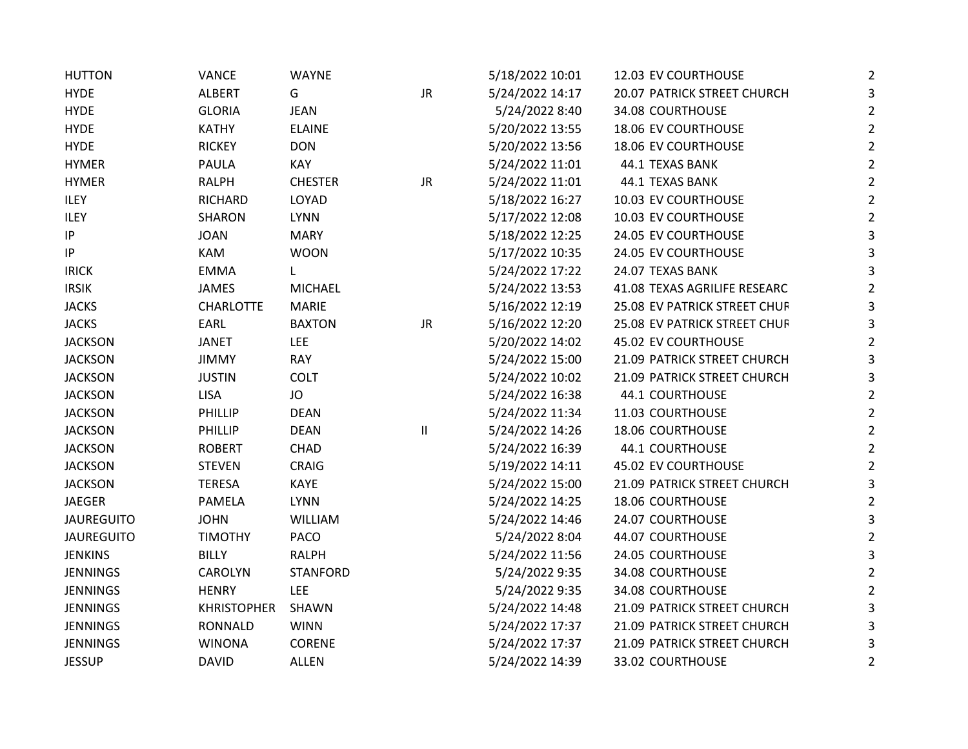| <b>HUTTON</b>     | <b>VANCE</b>       | <b>WAYNE</b>    |           | 5/18/2022 10:01 | 12.03 EV COURTHOUSE          | $\overline{2}$ |
|-------------------|--------------------|-----------------|-----------|-----------------|------------------------------|----------------|
| <b>HYDE</b>       | ALBERT             | G               | JR        | 5/24/2022 14:17 | 20.07 PATRICK STREET CHURCH  | 3              |
| <b>HYDE</b>       | <b>GLORIA</b>      | <b>JEAN</b>     |           | 5/24/2022 8:40  | 34.08 COURTHOUSE             | $\overline{2}$ |
| <b>HYDE</b>       | <b>KATHY</b>       | <b>ELAINE</b>   |           | 5/20/2022 13:55 | 18.06 EV COURTHOUSE          | $\overline{2}$ |
| <b>HYDE</b>       | <b>RICKEY</b>      | <b>DON</b>      |           | 5/20/2022 13:56 | 18.06 EV COURTHOUSE          | $\overline{2}$ |
| <b>HYMER</b>      | PAULA              | KAY             |           | 5/24/2022 11:01 | 44.1 TEXAS BANK              | $\overline{2}$ |
| <b>HYMER</b>      | <b>RALPH</b>       | <b>CHESTER</b>  | <b>JR</b> | 5/24/2022 11:01 | 44.1 TEXAS BANK              | $\overline{2}$ |
| <b>ILEY</b>       | <b>RICHARD</b>     | LOYAD           |           | 5/18/2022 16:27 | 10.03 EV COURTHOUSE          | $\overline{2}$ |
| ILEY              | SHARON             | <b>LYNN</b>     |           | 5/17/2022 12:08 | 10.03 EV COURTHOUSE          | $\overline{2}$ |
| $\sf IP$          | <b>JOAN</b>        | <b>MARY</b>     |           | 5/18/2022 12:25 | 24.05 EV COURTHOUSE          | 3              |
| IP                | <b>KAM</b>         | <b>WOON</b>     |           | 5/17/2022 10:35 | 24.05 EV COURTHOUSE          | 3              |
| <b>IRICK</b>      | <b>EMMA</b>        | L               |           | 5/24/2022 17:22 | 24.07 TEXAS BANK             | 3              |
| <b>IRSIK</b>      | <b>JAMES</b>       | <b>MICHAEL</b>  |           | 5/24/2022 13:53 | 41.08 TEXAS AGRILIFE RESEARC | $\overline{2}$ |
| <b>JACKS</b>      | <b>CHARLOTTE</b>   | <b>MARIE</b>    |           | 5/16/2022 12:19 | 25.08 EV PATRICK STREET CHUF | 3              |
| <b>JACKS</b>      | EARL               | <b>BAXTON</b>   | <b>JR</b> | 5/16/2022 12:20 | 25.08 EV PATRICK STREET CHUF | 3              |
| <b>JACKSON</b>    | <b>JANET</b>       | <b>LEE</b>      |           | 5/20/2022 14:02 | 45.02 EV COURTHOUSE          | $\overline{2}$ |
| <b>JACKSON</b>    | <b>JIMMY</b>       | <b>RAY</b>      |           | 5/24/2022 15:00 | 21.09 PATRICK STREET CHURCH  | 3              |
| <b>JACKSON</b>    | <b>JUSTIN</b>      | <b>COLT</b>     |           | 5/24/2022 10:02 | 21.09 PATRICK STREET CHURCH  | 3              |
| <b>JACKSON</b>    | <b>LISA</b>        | JO              |           | 5/24/2022 16:38 | 44.1 COURTHOUSE              | $\overline{2}$ |
| <b>JACKSON</b>    | PHILLIP            | <b>DEAN</b>     |           | 5/24/2022 11:34 | 11.03 COURTHOUSE             | $\overline{2}$ |
| <b>JACKSON</b>    | PHILLIP            | <b>DEAN</b>     | Ш         | 5/24/2022 14:26 | <b>18.06 COURTHOUSE</b>      | $\overline{2}$ |
| <b>JACKSON</b>    | <b>ROBERT</b>      | CHAD            |           | 5/24/2022 16:39 | 44.1 COURTHOUSE              | $\overline{2}$ |
| <b>JACKSON</b>    | <b>STEVEN</b>      | CRAIG           |           | 5/19/2022 14:11 | 45.02 EV COURTHOUSE          | $\overline{2}$ |
| <b>JACKSON</b>    | <b>TERESA</b>      | KAYE            |           | 5/24/2022 15:00 | 21.09 PATRICK STREET CHURCH  | 3              |
| <b>JAEGER</b>     | PAMELA             | <b>LYNN</b>     |           | 5/24/2022 14:25 | <b>18.06 COURTHOUSE</b>      | $\overline{2}$ |
| <b>JAUREGUITO</b> | <b>JOHN</b>        | WILLIAM         |           | 5/24/2022 14:46 | 24.07 COURTHOUSE             | 3              |
| <b>JAUREGUITO</b> | <b>TIMOTHY</b>     | <b>PACO</b>     |           | 5/24/2022 8:04  | 44.07 COURTHOUSE             | $\overline{2}$ |
| <b>JENKINS</b>    | <b>BILLY</b>       | <b>RALPH</b>    |           | 5/24/2022 11:56 | 24.05 COURTHOUSE             | 3              |
| <b>JENNINGS</b>   | <b>CAROLYN</b>     | <b>STANFORD</b> |           | 5/24/2022 9:35  | 34.08 COURTHOUSE             | $\overline{2}$ |
| <b>JENNINGS</b>   | <b>HENRY</b>       | <b>LEE</b>      |           | 5/24/2022 9:35  | 34.08 COURTHOUSE             | $\overline{2}$ |
| <b>JENNINGS</b>   | <b>KHRISTOPHER</b> | <b>SHAWN</b>    |           | 5/24/2022 14:48 | 21.09 PATRICK STREET CHURCH  | 3              |
| <b>JENNINGS</b>   | <b>RONNALD</b>     | <b>WINN</b>     |           | 5/24/2022 17:37 | 21.09 PATRICK STREET CHURCH  | 3              |
| <b>JENNINGS</b>   | <b>WINONA</b>      | <b>CORENE</b>   |           | 5/24/2022 17:37 | 21.09 PATRICK STREET CHURCH  | 3              |
| <b>JESSUP</b>     | <b>DAVID</b>       | <b>ALLEN</b>    |           | 5/24/2022 14:39 | 33.02 COURTHOUSE             | $\overline{2}$ |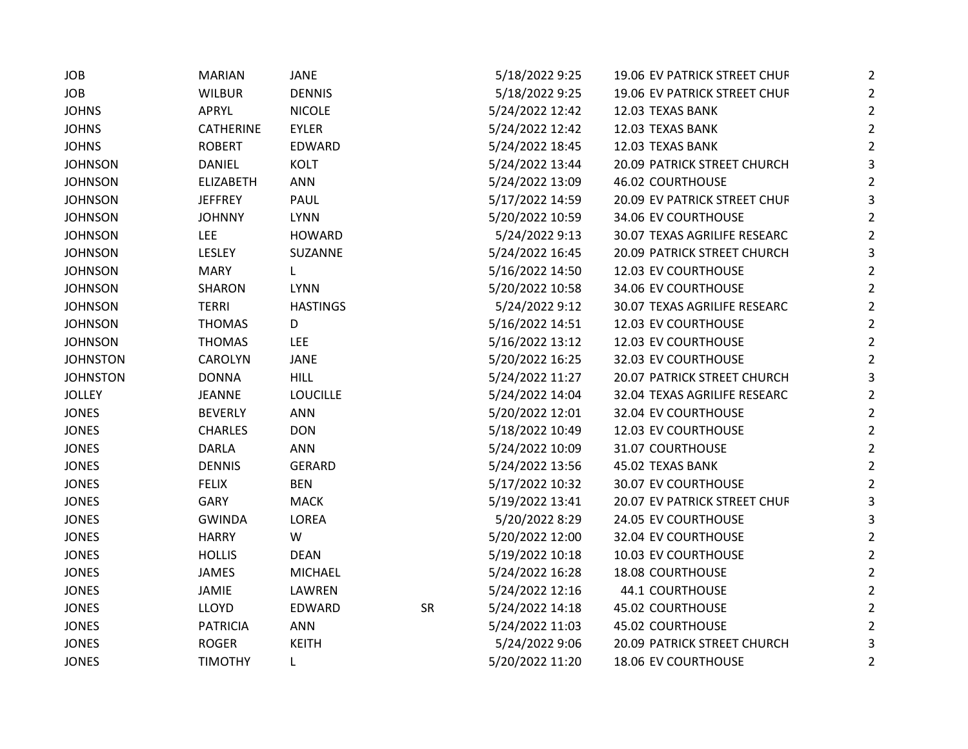| <b>JOB</b>      | <b>MARIAN</b>    | <b>JANE</b>     |    | 5/18/2022 9:25  | 19.06 EV PATRICK STREET CHUF       | $\overline{2}$ |
|-----------------|------------------|-----------------|----|-----------------|------------------------------------|----------------|
| <b>JOB</b>      | <b>WILBUR</b>    | <b>DENNIS</b>   |    | 5/18/2022 9:25  | 19.06 EV PATRICK STREET CHUF       | $\overline{2}$ |
| <b>JOHNS</b>    | APRYL            | <b>NICOLE</b>   |    | 5/24/2022 12:42 | 12.03 TEXAS BANK                   | $\overline{2}$ |
| <b>JOHNS</b>    | <b>CATHERINE</b> | <b>EYLER</b>    |    | 5/24/2022 12:42 | 12.03 TEXAS BANK                   | $\overline{2}$ |
| <b>JOHNS</b>    | <b>ROBERT</b>    | EDWARD          |    | 5/24/2022 18:45 | 12.03 TEXAS BANK                   | $\overline{2}$ |
| <b>JOHNSON</b>  | <b>DANIEL</b>    | KOLT            |    | 5/24/2022 13:44 | 20.09 PATRICK STREET CHURCH        | 3              |
| <b>JOHNSON</b>  | <b>ELIZABETH</b> | <b>ANN</b>      |    | 5/24/2022 13:09 | 46.02 COURTHOUSE                   | $\overline{2}$ |
| <b>JOHNSON</b>  | <b>JEFFREY</b>   | PAUL            |    | 5/17/2022 14:59 | 20.09 EV PATRICK STREET CHUF       | 3              |
| <b>JOHNSON</b>  | <b>JOHNNY</b>    | <b>LYNN</b>     |    | 5/20/2022 10:59 | 34.06 EV COURTHOUSE                | $\overline{2}$ |
| <b>JOHNSON</b>  | LEE              | <b>HOWARD</b>   |    | 5/24/2022 9:13  | 30.07 TEXAS AGRILIFE RESEARC       | $\overline{2}$ |
| <b>JOHNSON</b>  | LESLEY           | SUZANNE         |    | 5/24/2022 16:45 | <b>20.09 PATRICK STREET CHURCH</b> | 3              |
| <b>JOHNSON</b>  | <b>MARY</b>      | L               |    | 5/16/2022 14:50 | 12.03 EV COURTHOUSE                | $\overline{2}$ |
| <b>JOHNSON</b>  | SHARON           | <b>LYNN</b>     |    | 5/20/2022 10:58 | 34.06 EV COURTHOUSE                | $\overline{2}$ |
| <b>JOHNSON</b>  | <b>TERRI</b>     | <b>HASTINGS</b> |    | 5/24/2022 9:12  | 30.07 TEXAS AGRILIFE RESEARC       | $\overline{2}$ |
| <b>JOHNSON</b>  | <b>THOMAS</b>    | D               |    | 5/16/2022 14:51 | 12.03 EV COURTHOUSE                | $\overline{2}$ |
| <b>JOHNSON</b>  | <b>THOMAS</b>    | <b>LEE</b>      |    | 5/16/2022 13:12 | 12.03 EV COURTHOUSE                | $\overline{2}$ |
| <b>JOHNSTON</b> | <b>CAROLYN</b>   | JANE            |    | 5/20/2022 16:25 | 32.03 EV COURTHOUSE                | $\overline{2}$ |
| <b>JOHNSTON</b> | <b>DONNA</b>     | <b>HILL</b>     |    | 5/24/2022 11:27 | 20.07 PATRICK STREET CHURCH        | 3              |
| <b>JOLLEY</b>   | JEANNE           | <b>LOUCILLE</b> |    | 5/24/2022 14:04 | 32.04 TEXAS AGRILIFE RESEARC       | $\overline{2}$ |
| <b>JONES</b>    | <b>BEVERLY</b>   | <b>ANN</b>      |    | 5/20/2022 12:01 | 32.04 EV COURTHOUSE                | $\overline{2}$ |
| <b>JONES</b>    | <b>CHARLES</b>   | <b>DON</b>      |    | 5/18/2022 10:49 | 12.03 EV COURTHOUSE                | $\overline{2}$ |
| <b>JONES</b>    | <b>DARLA</b>     | <b>ANN</b>      |    | 5/24/2022 10:09 | 31.07 COURTHOUSE                   | $\overline{2}$ |
| <b>JONES</b>    | <b>DENNIS</b>    | <b>GERARD</b>   |    | 5/24/2022 13:56 | 45.02 TEXAS BANK                   | $\overline{2}$ |
| <b>JONES</b>    | <b>FELIX</b>     | <b>BEN</b>      |    | 5/17/2022 10:32 | 30.07 EV COURTHOUSE                | $\overline{2}$ |
| <b>JONES</b>    | <b>GARY</b>      | <b>MACK</b>     |    | 5/19/2022 13:41 | 20.07 EV PATRICK STREET CHUF       | 3              |
| <b>JONES</b>    | <b>GWINDA</b>    | LOREA           |    | 5/20/2022 8:29  | 24.05 EV COURTHOUSE                | 3              |
| <b>JONES</b>    | <b>HARRY</b>     | W               |    | 5/20/2022 12:00 | 32.04 EV COURTHOUSE                | $\overline{2}$ |
| <b>JONES</b>    | <b>HOLLIS</b>    | <b>DEAN</b>     |    | 5/19/2022 10:18 | 10.03 EV COURTHOUSE                | $\overline{2}$ |
| <b>JONES</b>    | <b>JAMES</b>     | <b>MICHAEL</b>  |    | 5/24/2022 16:28 | <b>18.08 COURTHOUSE</b>            | $\overline{2}$ |
| <b>JONES</b>    | JAMIE            | LAWREN          |    | 5/24/2022 12:16 | 44.1 COURTHOUSE                    | $\overline{2}$ |
| <b>JONES</b>    | <b>LLOYD</b>     | EDWARD          | SR | 5/24/2022 14:18 | 45.02 COURTHOUSE                   | $\overline{2}$ |
| <b>JONES</b>    | <b>PATRICIA</b>  | <b>ANN</b>      |    | 5/24/2022 11:03 | 45.02 COURTHOUSE                   | $\overline{2}$ |
| <b>JONES</b>    | <b>ROGER</b>     | <b>KEITH</b>    |    | 5/24/2022 9:06  | 20.09 PATRICK STREET CHURCH        | 3              |
| <b>JONES</b>    | <b>TIMOTHY</b>   | L               |    | 5/20/2022 11:20 | 18.06 EV COURTHOUSE                | $\overline{2}$ |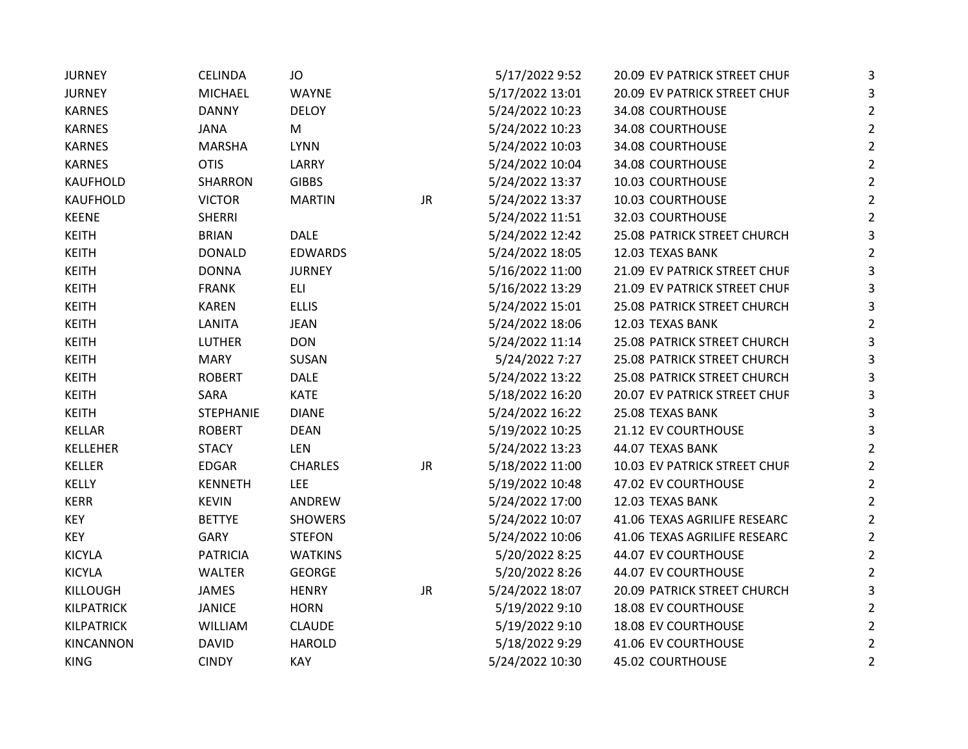| <b>JURNEY</b>     | <b>CELINDA</b>   | JO             |           | 5/17/2022 9:52  | 20.09 EV PATRICK STREET CHUF | 3              |
|-------------------|------------------|----------------|-----------|-----------------|------------------------------|----------------|
| <b>JURNEY</b>     | <b>MICHAEL</b>   | <b>WAYNE</b>   |           | 5/17/2022 13:01 | 20.09 EV PATRICK STREET CHUF | 3              |
| <b>KARNES</b>     | <b>DANNY</b>     | <b>DELOY</b>   |           | 5/24/2022 10:23 | 34.08 COURTHOUSE             | $\overline{2}$ |
| <b>KARNES</b>     | <b>JANA</b>      | M              |           | 5/24/2022 10:23 | 34.08 COURTHOUSE             | $\overline{2}$ |
| <b>KARNES</b>     | <b>MARSHA</b>    | <b>LYNN</b>    |           | 5/24/2022 10:03 | 34.08 COURTHOUSE             | $\overline{2}$ |
| <b>KARNES</b>     | <b>OTIS</b>      | LARRY          |           | 5/24/2022 10:04 | 34.08 COURTHOUSE             | $\overline{2}$ |
| KAUFHOLD          | <b>SHARRON</b>   | <b>GIBBS</b>   |           | 5/24/2022 13:37 | 10.03 COURTHOUSE             | $\overline{2}$ |
| <b>KAUFHOLD</b>   | <b>VICTOR</b>    | <b>MARTIN</b>  | <b>JR</b> | 5/24/2022 13:37 | 10.03 COURTHOUSE             | $\overline{2}$ |
| <b>KEENE</b>      | <b>SHERRI</b>    |                |           | 5/24/2022 11:51 | 32.03 COURTHOUSE             | $\overline{2}$ |
| <b>KEITH</b>      | <b>BRIAN</b>     | <b>DALE</b>    |           | 5/24/2022 12:42 | 25.08 PATRICK STREET CHURCH  | 3              |
| <b>KEITH</b>      | <b>DONALD</b>    | <b>EDWARDS</b> |           | 5/24/2022 18:05 | 12.03 TEXAS BANK             | $\overline{2}$ |
| <b>KEITH</b>      | <b>DONNA</b>     | <b>JURNEY</b>  |           | 5/16/2022 11:00 | 21.09 EV PATRICK STREET CHUF | $\mathsf{3}$   |
| <b>KEITH</b>      | <b>FRANK</b>     | ELI            |           | 5/16/2022 13:29 | 21.09 EV PATRICK STREET CHUF | 3              |
| <b>KEITH</b>      | <b>KAREN</b>     | <b>ELLIS</b>   |           | 5/24/2022 15:01 | 25.08 PATRICK STREET CHURCH  | $\mathsf{3}$   |
| <b>KEITH</b>      | LANITA           | <b>JEAN</b>    |           | 5/24/2022 18:06 | 12.03 TEXAS BANK             | $\overline{2}$ |
| <b>KEITH</b>      | <b>LUTHER</b>    | <b>DON</b>     |           | 5/24/2022 11:14 | 25.08 PATRICK STREET CHURCH  | 3              |
| <b>KEITH</b>      | <b>MARY</b>      | SUSAN          |           | 5/24/2022 7:27  | 25.08 PATRICK STREET CHURCH  | 3              |
| <b>KEITH</b>      | <b>ROBERT</b>    | <b>DALE</b>    |           | 5/24/2022 13:22 | 25.08 PATRICK STREET CHURCH  | 3              |
| <b>KEITH</b>      | SARA             | <b>KATE</b>    |           | 5/18/2022 16:20 | 20.07 EV PATRICK STREET CHUF | 3              |
| <b>KEITH</b>      | <b>STEPHANIE</b> | <b>DIANE</b>   |           | 5/24/2022 16:22 | 25.08 TEXAS BANK             | 3              |
| <b>KELLAR</b>     | <b>ROBERT</b>    | <b>DEAN</b>    |           | 5/19/2022 10:25 | 21.12 EV COURTHOUSE          | 3              |
| KELLEHER          | <b>STACY</b>     | LEN            |           | 5/24/2022 13:23 | 44.07 TEXAS BANK             | $\overline{2}$ |
| KELLER            | <b>EDGAR</b>     | <b>CHARLES</b> | JR.       | 5/18/2022 11:00 | 10.03 EV PATRICK STREET CHUF | $\overline{2}$ |
| <b>KELLY</b>      | <b>KENNETH</b>   | <b>LEE</b>     |           | 5/19/2022 10:48 | 47.02 EV COURTHOUSE          | $\overline{2}$ |
| <b>KERR</b>       | <b>KEVIN</b>     | ANDREW         |           | 5/24/2022 17:00 | 12.03 TEXAS BANK             | $\overline{2}$ |
| <b>KEY</b>        | <b>BETTYE</b>    | SHOWERS        |           | 5/24/2022 10:07 | 41.06 TEXAS AGRILIFE RESEARC | $\overline{2}$ |
| <b>KEY</b>        | <b>GARY</b>      | <b>STEFON</b>  |           | 5/24/2022 10:06 | 41.06 TEXAS AGRILIFE RESEARC | $\overline{2}$ |
| <b>KICYLA</b>     | <b>PATRICIA</b>  | <b>WATKINS</b> |           | 5/20/2022 8:25  | 44.07 EV COURTHOUSE          | $\overline{2}$ |
| <b>KICYLA</b>     | <b>WALTER</b>    | <b>GEORGE</b>  |           | 5/20/2022 8:26  | 44.07 EV COURTHOUSE          | $\overline{2}$ |
| KILLOUGH          | JAMES            | <b>HENRY</b>   | JR        | 5/24/2022 18:07 | 20.09 PATRICK STREET CHURCH  | 3              |
| <b>KILPATRICK</b> | <b>JANICE</b>    | <b>HORN</b>    |           | 5/19/2022 9:10  | <b>18.08 EV COURTHOUSE</b>   | $\overline{2}$ |
| <b>KILPATRICK</b> | <b>WILLIAM</b>   | <b>CLAUDE</b>  |           | 5/19/2022 9:10  | <b>18.08 EV COURTHOUSE</b>   | $\overline{2}$ |
| KINCANNON         | <b>DAVID</b>     | <b>HAROLD</b>  |           | 5/18/2022 9:29  | 41.06 EV COURTHOUSE          | $\overline{2}$ |
| <b>KING</b>       | <b>CINDY</b>     | <b>KAY</b>     |           | 5/24/2022 10:30 | 45.02 COURTHOUSE             | $\overline{2}$ |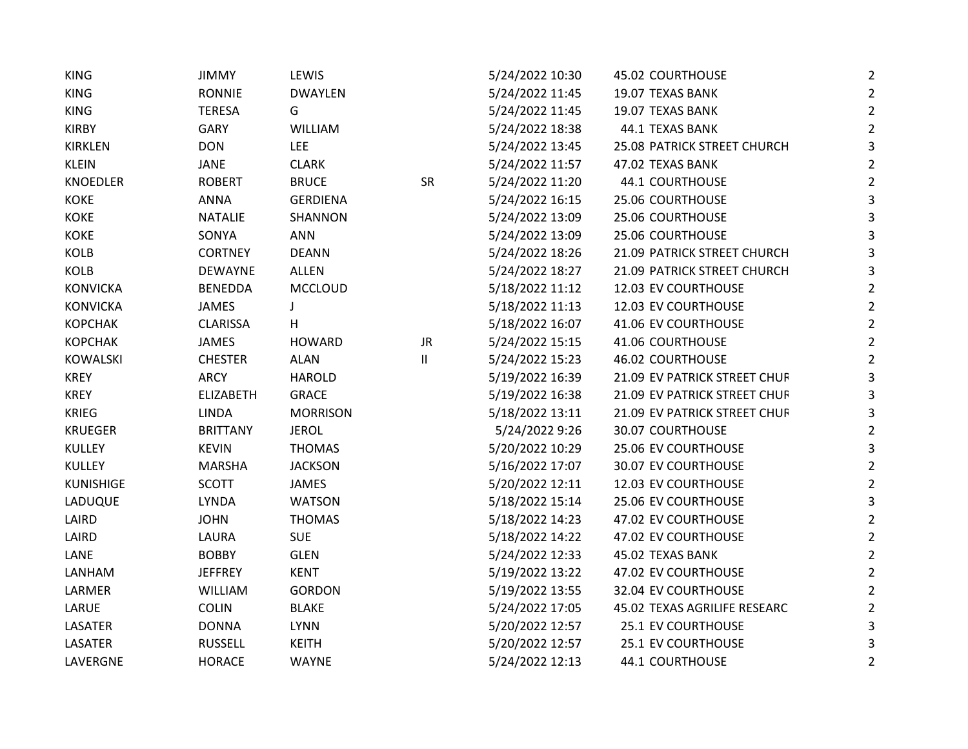| <b>KING</b>      | <b>JIMMY</b>     | LEWIS           |           | 5/24/2022 10:30 | 45.02 COURTHOUSE             | $\overline{2}$ |
|------------------|------------------|-----------------|-----------|-----------------|------------------------------|----------------|
| <b>KING</b>      | <b>RONNIE</b>    | <b>DWAYLEN</b>  |           | 5/24/2022 11:45 | 19.07 TEXAS BANK             | $\overline{2}$ |
| <b>KING</b>      | <b>TERESA</b>    | G               |           | 5/24/2022 11:45 | 19.07 TEXAS BANK             | $\overline{c}$ |
| <b>KIRBY</b>     | <b>GARY</b>      | WILLIAM         |           | 5/24/2022 18:38 | 44.1 TEXAS BANK              | $\overline{2}$ |
| <b>KIRKLEN</b>   |                  | <b>LEE</b>      |           |                 | 25.08 PATRICK STREET CHURCH  | 3              |
|                  | <b>DON</b>       |                 |           | 5/24/2022 13:45 |                              |                |
| <b>KLEIN</b>     | <b>JANE</b>      | <b>CLARK</b>    |           | 5/24/2022 11:57 | 47.02 TEXAS BANK             | $\overline{2}$ |
| <b>KNOEDLER</b>  | <b>ROBERT</b>    | <b>BRUCE</b>    | SR        | 5/24/2022 11:20 | 44.1 COURTHOUSE              | $\overline{2}$ |
| <b>KOKE</b>      | <b>ANNA</b>      | <b>GERDIENA</b> |           | 5/24/2022 16:15 | 25.06 COURTHOUSE             | 3              |
| <b>KOKE</b>      | <b>NATALIE</b>   | SHANNON         |           | 5/24/2022 13:09 | 25.06 COURTHOUSE             | 3              |
| <b>KOKE</b>      | SONYA            | <b>ANN</b>      |           | 5/24/2022 13:09 | 25.06 COURTHOUSE             | 3              |
| KOLB             | <b>CORTNEY</b>   | <b>DEANN</b>    |           | 5/24/2022 18:26 | 21.09 PATRICK STREET CHURCH  | 3              |
| KOLB             | <b>DEWAYNE</b>   | ALLEN           |           | 5/24/2022 18:27 | 21.09 PATRICK STREET CHURCH  | 3              |
| <b>KONVICKA</b>  | <b>BENEDDA</b>   | <b>MCCLOUD</b>  |           | 5/18/2022 11:12 | 12.03 EV COURTHOUSE          | $\overline{2}$ |
| <b>KONVICKA</b>  | JAMES            | $\perp$         |           | 5/18/2022 11:13 | 12.03 EV COURTHOUSE          | $\overline{2}$ |
| <b>KOPCHAK</b>   | <b>CLARISSA</b>  | H               |           | 5/18/2022 16:07 | 41.06 EV COURTHOUSE          | $\overline{2}$ |
| <b>KOPCHAK</b>   | JAMES            | <b>HOWARD</b>   | <b>JR</b> | 5/24/2022 15:15 | 41.06 COURTHOUSE             | $\overline{2}$ |
| <b>KOWALSKI</b>  | <b>CHESTER</b>   | <b>ALAN</b>     | Ш         | 5/24/2022 15:23 | 46.02 COURTHOUSE             | $\overline{2}$ |
| <b>KREY</b>      | <b>ARCY</b>      | <b>HAROLD</b>   |           | 5/19/2022 16:39 | 21.09 EV PATRICK STREET CHUF | 3              |
| <b>KREY</b>      | <b>ELIZABETH</b> | <b>GRACE</b>    |           | 5/19/2022 16:38 | 21.09 EV PATRICK STREET CHUF | 3              |
| <b>KRIEG</b>     | <b>LINDA</b>     | <b>MORRISON</b> |           | 5/18/2022 13:11 | 21.09 EV PATRICK STREET CHUF | $\overline{3}$ |
| <b>KRUEGER</b>   | <b>BRITTANY</b>  | <b>JEROL</b>    |           | 5/24/2022 9:26  | 30.07 COURTHOUSE             | $\overline{2}$ |
| KULLEY           | <b>KEVIN</b>     | <b>THOMAS</b>   |           | 5/20/2022 10:29 | 25.06 EV COURTHOUSE          | 3              |
| <b>KULLEY</b>    | <b>MARSHA</b>    | <b>JACKSON</b>  |           | 5/16/2022 17:07 | 30.07 EV COURTHOUSE          | $\overline{2}$ |
| <b>KUNISHIGE</b> | <b>SCOTT</b>     | <b>JAMES</b>    |           | 5/20/2022 12:11 | 12.03 EV COURTHOUSE          | $\overline{2}$ |
| LADUQUE          | LYNDA            | <b>WATSON</b>   |           | 5/18/2022 15:14 | 25.06 EV COURTHOUSE          | 3              |
| LAIRD            | <b>JOHN</b>      | <b>THOMAS</b>   |           | 5/18/2022 14:23 | 47.02 EV COURTHOUSE          | $\overline{2}$ |
| LAIRD            | LAURA            | <b>SUE</b>      |           | 5/18/2022 14:22 | 47.02 EV COURTHOUSE          | $\overline{2}$ |
| LANE             | <b>BOBBY</b>     | <b>GLEN</b>     |           | 5/24/2022 12:33 | 45.02 TEXAS BANK             | $\overline{2}$ |
| LANHAM           | <b>JEFFREY</b>   | <b>KENT</b>     |           | 5/19/2022 13:22 | 47.02 EV COURTHOUSE          | $\overline{2}$ |
| LARMER           | WILLIAM          | <b>GORDON</b>   |           | 5/19/2022 13:55 | 32.04 EV COURTHOUSE          | $\overline{2}$ |
| LARUE            | <b>COLIN</b>     | <b>BLAKE</b>    |           | 5/24/2022 17:05 | 45.02 TEXAS AGRILIFE RESEARC | $\overline{2}$ |
| LASATER          | <b>DONNA</b>     | <b>LYNN</b>     |           | 5/20/2022 12:57 | 25.1 EV COURTHOUSE           | 3              |
| LASATER          | <b>RUSSELL</b>   | <b>KEITH</b>    |           | 5/20/2022 12:57 | 25.1 EV COURTHOUSE           | 3              |
| LAVERGNE         | <b>HORACE</b>    | <b>WAYNE</b>    |           | 5/24/2022 12:13 | 44.1 COURTHOUSE              | 2              |
|                  |                  |                 |           |                 |                              |                |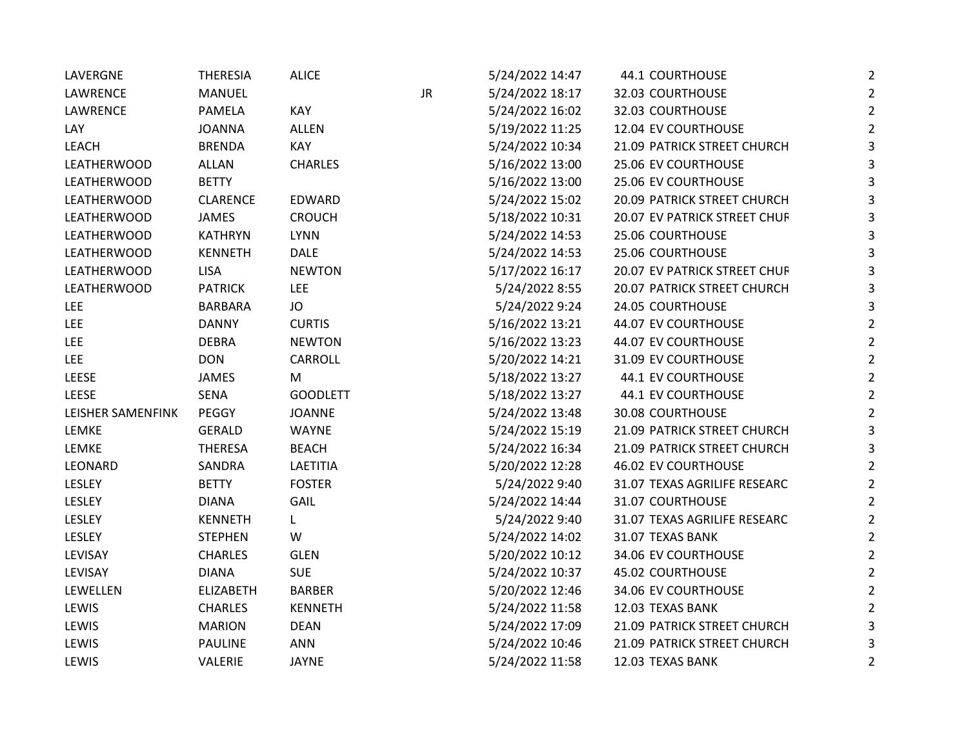| LAVERGNE           | <b>THERESIA</b>  | <b>ALICE</b>    |           | 5/24/2022 14:47 | 44.1 COURTHOUSE              | $\overline{2}$ |
|--------------------|------------------|-----------------|-----------|-----------------|------------------------------|----------------|
| LAWRENCE           | <b>MANUEL</b>    |                 | <b>JR</b> | 5/24/2022 18:17 | 32.03 COURTHOUSE             | $\overline{2}$ |
| LAWRENCE           | PAMELA           | KAY             |           | 5/24/2022 16:02 | 32.03 COURTHOUSE             | $\overline{2}$ |
| LAY                | <b>JOANNA</b>    | ALLEN           |           | 5/19/2022 11:25 | 12.04 EV COURTHOUSE          | $\overline{2}$ |
| LEACH              | <b>BRENDA</b>    | KAY             |           | 5/24/2022 10:34 | 21.09 PATRICK STREET CHURCH  | 3              |
| LEATHERWOOD        | <b>ALLAN</b>     | <b>CHARLES</b>  |           | 5/16/2022 13:00 | 25.06 EV COURTHOUSE          | 3              |
| <b>LEATHERWOOD</b> | <b>BETTY</b>     |                 |           | 5/16/2022 13:00 | 25.06 EV COURTHOUSE          | 3              |
| LEATHERWOOD        | <b>CLARENCE</b>  | <b>EDWARD</b>   |           | 5/24/2022 15:02 | 20.09 PATRICK STREET CHURCH  | 3              |
| <b>LEATHERWOOD</b> | <b>JAMES</b>     | <b>CROUCH</b>   |           | 5/18/2022 10:31 | 20.07 EV PATRICK STREET CHUF | 3              |
| <b>LEATHERWOOD</b> | <b>KATHRYN</b>   | <b>LYNN</b>     |           | 5/24/2022 14:53 | 25.06 COURTHOUSE             | 3              |
| <b>LEATHERWOOD</b> | <b>KENNETH</b>   | <b>DALE</b>     |           | 5/24/2022 14:53 | 25.06 COURTHOUSE             | 3              |
| <b>LEATHERWOOD</b> | <b>LISA</b>      | <b>NEWTON</b>   |           | 5/17/2022 16:17 | 20.07 EV PATRICK STREET CHUF | 3              |
| LEATHERWOOD        | <b>PATRICK</b>   | <b>LEE</b>      |           | 5/24/2022 8:55  | 20.07 PATRICK STREET CHURCH  | 3              |
| <b>LEE</b>         | <b>BARBARA</b>   | JO              |           | 5/24/2022 9:24  | 24.05 COURTHOUSE             | 3              |
| <b>LEE</b>         | <b>DANNY</b>     | <b>CURTIS</b>   |           | 5/16/2022 13:21 | 44.07 EV COURTHOUSE          | $\overline{2}$ |
| LEE                | <b>DEBRA</b>     | <b>NEWTON</b>   |           | 5/16/2022 13:23 | 44.07 EV COURTHOUSE          | $\overline{2}$ |
| <b>LEE</b>         | <b>DON</b>       | CARROLL         |           | 5/20/2022 14:21 | 31.09 EV COURTHOUSE          | $\overline{2}$ |
| LEESE              | <b>JAMES</b>     | M               |           | 5/18/2022 13:27 | 44.1 EV COURTHOUSE           | $\overline{2}$ |
| LEESE              | <b>SENA</b>      | <b>GOODLETT</b> |           | 5/18/2022 13:27 | 44.1 EV COURTHOUSE           | $\overline{2}$ |
| LEISHER SAMENFINK  | PEGGY            | <b>JOANNE</b>   |           | 5/24/2022 13:48 | <b>30.08 COURTHOUSE</b>      | $\overline{2}$ |
| LEMKE              | <b>GERALD</b>    | <b>WAYNE</b>    |           | 5/24/2022 15:19 | 21.09 PATRICK STREET CHURCH  | 3              |
| LEMKE              | THERESA          | <b>BEACH</b>    |           | 5/24/2022 16:34 | 21.09 PATRICK STREET CHURCH  | 3              |
| LEONARD            | SANDRA           | LAETITIA        |           | 5/20/2022 12:28 | 46.02 EV COURTHOUSE          | $\overline{2}$ |
| LESLEY             | <b>BETTY</b>     | <b>FOSTER</b>   |           | 5/24/2022 9:40  | 31.07 TEXAS AGRILIFE RESEARC | $\overline{2}$ |
| LESLEY             | <b>DIANA</b>     | GAIL            |           | 5/24/2022 14:44 | 31.07 COURTHOUSE             | $\overline{2}$ |
| LESLEY             | <b>KENNETH</b>   | L               |           | 5/24/2022 9:40  | 31.07 TEXAS AGRILIFE RESEARC | $\overline{2}$ |
| LESLEY             | <b>STEPHEN</b>   | W               |           | 5/24/2022 14:02 | 31.07 TEXAS BANK             | $\overline{2}$ |
| LEVISAY            | <b>CHARLES</b>   | <b>GLEN</b>     |           | 5/20/2022 10:12 | 34.06 EV COURTHOUSE          | $\overline{2}$ |
| LEVISAY            | <b>DIANA</b>     | <b>SUE</b>      |           | 5/24/2022 10:37 | 45.02 COURTHOUSE             | $\overline{2}$ |
| LEWELLEN           | <b>ELIZABETH</b> | <b>BARBER</b>   |           | 5/20/2022 12:46 | 34.06 EV COURTHOUSE          | $\overline{2}$ |
| LEWIS              | <b>CHARLES</b>   | KENNETH         |           | 5/24/2022 11:58 | 12.03 TEXAS BANK             | $\overline{2}$ |
| LEWIS              | <b>MARION</b>    | <b>DEAN</b>     |           | 5/24/2022 17:09 | 21.09 PATRICK STREET CHURCH  | 3              |
| LEWIS              | <b>PAULINE</b>   | <b>ANN</b>      |           | 5/24/2022 10:46 | 21.09 PATRICK STREET CHURCH  | 3              |
| LEWIS              | VALERIE          | <b>JAYNE</b>    |           | 5/24/2022 11:58 | 12.03 TEXAS BANK             | $\overline{2}$ |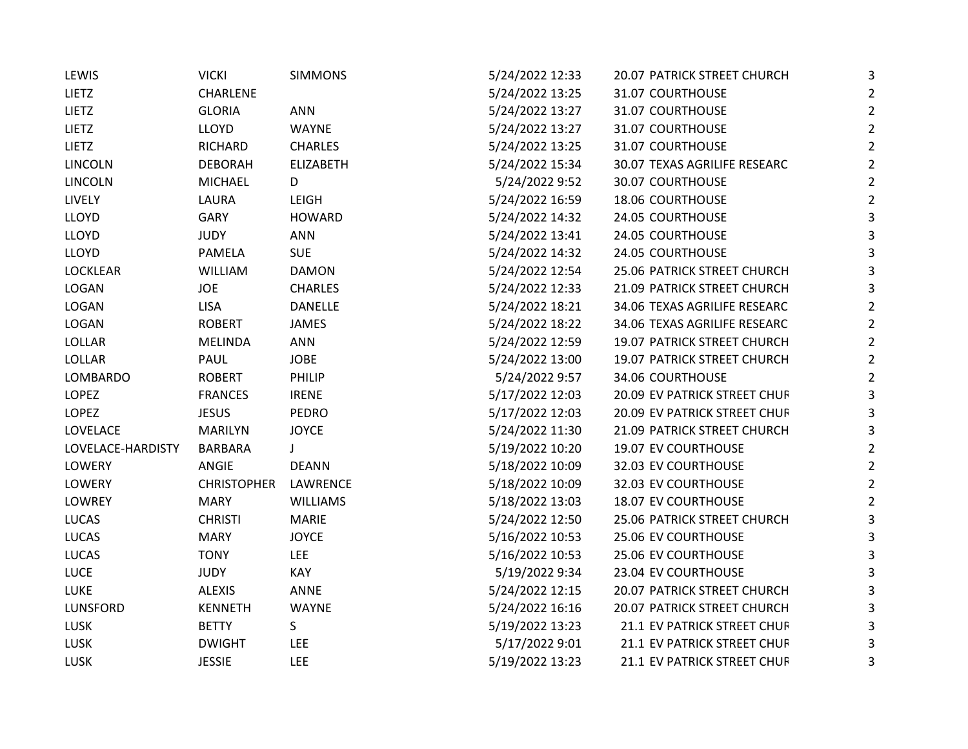| <b>VICKI</b>       | <b>SIMMONS</b>   | 5/24/2022 12:33 | 20.07 PATRICK STREET CHURCH  | 3              |
|--------------------|------------------|-----------------|------------------------------|----------------|
| CHARLENE           |                  | 5/24/2022 13:25 | 31.07 COURTHOUSE             | $\overline{2}$ |
| <b>GLORIA</b>      | <b>ANN</b>       | 5/24/2022 13:27 | 31.07 COURTHOUSE             | $\overline{2}$ |
| <b>LLOYD</b>       | <b>WAYNE</b>     | 5/24/2022 13:27 | 31.07 COURTHOUSE             | $\overline{2}$ |
| RICHARD            | <b>CHARLES</b>   | 5/24/2022 13:25 | 31.07 COURTHOUSE             | $\overline{2}$ |
| <b>DEBORAH</b>     | <b>ELIZABETH</b> | 5/24/2022 15:34 | 30.07 TEXAS AGRILIFE RESEARC | $\overline{2}$ |
| <b>MICHAEL</b>     | D                | 5/24/2022 9:52  | 30.07 COURTHOUSE             | $\overline{2}$ |
| LAURA              | LEIGH            | 5/24/2022 16:59 | 18.06 COURTHOUSE             | $\overline{2}$ |
| <b>GARY</b>        | <b>HOWARD</b>    | 5/24/2022 14:32 | 24.05 COURTHOUSE             | 3              |
| <b>JUDY</b>        | <b>ANN</b>       | 5/24/2022 13:41 | 24.05 COURTHOUSE             | 3              |
| PAMELA             | <b>SUE</b>       | 5/24/2022 14:32 | 24.05 COURTHOUSE             | 3              |
| WILLIAM            | <b>DAMON</b>     | 5/24/2022 12:54 | 25.06 PATRICK STREET CHURCH  | 3              |
| <b>JOE</b>         | <b>CHARLES</b>   | 5/24/2022 12:33 | 21.09 PATRICK STREET CHURCH  | 3              |
| <b>LISA</b>        | <b>DANELLE</b>   | 5/24/2022 18:21 | 34.06 TEXAS AGRILIFE RESEARC | $\overline{2}$ |
| <b>ROBERT</b>      | JAMES            | 5/24/2022 18:22 | 34.06 TEXAS AGRILIFE RESEARC | $\overline{2}$ |
| <b>MELINDA</b>     | <b>ANN</b>       | 5/24/2022 12:59 | 19.07 PATRICK STREET CHURCH  | $\overline{2}$ |
| PAUL               | <b>JOBE</b>      | 5/24/2022 13:00 | 19.07 PATRICK STREET CHURCH  | $\overline{2}$ |
| <b>ROBERT</b>      | PHILIP           | 5/24/2022 9:57  | 34.06 COURTHOUSE             | $\overline{2}$ |
| <b>FRANCES</b>     | <b>IRENE</b>     | 5/17/2022 12:03 | 20.09 EV PATRICK STREET CHUF | 3              |
| <b>JESUS</b>       | <b>PEDRO</b>     | 5/17/2022 12:03 | 20.09 EV PATRICK STREET CHUF | 3              |
| <b>MARILYN</b>     | <b>JOYCE</b>     | 5/24/2022 11:30 | 21.09 PATRICK STREET CHURCH  | 3              |
| <b>BARBARA</b>     | $\Gamma$         | 5/19/2022 10:20 | 19.07 EV COURTHOUSE          | $\overline{2}$ |
| ANGIE              | <b>DEANN</b>     | 5/18/2022 10:09 | 32.03 EV COURTHOUSE          | $\overline{2}$ |
| <b>CHRISTOPHER</b> | LAWRENCE         | 5/18/2022 10:09 | 32.03 EV COURTHOUSE          | $\overline{2}$ |
| <b>MARY</b>        | <b>WILLIAMS</b>  | 5/18/2022 13:03 | 18.07 EV COURTHOUSE          | $\overline{2}$ |
| <b>CHRISTI</b>     | <b>MARIE</b>     | 5/24/2022 12:50 | 25.06 PATRICK STREET CHURCH  | 3              |
| <b>MARY</b>        | <b>JOYCE</b>     | 5/16/2022 10:53 | 25.06 EV COURTHOUSE          | 3              |
| <b>TONY</b>        | <b>LEE</b>       | 5/16/2022 10:53 | 25.06 EV COURTHOUSE          | 3              |
| <b>JUDY</b>        | KAY              | 5/19/2022 9:34  | 23.04 EV COURTHOUSE          | 3              |
| <b>ALEXIS</b>      | ANNE             | 5/24/2022 12:15 | 20.07 PATRICK STREET CHURCH  | 3              |
| <b>KENNETH</b>     | <b>WAYNE</b>     | 5/24/2022 16:16 | 20.07 PATRICK STREET CHURCH  | 3              |
| <b>BETTY</b>       | S                | 5/19/2022 13:23 | 21.1 EV PATRICK STREET CHUF  | 3              |
| <b>DWIGHT</b>      | LEE              | 5/17/2022 9:01  | 21.1 EV PATRICK STREET CHUF  | 3              |
| <b>JESSIE</b>      | LEE              | 5/19/2022 13:23 | 21.1 EV PATRICK STREET CHUF  | 3              |
|                    |                  |                 |                              |                |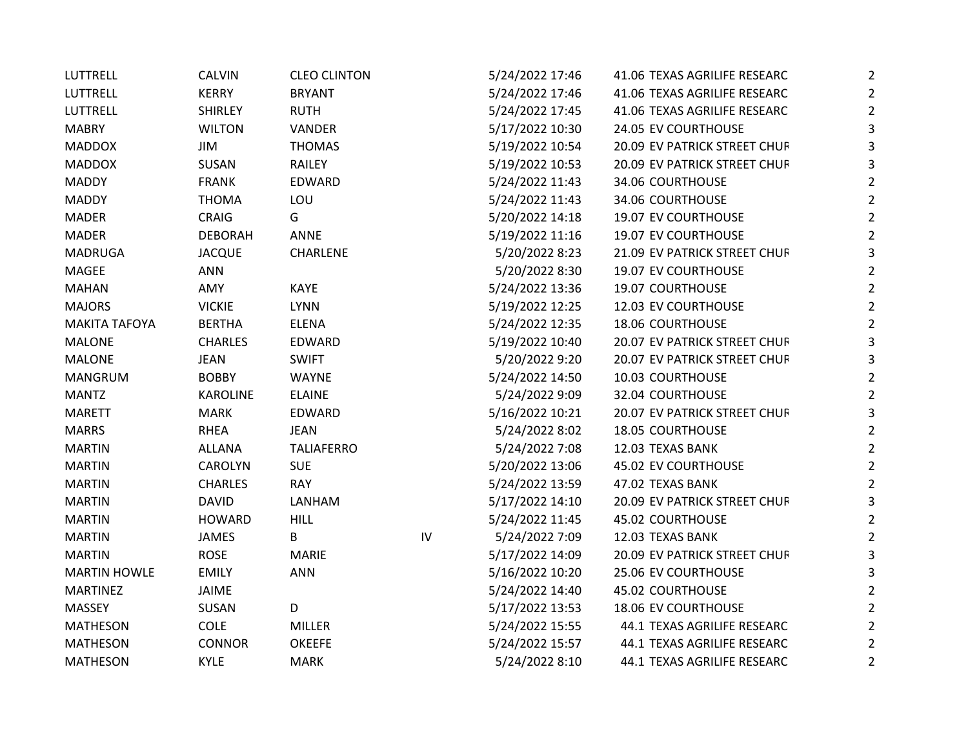| LUTTRELL             | <b>CALVIN</b>   | <b>CLEO CLINTON</b> |               | 5/24/2022 17:46 | 41.06 TEXAS AGRILIFE RESEARC | 2              |
|----------------------|-----------------|---------------------|---------------|-----------------|------------------------------|----------------|
| LUTTRELL             | <b>KERRY</b>    | <b>BRYANT</b>       |               | 5/24/2022 17:46 | 41.06 TEXAS AGRILIFE RESEARC | 2              |
| LUTTRELL             | <b>SHIRLEY</b>  | <b>RUTH</b>         |               | 5/24/2022 17:45 | 41.06 TEXAS AGRILIFE RESEARC | $\overline{2}$ |
| <b>MABRY</b>         | <b>WILTON</b>   | VANDER              |               | 5/17/2022 10:30 | 24.05 EV COURTHOUSE          | 3              |
| <b>MADDOX</b>        | JIM             | <b>THOMAS</b>       |               | 5/19/2022 10:54 | 20.09 EV PATRICK STREET CHUF | 3              |
| <b>MADDOX</b>        | SUSAN           | RAILEY              |               | 5/19/2022 10:53 | 20.09 EV PATRICK STREET CHUF | 3              |
| <b>MADDY</b>         | <b>FRANK</b>    | EDWARD              |               | 5/24/2022 11:43 | 34.06 COURTHOUSE             | $\overline{2}$ |
| <b>MADDY</b>         | <b>THOMA</b>    | LOU                 |               | 5/24/2022 11:43 | 34.06 COURTHOUSE             | $\overline{2}$ |
| <b>MADER</b>         | CRAIG           | G                   |               | 5/20/2022 14:18 | 19.07 EV COURTHOUSE          | $\overline{2}$ |
| <b>MADER</b>         | <b>DEBORAH</b>  | ANNE                |               | 5/19/2022 11:16 | 19.07 EV COURTHOUSE          | $\overline{2}$ |
| <b>MADRUGA</b>       | <b>JACQUE</b>   | CHARLENE            |               | 5/20/2022 8:23  | 21.09 EV PATRICK STREET CHUF | 3              |
| MAGEE                | <b>ANN</b>      |                     |               | 5/20/2022 8:30  | 19.07 EV COURTHOUSE          | $\overline{2}$ |
| <b>MAHAN</b>         | AMY             | KAYE                |               | 5/24/2022 13:36 | 19.07 COURTHOUSE             | $\overline{2}$ |
| <b>MAJORS</b>        | <b>VICKIE</b>   | <b>LYNN</b>         |               | 5/19/2022 12:25 | 12.03 EV COURTHOUSE          | $\overline{2}$ |
| <b>MAKITA TAFOYA</b> | <b>BERTHA</b>   | <b>ELENA</b>        |               | 5/24/2022 12:35 | 18.06 COURTHOUSE             | $\overline{2}$ |
| <b>MALONE</b>        | <b>CHARLES</b>  | EDWARD              |               | 5/19/2022 10:40 | 20.07 EV PATRICK STREET CHUF | 3              |
| <b>MALONE</b>        | <b>JEAN</b>     | <b>SWIFT</b>        |               | 5/20/2022 9:20  | 20.07 EV PATRICK STREET CHUF | 3              |
| <b>MANGRUM</b>       | <b>BOBBY</b>    | WAYNE               |               | 5/24/2022 14:50 | 10.03 COURTHOUSE             | $\overline{2}$ |
| <b>MANTZ</b>         | <b>KAROLINE</b> | <b>ELAINE</b>       |               | 5/24/2022 9:09  | 32.04 COURTHOUSE             | $\overline{2}$ |
| <b>MARETT</b>        | <b>MARK</b>     | EDWARD              |               | 5/16/2022 10:21 | 20.07 EV PATRICK STREET CHUF | 3              |
| <b>MARRS</b>         | <b>RHEA</b>     | <b>JEAN</b>         |               | 5/24/2022 8:02  | <b>18.05 COURTHOUSE</b>      | $\overline{2}$ |
| <b>MARTIN</b>        | <b>ALLANA</b>   | <b>TALIAFERRO</b>   |               | 5/24/2022 7:08  | 12.03 TEXAS BANK             | $\overline{2}$ |
| <b>MARTIN</b>        | CAROLYN         | <b>SUE</b>          |               | 5/20/2022 13:06 | 45.02 EV COURTHOUSE          | $\overline{2}$ |
| <b>MARTIN</b>        | <b>CHARLES</b>  | <b>RAY</b>          |               | 5/24/2022 13:59 | 47.02 TEXAS BANK             | $\overline{2}$ |
| <b>MARTIN</b>        | <b>DAVID</b>    | LANHAM              |               | 5/17/2022 14:10 | 20.09 EV PATRICK STREET CHUF | 3              |
| <b>MARTIN</b>        | <b>HOWARD</b>   | <b>HILL</b>         |               | 5/24/2022 11:45 | 45.02 COURTHOUSE             | $\overline{2}$ |
| <b>MARTIN</b>        | <b>JAMES</b>    | B                   | $\mathsf{IV}$ | 5/24/2022 7:09  | 12.03 TEXAS BANK             | $\overline{2}$ |
| <b>MARTIN</b>        | <b>ROSE</b>     | <b>MARIE</b>        |               | 5/17/2022 14:09 | 20.09 EV PATRICK STREET CHUF | 3              |
| <b>MARTIN HOWLE</b>  | <b>EMILY</b>    | <b>ANN</b>          |               | 5/16/2022 10:20 | 25.06 EV COURTHOUSE          | 3              |
| <b>MARTINEZ</b>      | JAIME           |                     |               | 5/24/2022 14:40 | 45.02 COURTHOUSE             | $\overline{2}$ |
| MASSEY               | SUSAN           | D                   |               | 5/17/2022 13:53 | 18.06 EV COURTHOUSE          | $\overline{2}$ |
| <b>MATHESON</b>      | COLE            | <b>MILLER</b>       |               | 5/24/2022 15:55 | 44.1 TEXAS AGRILIFE RESEARC  | $\overline{2}$ |
| <b>MATHESON</b>      | <b>CONNOR</b>   | <b>OKEEFE</b>       |               | 5/24/2022 15:57 | 44.1 TEXAS AGRILIFE RESEARC  | $\overline{2}$ |
| <b>MATHESON</b>      | <b>KYLE</b>     | <b>MARK</b>         |               | 5/24/2022 8:10  | 44.1 TEXAS AGRILIFE RESEARC  | $\overline{2}$ |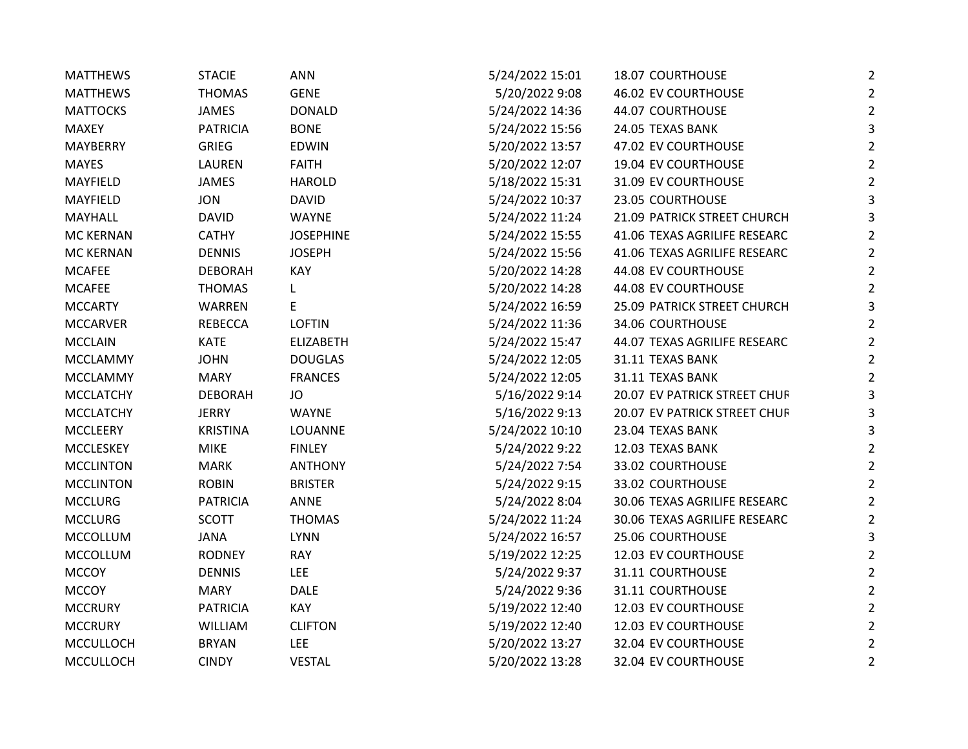| <b>MATTHEWS</b>  | <b>STACIE</b>   | <b>ANN</b>       | 5/24/2022 15:01 | 18.07 COURTHOUSE             | $\overline{2}$ |
|------------------|-----------------|------------------|-----------------|------------------------------|----------------|
| <b>MATTHEWS</b>  | <b>THOMAS</b>   | <b>GENE</b>      | 5/20/2022 9:08  | 46.02 EV COURTHOUSE          | $\overline{2}$ |
| <b>MATTOCKS</b>  | <b>JAMES</b>    | <b>DONALD</b>    | 5/24/2022 14:36 | 44.07 COURTHOUSE             | $\overline{2}$ |
| <b>MAXEY</b>     | <b>PATRICIA</b> | <b>BONE</b>      | 5/24/2022 15:56 | 24.05 TEXAS BANK             | 3              |
| <b>MAYBERRY</b>  | <b>GRIEG</b>    | <b>EDWIN</b>     | 5/20/2022 13:57 | 47.02 EV COURTHOUSE          | $\overline{2}$ |
| <b>MAYES</b>     | LAUREN          | <b>FAITH</b>     | 5/20/2022 12:07 | 19.04 EV COURTHOUSE          | $\overline{2}$ |
| MAYFIELD         | <b>JAMES</b>    | <b>HAROLD</b>    | 5/18/2022 15:31 | 31.09 EV COURTHOUSE          | $\overline{2}$ |
| MAYFIELD         | <b>JON</b>      | <b>DAVID</b>     | 5/24/2022 10:37 | 23.05 COURTHOUSE             | 3              |
| <b>MAYHALL</b>   | <b>DAVID</b>    | <b>WAYNE</b>     | 5/24/2022 11:24 | 21.09 PATRICK STREET CHURCH  | 3              |
| <b>MC KERNAN</b> | <b>CATHY</b>    | <b>JOSEPHINE</b> | 5/24/2022 15:55 | 41.06 TEXAS AGRILIFE RESEARC | $\overline{2}$ |
| <b>MC KERNAN</b> | <b>DENNIS</b>   | <b>JOSEPH</b>    | 5/24/2022 15:56 | 41.06 TEXAS AGRILIFE RESEARC | $\overline{2}$ |
| <b>MCAFEE</b>    | <b>DEBORAH</b>  | KAY              | 5/20/2022 14:28 | 44.08 EV COURTHOUSE          | $\overline{2}$ |
| <b>MCAFEE</b>    | <b>THOMAS</b>   | L                | 5/20/2022 14:28 | 44.08 EV COURTHOUSE          | $\overline{2}$ |
| <b>MCCARTY</b>   | WARREN          | E                | 5/24/2022 16:59 | 25.09 PATRICK STREET CHURCH  | 3              |
| <b>MCCARVER</b>  | <b>REBECCA</b>  | <b>LOFTIN</b>    | 5/24/2022 11:36 | 34.06 COURTHOUSE             | $\overline{2}$ |
| <b>MCCLAIN</b>   | <b>KATE</b>     | <b>ELIZABETH</b> | 5/24/2022 15:47 | 44.07 TEXAS AGRILIFE RESEARC | $\overline{2}$ |
| <b>MCCLAMMY</b>  | <b>JOHN</b>     | <b>DOUGLAS</b>   | 5/24/2022 12:05 | 31.11 TEXAS BANK             | $\overline{2}$ |
| <b>MCCLAMMY</b>  | <b>MARY</b>     | <b>FRANCES</b>   | 5/24/2022 12:05 | 31.11 TEXAS BANK             | $\overline{2}$ |
| <b>MCCLATCHY</b> | <b>DEBORAH</b>  | JO               | 5/16/2022 9:14  | 20.07 EV PATRICK STREET CHUF | 3              |
| <b>MCCLATCHY</b> | <b>JERRY</b>    | <b>WAYNE</b>     | 5/16/2022 9:13  | 20.07 EV PATRICK STREET CHUF | 3              |
| <b>MCCLEERY</b>  | <b>KRISTINA</b> | LOUANNE          | 5/24/2022 10:10 | 23.04 TEXAS BANK             | 3              |
| <b>MCCLESKEY</b> | <b>MIKE</b>     | <b>FINLEY</b>    | 5/24/2022 9:22  | 12.03 TEXAS BANK             | $\overline{2}$ |
| <b>MCCLINTON</b> | <b>MARK</b>     | <b>ANTHONY</b>   | 5/24/2022 7:54  | 33.02 COURTHOUSE             | $\overline{2}$ |
| <b>MCCLINTON</b> | <b>ROBIN</b>    | <b>BRISTER</b>   | 5/24/2022 9:15  | 33.02 COURTHOUSE             | $\overline{2}$ |
| <b>MCCLURG</b>   | <b>PATRICIA</b> | ANNE             | 5/24/2022 8:04  | 30.06 TEXAS AGRILIFE RESEARC | $\overline{2}$ |
| <b>MCCLURG</b>   | <b>SCOTT</b>    | <b>THOMAS</b>    | 5/24/2022 11:24 | 30.06 TEXAS AGRILIFE RESEARC | $\overline{2}$ |
| MCCOLLUM         | <b>JANA</b>     | <b>LYNN</b>      | 5/24/2022 16:57 | 25.06 COURTHOUSE             | 3              |
| <b>MCCOLLUM</b>  | <b>RODNEY</b>   | <b>RAY</b>       | 5/19/2022 12:25 | 12.03 EV COURTHOUSE          | $\overline{2}$ |
| <b>MCCOY</b>     | <b>DENNIS</b>   | <b>LEE</b>       | 5/24/2022 9:37  | 31.11 COURTHOUSE             | $\overline{2}$ |
| <b>MCCOY</b>     | <b>MARY</b>     | <b>DALE</b>      | 5/24/2022 9:36  | 31.11 COURTHOUSE             | $\overline{2}$ |
| <b>MCCRURY</b>   | <b>PATRICIA</b> | KAY              | 5/19/2022 12:40 | 12.03 EV COURTHOUSE          | $\overline{2}$ |
| <b>MCCRURY</b>   | WILLIAM         | <b>CLIFTON</b>   | 5/19/2022 12:40 | 12.03 EV COURTHOUSE          | $\overline{2}$ |
| <b>MCCULLOCH</b> | <b>BRYAN</b>    | <b>LEE</b>       | 5/20/2022 13:27 | 32.04 EV COURTHOUSE          | $\overline{2}$ |
| <b>MCCULLOCH</b> | <b>CINDY</b>    | <b>VESTAL</b>    | 5/20/2022 13:28 | 32.04 EV COURTHOUSE          | $\overline{2}$ |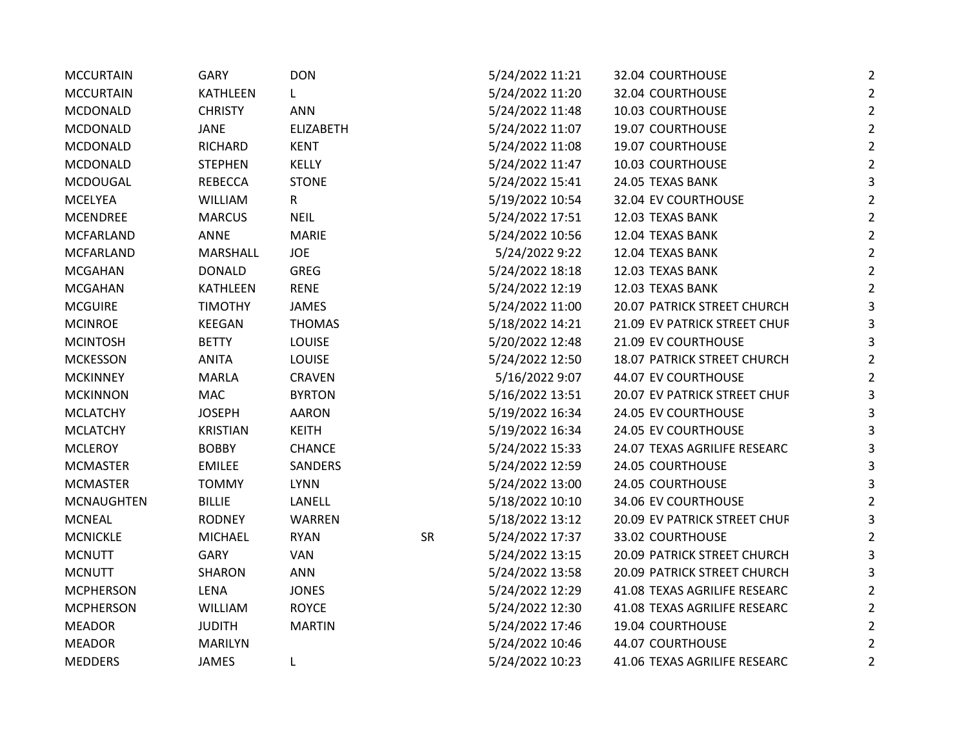| <b>MCCURTAIN</b>  | <b>GARY</b>     | <b>DON</b>       |    | 5/24/2022 11:21 | 32.04 COURTHOUSE             | $\overline{2}$ |
|-------------------|-----------------|------------------|----|-----------------|------------------------------|----------------|
| <b>MCCURTAIN</b>  | <b>KATHLEEN</b> | L                |    | 5/24/2022 11:20 | 32.04 COURTHOUSE             | $\overline{2}$ |
| MCDONALD          | <b>CHRISTY</b>  | <b>ANN</b>       |    | 5/24/2022 11:48 | 10.03 COURTHOUSE             | $\overline{2}$ |
| MCDONALD          | <b>JANE</b>     | <b>ELIZABETH</b> |    | 5/24/2022 11:07 | <b>19.07 COURTHOUSE</b>      | $\overline{2}$ |
| MCDONALD          | RICHARD         | <b>KENT</b>      |    | 5/24/2022 11:08 | 19.07 COURTHOUSE             | $\overline{2}$ |
| MCDONALD          | <b>STEPHEN</b>  | <b>KELLY</b>     |    | 5/24/2022 11:47 | 10.03 COURTHOUSE             | $\overline{2}$ |
| MCDOUGAL          | <b>REBECCA</b>  | <b>STONE</b>     |    | 5/24/2022 15:41 | 24.05 TEXAS BANK             | 3              |
| <b>MCELYEA</b>    | <b>WILLIAM</b>  | R                |    | 5/19/2022 10:54 | 32.04 EV COURTHOUSE          | $\overline{2}$ |
| <b>MCENDREE</b>   | <b>MARCUS</b>   | <b>NEIL</b>      |    | 5/24/2022 17:51 | 12.03 TEXAS BANK             | $\overline{2}$ |
| <b>MCFARLAND</b>  | ANNE            | <b>MARIE</b>     |    | 5/24/2022 10:56 | 12.04 TEXAS BANK             | $\overline{2}$ |
| <b>MCFARLAND</b>  | MARSHALL        | <b>JOE</b>       |    | 5/24/2022 9:22  | 12.04 TEXAS BANK             | $\overline{2}$ |
| <b>MCGAHAN</b>    | <b>DONALD</b>   | <b>GREG</b>      |    | 5/24/2022 18:18 | 12.03 TEXAS BANK             | $\overline{2}$ |
| <b>MCGAHAN</b>    | <b>KATHLEEN</b> | <b>RENE</b>      |    | 5/24/2022 12:19 | 12.03 TEXAS BANK             | $\overline{2}$ |
| <b>MCGUIRE</b>    | <b>TIMOTHY</b>  | <b>JAMES</b>     |    | 5/24/2022 11:00 | 20.07 PATRICK STREET CHURCH  | 3              |
| <b>MCINROE</b>    | <b>KEEGAN</b>   | <b>THOMAS</b>    |    | 5/18/2022 14:21 | 21.09 EV PATRICK STREET CHUF | 3              |
| <b>MCINTOSH</b>   | <b>BETTY</b>    | <b>LOUISE</b>    |    | 5/20/2022 12:48 | 21.09 EV COURTHOUSE          | 3              |
| <b>MCKESSON</b>   | <b>ANITA</b>    | LOUISE           |    | 5/24/2022 12:50 | 18.07 PATRICK STREET CHURCH  | 2              |
| <b>MCKINNEY</b>   | <b>MARLA</b>    | <b>CRAVEN</b>    |    | 5/16/2022 9:07  | 44.07 EV COURTHOUSE          | $\overline{2}$ |
| <b>MCKINNON</b>   | <b>MAC</b>      | <b>BYRTON</b>    |    | 5/16/2022 13:51 | 20.07 EV PATRICK STREET CHUF | 3              |
| <b>MCLATCHY</b>   | <b>JOSEPH</b>   | <b>AARON</b>     |    | 5/19/2022 16:34 | 24.05 EV COURTHOUSE          | 3              |
| <b>MCLATCHY</b>   | <b>KRISTIAN</b> | <b>KEITH</b>     |    | 5/19/2022 16:34 | 24.05 EV COURTHOUSE          | 3              |
| <b>MCLEROY</b>    | <b>BOBBY</b>    | <b>CHANCE</b>    |    | 5/24/2022 15:33 | 24.07 TEXAS AGRILIFE RESEARC | 3              |
| <b>MCMASTER</b>   | <b>EMILEE</b>   | SANDERS          |    | 5/24/2022 12:59 | 24.05 COURTHOUSE             | 3              |
| <b>MCMASTER</b>   | <b>TOMMY</b>    | <b>LYNN</b>      |    | 5/24/2022 13:00 | 24.05 COURTHOUSE             | 3              |
| <b>MCNAUGHTEN</b> | <b>BILLIE</b>   | LANELL           |    | 5/18/2022 10:10 | 34.06 EV COURTHOUSE          | $\overline{2}$ |
| <b>MCNEAL</b>     | <b>RODNEY</b>   | WARREN           |    | 5/18/2022 13:12 | 20.09 EV PATRICK STREET CHUF | 3              |
| <b>MCNICKLE</b>   | <b>MICHAEL</b>  | <b>RYAN</b>      | SR | 5/24/2022 17:37 | 33.02 COURTHOUSE             | $\overline{2}$ |
| <b>MCNUTT</b>     | <b>GARY</b>     | <b>VAN</b>       |    | 5/24/2022 13:15 | 20.09 PATRICK STREET CHURCH  | 3              |
| <b>MCNUTT</b>     | <b>SHARON</b>   | <b>ANN</b>       |    | 5/24/2022 13:58 | 20.09 PATRICK STREET CHURCH  | 3              |
| <b>MCPHERSON</b>  | LENA            | <b>JONES</b>     |    | 5/24/2022 12:29 | 41.08 TEXAS AGRILIFE RESEARC | $\overline{2}$ |
| <b>MCPHERSON</b>  | WILLIAM         | <b>ROYCE</b>     |    | 5/24/2022 12:30 | 41.08 TEXAS AGRILIFE RESEARC | $\overline{2}$ |
| <b>MEADOR</b>     | <b>JUDITH</b>   | <b>MARTIN</b>    |    | 5/24/2022 17:46 | 19.04 COURTHOUSE             | $\overline{2}$ |
| <b>MEADOR</b>     | MARILYN         |                  |    | 5/24/2022 10:46 | 44.07 COURTHOUSE             | $\overline{2}$ |
| <b>MEDDERS</b>    | <b>JAMES</b>    | L                |    | 5/24/2022 10:23 | 41.06 TEXAS AGRILIFE RESEARC | 2              |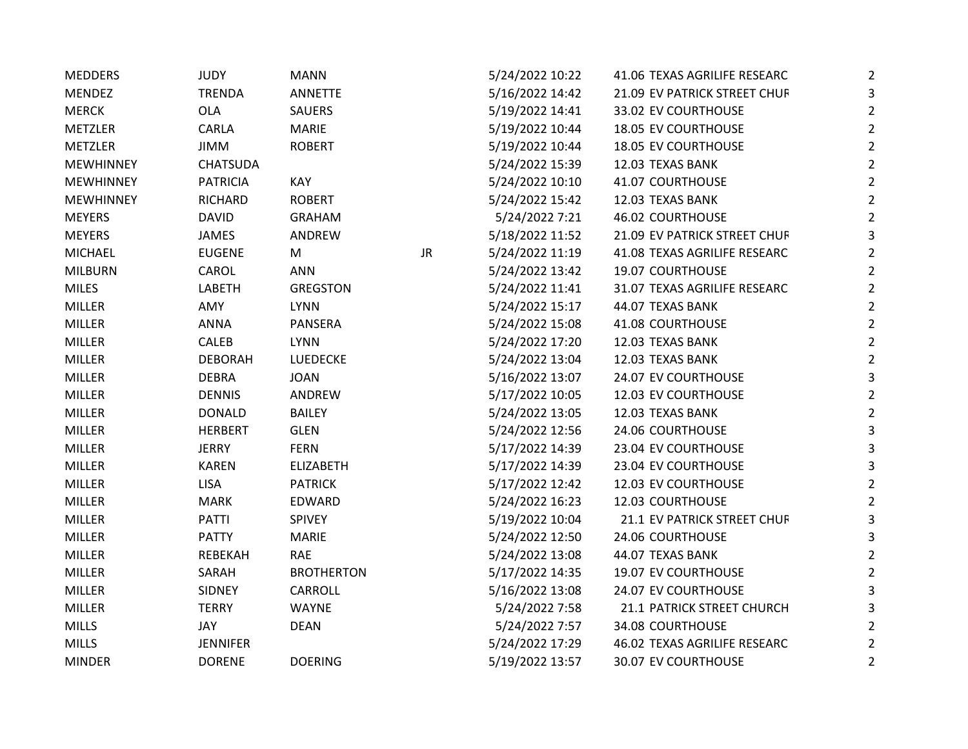| <b>MEDDERS</b>   | <b>JUDY</b>     | <b>MANN</b>       |           | 5/24/2022 10:22 | 41.06 TEXAS AGRILIFE RESEARC | $\overline{2}$ |
|------------------|-----------------|-------------------|-----------|-----------------|------------------------------|----------------|
| <b>MENDEZ</b>    | <b>TRENDA</b>   | ANNETTE           |           | 5/16/2022 14:42 | 21.09 EV PATRICK STREET CHUF | 3              |
| <b>MERCK</b>     | <b>OLA</b>      | <b>SAUERS</b>     |           | 5/19/2022 14:41 | 33.02 EV COURTHOUSE          | $\overline{2}$ |
| <b>METZLER</b>   | CARLA           | <b>MARIE</b>      |           | 5/19/2022 10:44 | 18.05 EV COURTHOUSE          | $\overline{2}$ |
| <b>METZLER</b>   | <b>JIMM</b>     | <b>ROBERT</b>     |           | 5/19/2022 10:44 | 18.05 EV COURTHOUSE          | $\overline{2}$ |
| <b>MEWHINNEY</b> | <b>CHATSUDA</b> |                   |           | 5/24/2022 15:39 | 12.03 TEXAS BANK             | $\overline{2}$ |
| <b>MEWHINNEY</b> | <b>PATRICIA</b> | KAY               |           | 5/24/2022 10:10 | 41.07 COURTHOUSE             | $\overline{2}$ |
| <b>MEWHINNEY</b> | RICHARD         | <b>ROBERT</b>     |           | 5/24/2022 15:42 | 12.03 TEXAS BANK             | $\overline{2}$ |
| <b>MEYERS</b>    | <b>DAVID</b>    | <b>GRAHAM</b>     |           | 5/24/2022 7:21  | 46.02 COURTHOUSE             | $\overline{2}$ |
| <b>MEYERS</b>    | <b>JAMES</b>    | ANDREW            |           | 5/18/2022 11:52 | 21.09 EV PATRICK STREET CHUF | 3              |
| <b>MICHAEL</b>   | <b>EUGENE</b>   | M                 | <b>JR</b> | 5/24/2022 11:19 | 41.08 TEXAS AGRILIFE RESEARC | $\overline{2}$ |
| <b>MILBURN</b>   | CAROL           | <b>ANN</b>        |           | 5/24/2022 13:42 | 19.07 COURTHOUSE             | $\overline{2}$ |
| <b>MILES</b>     | LABETH          | <b>GREGSTON</b>   |           | 5/24/2022 11:41 | 31.07 TEXAS AGRILIFE RESEARC | $\overline{2}$ |
| MILLER           | AMY             | <b>LYNN</b>       |           | 5/24/2022 15:17 | 44.07 TEXAS BANK             | $\overline{2}$ |
| <b>MILLER</b>    | <b>ANNA</b>     | <b>PANSERA</b>    |           | 5/24/2022 15:08 | 41.08 COURTHOUSE             | $\overline{2}$ |
| MILLER           | CALEB           | <b>LYNN</b>       |           | 5/24/2022 17:20 | 12.03 TEXAS BANK             | $\overline{2}$ |
| MILLER           | <b>DEBORAH</b>  | LUEDECKE          |           | 5/24/2022 13:04 | 12.03 TEXAS BANK             | $\overline{2}$ |
| <b>MILLER</b>    | <b>DEBRA</b>    | <b>JOAN</b>       |           | 5/16/2022 13:07 | 24.07 EV COURTHOUSE          | 3              |
| <b>MILLER</b>    | <b>DENNIS</b>   | ANDREW            |           | 5/17/2022 10:05 | 12.03 EV COURTHOUSE          | $\overline{2}$ |
| MILLER           | <b>DONALD</b>   | <b>BAILEY</b>     |           | 5/24/2022 13:05 | 12.03 TEXAS BANK             | $\overline{2}$ |
| <b>MILLER</b>    | <b>HERBERT</b>  | <b>GLEN</b>       |           | 5/24/2022 12:56 | 24.06 COURTHOUSE             | 3              |
| <b>MILLER</b>    | <b>JERRY</b>    | <b>FERN</b>       |           | 5/17/2022 14:39 | 23.04 EV COURTHOUSE          | 3              |
| MILLER           | <b>KAREN</b>    | <b>ELIZABETH</b>  |           | 5/17/2022 14:39 | 23.04 EV COURTHOUSE          | 3              |
| MILLER           | <b>LISA</b>     | <b>PATRICK</b>    |           | 5/17/2022 12:42 | 12.03 EV COURTHOUSE          | $\overline{2}$ |
| <b>MILLER</b>    | <b>MARK</b>     | EDWARD            |           | 5/24/2022 16:23 | 12.03 COURTHOUSE             | $\overline{2}$ |
| <b>MILLER</b>    | PATTI           | SPIVEY            |           | 5/19/2022 10:04 | 21.1 EV PATRICK STREET CHUF  | 3              |
| <b>MILLER</b>    | <b>PATTY</b>    | <b>MARIE</b>      |           | 5/24/2022 12:50 | 24.06 COURTHOUSE             | 3              |
| <b>MILLER</b>    | REBEKAH         | <b>RAE</b>        |           | 5/24/2022 13:08 | 44.07 TEXAS BANK             | $\overline{2}$ |
| MILLER           | SARAH           | <b>BROTHERTON</b> |           | 5/17/2022 14:35 | 19.07 EV COURTHOUSE          | $\overline{2}$ |
| <b>MILLER</b>    | <b>SIDNEY</b>   | CARROLL           |           | 5/16/2022 13:08 | 24.07 EV COURTHOUSE          | 3              |
| MILLER           | <b>TERRY</b>    | <b>WAYNE</b>      |           | 5/24/2022 7:58  | 21.1 PATRICK STREET CHURCH   | 3              |
| <b>MILLS</b>     | JAY             | <b>DEAN</b>       |           | 5/24/2022 7:57  | 34.08 COURTHOUSE             | $\overline{2}$ |
| <b>MILLS</b>     | <b>JENNIFER</b> |                   |           | 5/24/2022 17:29 | 46.02 TEXAS AGRILIFE RESEARC | $\overline{2}$ |
| <b>MINDER</b>    | <b>DORENE</b>   | <b>DOERING</b>    |           | 5/19/2022 13:57 | 30.07 EV COURTHOUSE          | 2              |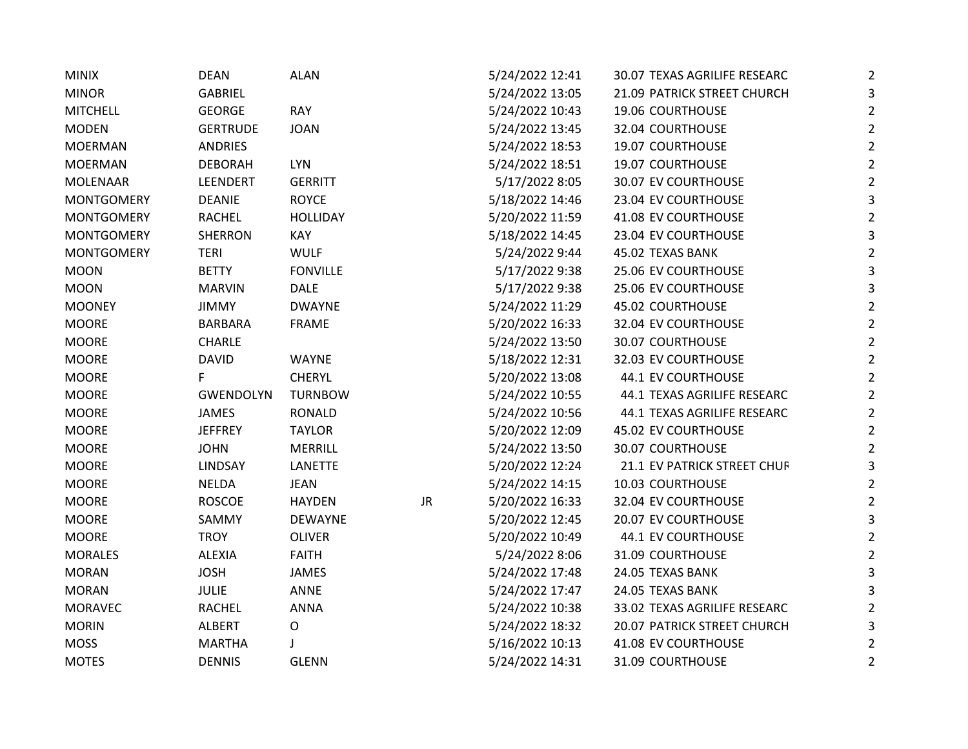| <b>MINIX</b>      | <b>DEAN</b>      | <b>ALAN</b>     |           | 5/24/2022 12:41 | 30.07 TEXAS AGRILIFE RESEARC | $\overline{2}$ |
|-------------------|------------------|-----------------|-----------|-----------------|------------------------------|----------------|
| <b>MINOR</b>      | <b>GABRIEL</b>   |                 |           | 5/24/2022 13:05 | 21.09 PATRICK STREET CHURCH  | 3              |
| <b>MITCHELL</b>   | <b>GEORGE</b>    | <b>RAY</b>      |           | 5/24/2022 10:43 | 19.06 COURTHOUSE             | $\overline{2}$ |
| <b>MODEN</b>      | <b>GERTRUDE</b>  | <b>JOAN</b>     |           | 5/24/2022 13:45 | 32.04 COURTHOUSE             | $\overline{2}$ |
| <b>MOERMAN</b>    | <b>ANDRIES</b>   |                 |           | 5/24/2022 18:53 | 19.07 COURTHOUSE             | $\overline{2}$ |
| <b>MOERMAN</b>    | <b>DEBORAH</b>   | <b>LYN</b>      |           | 5/24/2022 18:51 | 19.07 COURTHOUSE             | $\overline{2}$ |
| <b>MOLENAAR</b>   | LEENDERT         | <b>GERRITT</b>  |           | 5/17/2022 8:05  | 30.07 EV COURTHOUSE          | $\overline{2}$ |
| <b>MONTGOMERY</b> | <b>DEANIE</b>    | <b>ROYCE</b>    |           | 5/18/2022 14:46 | 23.04 EV COURTHOUSE          | 3              |
| <b>MONTGOMERY</b> | <b>RACHEL</b>    | <b>HOLLIDAY</b> |           | 5/20/2022 11:59 | 41.08 EV COURTHOUSE          | $\overline{2}$ |
| <b>MONTGOMERY</b> | <b>SHERRON</b>   | KAY             |           | 5/18/2022 14:45 | 23.04 EV COURTHOUSE          | 3              |
| <b>MONTGOMERY</b> | <b>TERI</b>      | <b>WULF</b>     |           | 5/24/2022 9:44  | 45.02 TEXAS BANK             | $\overline{2}$ |
| <b>MOON</b>       | <b>BETTY</b>     | <b>FONVILLE</b> |           | 5/17/2022 9:38  | 25.06 EV COURTHOUSE          | 3              |
| <b>MOON</b>       | <b>MARVIN</b>    | <b>DALE</b>     |           | 5/17/2022 9:38  | 25.06 EV COURTHOUSE          | 3              |
| <b>MOONEY</b>     | <b>JIMMY</b>     | <b>DWAYNE</b>   |           | 5/24/2022 11:29 | 45.02 COURTHOUSE             | $\overline{2}$ |
| <b>MOORE</b>      | <b>BARBARA</b>   | <b>FRAME</b>    |           | 5/20/2022 16:33 | 32.04 EV COURTHOUSE          | $\overline{2}$ |
| <b>MOORE</b>      | <b>CHARLE</b>    |                 |           | 5/24/2022 13:50 | 30.07 COURTHOUSE             | $\overline{2}$ |
| <b>MOORE</b>      | <b>DAVID</b>     | WAYNE           |           | 5/18/2022 12:31 | 32.03 EV COURTHOUSE          | $\overline{2}$ |
| <b>MOORE</b>      | F                | <b>CHERYL</b>   |           | 5/20/2022 13:08 | 44.1 EV COURTHOUSE           | $\overline{2}$ |
| <b>MOORE</b>      | <b>GWENDOLYN</b> | <b>TURNBOW</b>  |           | 5/24/2022 10:55 | 44.1 TEXAS AGRILIFE RESEARC  | $\overline{2}$ |
| <b>MOORE</b>      | JAMES            | <b>RONALD</b>   |           | 5/24/2022 10:56 | 44.1 TEXAS AGRILIFE RESEARC  | $\overline{2}$ |
| <b>MOORE</b>      | <b>JEFFREY</b>   | <b>TAYLOR</b>   |           | 5/20/2022 12:09 | 45.02 EV COURTHOUSE          | $\overline{2}$ |
| <b>MOORE</b>      | <b>JOHN</b>      | <b>MERRILL</b>  |           | 5/24/2022 13:50 | 30.07 COURTHOUSE             | $\overline{2}$ |
| <b>MOORE</b>      | <b>LINDSAY</b>   | <b>LANETTE</b>  |           | 5/20/2022 12:24 | 21.1 EV PATRICK STREET CHUF  | 3              |
| <b>MOORE</b>      | NELDA            | <b>JEAN</b>     |           | 5/24/2022 14:15 | 10.03 COURTHOUSE             | $\overline{2}$ |
| <b>MOORE</b>      | <b>ROSCOE</b>    | <b>HAYDEN</b>   | <b>JR</b> | 5/20/2022 16:33 | 32.04 EV COURTHOUSE          | $\overline{2}$ |
| <b>MOORE</b>      | SAMMY            | DEWAYNE         |           | 5/20/2022 12:45 | 20.07 EV COURTHOUSE          | 3              |
| <b>MOORE</b>      | <b>TROY</b>      | <b>OLIVER</b>   |           | 5/20/2022 10:49 | 44.1 EV COURTHOUSE           | $\overline{2}$ |
| <b>MORALES</b>    | <b>ALEXIA</b>    | <b>FAITH</b>    |           | 5/24/2022 8:06  | 31.09 COURTHOUSE             | $\overline{2}$ |
| <b>MORAN</b>      | <b>JOSH</b>      | <b>JAMES</b>    |           | 5/24/2022 17:48 | 24.05 TEXAS BANK             | 3              |
| <b>MORAN</b>      | <b>JULIE</b>     | ANNE            |           | 5/24/2022 17:47 | 24.05 TEXAS BANK             | 3              |
| <b>MORAVEC</b>    | <b>RACHEL</b>    | <b>ANNA</b>     |           | 5/24/2022 10:38 | 33.02 TEXAS AGRILIFE RESEARC | $\overline{2}$ |
| <b>MORIN</b>      | <b>ALBERT</b>    | $\mathsf O$     |           | 5/24/2022 18:32 | 20.07 PATRICK STREET CHURCH  | 3              |
| <b>MOSS</b>       | <b>MARTHA</b>    | J               |           | 5/16/2022 10:13 | 41.08 EV COURTHOUSE          | $\overline{2}$ |
| <b>MOTES</b>      | <b>DENNIS</b>    | <b>GLENN</b>    |           | 5/24/2022 14:31 | 31.09 COURTHOUSE             | 2              |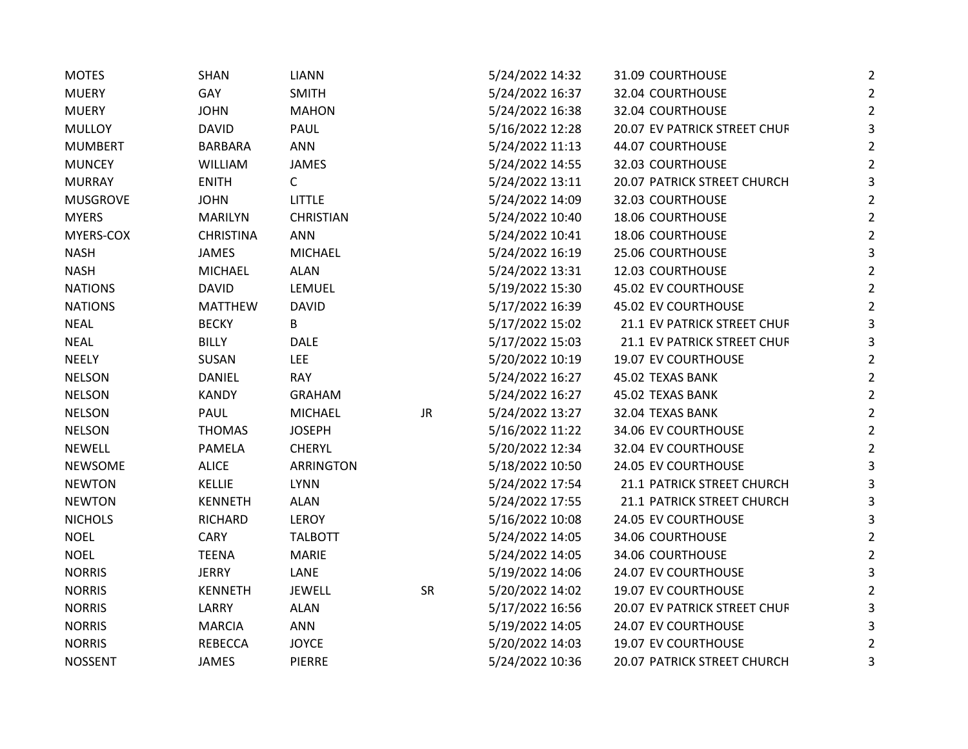| <b>MOTES</b>    | <b>SHAN</b>      | <b>LIANN</b>     |            | 5/24/2022 14:32 | 31.09 COURTHOUSE             | $\overline{2}$          |
|-----------------|------------------|------------------|------------|-----------------|------------------------------|-------------------------|
| <b>MUERY</b>    | GAY              | <b>SMITH</b>     |            | 5/24/2022 16:37 | 32.04 COURTHOUSE             | $\overline{2}$          |
| <b>MUERY</b>    | <b>JOHN</b>      | <b>MAHON</b>     |            | 5/24/2022 16:38 | 32.04 COURTHOUSE             | $\overline{2}$          |
| <b>MULLOY</b>   | <b>DAVID</b>     | PAUL             |            | 5/16/2022 12:28 | 20.07 EV PATRICK STREET CHUF | $\overline{\mathbf{3}}$ |
| <b>MUMBERT</b>  | <b>BARBARA</b>   | <b>ANN</b>       |            | 5/24/2022 11:13 | 44.07 COURTHOUSE             | $\overline{2}$          |
| <b>MUNCEY</b>   | <b>WILLIAM</b>   | <b>JAMES</b>     |            | 5/24/2022 14:55 | 32.03 COURTHOUSE             | $\overline{2}$          |
| <b>MURRAY</b>   | <b>ENITH</b>     | C                |            | 5/24/2022 13:11 | 20.07 PATRICK STREET CHURCH  | $\overline{\mathbf{3}}$ |
| <b>MUSGROVE</b> | <b>JOHN</b>      | <b>LITTLE</b>    |            | 5/24/2022 14:09 | 32.03 COURTHOUSE             | $\overline{2}$          |
| <b>MYERS</b>    | <b>MARILYN</b>   | <b>CHRISTIAN</b> |            | 5/24/2022 10:40 | <b>18.06 COURTHOUSE</b>      | $\overline{2}$          |
| MYERS-COX       | <b>CHRISTINA</b> | <b>ANN</b>       |            | 5/24/2022 10:41 | <b>18.06 COURTHOUSE</b>      | $\overline{2}$          |
| <b>NASH</b>     | <b>JAMES</b>     | <b>MICHAEL</b>   |            | 5/24/2022 16:19 | 25.06 COURTHOUSE             | 3                       |
| <b>NASH</b>     | <b>MICHAEL</b>   | <b>ALAN</b>      |            | 5/24/2022 13:31 | 12.03 COURTHOUSE             | $\overline{2}$          |
| <b>NATIONS</b>  | <b>DAVID</b>     | LEMUEL           |            | 5/19/2022 15:30 | 45.02 EV COURTHOUSE          | $\overline{2}$          |
| <b>NATIONS</b>  | <b>MATTHEW</b>   | <b>DAVID</b>     |            | 5/17/2022 16:39 | 45.02 EV COURTHOUSE          | $\overline{2}$          |
| <b>NEAL</b>     | <b>BECKY</b>     | B                |            | 5/17/2022 15:02 | 21.1 EV PATRICK STREET CHUF  | 3                       |
| <b>NEAL</b>     | <b>BILLY</b>     | <b>DALE</b>      |            | 5/17/2022 15:03 | 21.1 EV PATRICK STREET CHUF  | 3                       |
| NEELY           | SUSAN            | <b>LEE</b>       |            | 5/20/2022 10:19 | 19.07 EV COURTHOUSE          | $\overline{2}$          |
| <b>NELSON</b>   | <b>DANIEL</b>    | <b>RAY</b>       |            | 5/24/2022 16:27 | 45.02 TEXAS BANK             | $\overline{2}$          |
| <b>NELSON</b>   | <b>KANDY</b>     | <b>GRAHAM</b>    |            | 5/24/2022 16:27 | 45.02 TEXAS BANK             | $\overline{2}$          |
| <b>NELSON</b>   | PAUL             | <b>MICHAEL</b>   | JR.        | 5/24/2022 13:27 | 32.04 TEXAS BANK             | $\overline{2}$          |
| <b>NELSON</b>   | <b>THOMAS</b>    | <b>JOSEPH</b>    |            | 5/16/2022 11:22 | 34.06 EV COURTHOUSE          | $\overline{2}$          |
| <b>NEWELL</b>   | <b>PAMELA</b>    | <b>CHERYL</b>    |            | 5/20/2022 12:34 | 32.04 EV COURTHOUSE          | $\overline{2}$          |
| NEWSOME         | <b>ALICE</b>     | <b>ARRINGTON</b> |            | 5/18/2022 10:50 | 24.05 EV COURTHOUSE          | 3                       |
| <b>NEWTON</b>   | <b>KELLIE</b>    | <b>LYNN</b>      |            | 5/24/2022 17:54 | 21.1 PATRICK STREET CHURCH   | 3                       |
| <b>NEWTON</b>   | <b>KENNETH</b>   | <b>ALAN</b>      |            | 5/24/2022 17:55 | 21.1 PATRICK STREET CHURCH   | 3                       |
| <b>NICHOLS</b>  | RICHARD          | LEROY            |            | 5/16/2022 10:08 | 24.05 EV COURTHOUSE          | 3                       |
| <b>NOEL</b>     | CARY             | <b>TALBOTT</b>   |            | 5/24/2022 14:05 | 34.06 COURTHOUSE             | $\overline{2}$          |
| <b>NOEL</b>     | <b>TEENA</b>     | <b>MARIE</b>     |            | 5/24/2022 14:05 | 34.06 COURTHOUSE             | $\overline{2}$          |
| <b>NORRIS</b>   | <b>JERRY</b>     | LANE             |            | 5/19/2022 14:06 | 24.07 EV COURTHOUSE          | 3                       |
| <b>NORRIS</b>   | <b>KENNETH</b>   | <b>JEWELL</b>    | ${\sf SR}$ | 5/20/2022 14:02 | 19.07 EV COURTHOUSE          | $\overline{2}$          |
| <b>NORRIS</b>   | LARRY            | <b>ALAN</b>      |            | 5/17/2022 16:56 | 20.07 EV PATRICK STREET CHUF | $\overline{\mathbf{3}}$ |
| <b>NORRIS</b>   | <b>MARCIA</b>    | <b>ANN</b>       |            | 5/19/2022 14:05 | 24.07 EV COURTHOUSE          | 3                       |
| <b>NORRIS</b>   | <b>REBECCA</b>   | <b>JOYCE</b>     |            | 5/20/2022 14:03 | 19.07 EV COURTHOUSE          | $\overline{2}$          |
| <b>NOSSENT</b>  | <b>JAMES</b>     | <b>PIERRE</b>    |            | 5/24/2022 10:36 | 20.07 PATRICK STREET CHURCH  | 3                       |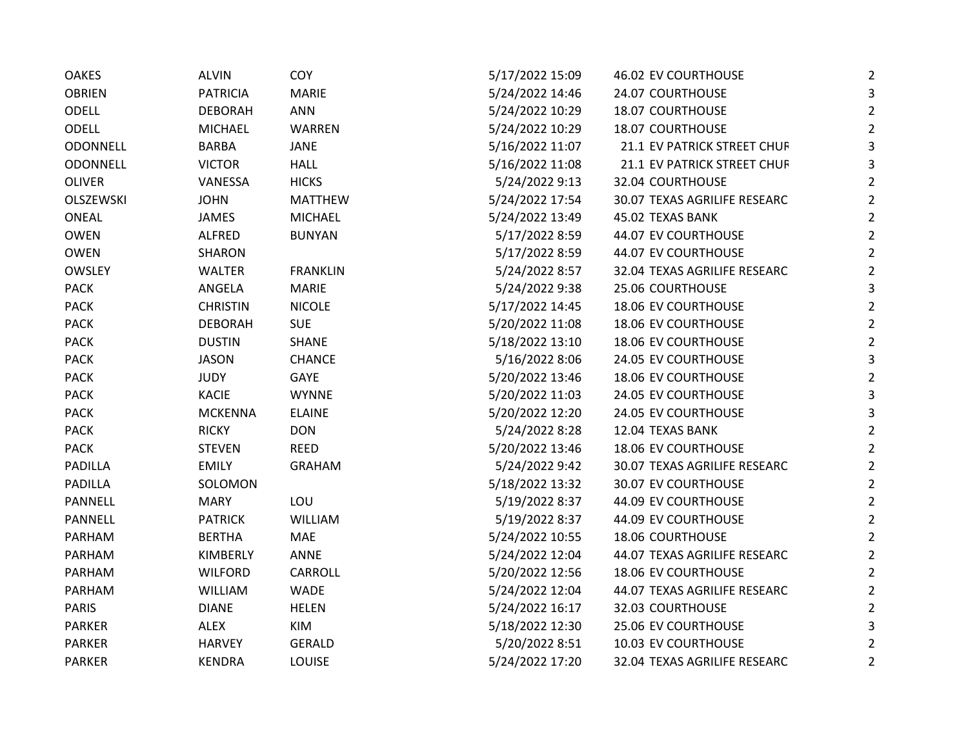| <b>OAKES</b>    | <b>ALVIN</b>    | COY             | 5/17/2022 15:09 | 46.02 EV COURTHOUSE          | $\overline{2}$ |
|-----------------|-----------------|-----------------|-----------------|------------------------------|----------------|
| <b>OBRIEN</b>   | <b>PATRICIA</b> | <b>MARIE</b>    | 5/24/2022 14:46 | 24.07 COURTHOUSE             | $\mathbf{3}$   |
| <b>ODELL</b>    | <b>DEBORAH</b>  | <b>ANN</b>      | 5/24/2022 10:29 | 18.07 COURTHOUSE             | $\overline{2}$ |
| <b>ODELL</b>    | <b>MICHAEL</b>  | WARREN          | 5/24/2022 10:29 | 18.07 COURTHOUSE             | $\overline{2}$ |
| <b>ODONNELL</b> | <b>BARBA</b>    | <b>JANE</b>     | 5/16/2022 11:07 | 21.1 EV PATRICK STREET CHUF  | 3              |
| <b>ODONNELL</b> | <b>VICTOR</b>   | <b>HALL</b>     | 5/16/2022 11:08 | 21.1 EV PATRICK STREET CHUF  | 3              |
| <b>OLIVER</b>   | VANESSA         | <b>HICKS</b>    | 5/24/2022 9:13  | 32.04 COURTHOUSE             | $\overline{2}$ |
| OLSZEWSKI       | <b>JOHN</b>     | <b>MATTHEW</b>  | 5/24/2022 17:54 | 30.07 TEXAS AGRILIFE RESEARC | $\overline{2}$ |
| <b>ONEAL</b>    | JAMES           | <b>MICHAEL</b>  | 5/24/2022 13:49 | 45.02 TEXAS BANK             | $\overline{2}$ |
| <b>OWEN</b>     | ALFRED          | <b>BUNYAN</b>   | 5/17/2022 8:59  | 44.07 EV COURTHOUSE          | $\overline{2}$ |
| <b>OWEN</b>     | <b>SHARON</b>   |                 | 5/17/2022 8:59  | 44.07 EV COURTHOUSE          | $\overline{2}$ |
| OWSLEY          | <b>WALTER</b>   | <b>FRANKLIN</b> | 5/24/2022 8:57  | 32.04 TEXAS AGRILIFE RESEARC | $\overline{2}$ |
| <b>PACK</b>     | ANGELA          | <b>MARIE</b>    | 5/24/2022 9:38  | 25.06 COURTHOUSE             | 3              |
| <b>PACK</b>     | <b>CHRISTIN</b> | <b>NICOLE</b>   | 5/17/2022 14:45 | 18.06 EV COURTHOUSE          | $\overline{2}$ |
| <b>PACK</b>     | <b>DEBORAH</b>  | <b>SUE</b>      | 5/20/2022 11:08 | 18.06 EV COURTHOUSE          | $\overline{2}$ |
| <b>PACK</b>     | <b>DUSTIN</b>   | <b>SHANE</b>    | 5/18/2022 13:10 | <b>18.06 EV COURTHOUSE</b>   | $\overline{2}$ |
| <b>PACK</b>     | <b>JASON</b>    | <b>CHANCE</b>   | 5/16/2022 8:06  | 24.05 EV COURTHOUSE          | 3              |
| <b>PACK</b>     | <b>JUDY</b>     | GAYE            | 5/20/2022 13:46 | <b>18.06 EV COURTHOUSE</b>   | $\overline{2}$ |
| <b>PACK</b>     | <b>KACIE</b>    | <b>WYNNE</b>    | 5/20/2022 11:03 | 24.05 EV COURTHOUSE          | 3              |
| <b>PACK</b>     | <b>MCKENNA</b>  | <b>ELAINE</b>   | 5/20/2022 12:20 | 24.05 EV COURTHOUSE          | $\overline{3}$ |
| <b>PACK</b>     | <b>RICKY</b>    | <b>DON</b>      | 5/24/2022 8:28  | 12.04 TEXAS BANK             | $\overline{2}$ |
| <b>PACK</b>     | <b>STEVEN</b>   | <b>REED</b>     | 5/20/2022 13:46 | <b>18.06 EV COURTHOUSE</b>   | $\overline{2}$ |
| <b>PADILLA</b>  | <b>EMILY</b>    | <b>GRAHAM</b>   | 5/24/2022 9:42  | 30.07 TEXAS AGRILIFE RESEARC | $\overline{a}$ |
| <b>PADILLA</b>  | SOLOMON         |                 | 5/18/2022 13:32 | 30.07 EV COURTHOUSE          | $\overline{2}$ |
| PANNELL         | <b>MARY</b>     | LOU             | 5/19/2022 8:37  | 44.09 EV COURTHOUSE          | $\overline{2}$ |
| <b>PANNELL</b>  | <b>PATRICK</b>  | WILLIAM         | 5/19/2022 8:37  | 44.09 EV COURTHOUSE          | $\overline{2}$ |
| PARHAM          | <b>BERTHA</b>   | MAE             | 5/24/2022 10:55 | 18.06 COURTHOUSE             | $\overline{2}$ |
| PARHAM          | KIMBERLY        | ANNE            | 5/24/2022 12:04 | 44.07 TEXAS AGRILIFE RESEARC | $\overline{2}$ |
| PARHAM          | <b>WILFORD</b>  | CARROLL         | 5/20/2022 12:56 | 18.06 EV COURTHOUSE          | $\overline{2}$ |
| PARHAM          | <b>WILLIAM</b>  | <b>WADE</b>     | 5/24/2022 12:04 | 44.07 TEXAS AGRILIFE RESEARC | $\overline{2}$ |
| <b>PARIS</b>    | <b>DIANE</b>    | <b>HELEN</b>    | 5/24/2022 16:17 | 32.03 COURTHOUSE             | $\overline{2}$ |
| <b>PARKER</b>   | <b>ALEX</b>     | KIM             | 5/18/2022 12:30 | 25.06 EV COURTHOUSE          | 3              |
| <b>PARKER</b>   | <b>HARVEY</b>   | <b>GERALD</b>   | 5/20/2022 8:51  | 10.03 EV COURTHOUSE          | $\overline{2}$ |
| <b>PARKER</b>   | <b>KENDRA</b>   | LOUISE          | 5/24/2022 17:20 | 32.04 TEXAS AGRILIFE RESEARC | 2              |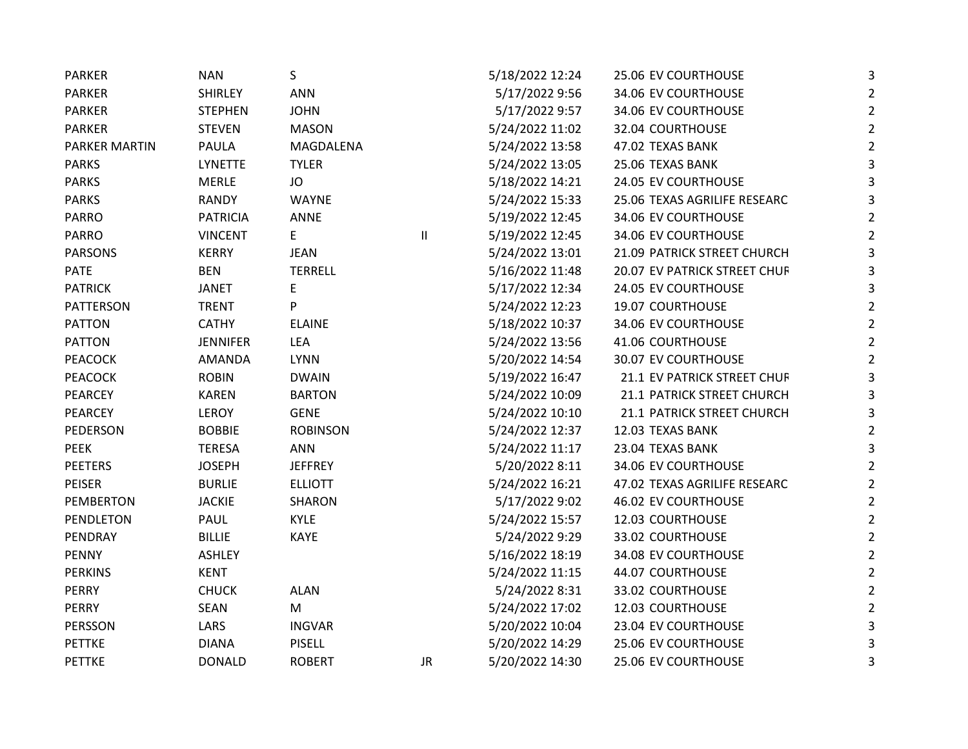| <b>PARKER</b>        | <b>NAN</b>      | S               |               | 5/18/2022 12:24 | 25.06 EV COURTHOUSE          | 3              |
|----------------------|-----------------|-----------------|---------------|-----------------|------------------------------|----------------|
| <b>PARKER</b>        | <b>SHIRLEY</b>  | <b>ANN</b>      |               | 5/17/2022 9:56  | 34.06 EV COURTHOUSE          | $\overline{2}$ |
| <b>PARKER</b>        | <b>STEPHEN</b>  | <b>JOHN</b>     |               | 5/17/2022 9:57  | 34.06 EV COURTHOUSE          | $\overline{2}$ |
| <b>PARKER</b>        | <b>STEVEN</b>   | <b>MASON</b>    |               | 5/24/2022 11:02 | 32.04 COURTHOUSE             | $\overline{2}$ |
| <b>PARKER MARTIN</b> | PAULA           | MAGDALENA       |               | 5/24/2022 13:58 | 47.02 TEXAS BANK             | $\overline{2}$ |
| <b>PARKS</b>         | <b>LYNETTE</b>  | <b>TYLER</b>    |               | 5/24/2022 13:05 | 25.06 TEXAS BANK             | 3              |
| <b>PARKS</b>         | <b>MERLE</b>    | JO              |               | 5/18/2022 14:21 | 24.05 EV COURTHOUSE          | 3              |
| <b>PARKS</b>         | RANDY           | <b>WAYNE</b>    |               | 5/24/2022 15:33 | 25.06 TEXAS AGRILIFE RESEARC | 3              |
| <b>PARRO</b>         | <b>PATRICIA</b> | ANNE            |               | 5/19/2022 12:45 | 34.06 EV COURTHOUSE          | $\overline{2}$ |
| <b>PARRO</b>         | <b>VINCENT</b>  | E               | $\mathsf{II}$ | 5/19/2022 12:45 | 34.06 EV COURTHOUSE          | $\overline{2}$ |
| <b>PARSONS</b>       | <b>KERRY</b>    | <b>JEAN</b>     |               | 5/24/2022 13:01 | 21.09 PATRICK STREET CHURCH  | 3              |
| <b>PATE</b>          | <b>BEN</b>      | <b>TERRELL</b>  |               | 5/16/2022 11:48 | 20.07 EV PATRICK STREET CHUF | 3              |
| <b>PATRICK</b>       | <b>JANET</b>    | E               |               | 5/17/2022 12:34 | 24.05 EV COURTHOUSE          | 3              |
| PATTERSON            | <b>TRENT</b>    | P               |               | 5/24/2022 12:23 | 19.07 COURTHOUSE             | $\overline{2}$ |
| <b>PATTON</b>        | <b>CATHY</b>    | <b>ELAINE</b>   |               | 5/18/2022 10:37 | 34.06 EV COURTHOUSE          | $\overline{2}$ |
| <b>PATTON</b>        | <b>JENNIFER</b> | <b>LEA</b>      |               | 5/24/2022 13:56 | 41.06 COURTHOUSE             | $\overline{2}$ |
| <b>PEACOCK</b>       | <b>AMANDA</b>   | <b>LYNN</b>     |               | 5/20/2022 14:54 | 30.07 EV COURTHOUSE          | $\overline{2}$ |
| <b>PEACOCK</b>       | <b>ROBIN</b>    | <b>DWAIN</b>    |               | 5/19/2022 16:47 | 21.1 EV PATRICK STREET CHUF  | 3              |
| <b>PEARCEY</b>       | <b>KAREN</b>    | <b>BARTON</b>   |               | 5/24/2022 10:09 | 21.1 PATRICK STREET CHURCH   | 3              |
| <b>PEARCEY</b>       | LEROY           | <b>GENE</b>     |               | 5/24/2022 10:10 | 21.1 PATRICK STREET CHURCH   | 3              |
| PEDERSON             | <b>BOBBIE</b>   | <b>ROBINSON</b> |               | 5/24/2022 12:37 | 12.03 TEXAS BANK             | $\overline{2}$ |
| <b>PEEK</b>          | <b>TERESA</b>   | <b>ANN</b>      |               | 5/24/2022 11:17 | 23.04 TEXAS BANK             | 3              |
| <b>PEETERS</b>       | <b>JOSEPH</b>   | <b>JEFFREY</b>  |               | 5/20/2022 8:11  | 34.06 EV COURTHOUSE          | $\overline{2}$ |
| <b>PEISER</b>        | <b>BURLIE</b>   | <b>ELLIOTT</b>  |               | 5/24/2022 16:21 | 47.02 TEXAS AGRILIFE RESEARC | $\overline{2}$ |
| PEMBERTON            | <b>JACKIE</b>   | SHARON          |               | 5/17/2022 9:02  | 46.02 EV COURTHOUSE          | $\overline{2}$ |
| PENDLETON            | PAUL            | <b>KYLE</b>     |               | 5/24/2022 15:57 | 12.03 COURTHOUSE             | $\overline{2}$ |
| PENDRAY              | <b>BILLIE</b>   | KAYE            |               | 5/24/2022 9:29  | 33.02 COURTHOUSE             | $\overline{2}$ |
| <b>PENNY</b>         | <b>ASHLEY</b>   |                 |               | 5/16/2022 18:19 | 34.08 EV COURTHOUSE          | $\overline{2}$ |
| <b>PERKINS</b>       | <b>KENT</b>     |                 |               | 5/24/2022 11:15 | 44.07 COURTHOUSE             | $\overline{2}$ |
| PERRY                | <b>CHUCK</b>    | <b>ALAN</b>     |               | 5/24/2022 8:31  | 33.02 COURTHOUSE             | $\overline{2}$ |
| <b>PERRY</b>         | <b>SEAN</b>     | M               |               | 5/24/2022 17:02 | 12.03 COURTHOUSE             | $\overline{2}$ |
| PERSSON              | LARS            | <b>INGVAR</b>   |               | 5/20/2022 10:04 | 23.04 EV COURTHOUSE          | 3              |
| <b>PETTKE</b>        | <b>DIANA</b>    | <b>PISELL</b>   |               | 5/20/2022 14:29 | 25.06 EV COURTHOUSE          | 3              |
| <b>PETTKE</b>        | <b>DONALD</b>   | <b>ROBERT</b>   | <b>JR</b>     | 5/20/2022 14:30 | 25.06 EV COURTHOUSE          | 3              |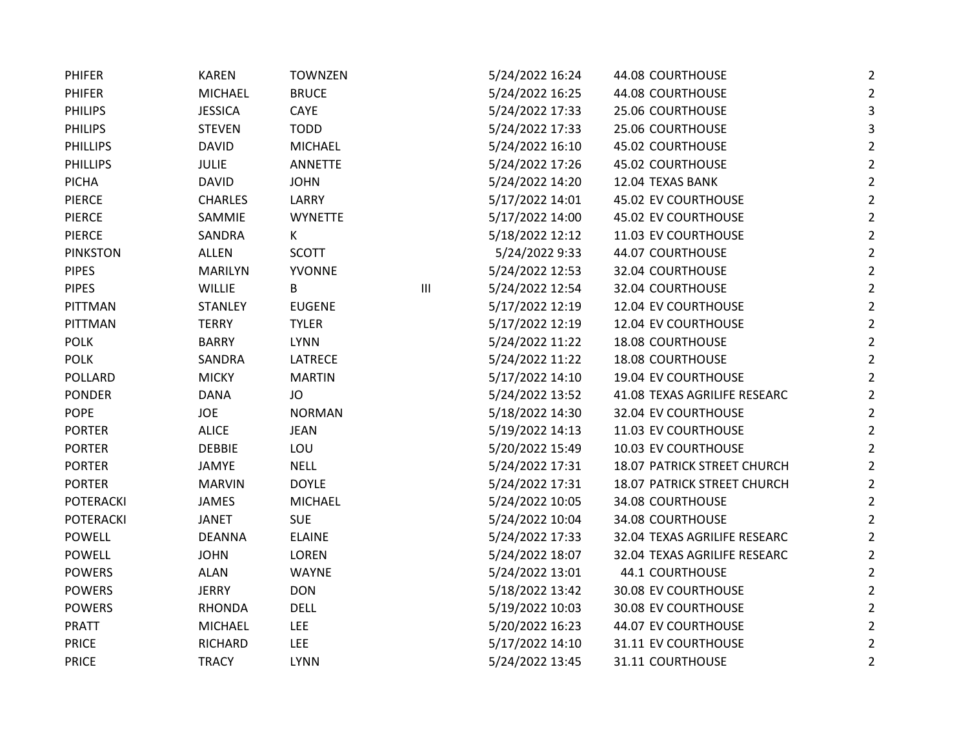| PHIFER          | <b>KAREN</b>   | <b>TOWNZEN</b> |                    | 5/24/2022 16:24 | 44.08 COURTHOUSE             | $\overline{2}$          |
|-----------------|----------------|----------------|--------------------|-----------------|------------------------------|-------------------------|
| PHIFER          | <b>MICHAEL</b> | <b>BRUCE</b>   |                    | 5/24/2022 16:25 | 44.08 COURTHOUSE             | $\overline{2}$          |
| <b>PHILIPS</b>  | <b>JESSICA</b> | CAYE           |                    | 5/24/2022 17:33 | 25.06 COURTHOUSE             | $\overline{\mathbf{3}}$ |
| <b>PHILIPS</b>  | <b>STEVEN</b>  | <b>TODD</b>    |                    | 5/24/2022 17:33 | 25.06 COURTHOUSE             | 3                       |
| <b>PHILLIPS</b> | <b>DAVID</b>   | MICHAEL        |                    | 5/24/2022 16:10 | 45.02 COURTHOUSE             | $\overline{2}$          |
| <b>PHILLIPS</b> | <b>JULIE</b>   | <b>ANNETTE</b> |                    | 5/24/2022 17:26 | 45.02 COURTHOUSE             | $\overline{2}$          |
| <b>PICHA</b>    | <b>DAVID</b>   | <b>JOHN</b>    |                    | 5/24/2022 14:20 | 12.04 TEXAS BANK             | $\overline{2}$          |
| <b>PIERCE</b>   | <b>CHARLES</b> | LARRY          |                    | 5/17/2022 14:01 | 45.02 EV COURTHOUSE          | $\overline{2}$          |
| <b>PIERCE</b>   | SAMMIE         | <b>WYNETTE</b> |                    | 5/17/2022 14:00 | 45.02 EV COURTHOUSE          | $\overline{2}$          |
| <b>PIERCE</b>   | SANDRA         | K              |                    | 5/18/2022 12:12 | 11.03 EV COURTHOUSE          | $\overline{2}$          |
| <b>PINKSTON</b> | <b>ALLEN</b>   | <b>SCOTT</b>   |                    | 5/24/2022 9:33  | 44.07 COURTHOUSE             | $\overline{2}$          |
| <b>PIPES</b>    | <b>MARILYN</b> | <b>YVONNE</b>  |                    | 5/24/2022 12:53 | 32.04 COURTHOUSE             | $\overline{2}$          |
| <b>PIPES</b>    | WILLIE         | B              | $\mathop{\rm III}$ | 5/24/2022 12:54 | 32.04 COURTHOUSE             | $\overline{2}$          |
| PITTMAN         | <b>STANLEY</b> | <b>EUGENE</b>  |                    | 5/17/2022 12:19 | 12.04 EV COURTHOUSE          | $\overline{2}$          |
| PITTMAN         | <b>TERRY</b>   | <b>TYLER</b>   |                    | 5/17/2022 12:19 | 12.04 EV COURTHOUSE          | $\overline{2}$          |
| <b>POLK</b>     | <b>BARRY</b>   | <b>LYNN</b>    |                    | 5/24/2022 11:22 | <b>18.08 COURTHOUSE</b>      | $\overline{2}$          |
| <b>POLK</b>     | SANDRA         | LATRECE        |                    | 5/24/2022 11:22 | 18.08 COURTHOUSE             | $\overline{2}$          |
| POLLARD         | <b>MICKY</b>   | <b>MARTIN</b>  |                    | 5/17/2022 14:10 | 19.04 EV COURTHOUSE          | $\overline{2}$          |
| <b>PONDER</b>   | <b>DANA</b>    | <b>JO</b>      |                    | 5/24/2022 13:52 | 41.08 TEXAS AGRILIFE RESEARC | $\overline{2}$          |
| <b>POPE</b>     | <b>JOE</b>     | <b>NORMAN</b>  |                    | 5/18/2022 14:30 | 32.04 EV COURTHOUSE          | $\overline{2}$          |
| <b>PORTER</b>   | <b>ALICE</b>   | <b>JEAN</b>    |                    | 5/19/2022 14:13 | 11.03 EV COURTHOUSE          | $\overline{2}$          |
| <b>PORTER</b>   | <b>DEBBIE</b>  | LOU            |                    | 5/20/2022 15:49 | 10.03 EV COURTHOUSE          | $\overline{2}$          |
| <b>PORTER</b>   | <b>JAMYE</b>   | <b>NELL</b>    |                    | 5/24/2022 17:31 | 18.07 PATRICK STREET CHURCH  | $\overline{2}$          |
| <b>PORTER</b>   | <b>MARVIN</b>  | <b>DOYLE</b>   |                    | 5/24/2022 17:31 | 18.07 PATRICK STREET CHURCH  | $\overline{2}$          |
| POTERACKI       | JAMES          | <b>MICHAEL</b> |                    | 5/24/2022 10:05 | 34.08 COURTHOUSE             | $\overline{2}$          |
| POTERACKI       | <b>JANET</b>   | <b>SUE</b>     |                    | 5/24/2022 10:04 | 34.08 COURTHOUSE             | $\overline{2}$          |
| <b>POWELL</b>   | <b>DEANNA</b>  | <b>ELAINE</b>  |                    | 5/24/2022 17:33 | 32.04 TEXAS AGRILIFE RESEARC | $\overline{2}$          |
| <b>POWELL</b>   | <b>JOHN</b>    | <b>LOREN</b>   |                    | 5/24/2022 18:07 | 32.04 TEXAS AGRILIFE RESEARC | $\overline{2}$          |
| <b>POWERS</b>   | <b>ALAN</b>    | <b>WAYNE</b>   |                    | 5/24/2022 13:01 | 44.1 COURTHOUSE              | $\overline{2}$          |
| <b>POWERS</b>   | <b>JERRY</b>   | <b>DON</b>     |                    | 5/18/2022 13:42 | 30.08 EV COURTHOUSE          | $\overline{2}$          |
| <b>POWERS</b>   | <b>RHONDA</b>  | <b>DELL</b>    |                    | 5/19/2022 10:03 | 30.08 EV COURTHOUSE          | $\overline{2}$          |
| <b>PRATT</b>    | <b>MICHAEL</b> | <b>LEE</b>     |                    | 5/20/2022 16:23 | 44.07 EV COURTHOUSE          | $\overline{2}$          |
| <b>PRICE</b>    | <b>RICHARD</b> | LEE            |                    | 5/17/2022 14:10 | 31.11 EV COURTHOUSE          | $\overline{2}$          |
| <b>PRICE</b>    | <b>TRACY</b>   | <b>LYNN</b>    |                    | 5/24/2022 13:45 | 31.11 COURTHOUSE             | $\overline{2}$          |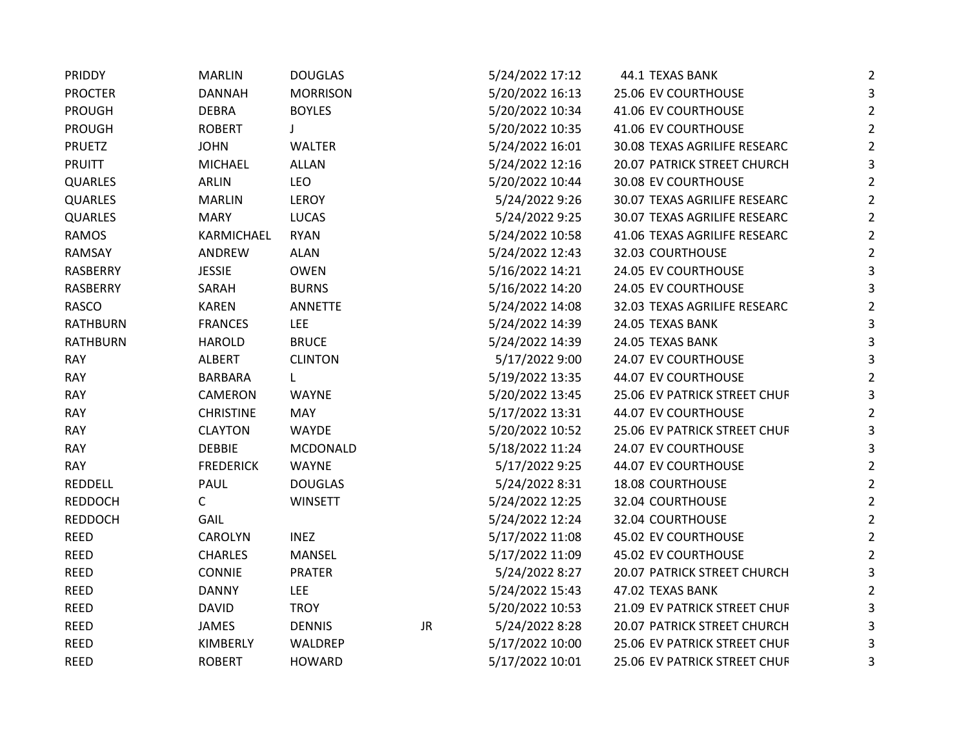| PRIDDY          | <b>MARLIN</b>    | <b>DOUGLAS</b>  |    | 5/24/2022 17:12 | 44.1 TEXAS BANK              | $\overline{2}$ |
|-----------------|------------------|-----------------|----|-----------------|------------------------------|----------------|
| <b>PROCTER</b>  | <b>DANNAH</b>    | <b>MORRISON</b> |    | 5/20/2022 16:13 | 25.06 EV COURTHOUSE          | $\overline{3}$ |
| <b>PROUGH</b>   | <b>DEBRA</b>     | <b>BOYLES</b>   |    | 5/20/2022 10:34 | 41.06 EV COURTHOUSE          | $\overline{2}$ |
| <b>PROUGH</b>   | <b>ROBERT</b>    |                 |    | 5/20/2022 10:35 | 41.06 EV COURTHOUSE          | $\overline{2}$ |
| <b>PRUETZ</b>   | <b>JOHN</b>      | <b>WALTER</b>   |    | 5/24/2022 16:01 | 30.08 TEXAS AGRILIFE RESEARC | $\overline{2}$ |
| PRUITT          | <b>MICHAEL</b>   | <b>ALLAN</b>    |    | 5/24/2022 12:16 | 20.07 PATRICK STREET CHURCH  | 3              |
| QUARLES         | <b>ARLIN</b>     | LEO             |    | 5/20/2022 10:44 | 30.08 EV COURTHOUSE          | $\overline{2}$ |
| <b>QUARLES</b>  | <b>MARLIN</b>    | LEROY           |    | 5/24/2022 9:26  | 30.07 TEXAS AGRILIFE RESEARC | $\overline{2}$ |
| QUARLES         | <b>MARY</b>      | <b>LUCAS</b>    |    | 5/24/2022 9:25  | 30.07 TEXAS AGRILIFE RESEARC | $\overline{2}$ |
| <b>RAMOS</b>    | KARMICHAEL       | <b>RYAN</b>     |    | 5/24/2022 10:58 | 41.06 TEXAS AGRILIFE RESEARC | $\overline{2}$ |
| RAMSAY          | ANDREW           | ALAN            |    | 5/24/2022 12:43 | 32.03 COURTHOUSE             | $\overline{2}$ |
| RASBERRY        | <b>JESSIE</b>    | <b>OWEN</b>     |    | 5/16/2022 14:21 | 24.05 EV COURTHOUSE          | 3              |
| RASBERRY        | SARAH            | <b>BURNS</b>    |    | 5/16/2022 14:20 | 24.05 EV COURTHOUSE          | 3              |
| <b>RASCO</b>    | <b>KAREN</b>     | ANNETTE         |    | 5/24/2022 14:08 | 32.03 TEXAS AGRILIFE RESEARC | $\overline{2}$ |
| <b>RATHBURN</b> | <b>FRANCES</b>   | <b>LEE</b>      |    | 5/24/2022 14:39 | 24.05 TEXAS BANK             | 3              |
| <b>RATHBURN</b> | <b>HAROLD</b>    | <b>BRUCE</b>    |    | 5/24/2022 14:39 | 24.05 TEXAS BANK             | 3              |
| <b>RAY</b>      | ALBERT           | <b>CLINTON</b>  |    | 5/17/2022 9:00  | 24.07 EV COURTHOUSE          | 3              |
| <b>RAY</b>      | <b>BARBARA</b>   | L               |    | 5/19/2022 13:35 | 44.07 EV COURTHOUSE          | $\overline{2}$ |
| <b>RAY</b>      | CAMERON          | WAYNE           |    | 5/20/2022 13:45 | 25.06 EV PATRICK STREET CHUF | 3              |
| <b>RAY</b>      | <b>CHRISTINE</b> | MAY             |    | 5/17/2022 13:31 | 44.07 EV COURTHOUSE          | $\overline{2}$ |
| <b>RAY</b>      | <b>CLAYTON</b>   | <b>WAYDE</b>    |    | 5/20/2022 10:52 | 25.06 EV PATRICK STREET CHUF | 3              |
| <b>RAY</b>      | <b>DEBBIE</b>    | MCDONALD        |    | 5/18/2022 11:24 | 24.07 EV COURTHOUSE          | 3              |
| <b>RAY</b>      | <b>FREDERICK</b> | <b>WAYNE</b>    |    | 5/17/2022 9:25  | 44.07 EV COURTHOUSE          | $\overline{2}$ |
| REDDELL         | <b>PAUL</b>      | <b>DOUGLAS</b>  |    | 5/24/2022 8:31  | 18.08 COURTHOUSE             | $\overline{2}$ |
| <b>REDDOCH</b>  | $\mathsf{C}$     | <b>WINSETT</b>  |    | 5/24/2022 12:25 | 32.04 COURTHOUSE             | $\overline{2}$ |
| <b>REDDOCH</b>  | GAIL             |                 |    | 5/24/2022 12:24 | 32.04 COURTHOUSE             | $\overline{2}$ |
| <b>REED</b>     | <b>CAROLYN</b>   | <b>INEZ</b>     |    | 5/17/2022 11:08 | 45.02 EV COURTHOUSE          | $\overline{2}$ |
| <b>REED</b>     | <b>CHARLES</b>   | MANSEL          |    | 5/17/2022 11:09 | 45.02 EV COURTHOUSE          | $\overline{2}$ |
| <b>REED</b>     | <b>CONNIE</b>    | <b>PRATER</b>   |    | 5/24/2022 8:27  | 20.07 PATRICK STREET CHURCH  | 3              |
| <b>REED</b>     | <b>DANNY</b>     | <b>LEE</b>      |    | 5/24/2022 15:43 | 47.02 TEXAS BANK             | $\overline{2}$ |
| <b>REED</b>     | <b>DAVID</b>     | <b>TROY</b>     |    | 5/20/2022 10:53 | 21.09 EV PATRICK STREET CHUF | 3              |
| <b>REED</b>     | <b>JAMES</b>     | <b>DENNIS</b>   | JR | 5/24/2022 8:28  | 20.07 PATRICK STREET CHURCH  | 3              |
| <b>REED</b>     | KIMBERLY         | WALDREP         |    | 5/17/2022 10:00 | 25.06 EV PATRICK STREET CHUF | 3              |
| <b>REED</b>     | <b>ROBERT</b>    | <b>HOWARD</b>   |    | 5/17/2022 10:01 | 25.06 EV PATRICK STREET CHUF | 3              |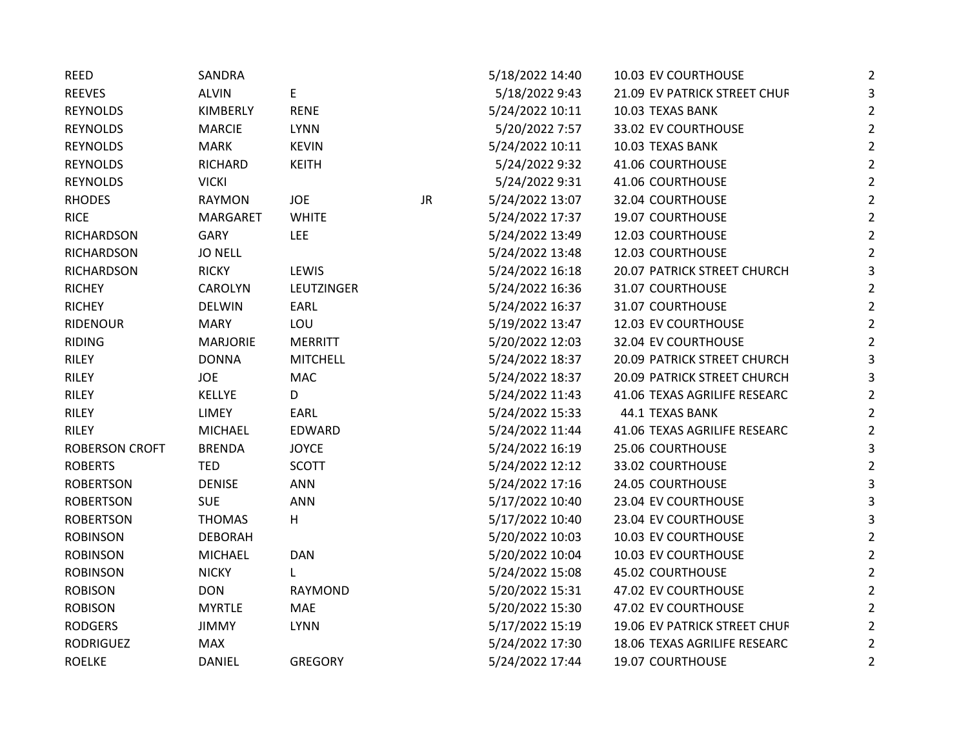| <b>REEVES</b><br><b>ALVIN</b><br>E<br>5/18/2022 9:43<br>21.09 EV PATRICK STREET CHUF<br>3<br>$\overline{2}$<br><b>REYNOLDS</b><br>KIMBERLY<br><b>RENE</b><br>5/24/2022 10:11<br>10.03 TEXAS BANK<br>5/20/2022 7:57<br>$\overline{2}$<br><b>REYNOLDS</b><br><b>MARCIE</b><br><b>LYNN</b><br>33.02 EV COURTHOUSE<br>$\overline{2}$<br>5/24/2022 10:11<br>REYNOLDS<br><b>MARK</b><br><b>KEVIN</b><br>10.03 TEXAS BANK<br>$\overline{2}$<br><b>KEITH</b><br><b>REYNOLDS</b><br>RICHARD<br>5/24/2022 9:32<br>41.06 COURTHOUSE<br>$\overline{2}$<br><b>REYNOLDS</b><br><b>VICKI</b><br>5/24/2022 9:31<br>41.06 COURTHOUSE<br><b>JOE</b><br>JR.<br>$\overline{2}$<br><b>RHODES</b><br><b>RAYMON</b><br>5/24/2022 13:07<br>32.04 COURTHOUSE<br>$\overline{2}$<br><b>RICE</b><br><b>WHITE</b><br>5/24/2022 17:37<br>19.07 COURTHOUSE<br><b>MARGARET</b><br>$\overline{2}$<br>5/24/2022 13:49<br><b>GARY</b><br>LEE<br>12.03 COURTHOUSE<br>$\overline{2}$<br><b>JO NELL</b><br>5/24/2022 13:48<br>12.03 COURTHOUSE<br><b>RICHARDSON</b><br>3<br><b>RICKY</b><br>20.07 PATRICK STREET CHURCH<br><b>RICHARDSON</b><br>LEWIS<br>5/24/2022 16:18<br><b>RICHEY</b><br>CAROLYN<br>LEUTZINGER<br>5/24/2022 16:36<br>31.07 COURTHOUSE<br>$\overline{2}$<br>5/24/2022 16:37<br>31.07 COURTHOUSE<br>$\overline{2}$<br><b>RICHEY</b><br><b>DELWIN</b><br>EARL<br>$\overline{2}$<br><b>MARY</b><br>LOU<br>5/19/2022 13:47<br>12.03 EV COURTHOUSE<br>$\overline{2}$<br><b>RIDING</b><br><b>MARJORIE</b><br><b>MERRITT</b><br>5/20/2022 12:03<br>32.04 EV COURTHOUSE<br>3<br><b>MITCHELL</b><br>5/24/2022 18:37<br>20.09 PATRICK STREET CHURCH<br><b>DONNA</b><br><b>JOE</b><br><b>MAC</b><br>5/24/2022 18:37<br>20.09 PATRICK STREET CHURCH<br>3<br>D<br>$\overline{2}$<br>KELLYE<br>5/24/2022 11:43<br>41.06 TEXAS AGRILIFE RESEARC<br>$\overline{2}$<br>EARL<br>5/24/2022 15:33<br>44.1 TEXAS BANK<br>LIMEY<br>$\overline{2}$<br>5/24/2022 11:44<br>41.06 TEXAS AGRILIFE RESEARC<br><b>RILEY</b><br><b>MICHAEL</b><br>EDWARD<br>3<br><b>ROBERSON CROFT</b><br><b>BRENDA</b><br><b>JOYCE</b><br>5/24/2022 16:19<br>25.06 COURTHOUSE<br><b>SCOTT</b><br>5/24/2022 12:12<br>$\overline{2}$<br><b>ROBERTS</b><br><b>TED</b><br>33.02 COURTHOUSE<br>3<br><b>DENISE</b><br><b>ANN</b><br>5/24/2022 17:16<br>24.05 COURTHOUSE<br><b>ROBERTSON</b><br>3<br>5/17/2022 10:40<br>23.04 EV COURTHOUSE<br><b>ROBERTSON</b><br><b>SUE</b><br><b>ANN</b><br>3<br>5/17/2022 10:40<br><b>ROBERTSON</b><br><b>THOMAS</b><br>H<br>23.04 EV COURTHOUSE<br>$\overline{2}$<br><b>ROBINSON</b><br><b>DEBORAH</b><br>5/20/2022 10:03<br>10.03 EV COURTHOUSE<br>$\overline{2}$<br><b>MICHAEL</b><br>5/20/2022 10:04<br>10.03 EV COURTHOUSE<br><b>ROBINSON</b><br><b>DAN</b><br>5/24/2022 15:08<br>$\overline{2}$<br><b>ROBINSON</b><br><b>NICKY</b><br>L.<br>45.02 COURTHOUSE<br>$\overline{2}$<br>5/20/2022 15:31<br><b>ROBISON</b><br><b>DON</b><br>RAYMOND<br>47.02 EV COURTHOUSE<br>$\overline{2}$<br><b>ROBISON</b><br><b>MYRTLE</b><br>MAE<br>5/20/2022 15:30<br>47.02 EV COURTHOUSE<br>$\overline{2}$<br>5/17/2022 15:19<br>19.06 EV PATRICK STREET CHUF<br><b>RODGERS</b><br><b>JIMMY</b><br><b>LYNN</b><br>5/24/2022 17:30<br>$\overline{2}$<br><b>RODRIGUEZ</b><br>18.06 TEXAS AGRILIFE RESEARC<br><b>MAX</b><br>5/24/2022 17:44<br>19.07 COURTHOUSE<br>$\overline{2}$<br><b>ROELKE</b><br><b>DANIEL</b><br><b>GREGORY</b> |                   |        |  |                 |                     |   |
|----------------------------------------------------------------------------------------------------------------------------------------------------------------------------------------------------------------------------------------------------------------------------------------------------------------------------------------------------------------------------------------------------------------------------------------------------------------------------------------------------------------------------------------------------------------------------------------------------------------------------------------------------------------------------------------------------------------------------------------------------------------------------------------------------------------------------------------------------------------------------------------------------------------------------------------------------------------------------------------------------------------------------------------------------------------------------------------------------------------------------------------------------------------------------------------------------------------------------------------------------------------------------------------------------------------------------------------------------------------------------------------------------------------------------------------------------------------------------------------------------------------------------------------------------------------------------------------------------------------------------------------------------------------------------------------------------------------------------------------------------------------------------------------------------------------------------------------------------------------------------------------------------------------------------------------------------------------------------------------------------------------------------------------------------------------------------------------------------------------------------------------------------------------------------------------------------------------------------------------------------------------------------------------------------------------------------------------------------------------------------------------------------------------------------------------------------------------------------------------------------------------------------------------------------------------------------------------------------------------------------------------------------------------------------------------------------------------------------------------------------------------------------------------------------------------------------------------------------------------------------------------------------------------------------------------------------------------------------------------------------------------------------------------------------------------------------------------------------------------------------------------------------------------------------------------------------------------------------------------------------------------------------------------------------------------------------------------------------------------------------------------|-------------------|--------|--|-----------------|---------------------|---|
|                                                                                                                                                                                                                                                                                                                                                                                                                                                                                                                                                                                                                                                                                                                                                                                                                                                                                                                                                                                                                                                                                                                                                                                                                                                                                                                                                                                                                                                                                                                                                                                                                                                                                                                                                                                                                                                                                                                                                                                                                                                                                                                                                                                                                                                                                                                                                                                                                                                                                                                                                                                                                                                                                                                                                                                                                                                                                                                                                                                                                                                                                                                                                                                                                                                                                                                                                                                        | <b>REED</b>       | SANDRA |  | 5/18/2022 14:40 | 10.03 EV COURTHOUSE | 2 |
|                                                                                                                                                                                                                                                                                                                                                                                                                                                                                                                                                                                                                                                                                                                                                                                                                                                                                                                                                                                                                                                                                                                                                                                                                                                                                                                                                                                                                                                                                                                                                                                                                                                                                                                                                                                                                                                                                                                                                                                                                                                                                                                                                                                                                                                                                                                                                                                                                                                                                                                                                                                                                                                                                                                                                                                                                                                                                                                                                                                                                                                                                                                                                                                                                                                                                                                                                                                        |                   |        |  |                 |                     |   |
|                                                                                                                                                                                                                                                                                                                                                                                                                                                                                                                                                                                                                                                                                                                                                                                                                                                                                                                                                                                                                                                                                                                                                                                                                                                                                                                                                                                                                                                                                                                                                                                                                                                                                                                                                                                                                                                                                                                                                                                                                                                                                                                                                                                                                                                                                                                                                                                                                                                                                                                                                                                                                                                                                                                                                                                                                                                                                                                                                                                                                                                                                                                                                                                                                                                                                                                                                                                        |                   |        |  |                 |                     |   |
|                                                                                                                                                                                                                                                                                                                                                                                                                                                                                                                                                                                                                                                                                                                                                                                                                                                                                                                                                                                                                                                                                                                                                                                                                                                                                                                                                                                                                                                                                                                                                                                                                                                                                                                                                                                                                                                                                                                                                                                                                                                                                                                                                                                                                                                                                                                                                                                                                                                                                                                                                                                                                                                                                                                                                                                                                                                                                                                                                                                                                                                                                                                                                                                                                                                                                                                                                                                        |                   |        |  |                 |                     |   |
|                                                                                                                                                                                                                                                                                                                                                                                                                                                                                                                                                                                                                                                                                                                                                                                                                                                                                                                                                                                                                                                                                                                                                                                                                                                                                                                                                                                                                                                                                                                                                                                                                                                                                                                                                                                                                                                                                                                                                                                                                                                                                                                                                                                                                                                                                                                                                                                                                                                                                                                                                                                                                                                                                                                                                                                                                                                                                                                                                                                                                                                                                                                                                                                                                                                                                                                                                                                        |                   |        |  |                 |                     |   |
|                                                                                                                                                                                                                                                                                                                                                                                                                                                                                                                                                                                                                                                                                                                                                                                                                                                                                                                                                                                                                                                                                                                                                                                                                                                                                                                                                                                                                                                                                                                                                                                                                                                                                                                                                                                                                                                                                                                                                                                                                                                                                                                                                                                                                                                                                                                                                                                                                                                                                                                                                                                                                                                                                                                                                                                                                                                                                                                                                                                                                                                                                                                                                                                                                                                                                                                                                                                        |                   |        |  |                 |                     |   |
|                                                                                                                                                                                                                                                                                                                                                                                                                                                                                                                                                                                                                                                                                                                                                                                                                                                                                                                                                                                                                                                                                                                                                                                                                                                                                                                                                                                                                                                                                                                                                                                                                                                                                                                                                                                                                                                                                                                                                                                                                                                                                                                                                                                                                                                                                                                                                                                                                                                                                                                                                                                                                                                                                                                                                                                                                                                                                                                                                                                                                                                                                                                                                                                                                                                                                                                                                                                        |                   |        |  |                 |                     |   |
|                                                                                                                                                                                                                                                                                                                                                                                                                                                                                                                                                                                                                                                                                                                                                                                                                                                                                                                                                                                                                                                                                                                                                                                                                                                                                                                                                                                                                                                                                                                                                                                                                                                                                                                                                                                                                                                                                                                                                                                                                                                                                                                                                                                                                                                                                                                                                                                                                                                                                                                                                                                                                                                                                                                                                                                                                                                                                                                                                                                                                                                                                                                                                                                                                                                                                                                                                                                        |                   |        |  |                 |                     |   |
|                                                                                                                                                                                                                                                                                                                                                                                                                                                                                                                                                                                                                                                                                                                                                                                                                                                                                                                                                                                                                                                                                                                                                                                                                                                                                                                                                                                                                                                                                                                                                                                                                                                                                                                                                                                                                                                                                                                                                                                                                                                                                                                                                                                                                                                                                                                                                                                                                                                                                                                                                                                                                                                                                                                                                                                                                                                                                                                                                                                                                                                                                                                                                                                                                                                                                                                                                                                        |                   |        |  |                 |                     |   |
|                                                                                                                                                                                                                                                                                                                                                                                                                                                                                                                                                                                                                                                                                                                                                                                                                                                                                                                                                                                                                                                                                                                                                                                                                                                                                                                                                                                                                                                                                                                                                                                                                                                                                                                                                                                                                                                                                                                                                                                                                                                                                                                                                                                                                                                                                                                                                                                                                                                                                                                                                                                                                                                                                                                                                                                                                                                                                                                                                                                                                                                                                                                                                                                                                                                                                                                                                                                        | <b>RICHARDSON</b> |        |  |                 |                     |   |
|                                                                                                                                                                                                                                                                                                                                                                                                                                                                                                                                                                                                                                                                                                                                                                                                                                                                                                                                                                                                                                                                                                                                                                                                                                                                                                                                                                                                                                                                                                                                                                                                                                                                                                                                                                                                                                                                                                                                                                                                                                                                                                                                                                                                                                                                                                                                                                                                                                                                                                                                                                                                                                                                                                                                                                                                                                                                                                                                                                                                                                                                                                                                                                                                                                                                                                                                                                                        |                   |        |  |                 |                     |   |
|                                                                                                                                                                                                                                                                                                                                                                                                                                                                                                                                                                                                                                                                                                                                                                                                                                                                                                                                                                                                                                                                                                                                                                                                                                                                                                                                                                                                                                                                                                                                                                                                                                                                                                                                                                                                                                                                                                                                                                                                                                                                                                                                                                                                                                                                                                                                                                                                                                                                                                                                                                                                                                                                                                                                                                                                                                                                                                                                                                                                                                                                                                                                                                                                                                                                                                                                                                                        |                   |        |  |                 |                     |   |
|                                                                                                                                                                                                                                                                                                                                                                                                                                                                                                                                                                                                                                                                                                                                                                                                                                                                                                                                                                                                                                                                                                                                                                                                                                                                                                                                                                                                                                                                                                                                                                                                                                                                                                                                                                                                                                                                                                                                                                                                                                                                                                                                                                                                                                                                                                                                                                                                                                                                                                                                                                                                                                                                                                                                                                                                                                                                                                                                                                                                                                                                                                                                                                                                                                                                                                                                                                                        |                   |        |  |                 |                     |   |
|                                                                                                                                                                                                                                                                                                                                                                                                                                                                                                                                                                                                                                                                                                                                                                                                                                                                                                                                                                                                                                                                                                                                                                                                                                                                                                                                                                                                                                                                                                                                                                                                                                                                                                                                                                                                                                                                                                                                                                                                                                                                                                                                                                                                                                                                                                                                                                                                                                                                                                                                                                                                                                                                                                                                                                                                                                                                                                                                                                                                                                                                                                                                                                                                                                                                                                                                                                                        |                   |        |  |                 |                     |   |
|                                                                                                                                                                                                                                                                                                                                                                                                                                                                                                                                                                                                                                                                                                                                                                                                                                                                                                                                                                                                                                                                                                                                                                                                                                                                                                                                                                                                                                                                                                                                                                                                                                                                                                                                                                                                                                                                                                                                                                                                                                                                                                                                                                                                                                                                                                                                                                                                                                                                                                                                                                                                                                                                                                                                                                                                                                                                                                                                                                                                                                                                                                                                                                                                                                                                                                                                                                                        | <b>RIDENOUR</b>   |        |  |                 |                     |   |
|                                                                                                                                                                                                                                                                                                                                                                                                                                                                                                                                                                                                                                                                                                                                                                                                                                                                                                                                                                                                                                                                                                                                                                                                                                                                                                                                                                                                                                                                                                                                                                                                                                                                                                                                                                                                                                                                                                                                                                                                                                                                                                                                                                                                                                                                                                                                                                                                                                                                                                                                                                                                                                                                                                                                                                                                                                                                                                                                                                                                                                                                                                                                                                                                                                                                                                                                                                                        |                   |        |  |                 |                     |   |
|                                                                                                                                                                                                                                                                                                                                                                                                                                                                                                                                                                                                                                                                                                                                                                                                                                                                                                                                                                                                                                                                                                                                                                                                                                                                                                                                                                                                                                                                                                                                                                                                                                                                                                                                                                                                                                                                                                                                                                                                                                                                                                                                                                                                                                                                                                                                                                                                                                                                                                                                                                                                                                                                                                                                                                                                                                                                                                                                                                                                                                                                                                                                                                                                                                                                                                                                                                                        | <b>RILEY</b>      |        |  |                 |                     |   |
|                                                                                                                                                                                                                                                                                                                                                                                                                                                                                                                                                                                                                                                                                                                                                                                                                                                                                                                                                                                                                                                                                                                                                                                                                                                                                                                                                                                                                                                                                                                                                                                                                                                                                                                                                                                                                                                                                                                                                                                                                                                                                                                                                                                                                                                                                                                                                                                                                                                                                                                                                                                                                                                                                                                                                                                                                                                                                                                                                                                                                                                                                                                                                                                                                                                                                                                                                                                        | <b>RILEY</b>      |        |  |                 |                     |   |
|                                                                                                                                                                                                                                                                                                                                                                                                                                                                                                                                                                                                                                                                                                                                                                                                                                                                                                                                                                                                                                                                                                                                                                                                                                                                                                                                                                                                                                                                                                                                                                                                                                                                                                                                                                                                                                                                                                                                                                                                                                                                                                                                                                                                                                                                                                                                                                                                                                                                                                                                                                                                                                                                                                                                                                                                                                                                                                                                                                                                                                                                                                                                                                                                                                                                                                                                                                                        | <b>RILEY</b>      |        |  |                 |                     |   |
|                                                                                                                                                                                                                                                                                                                                                                                                                                                                                                                                                                                                                                                                                                                                                                                                                                                                                                                                                                                                                                                                                                                                                                                                                                                                                                                                                                                                                                                                                                                                                                                                                                                                                                                                                                                                                                                                                                                                                                                                                                                                                                                                                                                                                                                                                                                                                                                                                                                                                                                                                                                                                                                                                                                                                                                                                                                                                                                                                                                                                                                                                                                                                                                                                                                                                                                                                                                        | RILEY             |        |  |                 |                     |   |
|                                                                                                                                                                                                                                                                                                                                                                                                                                                                                                                                                                                                                                                                                                                                                                                                                                                                                                                                                                                                                                                                                                                                                                                                                                                                                                                                                                                                                                                                                                                                                                                                                                                                                                                                                                                                                                                                                                                                                                                                                                                                                                                                                                                                                                                                                                                                                                                                                                                                                                                                                                                                                                                                                                                                                                                                                                                                                                                                                                                                                                                                                                                                                                                                                                                                                                                                                                                        |                   |        |  |                 |                     |   |
|                                                                                                                                                                                                                                                                                                                                                                                                                                                                                                                                                                                                                                                                                                                                                                                                                                                                                                                                                                                                                                                                                                                                                                                                                                                                                                                                                                                                                                                                                                                                                                                                                                                                                                                                                                                                                                                                                                                                                                                                                                                                                                                                                                                                                                                                                                                                                                                                                                                                                                                                                                                                                                                                                                                                                                                                                                                                                                                                                                                                                                                                                                                                                                                                                                                                                                                                                                                        |                   |        |  |                 |                     |   |
|                                                                                                                                                                                                                                                                                                                                                                                                                                                                                                                                                                                                                                                                                                                                                                                                                                                                                                                                                                                                                                                                                                                                                                                                                                                                                                                                                                                                                                                                                                                                                                                                                                                                                                                                                                                                                                                                                                                                                                                                                                                                                                                                                                                                                                                                                                                                                                                                                                                                                                                                                                                                                                                                                                                                                                                                                                                                                                                                                                                                                                                                                                                                                                                                                                                                                                                                                                                        |                   |        |  |                 |                     |   |
|                                                                                                                                                                                                                                                                                                                                                                                                                                                                                                                                                                                                                                                                                                                                                                                                                                                                                                                                                                                                                                                                                                                                                                                                                                                                                                                                                                                                                                                                                                                                                                                                                                                                                                                                                                                                                                                                                                                                                                                                                                                                                                                                                                                                                                                                                                                                                                                                                                                                                                                                                                                                                                                                                                                                                                                                                                                                                                                                                                                                                                                                                                                                                                                                                                                                                                                                                                                        |                   |        |  |                 |                     |   |
|                                                                                                                                                                                                                                                                                                                                                                                                                                                                                                                                                                                                                                                                                                                                                                                                                                                                                                                                                                                                                                                                                                                                                                                                                                                                                                                                                                                                                                                                                                                                                                                                                                                                                                                                                                                                                                                                                                                                                                                                                                                                                                                                                                                                                                                                                                                                                                                                                                                                                                                                                                                                                                                                                                                                                                                                                                                                                                                                                                                                                                                                                                                                                                                                                                                                                                                                                                                        |                   |        |  |                 |                     |   |
|                                                                                                                                                                                                                                                                                                                                                                                                                                                                                                                                                                                                                                                                                                                                                                                                                                                                                                                                                                                                                                                                                                                                                                                                                                                                                                                                                                                                                                                                                                                                                                                                                                                                                                                                                                                                                                                                                                                                                                                                                                                                                                                                                                                                                                                                                                                                                                                                                                                                                                                                                                                                                                                                                                                                                                                                                                                                                                                                                                                                                                                                                                                                                                                                                                                                                                                                                                                        |                   |        |  |                 |                     |   |
|                                                                                                                                                                                                                                                                                                                                                                                                                                                                                                                                                                                                                                                                                                                                                                                                                                                                                                                                                                                                                                                                                                                                                                                                                                                                                                                                                                                                                                                                                                                                                                                                                                                                                                                                                                                                                                                                                                                                                                                                                                                                                                                                                                                                                                                                                                                                                                                                                                                                                                                                                                                                                                                                                                                                                                                                                                                                                                                                                                                                                                                                                                                                                                                                                                                                                                                                                                                        |                   |        |  |                 |                     |   |
|                                                                                                                                                                                                                                                                                                                                                                                                                                                                                                                                                                                                                                                                                                                                                                                                                                                                                                                                                                                                                                                                                                                                                                                                                                                                                                                                                                                                                                                                                                                                                                                                                                                                                                                                                                                                                                                                                                                                                                                                                                                                                                                                                                                                                                                                                                                                                                                                                                                                                                                                                                                                                                                                                                                                                                                                                                                                                                                                                                                                                                                                                                                                                                                                                                                                                                                                                                                        |                   |        |  |                 |                     |   |
|                                                                                                                                                                                                                                                                                                                                                                                                                                                                                                                                                                                                                                                                                                                                                                                                                                                                                                                                                                                                                                                                                                                                                                                                                                                                                                                                                                                                                                                                                                                                                                                                                                                                                                                                                                                                                                                                                                                                                                                                                                                                                                                                                                                                                                                                                                                                                                                                                                                                                                                                                                                                                                                                                                                                                                                                                                                                                                                                                                                                                                                                                                                                                                                                                                                                                                                                                                                        |                   |        |  |                 |                     |   |
|                                                                                                                                                                                                                                                                                                                                                                                                                                                                                                                                                                                                                                                                                                                                                                                                                                                                                                                                                                                                                                                                                                                                                                                                                                                                                                                                                                                                                                                                                                                                                                                                                                                                                                                                                                                                                                                                                                                                                                                                                                                                                                                                                                                                                                                                                                                                                                                                                                                                                                                                                                                                                                                                                                                                                                                                                                                                                                                                                                                                                                                                                                                                                                                                                                                                                                                                                                                        |                   |        |  |                 |                     |   |
|                                                                                                                                                                                                                                                                                                                                                                                                                                                                                                                                                                                                                                                                                                                                                                                                                                                                                                                                                                                                                                                                                                                                                                                                                                                                                                                                                                                                                                                                                                                                                                                                                                                                                                                                                                                                                                                                                                                                                                                                                                                                                                                                                                                                                                                                                                                                                                                                                                                                                                                                                                                                                                                                                                                                                                                                                                                                                                                                                                                                                                                                                                                                                                                                                                                                                                                                                                                        |                   |        |  |                 |                     |   |
|                                                                                                                                                                                                                                                                                                                                                                                                                                                                                                                                                                                                                                                                                                                                                                                                                                                                                                                                                                                                                                                                                                                                                                                                                                                                                                                                                                                                                                                                                                                                                                                                                                                                                                                                                                                                                                                                                                                                                                                                                                                                                                                                                                                                                                                                                                                                                                                                                                                                                                                                                                                                                                                                                                                                                                                                                                                                                                                                                                                                                                                                                                                                                                                                                                                                                                                                                                                        |                   |        |  |                 |                     |   |
|                                                                                                                                                                                                                                                                                                                                                                                                                                                                                                                                                                                                                                                                                                                                                                                                                                                                                                                                                                                                                                                                                                                                                                                                                                                                                                                                                                                                                                                                                                                                                                                                                                                                                                                                                                                                                                                                                                                                                                                                                                                                                                                                                                                                                                                                                                                                                                                                                                                                                                                                                                                                                                                                                                                                                                                                                                                                                                                                                                                                                                                                                                                                                                                                                                                                                                                                                                                        |                   |        |  |                 |                     |   |
|                                                                                                                                                                                                                                                                                                                                                                                                                                                                                                                                                                                                                                                                                                                                                                                                                                                                                                                                                                                                                                                                                                                                                                                                                                                                                                                                                                                                                                                                                                                                                                                                                                                                                                                                                                                                                                                                                                                                                                                                                                                                                                                                                                                                                                                                                                                                                                                                                                                                                                                                                                                                                                                                                                                                                                                                                                                                                                                                                                                                                                                                                                                                                                                                                                                                                                                                                                                        |                   |        |  |                 |                     |   |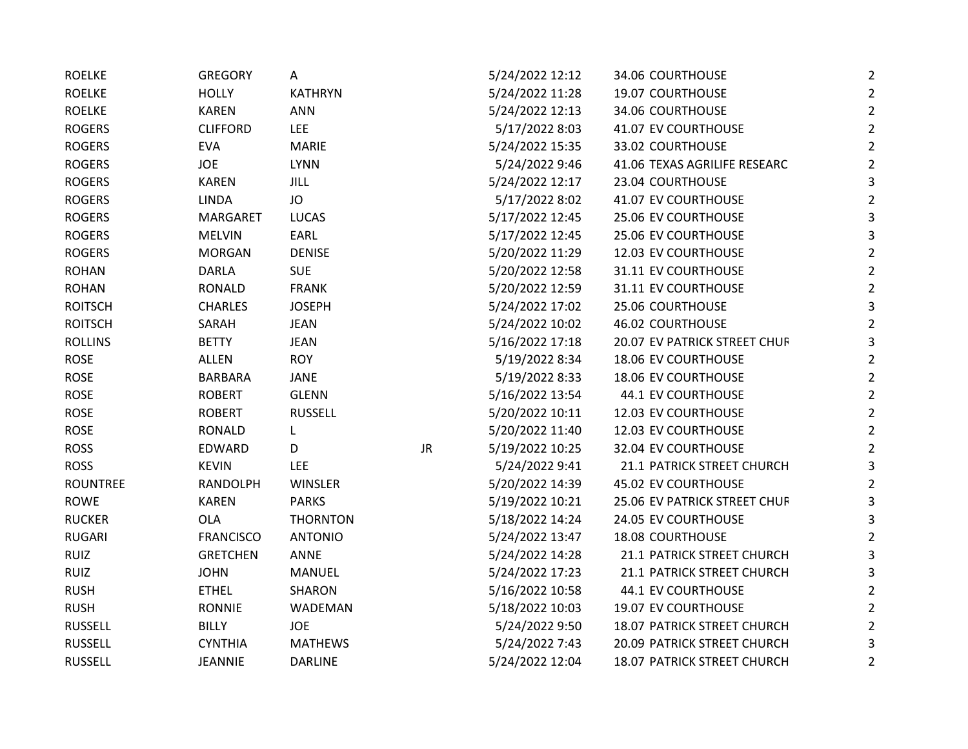| <b>ROELKE</b>   | <b>GREGORY</b>   | A               |           | 5/24/2022 12:12 | 34.06 COURTHOUSE             | $\overline{2}$ |
|-----------------|------------------|-----------------|-----------|-----------------|------------------------------|----------------|
| <b>ROELKE</b>   | <b>HOLLY</b>     | <b>KATHRYN</b>  |           | 5/24/2022 11:28 | 19.07 COURTHOUSE             | $\overline{2}$ |
| <b>ROELKE</b>   | <b>KAREN</b>     | <b>ANN</b>      |           | 5/24/2022 12:13 | 34.06 COURTHOUSE             | $\overline{2}$ |
| <b>ROGERS</b>   | <b>CLIFFORD</b>  | <b>LEE</b>      |           | 5/17/2022 8:03  | 41.07 EV COURTHOUSE          | $\overline{2}$ |
| <b>ROGERS</b>   | <b>EVA</b>       | <b>MARIE</b>    |           | 5/24/2022 15:35 | 33.02 COURTHOUSE             | $\overline{2}$ |
| <b>ROGERS</b>   | <b>JOE</b>       | <b>LYNN</b>     |           | 5/24/2022 9:46  | 41.06 TEXAS AGRILIFE RESEARC | $\overline{2}$ |
| <b>ROGERS</b>   | <b>KAREN</b>     | <b>JILL</b>     |           | 5/24/2022 12:17 | 23.04 COURTHOUSE             | 3              |
| <b>ROGERS</b>   | <b>LINDA</b>     | JO              |           | 5/17/2022 8:02  | 41.07 EV COURTHOUSE          | $\overline{2}$ |
| <b>ROGERS</b>   | MARGARET         | <b>LUCAS</b>    |           | 5/17/2022 12:45 | 25.06 EV COURTHOUSE          | 3              |
| <b>ROGERS</b>   | <b>MELVIN</b>    | EARL            |           | 5/17/2022 12:45 | 25.06 EV COURTHOUSE          | 3              |
| <b>ROGERS</b>   | <b>MORGAN</b>    | <b>DENISE</b>   |           | 5/20/2022 11:29 | 12.03 EV COURTHOUSE          | $\overline{2}$ |
| <b>ROHAN</b>    | <b>DARLA</b>     | <b>SUE</b>      |           | 5/20/2022 12:58 | 31.11 EV COURTHOUSE          | $\overline{2}$ |
| <b>ROHAN</b>    | <b>RONALD</b>    | <b>FRANK</b>    |           | 5/20/2022 12:59 | 31.11 EV COURTHOUSE          | $\overline{2}$ |
| <b>ROITSCH</b>  | <b>CHARLES</b>   | <b>JOSEPH</b>   |           | 5/24/2022 17:02 | 25.06 COURTHOUSE             | 3              |
| <b>ROITSCH</b>  | SARAH            | <b>JEAN</b>     |           | 5/24/2022 10:02 | 46.02 COURTHOUSE             | $\overline{2}$ |
| <b>ROLLINS</b>  | <b>BETTY</b>     | <b>JEAN</b>     |           | 5/16/2022 17:18 | 20.07 EV PATRICK STREET CHUF | 3              |
| <b>ROSE</b>     | ALLEN            | <b>ROY</b>      |           | 5/19/2022 8:34  | 18.06 EV COURTHOUSE          | $\overline{2}$ |
| <b>ROSE</b>     | <b>BARBARA</b>   | JANE            |           | 5/19/2022 8:33  | <b>18.06 EV COURTHOUSE</b>   | $\overline{2}$ |
| <b>ROSE</b>     | <b>ROBERT</b>    | <b>GLENN</b>    |           | 5/16/2022 13:54 | 44.1 EV COURTHOUSE           | $\overline{2}$ |
| <b>ROSE</b>     | <b>ROBERT</b>    | <b>RUSSELL</b>  |           | 5/20/2022 10:11 | 12.03 EV COURTHOUSE          | $\overline{2}$ |
| <b>ROSE</b>     | <b>RONALD</b>    | L               |           | 5/20/2022 11:40 | 12.03 EV COURTHOUSE          | $\overline{2}$ |
| <b>ROSS</b>     | EDWARD           | D               | <b>JR</b> | 5/19/2022 10:25 | 32.04 EV COURTHOUSE          | $\overline{2}$ |
| <b>ROSS</b>     | <b>KEVIN</b>     | <b>LEE</b>      |           | 5/24/2022 9:41  | 21.1 PATRICK STREET CHURCH   | 3              |
| <b>ROUNTREE</b> | <b>RANDOLPH</b>  | <b>WINSLER</b>  |           | 5/20/2022 14:39 | 45.02 EV COURTHOUSE          | $\overline{2}$ |
| <b>ROWE</b>     | <b>KAREN</b>     | <b>PARKS</b>    |           | 5/19/2022 10:21 | 25.06 EV PATRICK STREET CHUF | 3              |
| <b>RUCKER</b>   | <b>OLA</b>       | <b>THORNTON</b> |           | 5/18/2022 14:24 | 24.05 EV COURTHOUSE          | 3              |
| <b>RUGARI</b>   | <b>FRANCISCO</b> | <b>ANTONIO</b>  |           | 5/24/2022 13:47 | 18.08 COURTHOUSE             | $\overline{2}$ |
| <b>RUIZ</b>     | <b>GRETCHEN</b>  | ANNE            |           | 5/24/2022 14:28 | 21.1 PATRICK STREET CHURCH   | 3              |
| <b>RUIZ</b>     | <b>JOHN</b>      | <b>MANUEL</b>   |           | 5/24/2022 17:23 | 21.1 PATRICK STREET CHURCH   | 3              |
| <b>RUSH</b>     | <b>ETHEL</b>     | SHARON          |           | 5/16/2022 10:58 | 44.1 EV COURTHOUSE           | $\overline{2}$ |
| <b>RUSH</b>     | <b>RONNIE</b>    | WADEMAN         |           | 5/18/2022 10:03 | 19.07 EV COURTHOUSE          | $\overline{2}$ |
| <b>RUSSELL</b>  | <b>BILLY</b>     | <b>JOE</b>      |           | 5/24/2022 9:50  | 18.07 PATRICK STREET CHURCH  | $\overline{2}$ |
| <b>RUSSELL</b>  | <b>CYNTHIA</b>   | <b>MATHEWS</b>  |           | 5/24/2022 7:43  | 20.09 PATRICK STREET CHURCH  | 3              |
| <b>RUSSELL</b>  | <b>JEANNIE</b>   | <b>DARLINE</b>  |           | 5/24/2022 12:04 | 18.07 PATRICK STREET CHURCH  | 2              |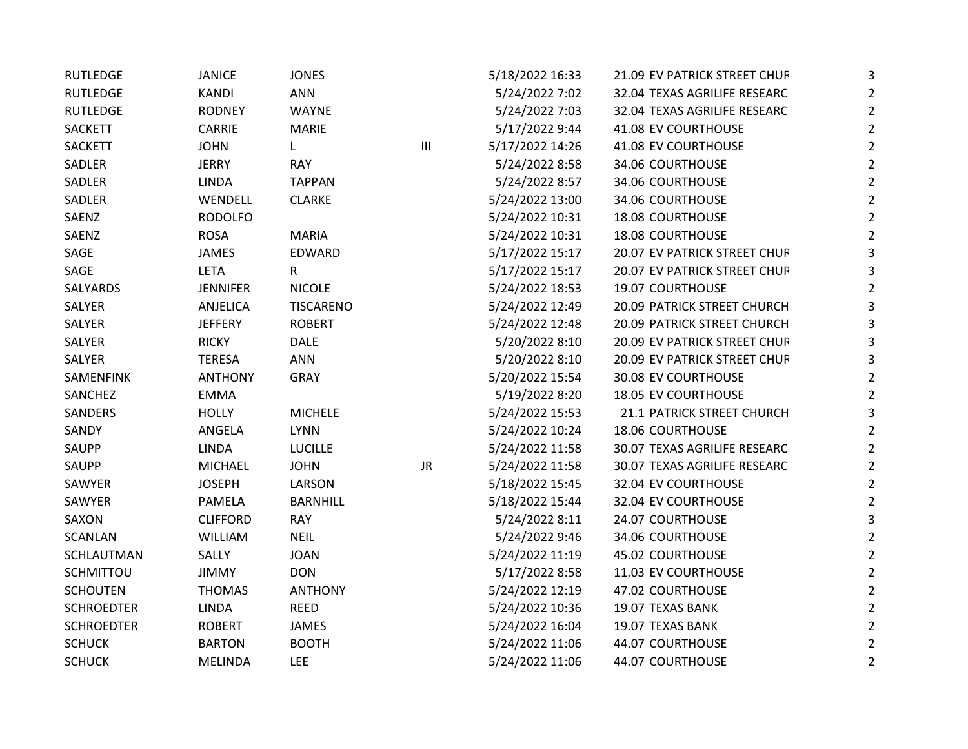| <b>RUTLEDGE</b>   | <b>JANICE</b>   | <b>JONES</b>     |                                    | 5/18/2022 16:33 | 21.09 EV PATRICK STREET CHUF | 3              |
|-------------------|-----------------|------------------|------------------------------------|-----------------|------------------------------|----------------|
| <b>RUTLEDGE</b>   | <b>KANDI</b>    | <b>ANN</b>       |                                    | 5/24/2022 7:02  | 32.04 TEXAS AGRILIFE RESEARC | $\overline{2}$ |
| <b>RUTLEDGE</b>   | <b>RODNEY</b>   | WAYNE            |                                    | 5/24/2022 7:03  | 32.04 TEXAS AGRILIFE RESEARC | $\overline{2}$ |
| <b>SACKETT</b>    | <b>CARRIE</b>   | <b>MARIE</b>     |                                    | 5/17/2022 9:44  | 41.08 EV COURTHOUSE          | $\overline{2}$ |
| <b>SACKETT</b>    | <b>JOHN</b>     | L                | $\ensuremath{\mathsf{III}}\xspace$ | 5/17/2022 14:26 | 41.08 EV COURTHOUSE          | $\overline{2}$ |
| SADLER            | <b>JERRY</b>    | <b>RAY</b>       |                                    | 5/24/2022 8:58  | 34.06 COURTHOUSE             | $\overline{2}$ |
| SADLER            | LINDA           | <b>TAPPAN</b>    |                                    | 5/24/2022 8:57  | 34.06 COURTHOUSE             | $\overline{2}$ |
| SADLER            | WENDELL         | <b>CLARKE</b>    |                                    | 5/24/2022 13:00 | 34.06 COURTHOUSE             | $\overline{2}$ |
| SAENZ             | <b>RODOLFO</b>  |                  |                                    | 5/24/2022 10:31 | 18.08 COURTHOUSE             | $\overline{2}$ |
| SAENZ             | <b>ROSA</b>     | <b>MARIA</b>     |                                    | 5/24/2022 10:31 | <b>18.08 COURTHOUSE</b>      | $\overline{2}$ |
| SAGE              | <b>JAMES</b>    | EDWARD           |                                    | 5/17/2022 15:17 | 20.07 EV PATRICK STREET CHUF | 3              |
| SAGE              | <b>LETA</b>     | R.               |                                    | 5/17/2022 15:17 | 20.07 EV PATRICK STREET CHUF | 3              |
| SALYARDS          | <b>JENNIFER</b> | <b>NICOLE</b>    |                                    | 5/24/2022 18:53 | 19.07 COURTHOUSE             | $\overline{2}$ |
| SALYER            | <b>ANJELICA</b> | <b>TISCARENO</b> |                                    | 5/24/2022 12:49 | 20.09 PATRICK STREET CHURCH  | 3              |
| SALYER            | <b>JEFFERY</b>  | <b>ROBERT</b>    |                                    | 5/24/2022 12:48 | 20.09 PATRICK STREET CHURCH  | 3              |
| SALYER            | <b>RICKY</b>    | <b>DALE</b>      |                                    | 5/20/2022 8:10  | 20.09 EV PATRICK STREET CHUF | 3              |
| SALYER            | <b>TERESA</b>   | <b>ANN</b>       |                                    | 5/20/2022 8:10  | 20.09 EV PATRICK STREET CHUF | 3              |
| SAMENFINK         | <b>ANTHONY</b>  | <b>GRAY</b>      |                                    | 5/20/2022 15:54 | 30.08 EV COURTHOUSE          | 2              |
| SANCHEZ           | <b>EMMA</b>     |                  |                                    | 5/19/2022 8:20  | <b>18.05 EV COURTHOUSE</b>   | $\overline{2}$ |
| SANDERS           | <b>HOLLY</b>    | <b>MICHELE</b>   |                                    | 5/24/2022 15:53 | 21.1 PATRICK STREET CHURCH   | 3              |
| SANDY             | ANGELA          | <b>LYNN</b>      |                                    | 5/24/2022 10:24 | 18.06 COURTHOUSE             | $\overline{2}$ |
| SAUPP             | <b>LINDA</b>    | <b>LUCILLE</b>   |                                    | 5/24/2022 11:58 | 30.07 TEXAS AGRILIFE RESEARC | $\overline{2}$ |
| <b>SAUPP</b>      | MICHAEL         | <b>JOHN</b>      | JR.                                | 5/24/2022 11:58 | 30.07 TEXAS AGRILIFE RESEARC | $\overline{2}$ |
| SAWYER            | <b>JOSEPH</b>   | LARSON           |                                    | 5/18/2022 15:45 | 32.04 EV COURTHOUSE          | $\overline{2}$ |
| SAWYER            | PAMELA          | <b>BARNHILL</b>  |                                    | 5/18/2022 15:44 | 32.04 EV COURTHOUSE          | $\overline{2}$ |
| SAXON             | <b>CLIFFORD</b> | <b>RAY</b>       |                                    | 5/24/2022 8:11  | 24.07 COURTHOUSE             | 3              |
| <b>SCANLAN</b>    | WILLIAM         | <b>NEIL</b>      |                                    | 5/24/2022 9:46  | 34.06 COURTHOUSE             | $\overline{2}$ |
| SCHLAUTMAN        | SALLY           | <b>JOAN</b>      |                                    | 5/24/2022 11:19 | 45.02 COURTHOUSE             | $\overline{2}$ |
| SCHMITTOU         | <b>JIMMY</b>    | <b>DON</b>       |                                    | 5/17/2022 8:58  | 11.03 EV COURTHOUSE          | $\overline{2}$ |
| <b>SCHOUTEN</b>   | <b>THOMAS</b>   | <b>ANTHONY</b>   |                                    | 5/24/2022 12:19 | 47.02 COURTHOUSE             | $\overline{2}$ |
| <b>SCHROEDTER</b> | LINDA           | REED             |                                    | 5/24/2022 10:36 | 19.07 TEXAS BANK             | $\overline{2}$ |
| <b>SCHROEDTER</b> | <b>ROBERT</b>   | <b>JAMES</b>     |                                    | 5/24/2022 16:04 | 19.07 TEXAS BANK             | $\overline{2}$ |
| <b>SCHUCK</b>     | <b>BARTON</b>   | <b>BOOTH</b>     |                                    | 5/24/2022 11:06 | 44.07 COURTHOUSE             | $\overline{2}$ |
| <b>SCHUCK</b>     | <b>MELINDA</b>  | LEE              |                                    | 5/24/2022 11:06 | 44.07 COURTHOUSE             | 2              |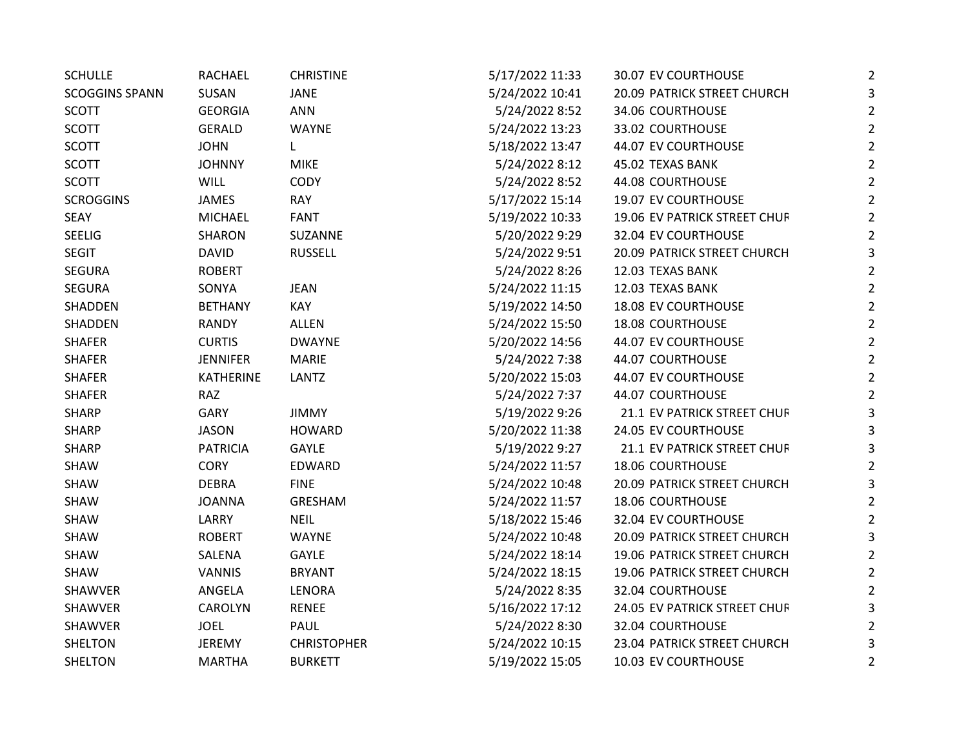| <b>SCHULLE</b>        | RACHAEL          | <b>CHRISTINE</b>   | 5/17/2022 11:33 | 30.07 EV COURTHOUSE          | $\overline{2}$          |
|-----------------------|------------------|--------------------|-----------------|------------------------------|-------------------------|
| <b>SCOGGINS SPANN</b> | SUSAN            | <b>JANE</b>        | 5/24/2022 10:41 | 20.09 PATRICK STREET CHURCH  | 3                       |
| <b>SCOTT</b>          | <b>GEORGIA</b>   | <b>ANN</b>         | 5/24/2022 8:52  | 34.06 COURTHOUSE             | $\overline{2}$          |
| <b>SCOTT</b>          | <b>GERALD</b>    | <b>WAYNE</b>       | 5/24/2022 13:23 | 33.02 COURTHOUSE             | $\overline{2}$          |
| <b>SCOTT</b>          | <b>JOHN</b>      | L                  | 5/18/2022 13:47 | 44.07 EV COURTHOUSE          | $\overline{2}$          |
| <b>SCOTT</b>          | <b>JOHNNY</b>    | <b>MIKE</b>        | 5/24/2022 8:12  | 45.02 TEXAS BANK             | $\overline{2}$          |
| <b>SCOTT</b>          | <b>WILL</b>      | <b>CODY</b>        | 5/24/2022 8:52  | 44.08 COURTHOUSE             | $\overline{2}$          |
| <b>SCROGGINS</b>      | <b>JAMES</b>     | <b>RAY</b>         | 5/17/2022 15:14 | 19.07 EV COURTHOUSE          | $\overline{2}$          |
| SEAY                  | <b>MICHAEL</b>   | <b>FANT</b>        | 5/19/2022 10:33 | 19.06 EV PATRICK STREET CHUF | $\overline{2}$          |
| <b>SEELIG</b>         | <b>SHARON</b>    | SUZANNE            | 5/20/2022 9:29  | 32.04 EV COURTHOUSE          | $\overline{2}$          |
| <b>SEGIT</b>          | <b>DAVID</b>     | <b>RUSSELL</b>     | 5/24/2022 9:51  | 20.09 PATRICK STREET CHURCH  | $\overline{\mathbf{3}}$ |
| <b>SEGURA</b>         | <b>ROBERT</b>    |                    | 5/24/2022 8:26  | 12.03 TEXAS BANK             | $\overline{2}$          |
| SEGURA                | SONYA            | <b>JEAN</b>        | 5/24/2022 11:15 | 12.03 TEXAS BANK             | $\overline{2}$          |
| SHADDEN               | <b>BETHANY</b>   | KAY                | 5/19/2022 14:50 | <b>18.08 EV COURTHOUSE</b>   | $\overline{2}$          |
| SHADDEN               | <b>RANDY</b>     | <b>ALLEN</b>       | 5/24/2022 15:50 | <b>18.08 COURTHOUSE</b>      | $\overline{2}$          |
| <b>SHAFER</b>         | <b>CURTIS</b>    | <b>DWAYNE</b>      | 5/20/2022 14:56 | 44.07 EV COURTHOUSE          | $\overline{2}$          |
| <b>SHAFER</b>         | <b>JENNIFER</b>  | <b>MARIE</b>       | 5/24/2022 7:38  | 44.07 COURTHOUSE             | $\overline{2}$          |
| <b>SHAFER</b>         | <b>KATHERINE</b> | LANTZ              | 5/20/2022 15:03 | 44.07 EV COURTHOUSE          | $\overline{2}$          |
| <b>SHAFER</b>         | RAZ              |                    | 5/24/2022 7:37  | 44.07 COURTHOUSE             | $\overline{2}$          |
| <b>SHARP</b>          | <b>GARY</b>      | <b>JIMMY</b>       | 5/19/2022 9:26  | 21.1 EV PATRICK STREET CHUF  | 3                       |
| <b>SHARP</b>          | <b>JASON</b>     | <b>HOWARD</b>      | 5/20/2022 11:38 | 24.05 EV COURTHOUSE          | 3                       |
| <b>SHARP</b>          | <b>PATRICIA</b>  | <b>GAYLE</b>       | 5/19/2022 9:27  | 21.1 EV PATRICK STREET CHUF  | 3                       |
| SHAW                  | <b>CORY</b>      | EDWARD             | 5/24/2022 11:57 | 18.06 COURTHOUSE             | $\overline{2}$          |
| SHAW                  | <b>DEBRA</b>     | <b>FINE</b>        | 5/24/2022 10:48 | 20.09 PATRICK STREET CHURCH  | 3                       |
| SHAW                  | <b>JOANNA</b>    | <b>GRESHAM</b>     | 5/24/2022 11:57 | <b>18.06 COURTHOUSE</b>      | $\overline{2}$          |
| SHAW                  | LARRY            | <b>NEIL</b>        | 5/18/2022 15:46 | 32.04 EV COURTHOUSE          | $\overline{2}$          |
| SHAW                  | <b>ROBERT</b>    | <b>WAYNE</b>       | 5/24/2022 10:48 | 20.09 PATRICK STREET CHURCH  | 3                       |
| <b>SHAW</b>           | SALENA           | GAYLE              | 5/24/2022 18:14 | 19.06 PATRICK STREET CHURCH  | $\overline{2}$          |
| <b>SHAW</b>           | <b>VANNIS</b>    | <b>BRYANT</b>      | 5/24/2022 18:15 | 19.06 PATRICK STREET CHURCH  | $\overline{2}$          |
| SHAWVER               | ANGELA           | LENORA             | 5/24/2022 8:35  | 32.04 COURTHOUSE             | $\overline{2}$          |
| SHAWVER               | <b>CAROLYN</b>   | <b>RENEE</b>       | 5/16/2022 17:12 | 24.05 EV PATRICK STREET CHUF | 3                       |
| SHAWVER               | <b>JOEL</b>      | PAUL               | 5/24/2022 8:30  | 32.04 COURTHOUSE             | $\overline{2}$          |
| <b>SHELTON</b>        | <b>JEREMY</b>    | <b>CHRISTOPHER</b> | 5/24/2022 10:15 | 23.04 PATRICK STREET CHURCH  | 3                       |
| <b>SHELTON</b>        | <b>MARTHA</b>    | <b>BURKETT</b>     | 5/19/2022 15:05 | 10.03 EV COURTHOUSE          | $\overline{2}$          |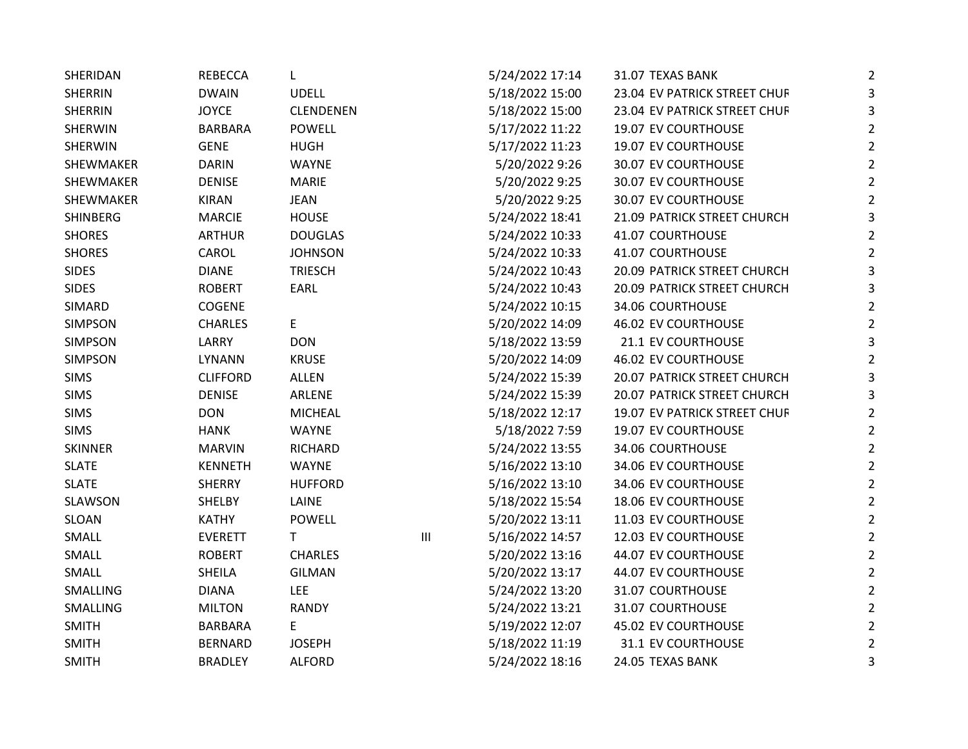| SHERIDAN        | <b>REBECCA</b>  | L                |                             | 5/24/2022 17:14 | 31.07 TEXAS BANK             | $\overline{2}$ |
|-----------------|-----------------|------------------|-----------------------------|-----------------|------------------------------|----------------|
| SHERRIN         | <b>DWAIN</b>    | <b>UDELL</b>     |                             | 5/18/2022 15:00 | 23.04 EV PATRICK STREET CHUF | 3              |
| <b>SHERRIN</b>  | <b>JOYCE</b>    | <b>CLENDENEN</b> |                             | 5/18/2022 15:00 | 23.04 EV PATRICK STREET CHUF | 3              |
| SHERWIN         | <b>BARBARA</b>  | <b>POWELL</b>    |                             | 5/17/2022 11:22 | <b>19.07 EV COURTHOUSE</b>   | $\overline{2}$ |
| SHERWIN         | <b>GENE</b>     | <b>HUGH</b>      |                             | 5/17/2022 11:23 | 19.07 EV COURTHOUSE          | $\overline{2}$ |
| SHEWMAKER       | <b>DARIN</b>    | <b>WAYNE</b>     |                             | 5/20/2022 9:26  | 30.07 EV COURTHOUSE          | $\overline{2}$ |
| SHEWMAKER       | <b>DENISE</b>   | <b>MARIE</b>     |                             | 5/20/2022 9:25  | 30.07 EV COURTHOUSE          | $\overline{2}$ |
| SHEWMAKER       | <b>KIRAN</b>    | <b>JEAN</b>      |                             | 5/20/2022 9:25  | 30.07 EV COURTHOUSE          | $\overline{2}$ |
| <b>SHINBERG</b> | <b>MARCIE</b>   | <b>HOUSE</b>     |                             | 5/24/2022 18:41 | 21.09 PATRICK STREET CHURCH  | 3              |
| <b>SHORES</b>   | <b>ARTHUR</b>   | <b>DOUGLAS</b>   |                             | 5/24/2022 10:33 | 41.07 COURTHOUSE             | $\overline{2}$ |
| <b>SHORES</b>   | CAROL           | <b>JOHNSON</b>   |                             | 5/24/2022 10:33 | 41.07 COURTHOUSE             | $\overline{2}$ |
| <b>SIDES</b>    | <b>DIANE</b>    | <b>TRIESCH</b>   |                             | 5/24/2022 10:43 | 20.09 PATRICK STREET CHURCH  | 3              |
| <b>SIDES</b>    | <b>ROBERT</b>   | EARL             |                             | 5/24/2022 10:43 | 20.09 PATRICK STREET CHURCH  | 3              |
| SIMARD          | COGENE          |                  |                             | 5/24/2022 10:15 | 34.06 COURTHOUSE             | $\overline{2}$ |
| <b>SIMPSON</b>  | <b>CHARLES</b>  | E.               |                             | 5/20/2022 14:09 | 46.02 EV COURTHOUSE          | $\overline{2}$ |
| <b>SIMPSON</b>  | LARRY           | <b>DON</b>       |                             | 5/18/2022 13:59 | 21.1 EV COURTHOUSE           | 3              |
| <b>SIMPSON</b>  | <b>LYNANN</b>   | <b>KRUSE</b>     |                             | 5/20/2022 14:09 | <b>46.02 EV COURTHOUSE</b>   | $\overline{2}$ |
| <b>SIMS</b>     | <b>CLIFFORD</b> | <b>ALLEN</b>     |                             | 5/24/2022 15:39 | 20.07 PATRICK STREET CHURCH  | 3              |
| <b>SIMS</b>     | <b>DENISE</b>   | ARLENE           |                             | 5/24/2022 15:39 | 20.07 PATRICK STREET CHURCH  | 3              |
| <b>SIMS</b>     | <b>DON</b>      | <b>MICHEAL</b>   |                             | 5/18/2022 12:17 | 19.07 EV PATRICK STREET CHUF | $\overline{2}$ |
| <b>SIMS</b>     | <b>HANK</b>     | <b>WAYNE</b>     |                             | 5/18/2022 7:59  | <b>19.07 EV COURTHOUSE</b>   | $\overline{2}$ |
| <b>SKINNER</b>  | <b>MARVIN</b>   | RICHARD          |                             | 5/24/2022 13:55 | 34.06 COURTHOUSE             | $\overline{2}$ |
| <b>SLATE</b>    | <b>KENNETH</b>  | <b>WAYNE</b>     |                             | 5/16/2022 13:10 | 34.06 EV COURTHOUSE          | $\overline{2}$ |
| <b>SLATE</b>    | <b>SHERRY</b>   | <b>HUFFORD</b>   |                             | 5/16/2022 13:10 | 34.06 EV COURTHOUSE          | $\overline{2}$ |
| SLAWSON         | SHELBY          | LAINE            |                             | 5/18/2022 15:54 | 18.06 EV COURTHOUSE          | $\overline{2}$ |
| SLOAN           | <b>KATHY</b>    | <b>POWELL</b>    |                             | 5/20/2022 13:11 | 11.03 EV COURTHOUSE          | $\overline{2}$ |
| SMALL           | <b>EVERETT</b>  | T.               | $\mathop{\rm III}\nolimits$ | 5/16/2022 14:57 | 12.03 EV COURTHOUSE          | $\overline{2}$ |
| SMALL           | <b>ROBERT</b>   | <b>CHARLES</b>   |                             | 5/20/2022 13:16 | 44.07 EV COURTHOUSE          | $\overline{2}$ |
| SMALL           | SHEILA          | <b>GILMAN</b>    |                             | 5/20/2022 13:17 | 44.07 EV COURTHOUSE          | $\overline{2}$ |
| SMALLING        | <b>DIANA</b>    | <b>LEE</b>       |                             | 5/24/2022 13:20 | 31.07 COURTHOUSE             | $\overline{2}$ |
| SMALLING        | <b>MILTON</b>   | <b>RANDY</b>     |                             | 5/24/2022 13:21 | 31.07 COURTHOUSE             | $\overline{2}$ |
| <b>SMITH</b>    | <b>BARBARA</b>  | E                |                             | 5/19/2022 12:07 | 45.02 EV COURTHOUSE          | $\overline{2}$ |
| <b>SMITH</b>    | <b>BERNARD</b>  | <b>JOSEPH</b>    |                             | 5/18/2022 11:19 | 31.1 EV COURTHOUSE           | $\overline{2}$ |
| <b>SMITH</b>    | <b>BRADLEY</b>  | <b>ALFORD</b>    |                             | 5/24/2022 18:16 | 24.05 TEXAS BANK             | 3              |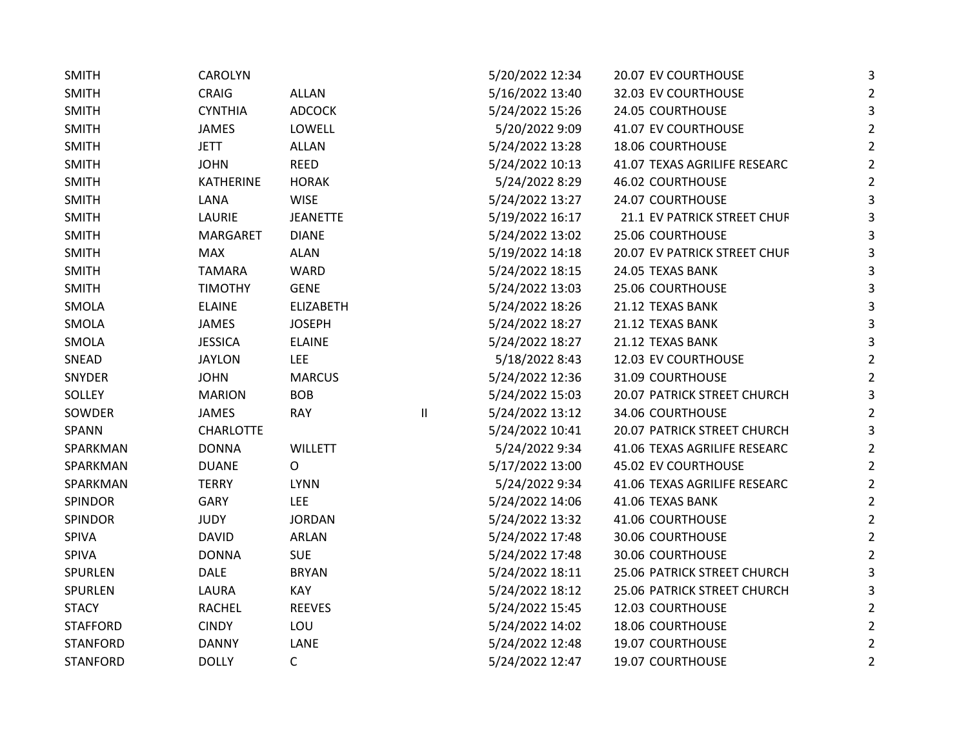| <b>SMITH</b>    | <b>CAROLYN</b>   |                  |               | 5/20/2022 12:34 | 20.07 EV COURTHOUSE          | 3              |
|-----------------|------------------|------------------|---------------|-----------------|------------------------------|----------------|
| <b>SMITH</b>    | CRAIG            | <b>ALLAN</b>     |               | 5/16/2022 13:40 | 32.03 EV COURTHOUSE          | $\overline{2}$ |
| <b>SMITH</b>    | <b>CYNTHIA</b>   | <b>ADCOCK</b>    |               | 5/24/2022 15:26 | 24.05 COURTHOUSE             | 3              |
| <b>SMITH</b>    | <b>JAMES</b>     | LOWELL           |               | 5/20/2022 9:09  | 41.07 EV COURTHOUSE          | $\overline{2}$ |
| <b>SMITH</b>    | <b>JETT</b>      | <b>ALLAN</b>     |               | 5/24/2022 13:28 | <b>18.06 COURTHOUSE</b>      | $\overline{2}$ |
| <b>SMITH</b>    | <b>JOHN</b>      | REED             |               | 5/24/2022 10:13 | 41.07 TEXAS AGRILIFE RESEARC | $\overline{2}$ |
| <b>SMITH</b>    | KATHERINE        | <b>HORAK</b>     |               | 5/24/2022 8:29  | 46.02 COURTHOUSE             | $\overline{2}$ |
| <b>SMITH</b>    | LANA             | <b>WISE</b>      |               | 5/24/2022 13:27 | 24.07 COURTHOUSE             | 3              |
| <b>SMITH</b>    | <b>LAURIE</b>    | <b>JEANETTE</b>  |               | 5/19/2022 16:17 | 21.1 EV PATRICK STREET CHUF  | 3              |
| <b>SMITH</b>    | <b>MARGARET</b>  | <b>DIANE</b>     |               | 5/24/2022 13:02 | 25.06 COURTHOUSE             | 3              |
| <b>SMITH</b>    | <b>MAX</b>       | <b>ALAN</b>      |               | 5/19/2022 14:18 | 20.07 EV PATRICK STREET CHUF | 3              |
| <b>SMITH</b>    | <b>TAMARA</b>    | WARD             |               | 5/24/2022 18:15 | 24.05 TEXAS BANK             | 3              |
| <b>SMITH</b>    | <b>TIMOTHY</b>   | <b>GENE</b>      |               | 5/24/2022 13:03 | 25.06 COURTHOUSE             | 3              |
| SMOLA           | <b>ELAINE</b>    | <b>ELIZABETH</b> |               | 5/24/2022 18:26 | 21.12 TEXAS BANK             | 3              |
| SMOLA           | JAMES            | <b>JOSEPH</b>    |               | 5/24/2022 18:27 | 21.12 TEXAS BANK             | 3              |
| SMOLA           | <b>JESSICA</b>   | <b>ELAINE</b>    |               | 5/24/2022 18:27 | 21.12 TEXAS BANK             | 3              |
| SNEAD           | <b>JAYLON</b>    | LEE              |               | 5/18/2022 8:43  | 12.03 EV COURTHOUSE          | $\overline{2}$ |
| SNYDER          | <b>JOHN</b>      | <b>MARCUS</b>    |               | 5/24/2022 12:36 | 31.09 COURTHOUSE             | $\overline{2}$ |
| SOLLEY          | <b>MARION</b>    | <b>BOB</b>       |               | 5/24/2022 15:03 | 20.07 PATRICK STREET CHURCH  | 3              |
| SOWDER          | JAMES            | <b>RAY</b>       | $\mathbf{II}$ | 5/24/2022 13:12 | 34.06 COURTHOUSE             | $\overline{2}$ |
| SPANN           | <b>CHARLOTTE</b> |                  |               | 5/24/2022 10:41 | 20.07 PATRICK STREET CHURCH  | 3              |
| SPARKMAN        | <b>DONNA</b>     | <b>WILLETT</b>   |               | 5/24/2022 9:34  | 41.06 TEXAS AGRILIFE RESEARC | $\overline{2}$ |
| SPARKMAN        | <b>DUANE</b>     | O                |               | 5/17/2022 13:00 | 45.02 EV COURTHOUSE          | $\overline{2}$ |
| SPARKMAN        | <b>TERRY</b>     | <b>LYNN</b>      |               | 5/24/2022 9:34  | 41.06 TEXAS AGRILIFE RESEARC | $\overline{2}$ |
| SPINDOR         | <b>GARY</b>      | <b>LEE</b>       |               | 5/24/2022 14:06 | 41.06 TEXAS BANK             | $\overline{2}$ |
| SPINDOR         | <b>JUDY</b>      | <b>JORDAN</b>    |               | 5/24/2022 13:32 | 41.06 COURTHOUSE             | $\overline{2}$ |
| SPIVA           | <b>DAVID</b>     | <b>ARLAN</b>     |               | 5/24/2022 17:48 | <b>30.06 COURTHOUSE</b>      | $\overline{2}$ |
| SPIVA           | <b>DONNA</b>     | <b>SUE</b>       |               | 5/24/2022 17:48 | 30.06 COURTHOUSE             | $\overline{2}$ |
| SPURLEN         | <b>DALE</b>      | <b>BRYAN</b>     |               | 5/24/2022 18:11 | 25.06 PATRICK STREET CHURCH  | 3              |
| SPURLEN         | LAURA            | KAY              |               | 5/24/2022 18:12 | 25.06 PATRICK STREET CHURCH  | 3              |
| <b>STACY</b>    | <b>RACHEL</b>    | <b>REEVES</b>    |               | 5/24/2022 15:45 | 12.03 COURTHOUSE             | $\overline{2}$ |
| <b>STAFFORD</b> | <b>CINDY</b>     | LOU              |               | 5/24/2022 14:02 | 18.06 COURTHOUSE             | $\overline{2}$ |
| <b>STANFORD</b> | <b>DANNY</b>     | LANE             |               | 5/24/2022 12:48 | 19.07 COURTHOUSE             | $\overline{2}$ |
| <b>STANFORD</b> | <b>DOLLY</b>     | $\mathsf C$      |               | 5/24/2022 12:47 | 19.07 COURTHOUSE             | $\overline{2}$ |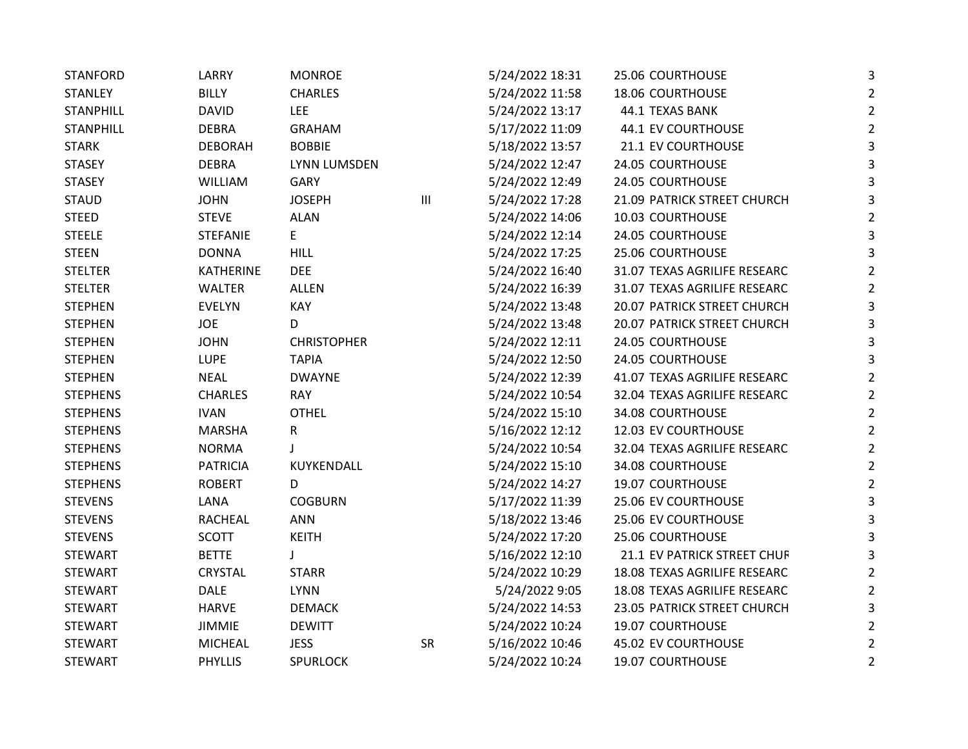|                  | LARRY            | <b>MONROE</b>       |                                    |                 | 25.06 COURTHOUSE             |                |
|------------------|------------------|---------------------|------------------------------------|-----------------|------------------------------|----------------|
| <b>STANFORD</b>  |                  |                     |                                    | 5/24/2022 18:31 |                              | 3              |
| <b>STANLEY</b>   | <b>BILLY</b>     | <b>CHARLES</b>      |                                    | 5/24/2022 11:58 | <b>18.06 COURTHOUSE</b>      | $\overline{2}$ |
| <b>STANPHILL</b> | <b>DAVID</b>     | <b>LEE</b>          |                                    | 5/24/2022 13:17 | 44.1 TEXAS BANK              | $\overline{2}$ |
| <b>STANPHILL</b> | <b>DEBRA</b>     | <b>GRAHAM</b>       |                                    | 5/17/2022 11:09 | 44.1 EV COURTHOUSE           | $\overline{2}$ |
| <b>STARK</b>     | <b>DEBORAH</b>   | <b>BOBBIE</b>       |                                    | 5/18/2022 13:57 | 21.1 EV COURTHOUSE           | 3              |
| <b>STASEY</b>    | <b>DEBRA</b>     | <b>LYNN LUMSDEN</b> |                                    | 5/24/2022 12:47 | 24.05 COURTHOUSE             | 3              |
| <b>STASEY</b>    | <b>WILLIAM</b>   | GARY                |                                    | 5/24/2022 12:49 | 24.05 COURTHOUSE             | 3              |
| <b>STAUD</b>     | <b>JOHN</b>      | <b>JOSEPH</b>       | $\ensuremath{\mathsf{III}}\xspace$ | 5/24/2022 17:28 | 21.09 PATRICK STREET CHURCH  | 3              |
| <b>STEED</b>     | <b>STEVE</b>     | <b>ALAN</b>         |                                    | 5/24/2022 14:06 | 10.03 COURTHOUSE             | $\overline{2}$ |
| <b>STEELE</b>    | <b>STEFANIE</b>  | E                   |                                    | 5/24/2022 12:14 | 24.05 COURTHOUSE             | 3              |
| <b>STEEN</b>     | <b>DONNA</b>     | <b>HILL</b>         |                                    | 5/24/2022 17:25 | 25.06 COURTHOUSE             | 3              |
| <b>STELTER</b>   | <b>KATHERINE</b> | <b>DEE</b>          |                                    | 5/24/2022 16:40 | 31.07 TEXAS AGRILIFE RESEARC | $\overline{2}$ |
| <b>STELTER</b>   | <b>WALTER</b>    | ALLEN               |                                    | 5/24/2022 16:39 | 31.07 TEXAS AGRILIFE RESEARC | $\overline{2}$ |
| <b>STEPHEN</b>   | <b>EVELYN</b>    | KAY                 |                                    | 5/24/2022 13:48 | 20.07 PATRICK STREET CHURCH  | 3              |
| <b>STEPHEN</b>   | <b>JOE</b>       | D                   |                                    | 5/24/2022 13:48 | 20.07 PATRICK STREET CHURCH  | 3              |
| <b>STEPHEN</b>   | <b>JOHN</b>      | <b>CHRISTOPHER</b>  |                                    | 5/24/2022 12:11 | 24.05 COURTHOUSE             | 3              |
| <b>STEPHEN</b>   | <b>LUPE</b>      | <b>TAPIA</b>        |                                    | 5/24/2022 12:50 | 24.05 COURTHOUSE             | 3              |
| <b>STEPHEN</b>   | <b>NEAL</b>      | <b>DWAYNE</b>       |                                    | 5/24/2022 12:39 | 41.07 TEXAS AGRILIFE RESEARC | $\overline{2}$ |
| <b>STEPHENS</b>  | <b>CHARLES</b>   | <b>RAY</b>          |                                    | 5/24/2022 10:54 | 32.04 TEXAS AGRILIFE RESEARC | $\overline{2}$ |
| <b>STEPHENS</b>  | <b>IVAN</b>      | <b>OTHEL</b>        |                                    | 5/24/2022 15:10 | 34.08 COURTHOUSE             | $\overline{2}$ |
| <b>STEPHENS</b>  | <b>MARSHA</b>    | R.                  |                                    | 5/16/2022 12:12 | 12.03 EV COURTHOUSE          | $\overline{2}$ |
| <b>STEPHENS</b>  | <b>NORMA</b>     |                     |                                    | 5/24/2022 10:54 | 32.04 TEXAS AGRILIFE RESEARC | $\overline{2}$ |
| <b>STEPHENS</b>  | <b>PATRICIA</b>  | KUYKENDALL          |                                    | 5/24/2022 15:10 | 34.08 COURTHOUSE             | $\overline{2}$ |
| <b>STEPHENS</b>  | <b>ROBERT</b>    | D                   |                                    | 5/24/2022 14:27 | 19.07 COURTHOUSE             | $\overline{2}$ |
| <b>STEVENS</b>   | LANA             | <b>COGBURN</b>      |                                    | 5/17/2022 11:39 | 25.06 EV COURTHOUSE          | 3              |
| <b>STEVENS</b>   | <b>RACHEAL</b>   | <b>ANN</b>          |                                    | 5/18/2022 13:46 | 25.06 EV COURTHOUSE          | 3              |
| <b>STEVENS</b>   | <b>SCOTT</b>     | <b>KEITH</b>        |                                    | 5/24/2022 17:20 | 25.06 COURTHOUSE             | 3              |
| <b>STEWART</b>   | <b>BETTE</b>     | T                   |                                    | 5/16/2022 12:10 | 21.1 EV PATRICK STREET CHUF  | 3              |
| <b>STEWART</b>   | CRYSTAL          | <b>STARR</b>        |                                    | 5/24/2022 10:29 | 18.08 TEXAS AGRILIFE RESEARC | $\overline{2}$ |
| <b>STEWART</b>   | DALE             | <b>LYNN</b>         |                                    | 5/24/2022 9:05  | 18.08 TEXAS AGRILIFE RESEARC | $\overline{2}$ |
| <b>STEWART</b>   | <b>HARVE</b>     | <b>DEMACK</b>       |                                    | 5/24/2022 14:53 | 23.05 PATRICK STREET CHURCH  | 3              |
| <b>STEWART</b>   | <b>JIMMIE</b>    | <b>DEWITT</b>       |                                    | 5/24/2022 10:24 | 19.07 COURTHOUSE             | $\overline{2}$ |
| <b>STEWART</b>   | <b>MICHEAL</b>   | <b>JESS</b>         | SR                                 | 5/16/2022 10:46 | 45.02 EV COURTHOUSE          | $\overline{2}$ |
| <b>STEWART</b>   | <b>PHYLLIS</b>   | SPURLOCK            |                                    | 5/24/2022 10:24 | 19.07 COURTHOUSE             | $\overline{2}$ |
|                  |                  |                     |                                    |                 |                              |                |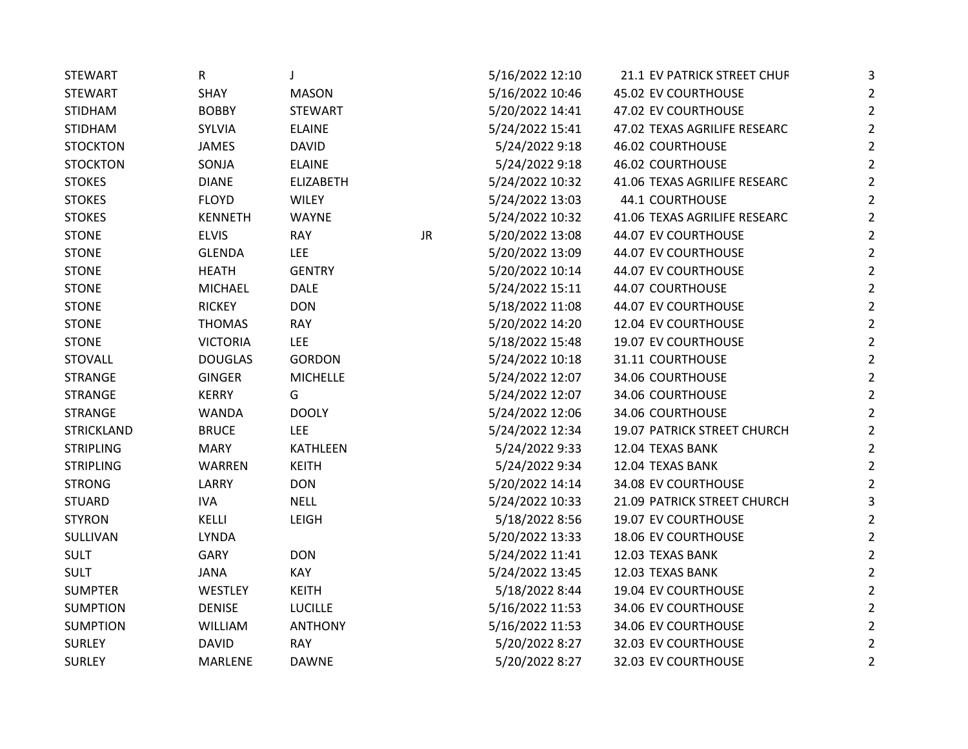| <b>STEWART</b>    | R               | $\perp$          |           | 5/16/2022 12:10 | 21.1 EV PATRICK STREET CHUF  | 3              |
|-------------------|-----------------|------------------|-----------|-----------------|------------------------------|----------------|
| <b>STEWART</b>    | SHAY            | <b>MASON</b>     |           | 5/16/2022 10:46 | 45.02 EV COURTHOUSE          | $\overline{2}$ |
| <b>STIDHAM</b>    | <b>BOBBY</b>    | <b>STEWART</b>   |           | 5/20/2022 14:41 | 47.02 EV COURTHOUSE          | $\overline{2}$ |
| <b>STIDHAM</b>    | SYLVIA          | <b>ELAINE</b>    |           | 5/24/2022 15:41 | 47.02 TEXAS AGRILIFE RESEARC | $\overline{2}$ |
| <b>STOCKTON</b>   | JAMES           | <b>DAVID</b>     |           | 5/24/2022 9:18  | 46.02 COURTHOUSE             | $\overline{2}$ |
| <b>STOCKTON</b>   | SONJA           | <b>ELAINE</b>    |           | 5/24/2022 9:18  | 46.02 COURTHOUSE             | $\overline{2}$ |
| <b>STOKES</b>     | <b>DIANE</b>    | <b>ELIZABETH</b> |           | 5/24/2022 10:32 | 41.06 TEXAS AGRILIFE RESEARC | $\overline{2}$ |
| <b>STOKES</b>     | <b>FLOYD</b>    | WILEY            |           | 5/24/2022 13:03 | 44.1 COURTHOUSE              | $\overline{2}$ |
| <b>STOKES</b>     | <b>KENNETH</b>  | <b>WAYNE</b>     |           | 5/24/2022 10:32 | 41.06 TEXAS AGRILIFE RESEARC | $\overline{2}$ |
| <b>STONE</b>      | <b>ELVIS</b>    | <b>RAY</b>       | <b>JR</b> | 5/20/2022 13:08 | 44.07 EV COURTHOUSE          | $\overline{2}$ |
| <b>STONE</b>      | <b>GLENDA</b>   | LEE              |           | 5/20/2022 13:09 | 44.07 EV COURTHOUSE          | $\overline{2}$ |
| <b>STONE</b>      | <b>HEATH</b>    | <b>GENTRY</b>    |           | 5/20/2022 10:14 | 44.07 EV COURTHOUSE          | $\overline{2}$ |
| <b>STONE</b>      | MICHAEL         | <b>DALE</b>      |           | 5/24/2022 15:11 | 44.07 COURTHOUSE             | $\overline{2}$ |
| <b>STONE</b>      | <b>RICKEY</b>   | <b>DON</b>       |           | 5/18/2022 11:08 | 44.07 EV COURTHOUSE          | $\overline{2}$ |
| <b>STONE</b>      | <b>THOMAS</b>   | <b>RAY</b>       |           | 5/20/2022 14:20 | 12.04 EV COURTHOUSE          | $\overline{2}$ |
| <b>STONE</b>      | <b>VICTORIA</b> | LEE              |           | 5/18/2022 15:48 | 19.07 EV COURTHOUSE          | $\overline{2}$ |
| <b>STOVALL</b>    | <b>DOUGLAS</b>  | <b>GORDON</b>    |           | 5/24/2022 10:18 | 31.11 COURTHOUSE             | $\overline{2}$ |
| <b>STRANGE</b>    | <b>GINGER</b>   | <b>MICHELLE</b>  |           | 5/24/2022 12:07 | 34.06 COURTHOUSE             | $\overline{2}$ |
| <b>STRANGE</b>    | <b>KERRY</b>    | G                |           | 5/24/2022 12:07 | 34.06 COURTHOUSE             | $\overline{2}$ |
| <b>STRANGE</b>    | <b>WANDA</b>    | <b>DOOLY</b>     |           | 5/24/2022 12:06 | 34.06 COURTHOUSE             | $\overline{2}$ |
| <b>STRICKLAND</b> | <b>BRUCE</b>    | <b>LEE</b>       |           | 5/24/2022 12:34 | 19.07 PATRICK STREET CHURCH  | $\overline{2}$ |
| <b>STRIPLING</b>  | <b>MARY</b>     | <b>KATHLEEN</b>  |           | 5/24/2022 9:33  | 12.04 TEXAS BANK             | $\overline{2}$ |
| <b>STRIPLING</b>  | WARREN          | <b>KEITH</b>     |           | 5/24/2022 9:34  | 12.04 TEXAS BANK             | $\overline{2}$ |
| <b>STRONG</b>     | LARRY           | <b>DON</b>       |           | 5/20/2022 14:14 | 34.08 EV COURTHOUSE          | $\overline{2}$ |
| <b>STUARD</b>     | <b>IVA</b>      | <b>NELL</b>      |           | 5/24/2022 10:33 | 21.09 PATRICK STREET CHURCH  | 3              |
| <b>STYRON</b>     | KELLI           | LEIGH            |           | 5/18/2022 8:56  | 19.07 EV COURTHOUSE          | $\overline{2}$ |
| SULLIVAN          | <b>LYNDA</b>    |                  |           | 5/20/2022 13:33 | 18.06 EV COURTHOUSE          | $\overline{2}$ |
| <b>SULT</b>       | <b>GARY</b>     | <b>DON</b>       |           | 5/24/2022 11:41 | 12.03 TEXAS BANK             | $\overline{2}$ |
| <b>SULT</b>       | <b>JANA</b>     | KAY              |           | 5/24/2022 13:45 | 12.03 TEXAS BANK             | $\overline{2}$ |
| <b>SUMPTER</b>    | <b>WESTLEY</b>  | <b>KEITH</b>     |           | 5/18/2022 8:44  | 19.04 EV COURTHOUSE          | $\overline{2}$ |
| <b>SUMPTION</b>   | <b>DENISE</b>   | <b>LUCILLE</b>   |           | 5/16/2022 11:53 | 34.06 EV COURTHOUSE          | $\overline{2}$ |
| <b>SUMPTION</b>   | <b>WILLIAM</b>  | <b>ANTHONY</b>   |           | 5/16/2022 11:53 | 34.06 EV COURTHOUSE          | $\overline{2}$ |
| <b>SURLEY</b>     | <b>DAVID</b>    | <b>RAY</b>       |           | 5/20/2022 8:27  | 32.03 EV COURTHOUSE          | $\mathbf 2$    |
| <b>SURLEY</b>     | <b>MARLENE</b>  | <b>DAWNE</b>     |           | 5/20/2022 8:27  | 32.03 EV COURTHOUSE          | $\overline{2}$ |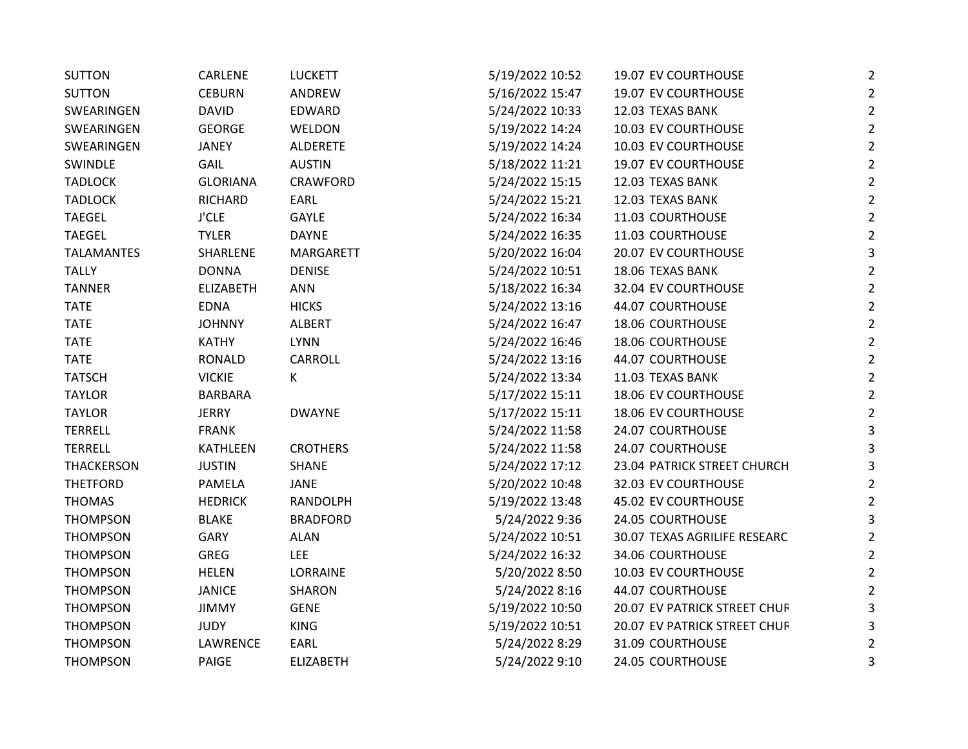| <b>SUTTON</b>     | CARLENE          | <b>LUCKETT</b>   | 5/19/2022 10:52 | 19.07 EV COURTHOUSE          | $\overline{2}$ |
|-------------------|------------------|------------------|-----------------|------------------------------|----------------|
| <b>SUTTON</b>     | <b>CEBURN</b>    | ANDREW           | 5/16/2022 15:47 | 19.07 EV COURTHOUSE          | $\overline{2}$ |
| SWEARINGEN        | <b>DAVID</b>     | EDWARD           | 5/24/2022 10:33 | 12.03 TEXAS BANK             | $\overline{2}$ |
| SWEARINGEN        | <b>GEORGE</b>    | WELDON           | 5/19/2022 14:24 | 10.03 EV COURTHOUSE          | $\overline{2}$ |
| SWEARINGEN        | <b>JANEY</b>     | ALDERETE         | 5/19/2022 14:24 | 10.03 EV COURTHOUSE          | $\overline{2}$ |
| SWINDLE           | GAIL             | <b>AUSTIN</b>    | 5/18/2022 11:21 | 19.07 EV COURTHOUSE          | $\overline{2}$ |
| <b>TADLOCK</b>    | <b>GLORIANA</b>  | CRAWFORD         | 5/24/2022 15:15 | 12.03 TEXAS BANK             | $\overline{2}$ |
| <b>TADLOCK</b>    | RICHARD          | EARL             | 5/24/2022 15:21 | 12.03 TEXAS BANK             | $\overline{2}$ |
| <b>TAEGEL</b>     | <b>J'CLE</b>     | <b>GAYLE</b>     | 5/24/2022 16:34 | 11.03 COURTHOUSE             | $\overline{2}$ |
| <b>TAEGEL</b>     | <b>TYLER</b>     | <b>DAYNE</b>     | 5/24/2022 16:35 | 11.03 COURTHOUSE             | $\overline{2}$ |
| <b>TALAMANTES</b> | SHARLENE         | <b>MARGARETT</b> | 5/20/2022 16:04 | 20.07 EV COURTHOUSE          | $\overline{3}$ |
| <b>TALLY</b>      | <b>DONNA</b>     | <b>DENISE</b>    | 5/24/2022 10:51 | 18.06 TEXAS BANK             | $\overline{2}$ |
| <b>TANNER</b>     | <b>ELIZABETH</b> | <b>ANN</b>       | 5/18/2022 16:34 | 32.04 EV COURTHOUSE          | $\overline{2}$ |
| <b>TATE</b>       | <b>EDNA</b>      | <b>HICKS</b>     | 5/24/2022 13:16 | 44.07 COURTHOUSE             | $\overline{2}$ |
| <b>TATE</b>       | <b>JOHNNY</b>    | ALBERT           | 5/24/2022 16:47 | 18.06 COURTHOUSE             | $\overline{2}$ |
| <b>TATE</b>       | <b>KATHY</b>     | <b>LYNN</b>      | 5/24/2022 16:46 | 18.06 COURTHOUSE             | $\overline{2}$ |
| <b>TATE</b>       | <b>RONALD</b>    | CARROLL          | 5/24/2022 13:16 | 44.07 COURTHOUSE             | $\overline{2}$ |
| <b>TATSCH</b>     | <b>VICKIE</b>    | K                | 5/24/2022 13:34 | 11.03 TEXAS BANK             | $\overline{2}$ |
| <b>TAYLOR</b>     | <b>BARBARA</b>   |                  | 5/17/2022 15:11 | 18.06 EV COURTHOUSE          | $\overline{2}$ |
| <b>TAYLOR</b>     | <b>JERRY</b>     | <b>DWAYNE</b>    | 5/17/2022 15:11 | 18.06 EV COURTHOUSE          | $\overline{2}$ |
| <b>TERRELL</b>    | <b>FRANK</b>     |                  | 5/24/2022 11:58 | 24.07 COURTHOUSE             | 3              |
| <b>TERRELL</b>    | <b>KATHLEEN</b>  | <b>CROTHERS</b>  | 5/24/2022 11:58 | 24.07 COURTHOUSE             | 3              |
| THACKERSON        | <b>JUSTIN</b>    | SHANE            | 5/24/2022 17:12 | 23.04 PATRICK STREET CHURCH  | 3              |
| <b>THETFORD</b>   | <b>PAMELA</b>    | <b>JANE</b>      | 5/20/2022 10:48 | 32.03 EV COURTHOUSE          | $\overline{2}$ |
| <b>THOMAS</b>     | <b>HEDRICK</b>   | RANDOLPH         | 5/19/2022 13:48 | 45.02 EV COURTHOUSE          | $\overline{2}$ |
| <b>THOMPSON</b>   | <b>BLAKE</b>     | <b>BRADFORD</b>  | 5/24/2022 9:36  | 24.05 COURTHOUSE             | 3              |
| <b>THOMPSON</b>   | <b>GARY</b>      | <b>ALAN</b>      | 5/24/2022 10:51 | 30.07 TEXAS AGRILIFE RESEARC | $\overline{2}$ |
| <b>THOMPSON</b>   | <b>GREG</b>      | <b>LEE</b>       | 5/24/2022 16:32 | 34.06 COURTHOUSE             | $\overline{2}$ |
| <b>THOMPSON</b>   | <b>HELEN</b>     | LORRAINE         | 5/20/2022 8:50  | 10.03 EV COURTHOUSE          | $\overline{2}$ |
| <b>THOMPSON</b>   | <b>JANICE</b>    | SHARON           | 5/24/2022 8:16  | 44.07 COURTHOUSE             | $\overline{2}$ |
| <b>THOMPSON</b>   | <b>JIMMY</b>     | <b>GENE</b>      | 5/19/2022 10:50 | 20.07 EV PATRICK STREET CHUF | $\overline{3}$ |
| <b>THOMPSON</b>   | <b>JUDY</b>      | <b>KING</b>      | 5/19/2022 10:51 | 20.07 EV PATRICK STREET CHUF | 3              |
| <b>THOMPSON</b>   | LAWRENCE         | EARL             | 5/24/2022 8:29  | 31.09 COURTHOUSE             | $\overline{2}$ |
| <b>THOMPSON</b>   | PAIGE            | <b>ELIZABETH</b> | 5/24/2022 9:10  | 24.05 COURTHOUSE             | 3              |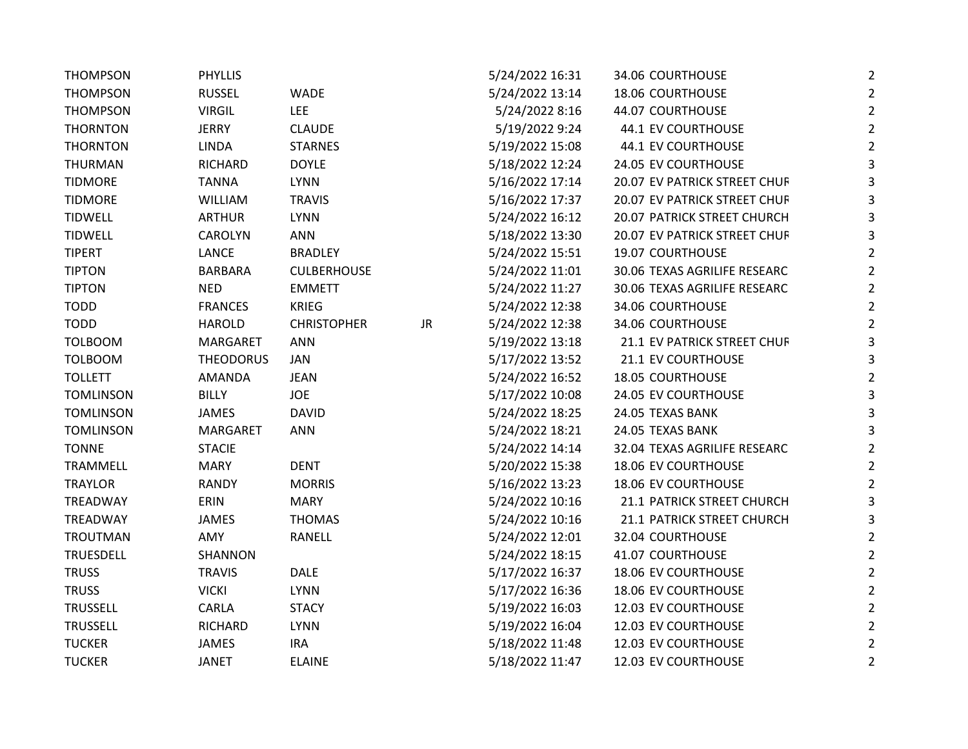| <b>THOMPSON</b>  | <b>PHYLLIS</b>   |                    |           | 5/24/2022 16:31 | 34.06 COURTHOUSE             | $\overline{2}$ |
|------------------|------------------|--------------------|-----------|-----------------|------------------------------|----------------|
| <b>THOMPSON</b>  | <b>RUSSEL</b>    | <b>WADE</b>        |           | 5/24/2022 13:14 | <b>18.06 COURTHOUSE</b>      | $\overline{2}$ |
| <b>THOMPSON</b>  | <b>VIRGIL</b>    | <b>LEE</b>         |           | 5/24/2022 8:16  | 44.07 COURTHOUSE             | $\overline{2}$ |
| <b>THORNTON</b>  | <b>JERRY</b>     | <b>CLAUDE</b>      |           | 5/19/2022 9:24  | 44.1 EV COURTHOUSE           | $\overline{2}$ |
| <b>THORNTON</b>  | <b>LINDA</b>     | <b>STARNES</b>     |           | 5/19/2022 15:08 | 44.1 EV COURTHOUSE           | $\overline{2}$ |
| <b>THURMAN</b>   | RICHARD          | <b>DOYLE</b>       |           | 5/18/2022 12:24 | 24.05 EV COURTHOUSE          | 3              |
| <b>TIDMORE</b>   | <b>TANNA</b>     | <b>LYNN</b>        |           | 5/16/2022 17:14 | 20.07 EV PATRICK STREET CHUF | 3              |
| <b>TIDMORE</b>   | WILLIAM          | <b>TRAVIS</b>      |           | 5/16/2022 17:37 | 20.07 EV PATRICK STREET CHUF | 3              |
| <b>TIDWELL</b>   | <b>ARTHUR</b>    | <b>LYNN</b>        |           | 5/24/2022 16:12 | 20.07 PATRICK STREET CHURCH  | 3              |
| <b>TIDWELL</b>   | <b>CAROLYN</b>   | <b>ANN</b>         |           | 5/18/2022 13:30 | 20.07 EV PATRICK STREET CHUF | 3              |
| <b>TIPERT</b>    | LANCE            | <b>BRADLEY</b>     |           | 5/24/2022 15:51 | 19.07 COURTHOUSE             | $\overline{2}$ |
| <b>TIPTON</b>    | <b>BARBARA</b>   | <b>CULBERHOUSE</b> |           | 5/24/2022 11:01 | 30.06 TEXAS AGRILIFE RESEARC | $\overline{2}$ |
| <b>TIPTON</b>    | <b>NED</b>       | <b>EMMETT</b>      |           | 5/24/2022 11:27 | 30.06 TEXAS AGRILIFE RESEARC | $\overline{2}$ |
| <b>TODD</b>      | <b>FRANCES</b>   | <b>KRIEG</b>       |           | 5/24/2022 12:38 | 34.06 COURTHOUSE             | $\overline{2}$ |
| <b>TODD</b>      | <b>HAROLD</b>    | <b>CHRISTOPHER</b> | <b>JR</b> | 5/24/2022 12:38 | 34.06 COURTHOUSE             | $\overline{2}$ |
| <b>TOLBOOM</b>   | MARGARET         | <b>ANN</b>         |           | 5/19/2022 13:18 | 21.1 EV PATRICK STREET CHUF  | 3              |
| <b>TOLBOOM</b>   | <b>THEODORUS</b> | <b>JAN</b>         |           | 5/17/2022 13:52 | 21.1 EV COURTHOUSE           | 3              |
| <b>TOLLETT</b>   | <b>AMANDA</b>    | <b>JEAN</b>        |           | 5/24/2022 16:52 | <b>18.05 COURTHOUSE</b>      | $\overline{2}$ |
| <b>TOMLINSON</b> | <b>BILLY</b>     | <b>JOE</b>         |           | 5/17/2022 10:08 | 24.05 EV COURTHOUSE          | 3              |
| <b>TOMLINSON</b> | <b>JAMES</b>     | <b>DAVID</b>       |           | 5/24/2022 18:25 | 24.05 TEXAS BANK             | 3              |
| <b>TOMLINSON</b> | MARGARET         | <b>ANN</b>         |           | 5/24/2022 18:21 | 24.05 TEXAS BANK             | 3              |
| <b>TONNE</b>     | <b>STACIE</b>    |                    |           | 5/24/2022 14:14 | 32.04 TEXAS AGRILIFE RESEARC | $\overline{2}$ |
| TRAMMELL         | <b>MARY</b>      | <b>DENT</b>        |           | 5/20/2022 15:38 | 18.06 EV COURTHOUSE          | $\overline{2}$ |
| <b>TRAYLOR</b>   | <b>RANDY</b>     | <b>MORRIS</b>      |           | 5/16/2022 13:23 | 18.06 EV COURTHOUSE          | $\overline{2}$ |
| TREADWAY         | ERIN             | <b>MARY</b>        |           | 5/24/2022 10:16 | 21.1 PATRICK STREET CHURCH   | 3              |
| TREADWAY         | JAMES            | <b>THOMAS</b>      |           | 5/24/2022 10:16 | 21.1 PATRICK STREET CHURCH   | 3              |
| <b>TROUTMAN</b>  | AMY              | RANELL             |           | 5/24/2022 12:01 | 32.04 COURTHOUSE             | $\overline{2}$ |
| TRUESDELL        | SHANNON          |                    |           | 5/24/2022 18:15 | 41.07 COURTHOUSE             | $\overline{2}$ |
| <b>TRUSS</b>     | <b>TRAVIS</b>    | <b>DALE</b>        |           | 5/17/2022 16:37 | 18.06 EV COURTHOUSE          | $\overline{2}$ |
| <b>TRUSS</b>     | <b>VICKI</b>     | LYNN               |           | 5/17/2022 16:36 | 18.06 EV COURTHOUSE          | $\overline{2}$ |
| <b>TRUSSELL</b>  | CARLA            | <b>STACY</b>       |           | 5/19/2022 16:03 | 12.03 EV COURTHOUSE          | $\overline{2}$ |
| TRUSSELL         | <b>RICHARD</b>   | LYNN               |           | 5/19/2022 16:04 | 12.03 EV COURTHOUSE          | $\overline{2}$ |
| <b>TUCKER</b>    | <b>JAMES</b>     | <b>IRA</b>         |           | 5/18/2022 11:48 | 12.03 EV COURTHOUSE          | $\overline{2}$ |
| <b>TUCKER</b>    | <b>JANET</b>     | <b>ELAINE</b>      |           | 5/18/2022 11:47 | 12.03 EV COURTHOUSE          | $\overline{2}$ |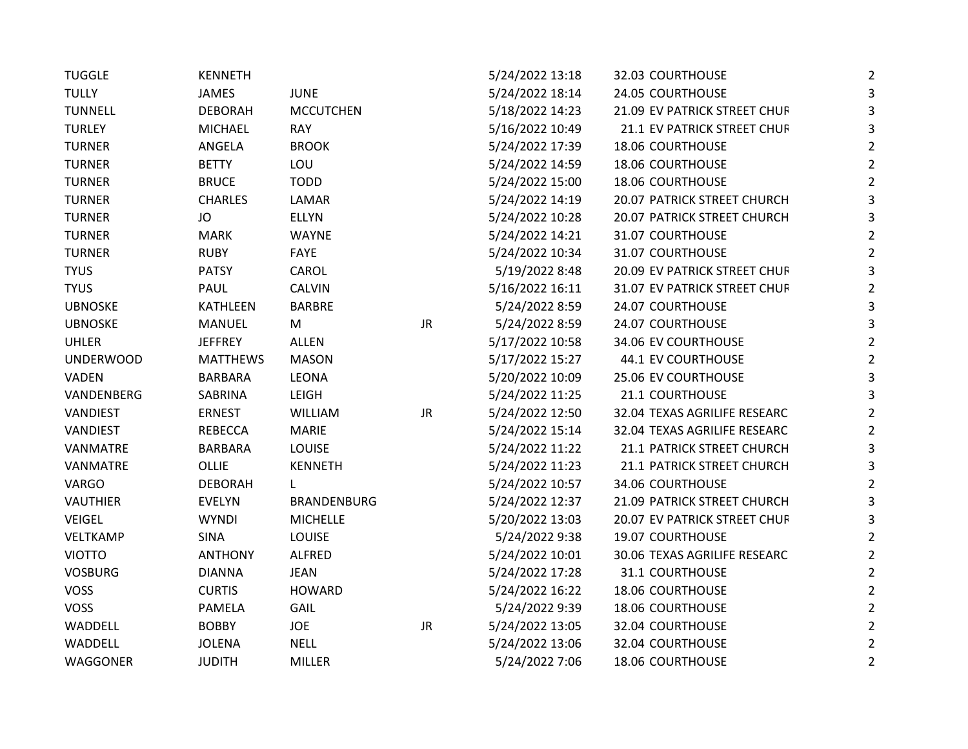| <b>TUGGLE</b>    | <b>KENNETH</b>  |                    |           | 5/24/2022 13:18 | 32.03 COURTHOUSE             | $\overline{2}$ |
|------------------|-----------------|--------------------|-----------|-----------------|------------------------------|----------------|
| <b>TULLY</b>     | <b>JAMES</b>    | <b>JUNE</b>        |           | 5/24/2022 18:14 | 24.05 COURTHOUSE             | 3              |
| TUNNELL          | <b>DEBORAH</b>  | <b>MCCUTCHEN</b>   |           | 5/18/2022 14:23 | 21.09 EV PATRICK STREET CHUF | 3              |
| <b>TURLEY</b>    | <b>MICHAEL</b>  | <b>RAY</b>         |           | 5/16/2022 10:49 | 21.1 EV PATRICK STREET CHUF  | 3              |
| <b>TURNER</b>    | ANGELA          | <b>BROOK</b>       |           | 5/24/2022 17:39 | 18.06 COURTHOUSE             | $\overline{2}$ |
| <b>TURNER</b>    | <b>BETTY</b>    | LOU                |           | 5/24/2022 14:59 | 18.06 COURTHOUSE             | $\overline{2}$ |
| <b>TURNER</b>    | <b>BRUCE</b>    | <b>TODD</b>        |           | 5/24/2022 15:00 | 18.06 COURTHOUSE             | $\overline{2}$ |
| <b>TURNER</b>    | <b>CHARLES</b>  | LAMAR              |           | 5/24/2022 14:19 | 20.07 PATRICK STREET CHURCH  | 3              |
| <b>TURNER</b>    | <b>JO</b>       | <b>ELLYN</b>       |           | 5/24/2022 10:28 | 20.07 PATRICK STREET CHURCH  | 3              |
| <b>TURNER</b>    | <b>MARK</b>     | <b>WAYNE</b>       |           | 5/24/2022 14:21 | 31.07 COURTHOUSE             | $\overline{2}$ |
| <b>TURNER</b>    | <b>RUBY</b>     | <b>FAYE</b>        |           | 5/24/2022 10:34 | 31.07 COURTHOUSE             | $\overline{2}$ |
| <b>TYUS</b>      | <b>PATSY</b>    | CAROL              |           | 5/19/2022 8:48  | 20.09 EV PATRICK STREET CHUF | 3              |
| <b>TYUS</b>      | PAUL            | <b>CALVIN</b>      |           | 5/16/2022 16:11 | 31.07 EV PATRICK STREET CHUF | $\overline{2}$ |
| <b>UBNOSKE</b>   | <b>KATHLEEN</b> | <b>BARBRE</b>      |           | 5/24/2022 8:59  | 24.07 COURTHOUSE             | 3              |
| <b>UBNOSKE</b>   | <b>MANUEL</b>   | M                  | <b>JR</b> | 5/24/2022 8:59  | 24.07 COURTHOUSE             | 3              |
| <b>UHLER</b>     | <b>JEFFREY</b>  | <b>ALLEN</b>       |           | 5/17/2022 10:58 | 34.06 EV COURTHOUSE          | $\overline{2}$ |
| <b>UNDERWOOD</b> | <b>MATTHEWS</b> | <b>MASON</b>       |           | 5/17/2022 15:27 | 44.1 EV COURTHOUSE           | $\overline{2}$ |
| <b>VADEN</b>     | <b>BARBARA</b>  | LEONA              |           | 5/20/2022 10:09 | 25.06 EV COURTHOUSE          | 3              |
| VANDENBERG       | SABRINA         | LEIGH              |           | 5/24/2022 11:25 | 21.1 COURTHOUSE              | 3              |
| VANDIEST         | <b>ERNEST</b>   | WILLIAM            | <b>JR</b> | 5/24/2022 12:50 | 32.04 TEXAS AGRILIFE RESEARC | $\overline{2}$ |
| VANDIEST         | <b>REBECCA</b>  | <b>MARIE</b>       |           | 5/24/2022 15:14 | 32.04 TEXAS AGRILIFE RESEARC | $\overline{2}$ |
| VANMATRE         | <b>BARBARA</b>  | LOUISE             |           | 5/24/2022 11:22 | 21.1 PATRICK STREET CHURCH   | 3              |
| VANMATRE         | OLLIE           | <b>KENNETH</b>     |           | 5/24/2022 11:23 | 21.1 PATRICK STREET CHURCH   | 3              |
| <b>VARGO</b>     | <b>DEBORAH</b>  | L                  |           | 5/24/2022 10:57 | 34.06 COURTHOUSE             | $\overline{2}$ |
| <b>VAUTHIER</b>  | <b>EVELYN</b>   | <b>BRANDENBURG</b> |           | 5/24/2022 12:37 | 21.09 PATRICK STREET CHURCH  | 3              |
| <b>VEIGEL</b>    | <b>WYNDI</b>    | <b>MICHELLE</b>    |           | 5/20/2022 13:03 | 20.07 EV PATRICK STREET CHUF | 3              |
| VELTKAMP         | <b>SINA</b>     | LOUISE             |           | 5/24/2022 9:38  | 19.07 COURTHOUSE             | $\overline{2}$ |
| <b>VIOTTO</b>    | <b>ANTHONY</b>  | <b>ALFRED</b>      |           | 5/24/2022 10:01 | 30.06 TEXAS AGRILIFE RESEARC | $\overline{2}$ |
| <b>VOSBURG</b>   | <b>DIANNA</b>   | <b>JEAN</b>        |           | 5/24/2022 17:28 | 31.1 COURTHOUSE              | $\overline{2}$ |
| <b>VOSS</b>      | <b>CURTIS</b>   | <b>HOWARD</b>      |           | 5/24/2022 16:22 | 18.06 COURTHOUSE             | $\overline{2}$ |
| <b>VOSS</b>      | <b>PAMELA</b>   | GAIL               |           | 5/24/2022 9:39  | 18.06 COURTHOUSE             | $\overline{2}$ |
| WADDELL          | <b>BOBBY</b>    | <b>JOE</b>         | JR        | 5/24/2022 13:05 | 32.04 COURTHOUSE             | $\overline{2}$ |
| WADDELL          | <b>JOLENA</b>   | <b>NELL</b>        |           | 5/24/2022 13:06 | 32.04 COURTHOUSE             | $\mathbf 2$    |
| <b>WAGGONER</b>  | <b>JUDITH</b>   | <b>MILLER</b>      |           | 5/24/2022 7:06  | 18.06 COURTHOUSE             | $\overline{2}$ |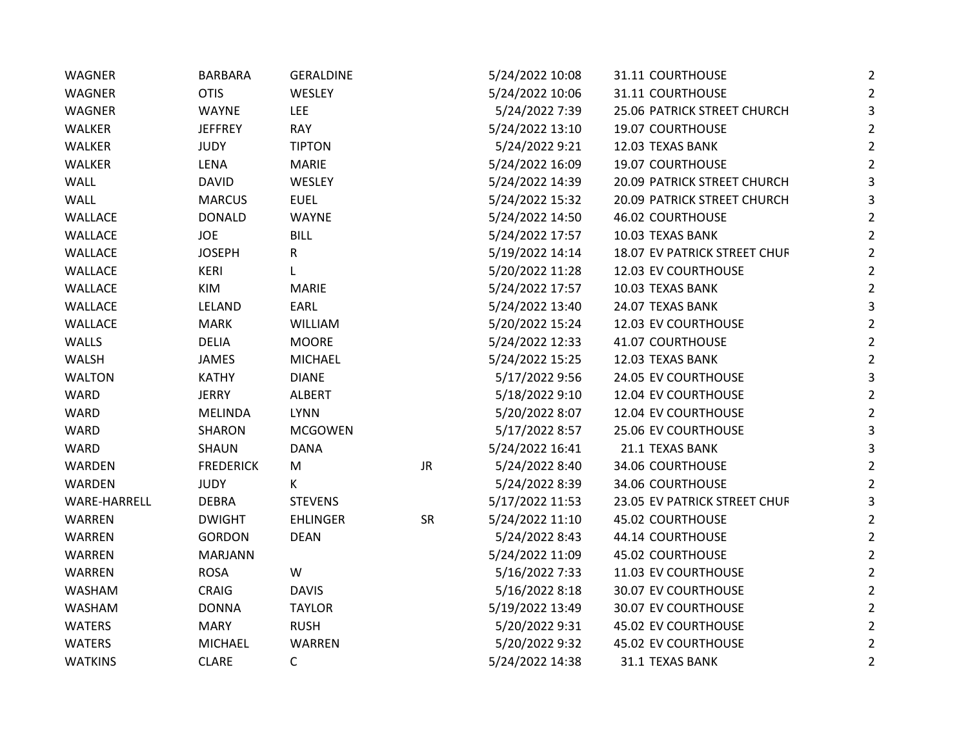| WAGNER         | <b>BARBARA</b>   | <b>GERALDINE</b> |    | 5/24/2022 10:08 | 31.11 COURTHOUSE             | $\overline{2}$ |
|----------------|------------------|------------------|----|-----------------|------------------------------|----------------|
| <b>WAGNER</b>  | <b>OTIS</b>      | WESLEY           |    | 5/24/2022 10:06 | 31.11 COURTHOUSE             | $\overline{2}$ |
| WAGNER         | <b>WAYNE</b>     | LEE              |    | 5/24/2022 7:39  | 25.06 PATRICK STREET CHURCH  | 3              |
| <b>WALKER</b>  | <b>JEFFREY</b>   | <b>RAY</b>       |    | 5/24/2022 13:10 | 19.07 COURTHOUSE             | $\overline{2}$ |
| WALKER         | <b>JUDY</b>      | <b>TIPTON</b>    |    | 5/24/2022 9:21  | 12.03 TEXAS BANK             | $\overline{2}$ |
| WALKER         | LENA             | <b>MARIE</b>     |    | 5/24/2022 16:09 | 19.07 COURTHOUSE             | $\overline{2}$ |
| <b>WALL</b>    | <b>DAVID</b>     | WESLEY           |    | 5/24/2022 14:39 | 20.09 PATRICK STREET CHURCH  | 3              |
| WALL           | <b>MARCUS</b>    | <b>EUEL</b>      |    | 5/24/2022 15:32 | 20.09 PATRICK STREET CHURCH  | 3              |
| WALLACE        | <b>DONALD</b>    | <b>WAYNE</b>     |    | 5/24/2022 14:50 | 46.02 COURTHOUSE             | $\overline{2}$ |
| WALLACE        | <b>JOE</b>       | <b>BILL</b>      |    | 5/24/2022 17:57 | 10.03 TEXAS BANK             | $\overline{2}$ |
| WALLACE        | <b>JOSEPH</b>    | R                |    | 5/19/2022 14:14 | 18.07 EV PATRICK STREET CHUF | $\overline{2}$ |
| WALLACE        | <b>KERI</b>      | L                |    | 5/20/2022 11:28 | 12.03 EV COURTHOUSE          | $\overline{2}$ |
| WALLACE        | <b>KIM</b>       | <b>MARIE</b>     |    | 5/24/2022 17:57 | 10.03 TEXAS BANK             | $\overline{2}$ |
| WALLACE        | LELAND           | EARL             |    | 5/24/2022 13:40 | 24.07 TEXAS BANK             | 3              |
| WALLACE        | <b>MARK</b>      | WILLIAM          |    | 5/20/2022 15:24 | 12.03 EV COURTHOUSE          | $\overline{2}$ |
| <b>WALLS</b>   | <b>DELIA</b>     | <b>MOORE</b>     |    | 5/24/2022 12:33 | 41.07 COURTHOUSE             | $\overline{2}$ |
| <b>WALSH</b>   | <b>JAMES</b>     | MICHAEL          |    | 5/24/2022 15:25 | 12.03 TEXAS BANK             | $\overline{2}$ |
| <b>WALTON</b>  | <b>KATHY</b>     | <b>DIANE</b>     |    | 5/17/2022 9:56  | 24.05 EV COURTHOUSE          | 3              |
| WARD           | <b>JERRY</b>     | <b>ALBERT</b>    |    | 5/18/2022 9:10  | 12.04 EV COURTHOUSE          | $\overline{2}$ |
| WARD           | <b>MELINDA</b>   | <b>LYNN</b>      |    | 5/20/2022 8:07  | 12.04 EV COURTHOUSE          | $\overline{2}$ |
| WARD           | <b>SHARON</b>    | <b>MCGOWEN</b>   |    | 5/17/2022 8:57  | 25.06 EV COURTHOUSE          | 3              |
| WARD           | SHAUN            | <b>DANA</b>      |    | 5/24/2022 16:41 | 21.1 TEXAS BANK              | 3              |
| WARDEN         | <b>FREDERICK</b> | M                | JR | 5/24/2022 8:40  | 34.06 COURTHOUSE             | $\overline{2}$ |
| <b>WARDEN</b>  | <b>JUDY</b>      | K                |    | 5/24/2022 8:39  | 34.06 COURTHOUSE             | $\overline{2}$ |
| WARE-HARRELL   | DEBRA            | <b>STEVENS</b>   |    | 5/17/2022 11:53 | 23.05 EV PATRICK STREET CHUF | 3              |
| WARREN         | <b>DWIGHT</b>    | <b>EHLINGER</b>  | SR | 5/24/2022 11:10 | 45.02 COURTHOUSE             | $\overline{2}$ |
| WARREN         | <b>GORDON</b>    | <b>DEAN</b>      |    | 5/24/2022 8:43  | 44.14 COURTHOUSE             | $\overline{2}$ |
| WARREN         | <b>MARJANN</b>   |                  |    | 5/24/2022 11:09 | 45.02 COURTHOUSE             | $\overline{2}$ |
| WARREN         | <b>ROSA</b>      | W                |    | 5/16/2022 7:33  | 11.03 EV COURTHOUSE          | $\overline{2}$ |
| WASHAM         | <b>CRAIG</b>     | <b>DAVIS</b>     |    | 5/16/2022 8:18  | 30.07 EV COURTHOUSE          | $\overline{2}$ |
| WASHAM         | <b>DONNA</b>     | <b>TAYLOR</b>    |    | 5/19/2022 13:49 | 30.07 EV COURTHOUSE          | $\overline{2}$ |
| <b>WATERS</b>  | <b>MARY</b>      | <b>RUSH</b>      |    | 5/20/2022 9:31  | 45.02 EV COURTHOUSE          | $\overline{2}$ |
| <b>WATERS</b>  | <b>MICHAEL</b>   | WARREN           |    | 5/20/2022 9:32  | 45.02 EV COURTHOUSE          | $\overline{2}$ |
| <b>WATKINS</b> | <b>CLARE</b>     | $\mathsf{C}$     |    | 5/24/2022 14:38 | 31.1 TEXAS BANK              | $\overline{2}$ |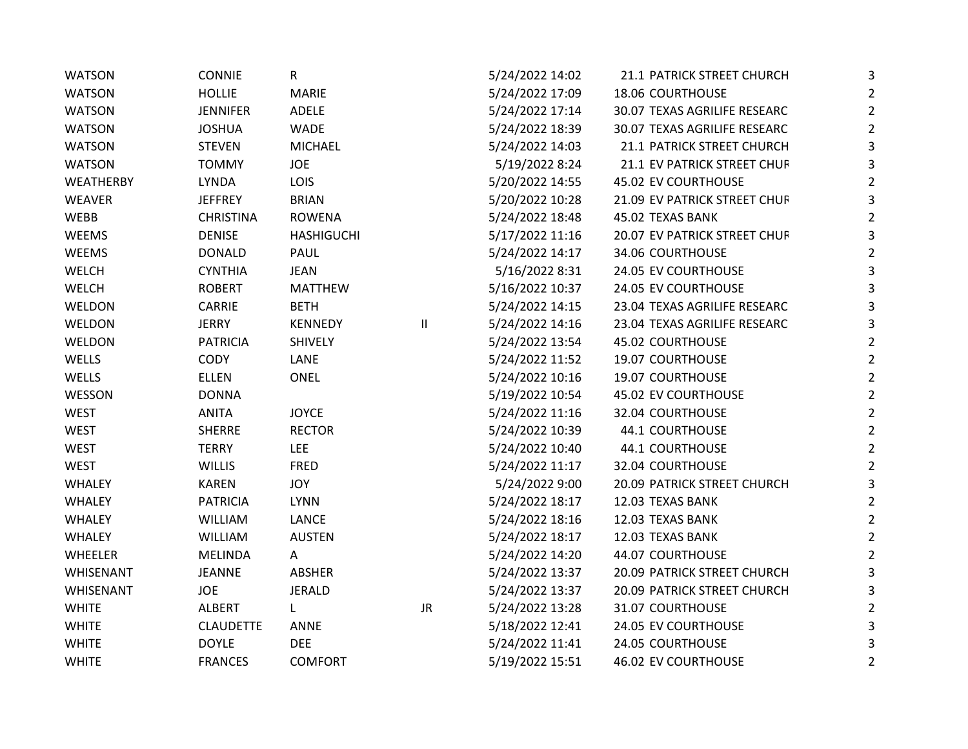| <b>WATSON</b>    | <b>CONNIE</b>    | R                 |               | 5/24/2022 14:02 | 21.1 PATRICK STREET CHURCH   | 3              |
|------------------|------------------|-------------------|---------------|-----------------|------------------------------|----------------|
| <b>WATSON</b>    | <b>HOLLIE</b>    | <b>MARIE</b>      |               | 5/24/2022 17:09 | <b>18.06 COURTHOUSE</b>      | $\overline{2}$ |
| <b>WATSON</b>    | <b>JENNIFER</b>  | ADELE             |               | 5/24/2022 17:14 | 30.07 TEXAS AGRILIFE RESEARC | $\overline{2}$ |
| <b>WATSON</b>    | <b>JOSHUA</b>    | <b>WADE</b>       |               | 5/24/2022 18:39 | 30.07 TEXAS AGRILIFE RESEARC | $\overline{2}$ |
| <b>WATSON</b>    | <b>STEVEN</b>    | <b>MICHAEL</b>    |               | 5/24/2022 14:03 | 21.1 PATRICK STREET CHURCH   | 3              |
| <b>WATSON</b>    | <b>TOMMY</b>     | <b>JOE</b>        |               | 5/19/2022 8:24  | 21.1 EV PATRICK STREET CHUF  | 3              |
| <b>WEATHERBY</b> | <b>LYNDA</b>     | LOIS              |               | 5/20/2022 14:55 | 45.02 EV COURTHOUSE          | $\overline{2}$ |
| <b>WEAVER</b>    | <b>JEFFREY</b>   | <b>BRIAN</b>      |               | 5/20/2022 10:28 | 21.09 EV PATRICK STREET CHUF | 3              |
| <b>WEBB</b>      | <b>CHRISTINA</b> | <b>ROWENA</b>     |               | 5/24/2022 18:48 | 45.02 TEXAS BANK             | $\overline{2}$ |
| WEEMS            | <b>DENISE</b>    | <b>HASHIGUCHI</b> |               | 5/17/2022 11:16 | 20.07 EV PATRICK STREET CHUF | 3              |
| WEEMS            | <b>DONALD</b>    | PAUL              |               | 5/24/2022 14:17 | 34.06 COURTHOUSE             | $\overline{2}$ |
| WELCH            | <b>CYNTHIA</b>   | <b>JEAN</b>       |               | 5/16/2022 8:31  | 24.05 EV COURTHOUSE          | $\mathsf{3}$   |
| WELCH            | <b>ROBERT</b>    | <b>MATTHEW</b>    |               | 5/16/2022 10:37 | 24.05 EV COURTHOUSE          | 3              |
| WELDON           | CARRIE           | <b>BETH</b>       |               | 5/24/2022 14:15 | 23.04 TEXAS AGRILIFE RESEARC | 3              |
| WELDON           | <b>JERRY</b>     | <b>KENNEDY</b>    | $\mathsf{II}$ | 5/24/2022 14:16 | 23.04 TEXAS AGRILIFE RESEARC | 3              |
| WELDON           | <b>PATRICIA</b>  | SHIVELY           |               | 5/24/2022 13:54 | 45.02 COURTHOUSE             | $\overline{2}$ |
| WELLS            | <b>CODY</b>      | LANE              |               | 5/24/2022 11:52 | 19.07 COURTHOUSE             | $\overline{2}$ |
| WELLS            | <b>ELLEN</b>     | ONEL              |               | 5/24/2022 10:16 | 19.07 COURTHOUSE             | $\overline{2}$ |
| WESSON           | <b>DONNA</b>     |                   |               | 5/19/2022 10:54 | 45.02 EV COURTHOUSE          | $\overline{2}$ |
| <b>WEST</b>      | <b>ANITA</b>     | <b>JOYCE</b>      |               | 5/24/2022 11:16 | 32.04 COURTHOUSE             | $\overline{2}$ |
| <b>WEST</b>      | <b>SHERRE</b>    | <b>RECTOR</b>     |               | 5/24/2022 10:39 | 44.1 COURTHOUSE              | $\overline{2}$ |
| <b>WEST</b>      | <b>TERRY</b>     | <b>LEE</b>        |               | 5/24/2022 10:40 | 44.1 COURTHOUSE              | $\overline{2}$ |
| <b>WEST</b>      | <b>WILLIS</b>    | <b>FRED</b>       |               | 5/24/2022 11:17 | 32.04 COURTHOUSE             | $\overline{2}$ |
| WHALEY           | <b>KAREN</b>     | <b>JOY</b>        |               | 5/24/2022 9:00  | 20.09 PATRICK STREET CHURCH  | $\mathsf{3}$   |
| WHALEY           | <b>PATRICIA</b>  | <b>LYNN</b>       |               | 5/24/2022 18:17 | 12.03 TEXAS BANK             | $\overline{2}$ |
| WHALEY           | WILLIAM          | <b>LANCE</b>      |               | 5/24/2022 18:16 | 12.03 TEXAS BANK             | $\overline{2}$ |
| WHALEY           | WILLIAM          | <b>AUSTEN</b>     |               | 5/24/2022 18:17 | 12.03 TEXAS BANK             | $\overline{2}$ |
| WHEELER          | <b>MELINDA</b>   | A                 |               | 5/24/2022 14:20 | 44.07 COURTHOUSE             | $\overline{2}$ |
| WHISENANT        | <b>JEANNE</b>    | <b>ABSHER</b>     |               | 5/24/2022 13:37 | 20.09 PATRICK STREET CHURCH  | 3              |
| WHISENANT        | <b>JOE</b>       | <b>JERALD</b>     |               | 5/24/2022 13:37 | 20.09 PATRICK STREET CHURCH  | 3              |
| <b>WHITE</b>     | ALBERT           | L                 | JR.           | 5/24/2022 13:28 | 31.07 COURTHOUSE             | $\overline{2}$ |
| <b>WHITE</b>     | <b>CLAUDETTE</b> | ANNE              |               | 5/18/2022 12:41 | 24.05 EV COURTHOUSE          | 3              |
| <b>WHITE</b>     | <b>DOYLE</b>     | <b>DEE</b>        |               | 5/24/2022 11:41 | 24.05 COURTHOUSE             | 3              |
| <b>WHITE</b>     | <b>FRANCES</b>   | <b>COMFORT</b>    |               | 5/19/2022 15:51 | 46.02 EV COURTHOUSE          | $\overline{2}$ |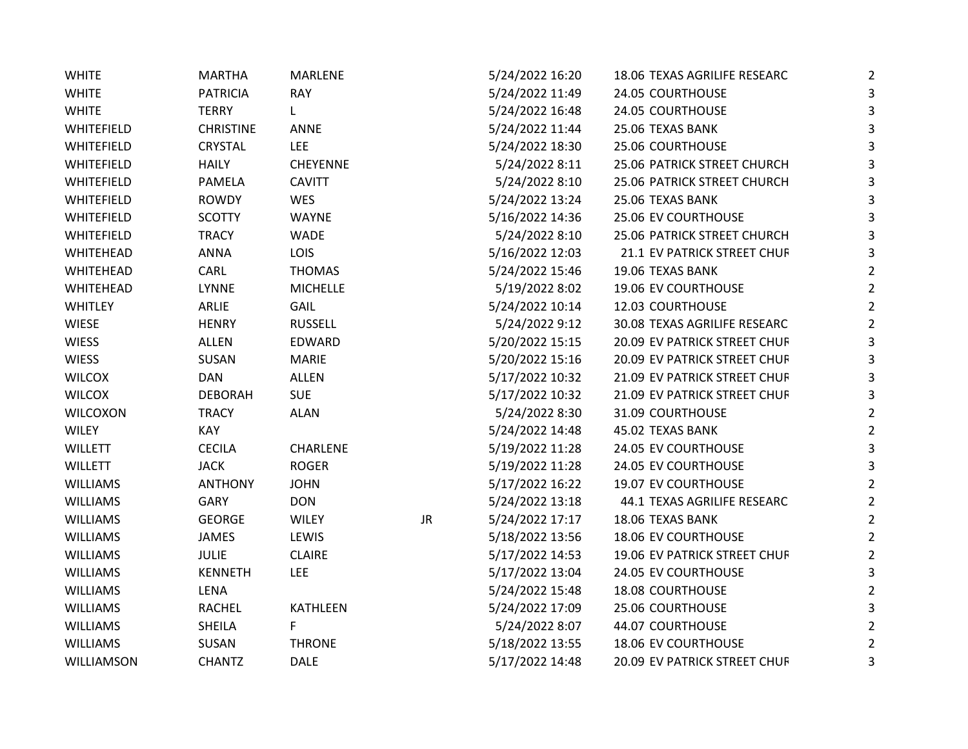| <b>WHITE</b>    | <b>MARTHA</b>    | <b>MARLENE</b>  |    | 5/24/2022 16:20 | 18.06 TEXAS AGRILIFE RESEARC | $\overline{2}$ |
|-----------------|------------------|-----------------|----|-----------------|------------------------------|----------------|
| <b>WHITE</b>    | <b>PATRICIA</b>  | <b>RAY</b>      |    | 5/24/2022 11:49 | 24.05 COURTHOUSE             | 3              |
| <b>WHITE</b>    | <b>TERRY</b>     | L               |    | 5/24/2022 16:48 | 24.05 COURTHOUSE             | 3              |
| WHITEFIELD      | <b>CHRISTINE</b> | ANNE            |    | 5/24/2022 11:44 | 25.06 TEXAS BANK             | 3              |
| WHITEFIELD      | CRYSTAL          | LEE             |    | 5/24/2022 18:30 | 25.06 COURTHOUSE             | 3              |
| WHITEFIELD      | <b>HAILY</b>     | CHEYENNE        |    | 5/24/2022 8:11  | 25.06 PATRICK STREET CHURCH  | 3              |
| WHITEFIELD      | <b>PAMELA</b>    | <b>CAVITT</b>   |    | 5/24/2022 8:10  | 25.06 PATRICK STREET CHURCH  | 3              |
| WHITEFIELD      | <b>ROWDY</b>     | <b>WES</b>      |    | 5/24/2022 13:24 | 25.06 TEXAS BANK             | 3              |
| WHITEFIELD      | <b>SCOTTY</b>    | <b>WAYNE</b>    |    | 5/16/2022 14:36 | 25.06 EV COURTHOUSE          | 3              |
| WHITEFIELD      | <b>TRACY</b>     | <b>WADE</b>     |    | 5/24/2022 8:10  | 25.06 PATRICK STREET CHURCH  | 3              |
| WHITEHEAD       | <b>ANNA</b>      | LOIS            |    | 5/16/2022 12:03 | 21.1 EV PATRICK STREET CHUF  | $\overline{3}$ |
| WHITEHEAD       | CARL             | <b>THOMAS</b>   |    | 5/24/2022 15:46 | 19.06 TEXAS BANK             | $\overline{2}$ |
| WHITEHEAD       | LYNNE            | <b>MICHELLE</b> |    | 5/19/2022 8:02  | 19.06 EV COURTHOUSE          | $\overline{2}$ |
| WHITLEY         | <b>ARLIE</b>     | GAIL            |    | 5/24/2022 10:14 | 12.03 COURTHOUSE             | $\overline{2}$ |
| <b>WIESE</b>    | <b>HENRY</b>     | <b>RUSSELL</b>  |    | 5/24/2022 9:12  | 30.08 TEXAS AGRILIFE RESEARC | $\overline{2}$ |
| <b>WIESS</b>    | <b>ALLEN</b>     | EDWARD          |    | 5/20/2022 15:15 | 20.09 EV PATRICK STREET CHUF | 3              |
| <b>WIESS</b>    | SUSAN            | <b>MARIE</b>    |    | 5/20/2022 15:16 | 20.09 EV PATRICK STREET CHUF | 3              |
| <b>WILCOX</b>   | <b>DAN</b>       | ALLEN           |    | 5/17/2022 10:32 | 21.09 EV PATRICK STREET CHUF | 3              |
| <b>WILCOX</b>   | <b>DEBORAH</b>   | <b>SUE</b>      |    | 5/17/2022 10:32 | 21.09 EV PATRICK STREET CHUF | 3              |
| <b>WILCOXON</b> | <b>TRACY</b>     | <b>ALAN</b>     |    | 5/24/2022 8:30  | 31.09 COURTHOUSE             | $\overline{2}$ |
| <b>WILEY</b>    | <b>KAY</b>       |                 |    | 5/24/2022 14:48 | 45.02 TEXAS BANK             | $\overline{2}$ |
| <b>WILLETT</b>  | <b>CECILA</b>    | CHARLENE        |    | 5/19/2022 11:28 | 24.05 EV COURTHOUSE          | 3              |
| <b>WILLETT</b>  | <b>JACK</b>      | <b>ROGER</b>    |    | 5/19/2022 11:28 | 24.05 EV COURTHOUSE          | 3              |
| <b>WILLIAMS</b> | <b>ANTHONY</b>   | <b>JOHN</b>     |    | 5/17/2022 16:22 | 19.07 EV COURTHOUSE          | $\overline{2}$ |
| <b>WILLIAMS</b> | GARY             | <b>DON</b>      |    | 5/24/2022 13:18 | 44.1 TEXAS AGRILIFE RESEARC  | $\overline{2}$ |
| <b>WILLIAMS</b> | <b>GEORGE</b>    | <b>WILEY</b>    | JR | 5/24/2022 17:17 | 18.06 TEXAS BANK             | $\overline{2}$ |
| <b>WILLIAMS</b> | <b>JAMES</b>     | LEWIS           |    | 5/18/2022 13:56 | 18.06 EV COURTHOUSE          | $\overline{2}$ |
| <b>WILLIAMS</b> | <b>JULIE</b>     | <b>CLAIRE</b>   |    | 5/17/2022 14:53 | 19.06 EV PATRICK STREET CHUF | $\overline{2}$ |
| <b>WILLIAMS</b> | KENNETH          | LEE             |    | 5/17/2022 13:04 | 24.05 EV COURTHOUSE          | 3              |
| WILLIAMS        | LENA             |                 |    | 5/24/2022 15:48 | 18.08 COURTHOUSE             | $\overline{2}$ |
| <b>WILLIAMS</b> | <b>RACHEL</b>    | KATHLEEN        |    | 5/24/2022 17:09 | 25.06 COURTHOUSE             | 3              |
| <b>WILLIAMS</b> | SHEILA           | F               |    | 5/24/2022 8:07  | 44.07 COURTHOUSE             | $\overline{2}$ |
| <b>WILLIAMS</b> | SUSAN            | <b>THRONE</b>   |    | 5/18/2022 13:55 | 18.06 EV COURTHOUSE          | $\overline{2}$ |
| WILLIAMSON      | <b>CHANTZ</b>    | <b>DALE</b>     |    | 5/17/2022 14:48 | 20.09 EV PATRICK STREET CHUF | 3              |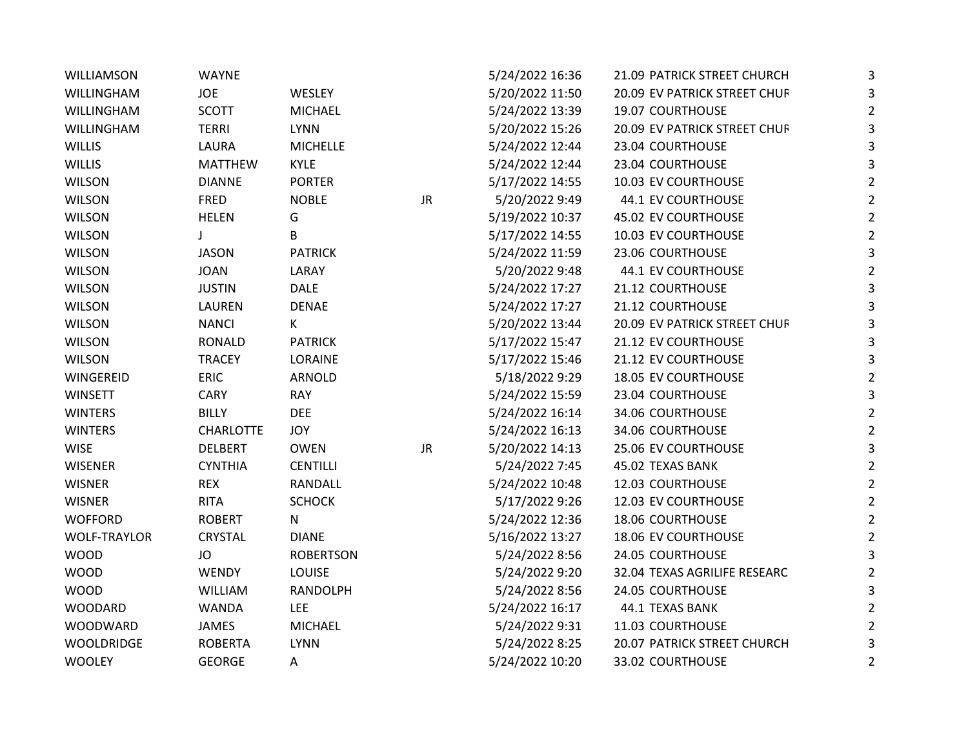| WILLIAMSON          | <b>WAYNE</b>     |                  |     | 5/24/2022 16:36 | 21.09 PATRICK STREET CHURCH         | 3              |
|---------------------|------------------|------------------|-----|-----------------|-------------------------------------|----------------|
| WILLINGHAM          | <b>JOE</b>       | WESLEY           |     | 5/20/2022 11:50 | <b>20.09 EV PATRICK STREET CHUF</b> | 3              |
| WILLINGHAM          | <b>SCOTT</b>     | <b>MICHAEL</b>   |     | 5/24/2022 13:39 | 19.07 COURTHOUSE                    | $\overline{2}$ |
| WILLINGHAM          | <b>TERRI</b>     | <b>LYNN</b>      |     | 5/20/2022 15:26 | 20.09 EV PATRICK STREET CHUF        | 3              |
| <b>WILLIS</b>       | LAURA            | <b>MICHELLE</b>  |     | 5/24/2022 12:44 | 23.04 COURTHOUSE                    | 3              |
| <b>WILLIS</b>       | <b>MATTHEW</b>   | KYLE             |     | 5/24/2022 12:44 | 23.04 COURTHOUSE                    | 3              |
| <b>WILSON</b>       | <b>DIANNE</b>    | <b>PORTER</b>    |     | 5/17/2022 14:55 | 10.03 EV COURTHOUSE                 | $\overline{2}$ |
| <b>WILSON</b>       | <b>FRED</b>      | <b>NOBLE</b>     | JR. | 5/20/2022 9:49  | 44.1 EV COURTHOUSE                  | $\overline{2}$ |
| <b>WILSON</b>       | <b>HELEN</b>     | G                |     | 5/19/2022 10:37 | 45.02 EV COURTHOUSE                 | $\overline{2}$ |
| <b>WILSON</b>       | $\mathbf{I}$     | B                |     | 5/17/2022 14:55 | 10.03 EV COURTHOUSE                 | $\overline{2}$ |
| <b>WILSON</b>       | <b>JASON</b>     | <b>PATRICK</b>   |     | 5/24/2022 11:59 | 23.06 COURTHOUSE                    | $\overline{3}$ |
| <b>WILSON</b>       | <b>JOAN</b>      | LARAY            |     | 5/20/2022 9:48  | 44.1 EV COURTHOUSE                  | $\overline{2}$ |
| <b>WILSON</b>       | <b>JUSTIN</b>    | DALE             |     | 5/24/2022 17:27 | 21.12 COURTHOUSE                    | $\overline{3}$ |
| <b>WILSON</b>       | LAUREN           | <b>DENAE</b>     |     | 5/24/2022 17:27 | 21.12 COURTHOUSE                    | 3              |
| <b>WILSON</b>       | <b>NANCI</b>     | K                |     | 5/20/2022 13:44 | 20.09 EV PATRICK STREET CHUF        | 3              |
| <b>WILSON</b>       | <b>RONALD</b>    | <b>PATRICK</b>   |     | 5/17/2022 15:47 | 21.12 EV COURTHOUSE                 | 3              |
| <b>WILSON</b>       | <b>TRACEY</b>    | LORAINE          |     | 5/17/2022 15:46 | 21.12 EV COURTHOUSE                 | $\overline{3}$ |
| WINGEREID           | <b>ERIC</b>      | ARNOLD           |     | 5/18/2022 9:29  | <b>18.05 EV COURTHOUSE</b>          | $\overline{2}$ |
| WINSETT             | <b>CARY</b>      | <b>RAY</b>       |     | 5/24/2022 15:59 | 23.04 COURTHOUSE                    | 3              |
| <b>WINTERS</b>      | <b>BILLY</b>     | <b>DEE</b>       |     | 5/24/2022 16:14 | 34.06 COURTHOUSE                    | $\overline{2}$ |
| <b>WINTERS</b>      | <b>CHARLOTTE</b> | <b>JOY</b>       |     | 5/24/2022 16:13 | 34.06 COURTHOUSE                    | $\overline{2}$ |
| <b>WISE</b>         | <b>DELBERT</b>   | <b>OWEN</b>      | JR. | 5/20/2022 14:13 | 25.06 EV COURTHOUSE                 | 3              |
| <b>WISENER</b>      | <b>CYNTHIA</b>   | <b>CENTILLI</b>  |     | 5/24/2022 7:45  | 45.02 TEXAS BANK                    | $\overline{2}$ |
| <b>WISNER</b>       | <b>REX</b>       | RANDALL          |     | 5/24/2022 10:48 | 12.03 COURTHOUSE                    | $\overline{2}$ |
| <b>WISNER</b>       | <b>RITA</b>      | <b>SCHOCK</b>    |     | 5/17/2022 9:26  | 12.03 EV COURTHOUSE                 | $\overline{2}$ |
| <b>WOFFORD</b>      | <b>ROBERT</b>    | N                |     | 5/24/2022 12:36 | 18.06 COURTHOUSE                    | $\overline{2}$ |
| <b>WOLF-TRAYLOR</b> | <b>CRYSTAL</b>   | <b>DIANE</b>     |     | 5/16/2022 13:27 | 18.06 EV COURTHOUSE                 | $\overline{2}$ |
| <b>WOOD</b>         | <b>JO</b>        | <b>ROBERTSON</b> |     | 5/24/2022 8:56  | 24.05 COURTHOUSE                    | 3              |
| <b>WOOD</b>         | WENDY            | LOUISE           |     | 5/24/2022 9:20  | 32.04 TEXAS AGRILIFE RESEARC        | $\overline{2}$ |
| <b>WOOD</b>         | WILLIAM          | <b>RANDOLPH</b>  |     | 5/24/2022 8:56  | 24.05 COURTHOUSE                    | 3              |
| <b>WOODARD</b>      | <b>WANDA</b>     | <b>LEE</b>       |     | 5/24/2022 16:17 | 44.1 TEXAS BANK                     | $\overline{2}$ |
| <b>WOODWARD</b>     | <b>JAMES</b>     | MICHAEL          |     | 5/24/2022 9:31  | 11.03 COURTHOUSE                    | $\overline{2}$ |
| <b>WOOLDRIDGE</b>   | <b>ROBERTA</b>   | <b>LYNN</b>      |     | 5/24/2022 8:25  | 20.07 PATRICK STREET CHURCH         | 3              |
| <b>WOOLEY</b>       | <b>GEORGE</b>    | Α                |     | 5/24/2022 10:20 | 33.02 COURTHOUSE                    | $\overline{2}$ |